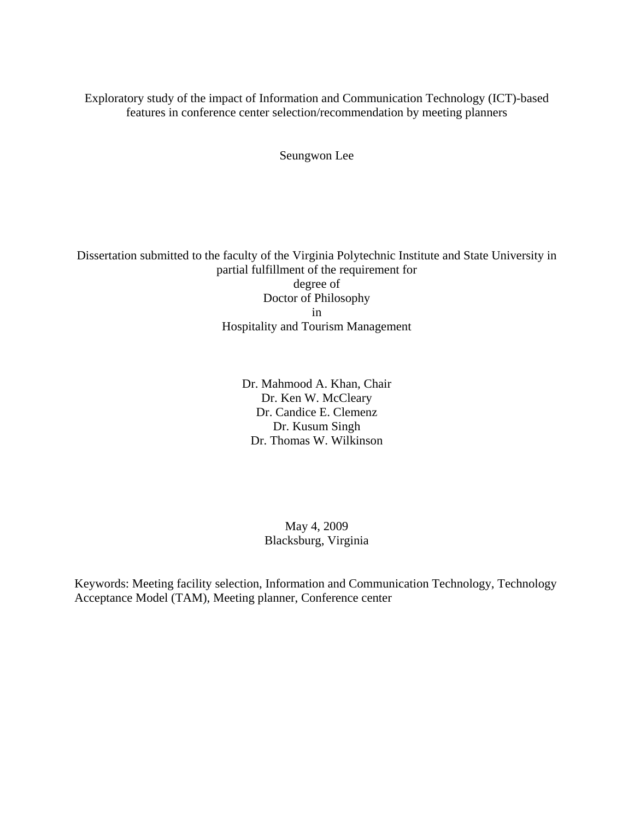Exploratory study of the impact of Information and Communication Technology (ICT)-based features in conference center selection/recommendation by meeting planners

Seungwon Lee

Dissertation submitted to the faculty of the Virginia Polytechnic Institute and State University in partial fulfillment of the requirement for degree of Doctor of Philosophy in Hospitality and Tourism Management

> Dr. Mahmood A. Khan, Chair Dr. Ken W. McCleary Dr. Candice E. Clemenz Dr. Kusum Singh Dr. Thomas W. Wilkinson

> > May 4, 2009 Blacksburg, Virginia

Keywords: Meeting facility selection, Information and Communication Technology, Technology Acceptance Model (TAM), Meeting planner, Conference center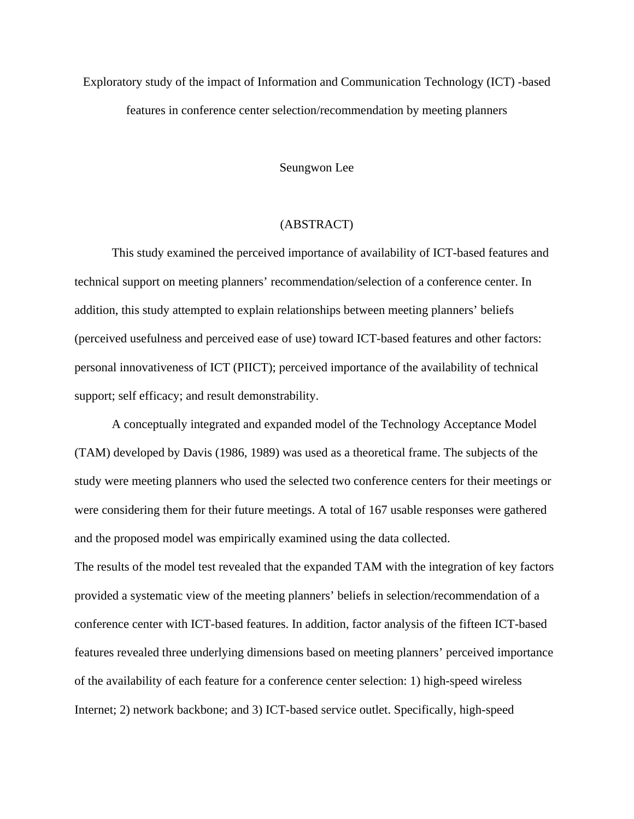Exploratory study of the impact of Information and Communication Technology (ICT) -based features in conference center selection/recommendation by meeting planners

Seungwon Lee

## (ABSTRACT)

This study examined the perceived importance of availability of ICT-based features and technical support on meeting planners' recommendation/selection of a conference center. In addition, this study attempted to explain relationships between meeting planners' beliefs (perceived usefulness and perceived ease of use) toward ICT-based features and other factors: personal innovativeness of ICT (PIICT); perceived importance of the availability of technical support; self efficacy; and result demonstrability.

A conceptually integrated and expanded model of the Technology Acceptance Model (TAM) developed by Davis (1986, 1989) was used as a theoretical frame. The subjects of the study were meeting planners who used the selected two conference centers for their meetings or were considering them for their future meetings. A total of 167 usable responses were gathered and the proposed model was empirically examined using the data collected.

The results of the model test revealed that the expanded TAM with the integration of key factors provided a systematic view of the meeting planners' beliefs in selection/recommendation of a conference center with ICT-based features. In addition, factor analysis of the fifteen ICT-based features revealed three underlying dimensions based on meeting planners' perceived importance of the availability of each feature for a conference center selection: 1) high-speed wireless Internet; 2) network backbone; and 3) ICT-based service outlet. Specifically, high-speed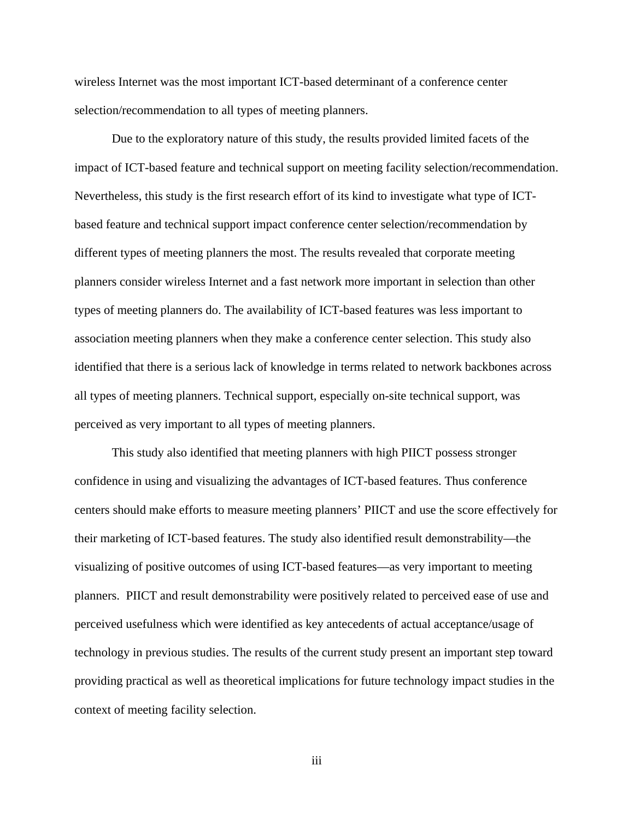wireless Internet was the most important ICT-based determinant of a conference center selection/recommendation to all types of meeting planners.

Due to the exploratory nature of this study, the results provided limited facets of the impact of ICT-based feature and technical support on meeting facility selection/recommendation. Nevertheless, this study is the first research effort of its kind to investigate what type of ICTbased feature and technical support impact conference center selection/recommendation by different types of meeting planners the most. The results revealed that corporate meeting planners consider wireless Internet and a fast network more important in selection than other types of meeting planners do. The availability of ICT-based features was less important to association meeting planners when they make a conference center selection. This study also identified that there is a serious lack of knowledge in terms related to network backbones across all types of meeting planners. Technical support, especially on-site technical support, was perceived as very important to all types of meeting planners.

This study also identified that meeting planners with high PIICT possess stronger confidence in using and visualizing the advantages of ICT-based features. Thus conference centers should make efforts to measure meeting planners' PIICT and use the score effectively for their marketing of ICT-based features. The study also identified result demonstrability—the visualizing of positive outcomes of using ICT-based features—as very important to meeting planners. PIICT and result demonstrability were positively related to perceived ease of use and perceived usefulness which were identified as key antecedents of actual acceptance/usage of technology in previous studies. The results of the current study present an important step toward providing practical as well as theoretical implications for future technology impact studies in the context of meeting facility selection.

iii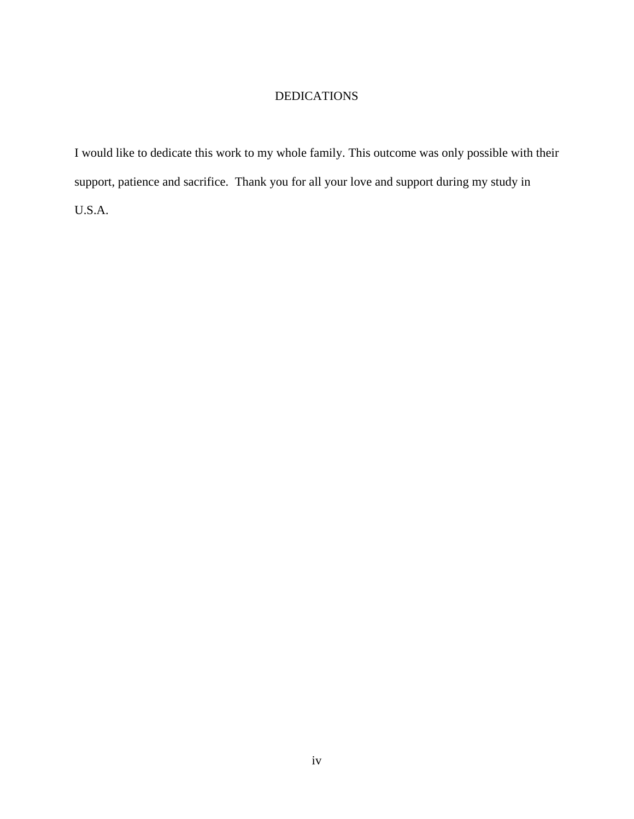## DEDICATIONS

I would like to dedicate this work to my whole family. This outcome was only possible with their support, patience and sacrifice. Thank you for all your love and support during my study in U.S.A.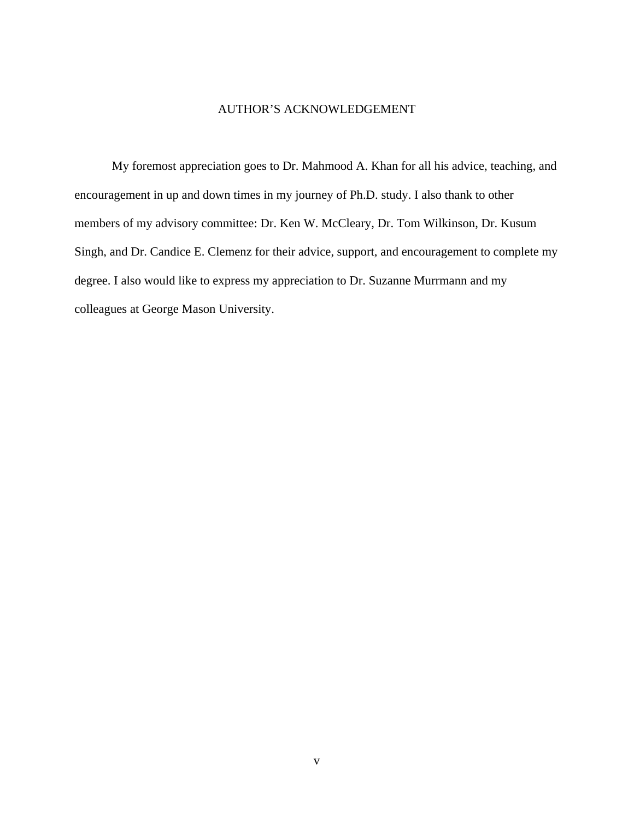## AUTHOR'S ACKNOWLEDGEMENT

My foremost appreciation goes to Dr. Mahmood A. Khan for all his advice, teaching, and encouragement in up and down times in my journey of Ph.D. study. I also thank to other members of my advisory committee: Dr. Ken W. McCleary, Dr. Tom Wilkinson, Dr. Kusum Singh, and Dr. Candice E. Clemenz for their advice, support, and encouragement to complete my degree. I also would like to express my appreciation to Dr. Suzanne Murrmann and my colleagues at George Mason University.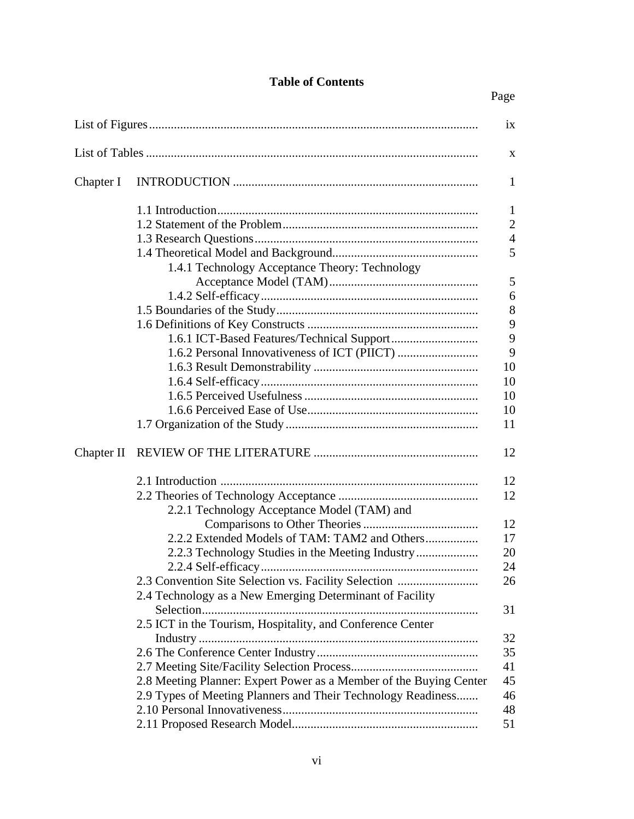## **Table of Contents**

| ix         |                                                                    |                |  |  |  |  |
|------------|--------------------------------------------------------------------|----------------|--|--|--|--|
| X          |                                                                    |                |  |  |  |  |
| Chapter I  |                                                                    |                |  |  |  |  |
|            |                                                                    | 1              |  |  |  |  |
|            |                                                                    | $\overline{2}$ |  |  |  |  |
|            |                                                                    | $\overline{4}$ |  |  |  |  |
|            |                                                                    | 5              |  |  |  |  |
|            | 1.4.1 Technology Acceptance Theory: Technology                     |                |  |  |  |  |
|            |                                                                    | 5              |  |  |  |  |
|            |                                                                    | 6              |  |  |  |  |
|            |                                                                    | 8              |  |  |  |  |
|            |                                                                    | 9              |  |  |  |  |
|            |                                                                    | 9              |  |  |  |  |
|            |                                                                    | 9              |  |  |  |  |
|            |                                                                    | 10             |  |  |  |  |
|            |                                                                    | 10             |  |  |  |  |
|            |                                                                    | 10             |  |  |  |  |
|            |                                                                    | 10             |  |  |  |  |
|            |                                                                    | 11             |  |  |  |  |
| Chapter II |                                                                    | 12             |  |  |  |  |
|            |                                                                    | 12             |  |  |  |  |
|            |                                                                    | 12             |  |  |  |  |
|            | 2.2.1 Technology Acceptance Model (TAM) and                        |                |  |  |  |  |
|            |                                                                    | 12             |  |  |  |  |
|            |                                                                    | 17             |  |  |  |  |
|            | 2.2.3 Technology Studies in the Meeting Industry                   | 20             |  |  |  |  |
|            |                                                                    | 24             |  |  |  |  |
|            | 2.3 Convention Site Selection vs. Facility Selection               | 26             |  |  |  |  |
|            | 2.4 Technology as a New Emerging Determinant of Facility           |                |  |  |  |  |
|            |                                                                    | 31             |  |  |  |  |
|            | 2.5 ICT in the Tourism, Hospitality, and Conference Center         |                |  |  |  |  |
|            |                                                                    | 32             |  |  |  |  |
|            |                                                                    | 35             |  |  |  |  |
|            |                                                                    | 41             |  |  |  |  |
|            | 2.8 Meeting Planner: Expert Power as a Member of the Buying Center | 45             |  |  |  |  |
|            | 2.9 Types of Meeting Planners and Their Technology Readiness       | 46             |  |  |  |  |
|            |                                                                    | 48             |  |  |  |  |
|            |                                                                    | 51             |  |  |  |  |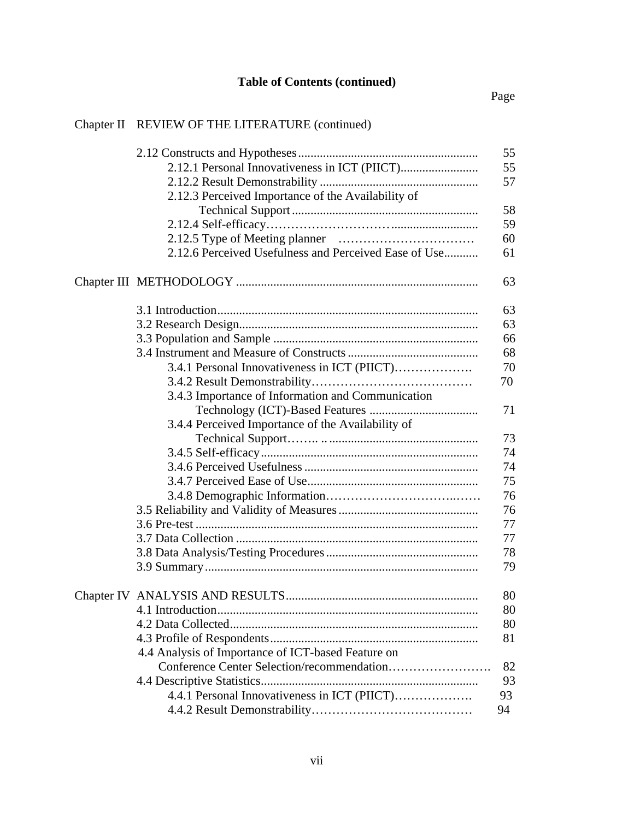# Chapter II REVIEW OF THE LITERATURE (continued)

|                                                       | 55 |
|-------------------------------------------------------|----|
|                                                       | 55 |
|                                                       | 57 |
| 2.12.3 Perceived Importance of the Availability of    |    |
|                                                       | 58 |
|                                                       | 59 |
|                                                       | 60 |
| 2.12.6 Perceived Usefulness and Perceived Ease of Use | 61 |
|                                                       | 63 |
|                                                       |    |
|                                                       | 63 |
|                                                       | 63 |
|                                                       | 66 |
|                                                       | 68 |
| 3.4.1 Personal Innovativeness in ICT (PIICT)          | 70 |
|                                                       | 70 |
| 3.4.3 Importance of Information and Communication     |    |
|                                                       | 71 |
| 3.4.4 Perceived Importance of the Availability of     |    |
|                                                       | 73 |
|                                                       | 74 |
|                                                       | 74 |
|                                                       | 75 |
|                                                       | 76 |
|                                                       | 76 |
|                                                       | 77 |
|                                                       |    |
|                                                       | 77 |
|                                                       | 78 |
|                                                       | 79 |
|                                                       | 80 |
|                                                       | 80 |
|                                                       | 80 |
|                                                       | 81 |
| 4.4 Analysis of Importance of ICT-based Feature on    |    |
| Conference Center Selection/recommendation            | 82 |
|                                                       | 93 |
| 4.4.1 Personal Innovativeness in ICT (PIICT)          | 93 |
|                                                       | 94 |
|                                                       |    |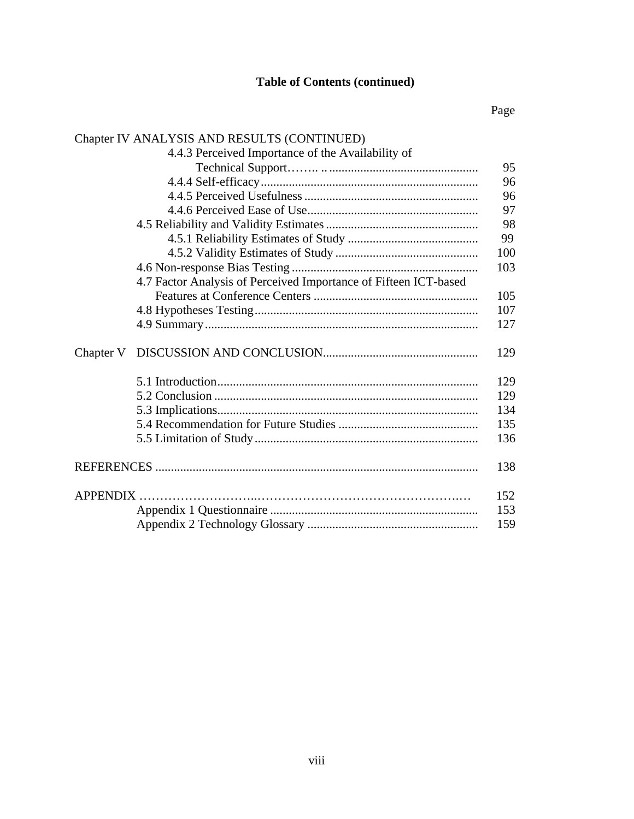# **Table of Contents (continued)**

# Page

# Chapter IV ANALYSIS AND RESULTS (CONTINUED)

|                 | 4.4.3 Perceived Importance of the Availability of                |     |
|-----------------|------------------------------------------------------------------|-----|
|                 |                                                                  | 95  |
|                 |                                                                  | 96  |
|                 |                                                                  | 96  |
|                 |                                                                  | 97  |
|                 |                                                                  | 98  |
|                 |                                                                  | 99  |
|                 |                                                                  | 100 |
|                 |                                                                  | 103 |
|                 | 4.7 Factor Analysis of Perceived Importance of Fifteen ICT-based |     |
|                 |                                                                  | 105 |
|                 |                                                                  | 107 |
|                 |                                                                  | 127 |
| Chapter V       |                                                                  | 129 |
|                 |                                                                  | 129 |
|                 |                                                                  | 129 |
|                 |                                                                  | 134 |
|                 |                                                                  | 135 |
|                 |                                                                  | 136 |
|                 |                                                                  | 138 |
| <b>APPENDIX</b> |                                                                  | 152 |
|                 |                                                                  | 153 |
|                 |                                                                  | 159 |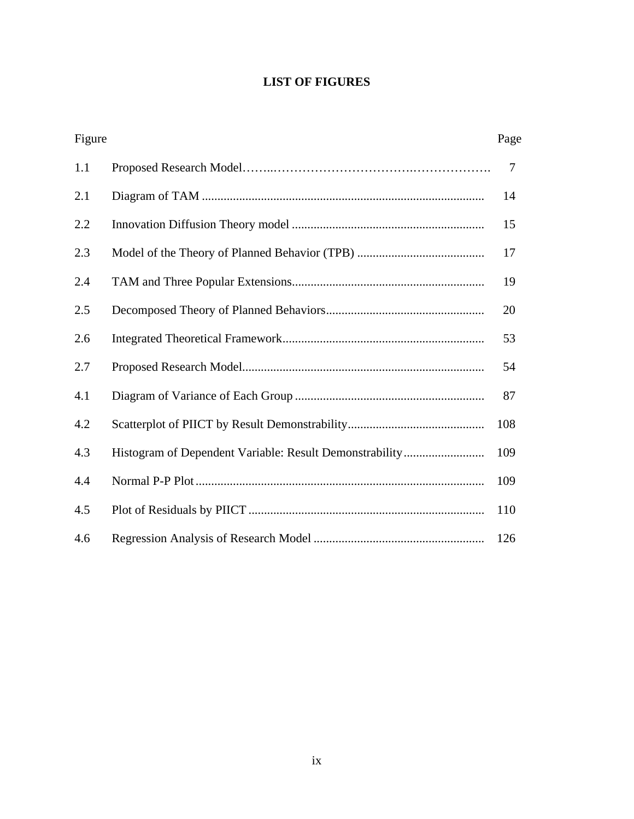## **LIST OF FIGURES**

| Figure |                                                         | Page |
|--------|---------------------------------------------------------|------|
| 1.1    |                                                         | 7    |
| 2.1    |                                                         | 14   |
| 2.2    |                                                         | 15   |
| 2.3    |                                                         | 17   |
| 2.4    |                                                         | 19   |
| 2.5    |                                                         | 20   |
| 2.6    |                                                         | 53   |
| 2.7    |                                                         | 54   |
| 4.1    |                                                         | 87   |
| 4.2    |                                                         | 108  |
| 4.3    | Histogram of Dependent Variable: Result Demonstrability | 109  |
| 4.4    |                                                         | 109  |
| 4.5    |                                                         | 110  |
| 4.6    |                                                         | 126  |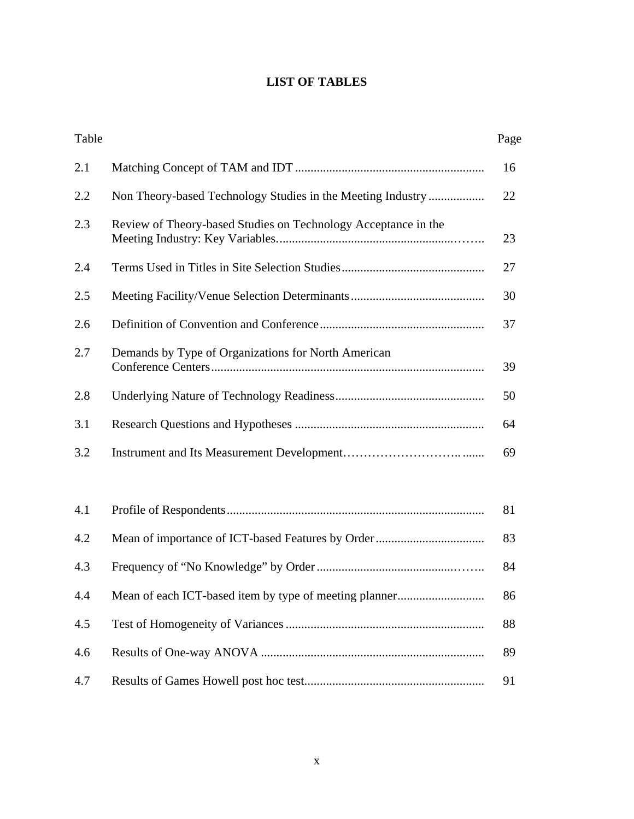## **LIST OF TABLES**

| Table |                                                                | Page |
|-------|----------------------------------------------------------------|------|
| 2.1   |                                                                | 16   |
| 2.2   | Non Theory-based Technology Studies in the Meeting Industry    | 22   |
| 2.3   | Review of Theory-based Studies on Technology Acceptance in the | 23   |
| 2.4   |                                                                | 27   |
| 2.5   |                                                                | 30   |
| 2.6   |                                                                | 37   |
| 2.7   | Demands by Type of Organizations for North American            | 39   |
| 2.8   |                                                                | 50   |
| 3.1   |                                                                | 64   |
| 3.2   |                                                                | 69   |
|       |                                                                |      |
| 4.1   |                                                                | 81   |
| 4.2   |                                                                | 83   |
| 4.3   |                                                                | 84   |
| 4.4   | Mean of each ICT-based item by type of meeting planner         | 86   |
| 4.5   |                                                                | 88   |
| 4.6   |                                                                | 89   |
| 4.7   |                                                                | 91   |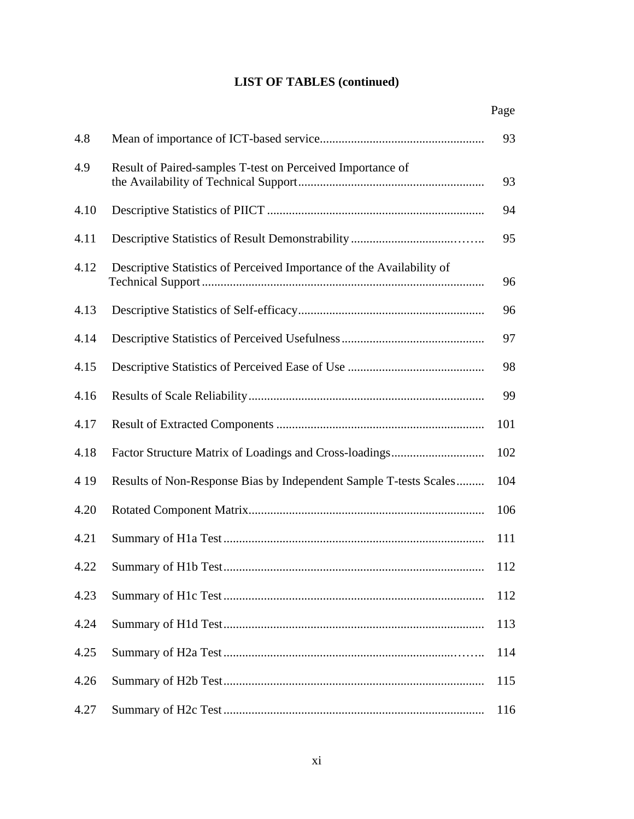## **LIST OF TABLES (continued)**

|       |                                                                       | Page |
|-------|-----------------------------------------------------------------------|------|
| 4.8   |                                                                       | 93   |
| 4.9   | Result of Paired-samples T-test on Perceived Importance of            | 93   |
| 4.10  |                                                                       | 94   |
| 4.11  |                                                                       | 95   |
| 4.12  | Descriptive Statistics of Perceived Importance of the Availability of | 96   |
| 4.13  |                                                                       | 96   |
| 4.14  |                                                                       | 97   |
| 4.15  |                                                                       | 98   |
| 4.16  |                                                                       | 99   |
| 4.17  |                                                                       | 101  |
| 4.18  |                                                                       | 102  |
| 4 1 9 | Results of Non-Response Bias by Independent Sample T-tests Scales     | 104  |
| 4.20  |                                                                       | 106  |
| 4.21  |                                                                       | 111  |
| 4.22  |                                                                       | 112  |
| 4.23  |                                                                       | 112  |
| 4.24  |                                                                       | 113  |
| 4.25  |                                                                       | 114  |
| 4.26  |                                                                       | 115  |
| 4.27  |                                                                       | 116  |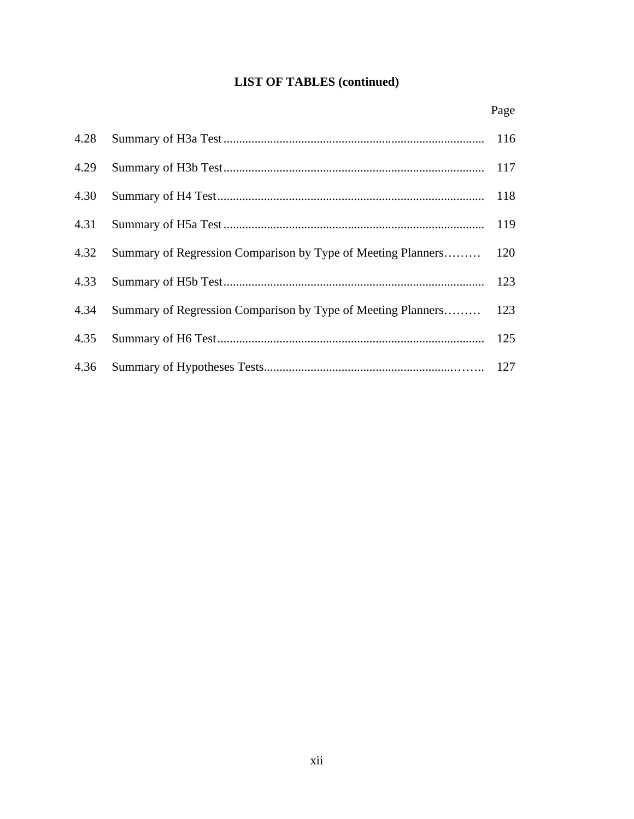## **LIST OF TABLES (continued)**

|      |                                                                  | Page |
|------|------------------------------------------------------------------|------|
| 4.28 |                                                                  |      |
| 4.29 |                                                                  |      |
| 4.30 |                                                                  |      |
|      |                                                                  |      |
| 4.32 | Summary of Regression Comparison by Type of Meeting Planners 120 |      |
| 4.33 |                                                                  |      |
| 4.34 | Summary of Regression Comparison by Type of Meeting Planners 123 |      |
| 4.35 |                                                                  |      |
| 4.36 |                                                                  |      |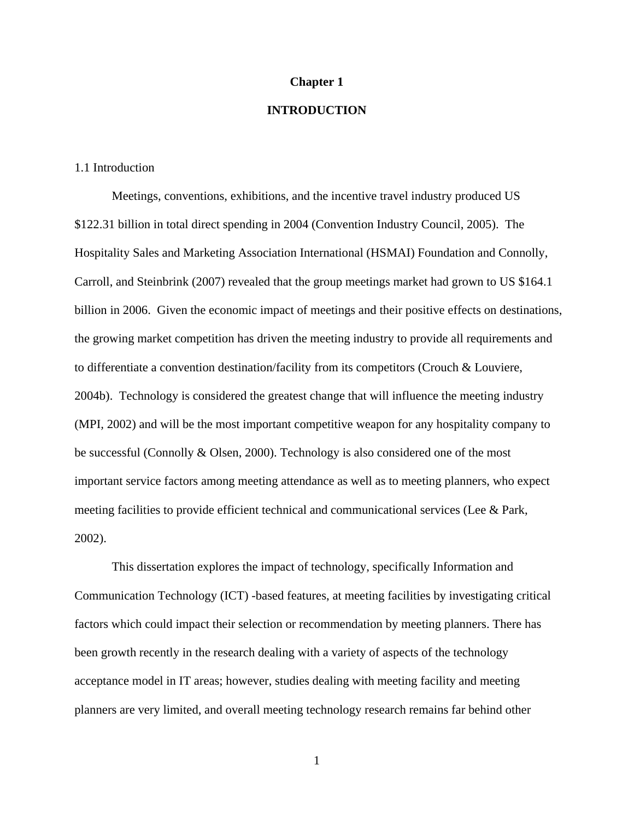### **Chapter 1**

## **INTRODUCTION**

## 1.1 Introduction

Meetings, conventions, exhibitions, and the incentive travel industry produced US \$122.31 billion in total direct spending in 2004 (Convention Industry Council, 2005). The Hospitality Sales and Marketing Association International (HSMAI) Foundation and Connolly, Carroll, and Steinbrink (2007) revealed that the group meetings market had grown to US \$164.1 billion in 2006. Given the economic impact of meetings and their positive effects on destinations, the growing market competition has driven the meeting industry to provide all requirements and to differentiate a convention destination/facility from its competitors (Crouch & Louviere, 2004b). Technology is considered the greatest change that will influence the meeting industry (MPI*,* 2002) and will be the most important competitive weapon for any hospitality company to be successful (Connolly & Olsen, 2000). Technology is also considered one of the most important service factors among meeting attendance as well as to meeting planners, who expect meeting facilities to provide efficient technical and communicational services (Lee & Park, 2002).

This dissertation explores the impact of technology, specifically Information and Communication Technology (ICT) -based features, at meeting facilities by investigating critical factors which could impact their selection or recommendation by meeting planners. There has been growth recently in the research dealing with a variety of aspects of the technology acceptance model in IT areas; however, studies dealing with meeting facility and meeting planners are very limited, and overall meeting technology research remains far behind other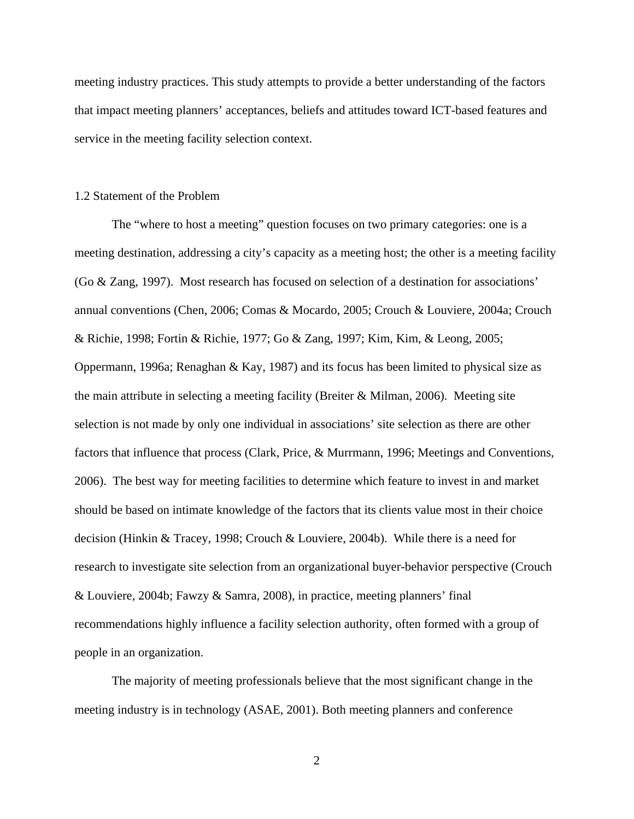meeting industry practices. This study attempts to provide a better understanding of the factors that impact meeting planners' acceptances, beliefs and attitudes toward ICT-based features and service in the meeting facility selection context.

#### 1.2 Statement of the Problem

The "where to host a meeting" question focuses on two primary categories: one is a meeting destination, addressing a city's capacity as a meeting host; the other is a meeting facility (Go & Zang, 1997). Most research has focused on selection of a destination for associations' annual conventions (Chen, 2006; Comas & Mocardo, 2005; Crouch & Louviere, 2004a; Crouch & Richie, 1998; Fortin & Richie, 1977; Go & Zang, 1997; Kim, Kim, & Leong, 2005; Oppermann, 1996a; Renaghan & Kay, 1987) and its focus has been limited to physical size as the main attribute in selecting a meeting facility (Breiter & Milman, 2006). Meeting site selection is not made by only one individual in associations' site selection as there are other factors that influence that process (Clark, Price, & Murrmann, 1996; Meetings and Conventions, 2006). The best way for meeting facilities to determine which feature to invest in and market should be based on intimate knowledge of the factors that its clients value most in their choice decision (Hinkin & Tracey, 1998; Crouch & Louviere, 2004b). While there is a need for research to investigate site selection from an organizational buyer-behavior perspective (Crouch & Louviere, 2004b; Fawzy & Samra, 2008), in practice, meeting planners' final recommendations highly influence a facility selection authority, often formed with a group of people in an organization.

The majority of meeting professionals believe that the most significant change in the meeting industry is in technology (ASAE, 2001). Both meeting planners and conference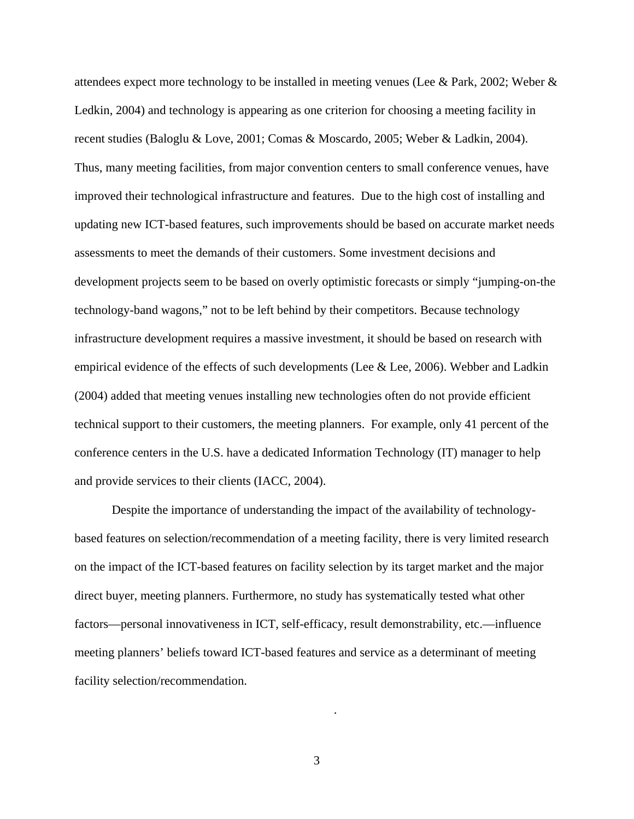attendees expect more technology to be installed in meeting venues (Lee & Park, 2002; Weber & Ledkin, 2004) and technology is appearing as one criterion for choosing a meeting facility in recent studies (Baloglu & Love, 2001; Comas & Moscardo, 2005; Weber & Ladkin, 2004). Thus, many meeting facilities, from major convention centers to small conference venues, have improved their technological infrastructure and features. Due to the high cost of installing and updating new ICT-based features, such improvements should be based on accurate market needs assessments to meet the demands of their customers. Some investment decisions and development projects seem to be based on overly optimistic forecasts or simply "jumping-on-the technology-band wagons," not to be left behind by their competitors. Because technology infrastructure development requires a massive investment, it should be based on research with empirical evidence of the effects of such developments (Lee & Lee, 2006). Webber and Ladkin (2004) added that meeting venues installing new technologies often do not provide efficient technical support to their customers, the meeting planners. For example, only 41 percent of the conference centers in the U.S. have a dedicated Information Technology (IT) manager to help and provide services to their clients (IACC, 2004).

Despite the importance of understanding the impact of the availability of technologybased features on selection/recommendation of a meeting facility, there is very limited research on the impact of the ICT-based features on facility selection by its target market and the major direct buyer, meeting planners. Furthermore, no study has systematically tested what other factors—personal innovativeness in ICT, self-efficacy, result demonstrability, etc.—influence meeting planners' beliefs toward ICT-based features and service as a determinant of meeting facility selection/recommendation.

3

.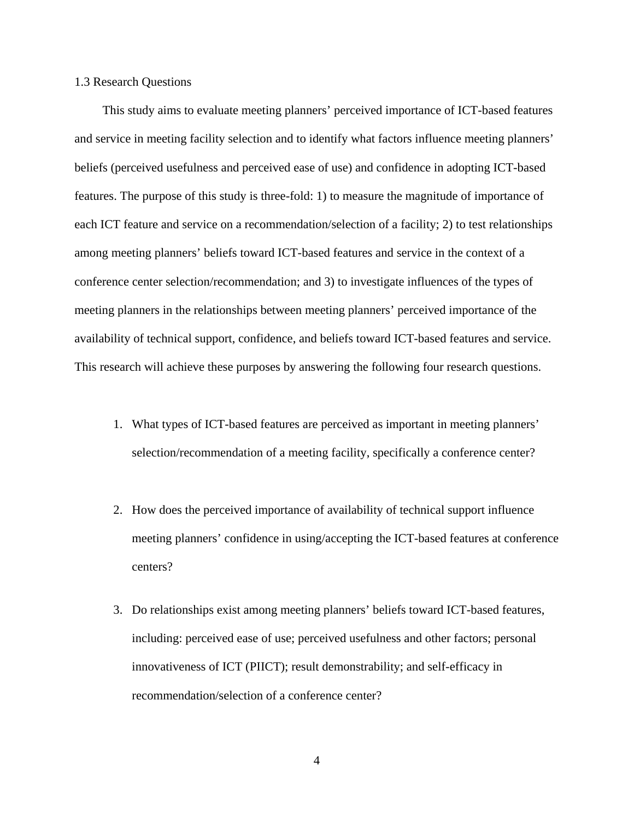#### 1.3 Research Questions

 This study aims to evaluate meeting planners' perceived importance of ICT-based features and service in meeting facility selection and to identify what factors influence meeting planners' beliefs (perceived usefulness and perceived ease of use) and confidence in adopting ICT-based features. The purpose of this study is three-fold: 1) to measure the magnitude of importance of each ICT feature and service on a recommendation/selection of a facility; 2) to test relationships among meeting planners' beliefs toward ICT-based features and service in the context of a conference center selection/recommendation; and 3) to investigate influences of the types of meeting planners in the relationships between meeting planners' perceived importance of the availability of technical support, confidence, and beliefs toward ICT-based features and service. This research will achieve these purposes by answering the following four research questions.

- 1. What types of ICT-based features are perceived as important in meeting planners' selection/recommendation of a meeting facility, specifically a conference center?
- 2. How does the perceived importance of availability of technical support influence meeting planners' confidence in using/accepting the ICT-based features at conference centers?
- 3. Do relationships exist among meeting planners' beliefs toward ICT-based features, including: perceived ease of use; perceived usefulness and other factors; personal innovativeness of ICT (PIICT); result demonstrability; and self-efficacy in recommendation/selection of a conference center?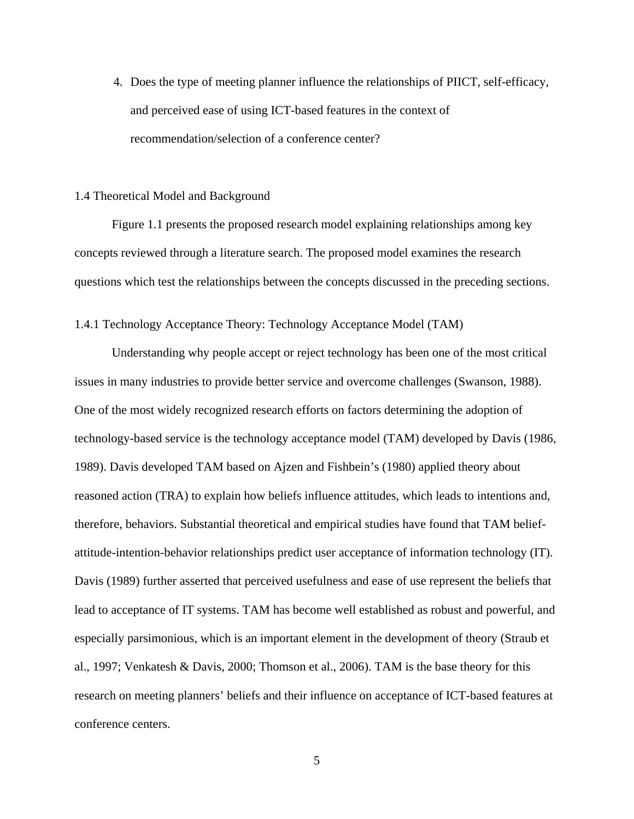4. Does the type of meeting planner influence the relationships of PIICT, self-efficacy, and perceived ease of using ICT-based features in the context of recommendation/selection of a conference center?

#### 1.4 Theoretical Model and Background

Figure 1.1 presents the proposed research model explaining relationships among key concepts reviewed through a literature search. The proposed model examines the research questions which test the relationships between the concepts discussed in the preceding sections.

### 1.4.1 Technology Acceptance Theory: Technology Acceptance Model (TAM)

Understanding why people accept or reject technology has been one of the most critical issues in many industries to provide better service and overcome challenges (Swanson, 1988). One of the most widely recognized research efforts on factors determining the adoption of technology-based service is the technology acceptance model (TAM) developed by Davis (1986, 1989). Davis developed TAM based on Ajzen and Fishbein's (1980) applied theory about reasoned action (TRA) to explain how beliefs influence attitudes, which leads to intentions and, therefore, behaviors. Substantial theoretical and empirical studies have found that TAM beliefattitude-intention-behavior relationships predict user acceptance of information technology (IT). Davis (1989) further asserted that perceived usefulness and ease of use represent the beliefs that lead to acceptance of IT systems. TAM has become well established as robust and powerful, and especially parsimonious, which is an important element in the development of theory (Straub et al., 1997; Venkatesh & Davis, 2000; Thomson et al., 2006). TAM is the base theory for this research on meeting planners' beliefs and their influence on acceptance of ICT-based features at conference centers.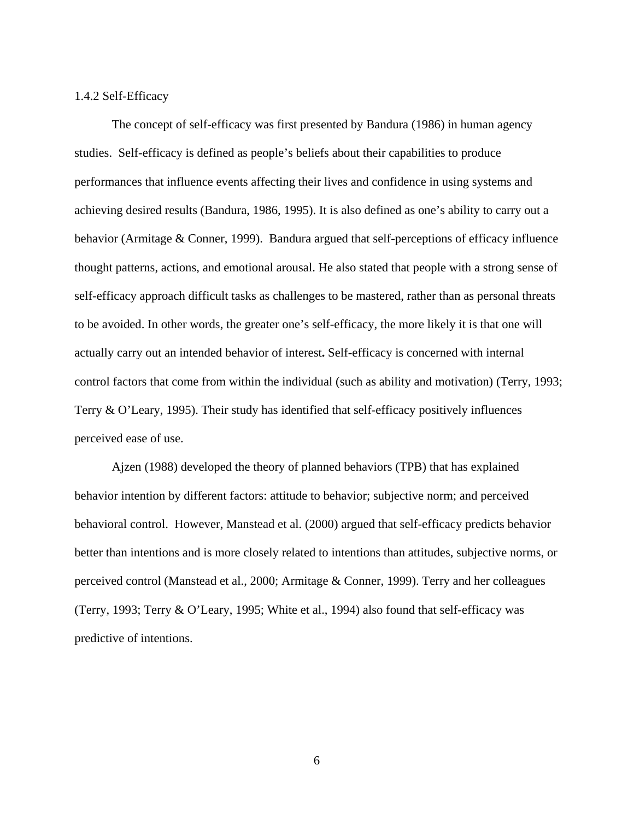## 1.4.2 Self-Efficacy

The concept of self-efficacy was first presented by Bandura (1986) in human agency studies. Self-efficacy is defined as people's beliefs about their capabilities to produce performances that influence events affecting their lives and confidence in using systems and achieving desired results (Bandura, 1986, 1995). It is also defined as one's ability to carry out a behavior (Armitage & Conner, 1999). Bandura argued that self-perceptions of efficacy influence thought patterns, actions, and emotional arousal. He also stated that people with a strong sense of self-efficacy approach difficult tasks as challenges to be mastered, rather than as personal threats to be avoided. In other words, the greater one's self-efficacy, the more likely it is that one will actually carry out an intended behavior of interest**.** Self-efficacy is concerned with internal control factors that come from within the individual (such as ability and motivation) (Terry, 1993; Terry & O'Leary, 1995). Their study has identified that self-efficacy positively influences perceived ease of use.

Ajzen (1988) developed the theory of planned behaviors (TPB) that has explained behavior intention by different factors: attitude to behavior; subjective norm; and perceived behavioral control. However, Manstead et al. (2000) argued that self-efficacy predicts behavior better than intentions and is more closely related to intentions than attitudes, subjective norms, or perceived control (Manstead et al., 2000; Armitage & Conner, 1999). Terry and her colleagues (Terry, 1993; Terry & O'Leary, 1995; White et al., 1994) also found that self-efficacy was predictive of intentions.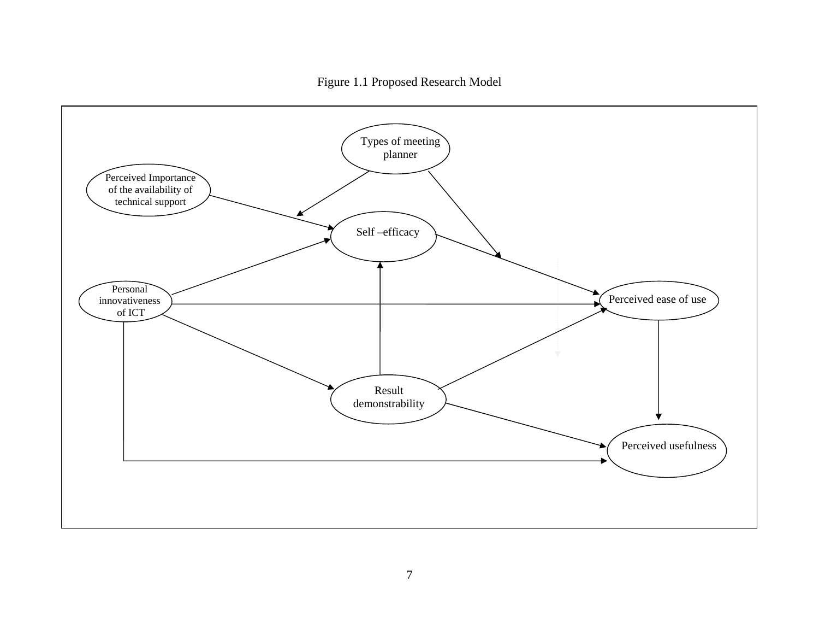Figure 1.1 Proposed Research Model

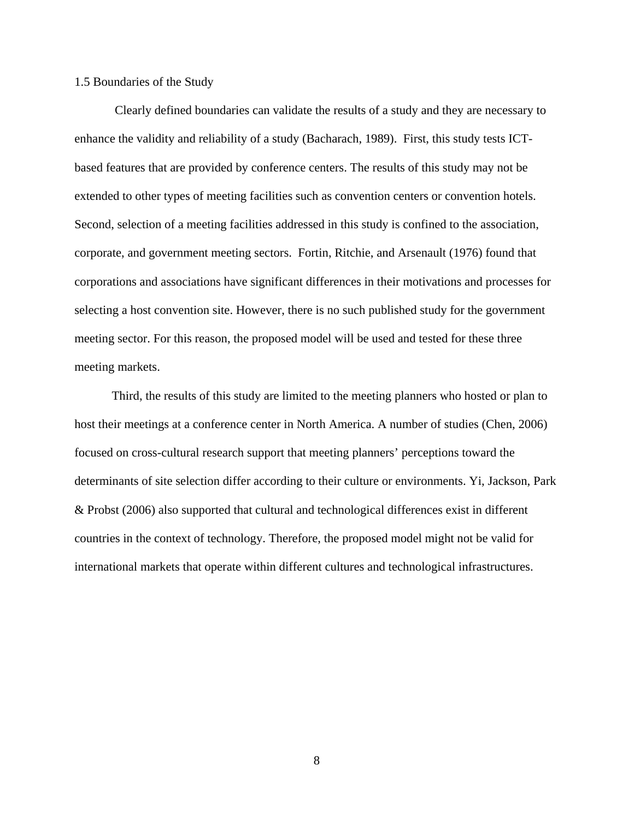## 1.5 Boundaries of the Study

 Clearly defined boundaries can validate the results of a study and they are necessary to enhance the validity and reliability of a study (Bacharach, 1989). First, this study tests ICTbased features that are provided by conference centers. The results of this study may not be extended to other types of meeting facilities such as convention centers or convention hotels. Second, selection of a meeting facilities addressed in this study is confined to the association, corporate, and government meeting sectors. Fortin, Ritchie, and Arsenault (1976) found that corporations and associations have significant differences in their motivations and processes for selecting a host convention site. However, there is no such published study for the government meeting sector. For this reason, the proposed model will be used and tested for these three meeting markets.

Third, the results of this study are limited to the meeting planners who hosted or plan to host their meetings at a conference center in North America. A number of studies (Chen, 2006) focused on cross-cultural research support that meeting planners' perceptions toward the determinants of site selection differ according to their culture or environments. Yi, Jackson, Park & Probst (2006) also supported that cultural and technological differences exist in different countries in the context of technology. Therefore, the proposed model might not be valid for international markets that operate within different cultures and technological infrastructures.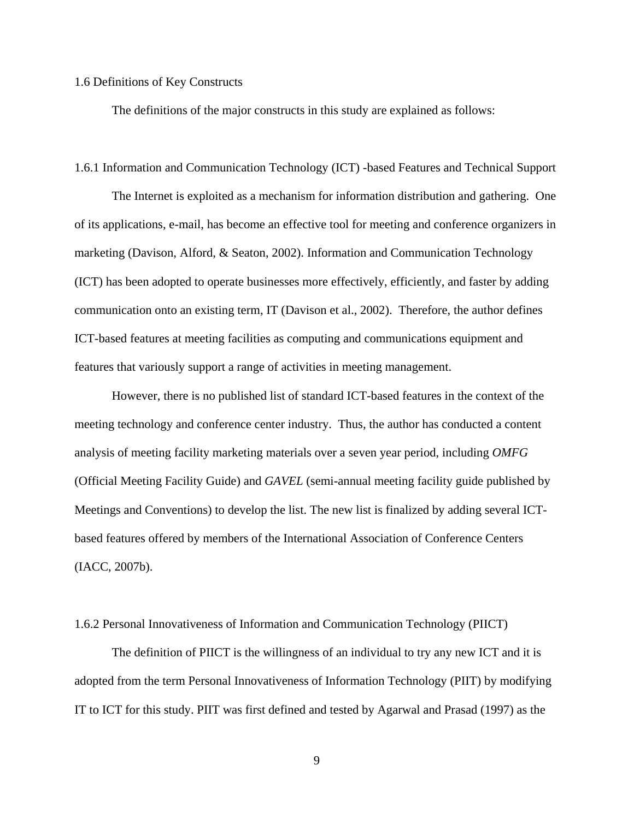#### 1.6 Definitions of Key Constructs

The definitions of the major constructs in this study are explained as follows:

#### 1.6.1 Information and Communication Technology (ICT) -based Features and Technical Support

The Internet is exploited as a mechanism for information distribution and gathering. One of its applications, e-mail, has become an effective tool for meeting and conference organizers in marketing (Davison, Alford, & Seaton, 2002). Information and Communication Technology (ICT) has been adopted to operate businesses more effectively, efficiently, and faster by adding communication onto an existing term, IT (Davison et al., 2002). Therefore, the author defines ICT-based features at meeting facilities as computing and communications equipment and features that variously support a range of activities in meeting management.

However, there is no published list of standard ICT-based features in the context of the meeting technology and conference center industry. Thus, the author has conducted a content analysis of meeting facility marketing materials over a seven year period, including *OMFG* (Official Meeting Facility Guide) and *GAVEL* (semi-annual meeting facility guide published by Meetings and Conventions) to develop the list. The new list is finalized by adding several ICTbased features offered by members of the International Association of Conference Centers (IACC, 2007b).

#### 1.6.2 Personal Innovativeness of Information and Communication Technology (PIICT)

The definition of PIICT is the willingness of an individual to try any new ICT and it is adopted from the term Personal Innovativeness of Information Technology (PIIT) by modifying IT to ICT for this study. PIIT was first defined and tested by Agarwal and Prasad (1997) as the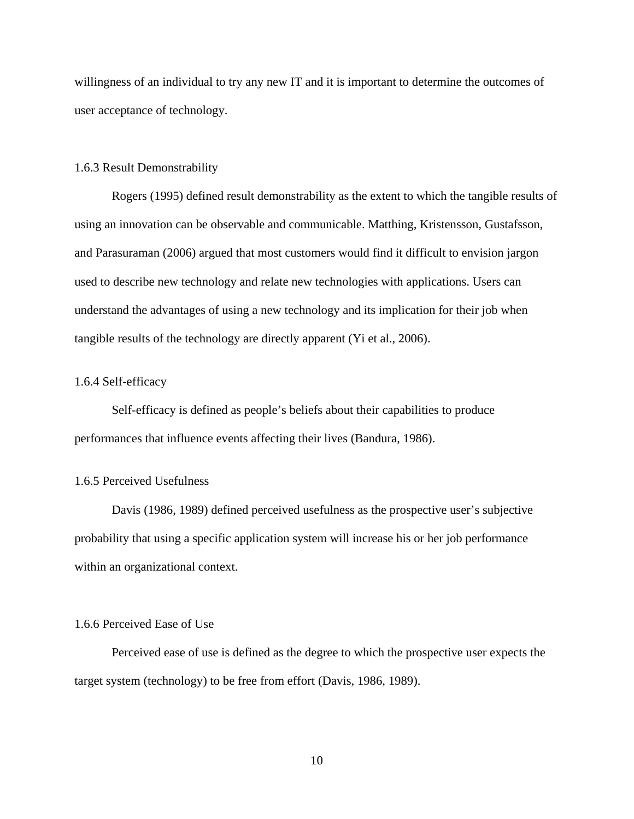willingness of an individual to try any new IT and it is important to determine the outcomes of user acceptance of technology.

### 1.6.3 Result Demonstrability

Rogers (1995) defined result demonstrability as the extent to which the tangible results of using an innovation can be observable and communicable. Matthing, Kristensson, Gustafsson, and Parasuraman (2006) argued that most customers would find it difficult to envision jargon used to describe new technology and relate new technologies with applications. Users can understand the advantages of using a new technology and its implication for their job when tangible results of the technology are directly apparent (Yi et al., 2006).

## 1.6.4 Self-efficacy

Self-efficacy is defined as people's beliefs about their capabilities to produce performances that influence events affecting their lives (Bandura, 1986).

### 1.6.5 Perceived Usefulness

Davis (1986, 1989) defined perceived usefulness as the prospective user's subjective probability that using a specific application system will increase his or her job performance within an organizational context.

### 1.6.6 Perceived Ease of Use

Perceived ease of use is defined as the degree to which the prospective user expects the target system (technology) to be free from effort (Davis, 1986, 1989).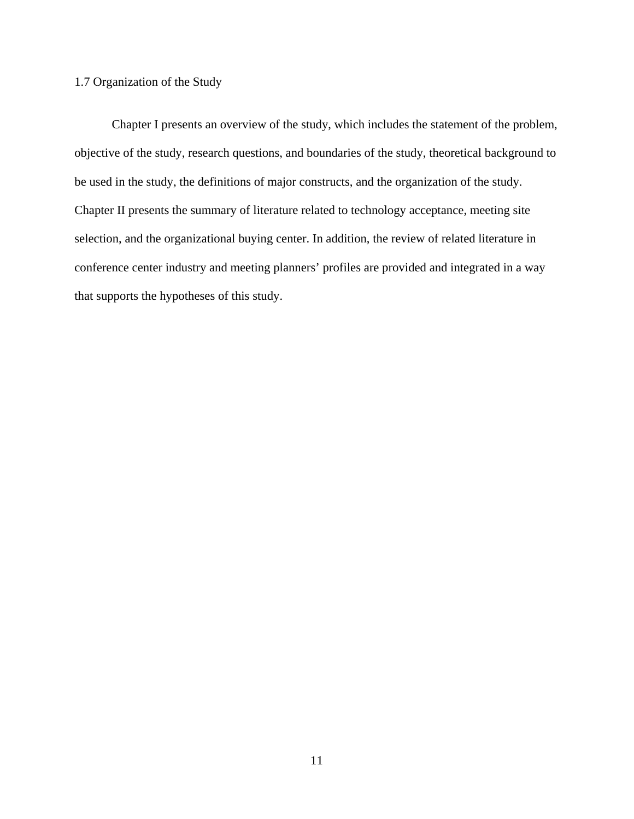## 1.7 Organization of the Study

Chapter I presents an overview of the study, which includes the statement of the problem, objective of the study, research questions, and boundaries of the study, theoretical background to be used in the study, the definitions of major constructs, and the organization of the study. Chapter II presents the summary of literature related to technology acceptance, meeting site selection, and the organizational buying center. In addition, the review of related literature in conference center industry and meeting planners' profiles are provided and integrated in a way that supports the hypotheses of this study.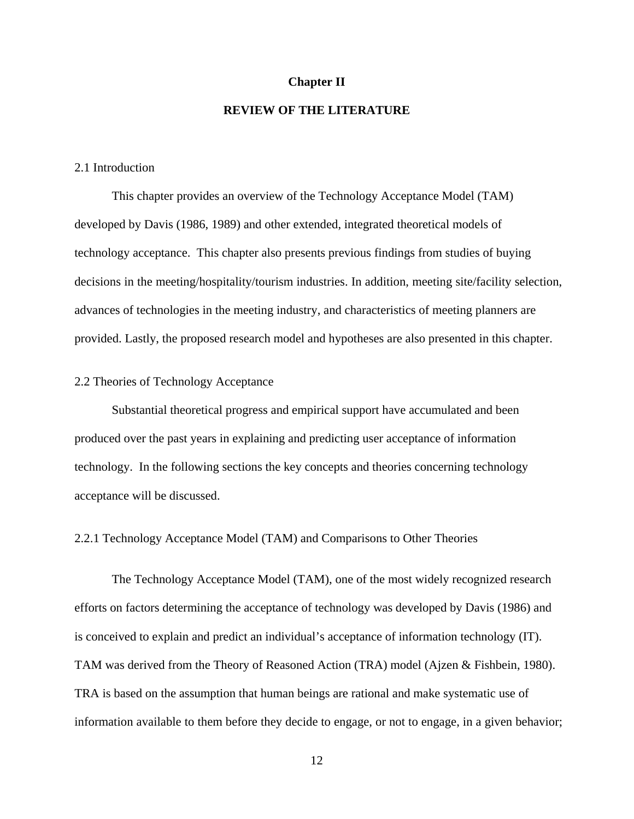#### **Chapter II**

## **REVIEW OF THE LITERATURE**

#### 2.1 Introduction

This chapter provides an overview of the Technology Acceptance Model (TAM) developed by Davis (1986, 1989) and other extended, integrated theoretical models of technology acceptance. This chapter also presents previous findings from studies of buying decisions in the meeting/hospitality/tourism industries. In addition, meeting site/facility selection, advances of technologies in the meeting industry, and characteristics of meeting planners are provided. Lastly, the proposed research model and hypotheses are also presented in this chapter.

## 2.2 Theories of Technology Acceptance

Substantial theoretical progress and empirical support have accumulated and been produced over the past years in explaining and predicting user acceptance of information technology. In the following sections the key concepts and theories concerning technology acceptance will be discussed.

2.2.1 Technology Acceptance Model (TAM) and Comparisons to Other Theories

The Technology Acceptance Model (TAM), one of the most widely recognized research efforts on factors determining the acceptance of technology was developed by Davis (1986) and is conceived to explain and predict an individual's acceptance of information technology (IT). TAM was derived from the Theory of Reasoned Action (TRA) model (Ajzen & Fishbein, 1980). TRA is based on the assumption that human beings are rational and make systematic use of information available to them before they decide to engage, or not to engage, in a given behavior;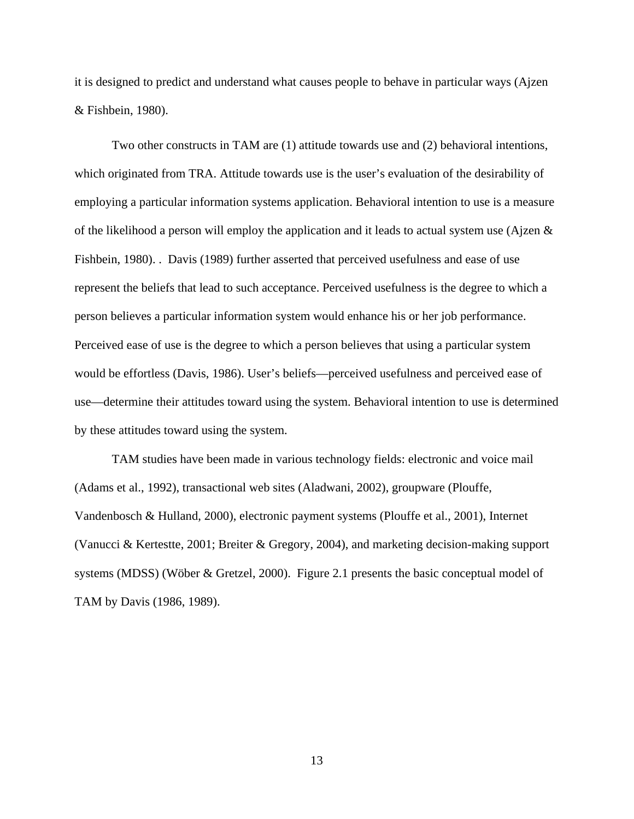it is designed to predict and understand what causes people to behave in particular ways (Ajzen & Fishbein, 1980).

Two other constructs in TAM are (1) attitude towards use and (2) behavioral intentions, which originated from TRA. Attitude towards use is the user's evaluation of the desirability of employing a particular information systems application. Behavioral intention to use is a measure of the likelihood a person will employ the application and it leads to actual system use (Ajzen  $\&$ Fishbein, 1980). . Davis (1989) further asserted that perceived usefulness and ease of use represent the beliefs that lead to such acceptance. Perceived usefulness is the degree to which a person believes a particular information system would enhance his or her job performance. Perceived ease of use is the degree to which a person believes that using a particular system would be effortless (Davis, 1986). User's beliefs—perceived usefulness and perceived ease of use—determine their attitudes toward using the system. Behavioral intention to use is determined by these attitudes toward using the system.

TAM studies have been made in various technology fields: electronic and voice mail (Adams et al., 1992), transactional web sites (Aladwani, 2002), groupware (Plouffe, Vandenbosch & Hulland, 2000), electronic payment systems (Plouffe et al., 2001), Internet (Vanucci & Kertestte, 2001; Breiter & Gregory, 2004), and marketing decision-making support systems (MDSS) (Wöber & Gretzel, 2000). Figure 2.1 presents the basic conceptual model of TAM by Davis (1986, 1989).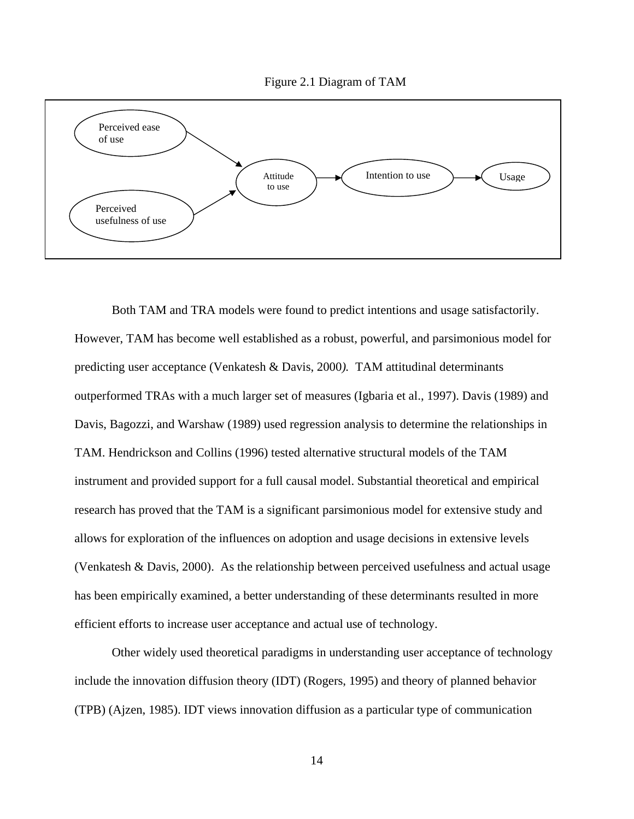



Both TAM and TRA models were found to predict intentions and usage satisfactorily. However, TAM has become well established as a robust, powerful, and parsimonious model for predicting user acceptance (Venkatesh & Davis, 2000*).* TAM attitudinal determinants outperformed TRAs with a much larger set of measures (Igbaria et al., 1997). Davis (1989) and Davis, Bagozzi, and Warshaw (1989) used regression analysis to determine the relationships in TAM. Hendrickson and Collins (1996) tested alternative structural models of the TAM instrument and provided support for a full causal model. Substantial theoretical and empirical research has proved that the TAM is a significant parsimonious model for extensive study and allows for exploration of the influences on adoption and usage decisions in extensive levels (Venkatesh & Davis, 2000). As the relationship between perceived usefulness and actual usage has been empirically examined, a better understanding of these determinants resulted in more efficient efforts to increase user acceptance and actual use of technology.

Other widely used theoretical paradigms in understanding user acceptance of technology include the innovation diffusion theory (IDT) (Rogers, 1995) and theory of planned behavior (TPB) (Ajzen, 1985). IDT views innovation diffusion as a particular type of communication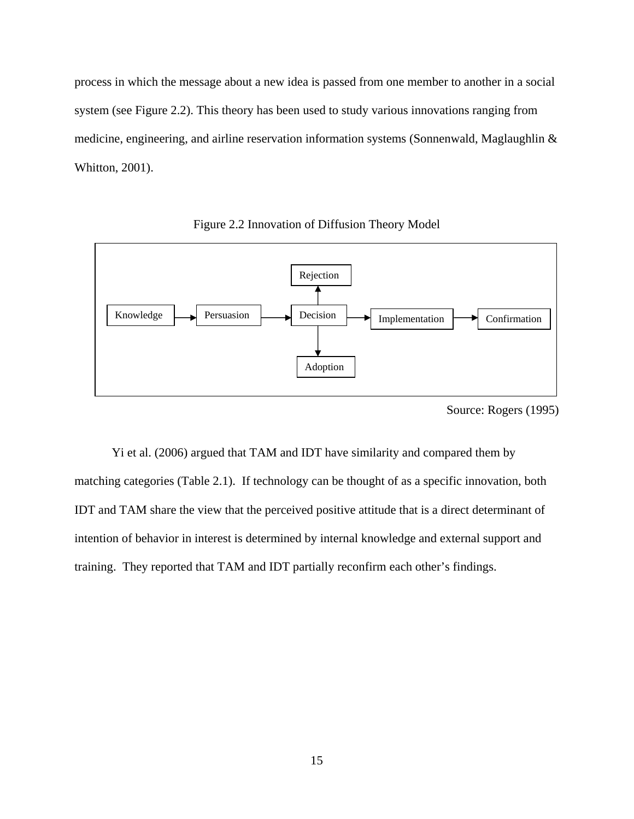process in which the message about a new idea is passed from one member to another in a social system (see Figure 2.2). This theory has been used to study various innovations ranging from medicine, engineering, and airline reservation information systems (Sonnenwald, Maglaughlin & Whitton, 2001).



Figure 2.2 Innovation of Diffusion Theory Model

Yi et al. (2006) argued that TAM and IDT have similarity and compared them by matching categories (Table 2.1). If technology can be thought of as a specific innovation, both IDT and TAM share the view that the perceived positive attitude that is a direct determinant of intention of behavior in interest is determined by internal knowledge and external support and training. They reported that TAM and IDT partially reconfirm each other's findings.

Source: Rogers (1995)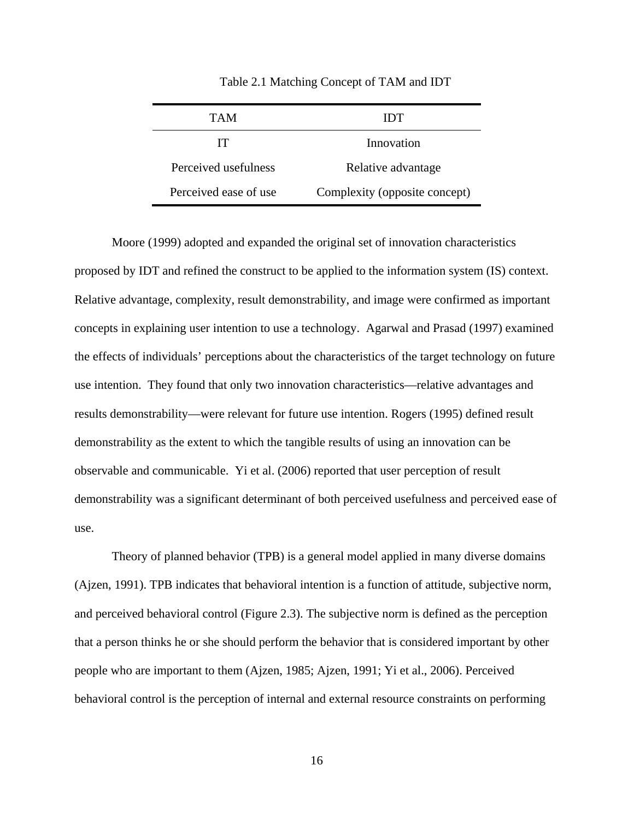| TAM                   | 11 Y F                        |  |  |  |
|-----------------------|-------------------------------|--|--|--|
| IТ                    | Innovation                    |  |  |  |
| Perceived usefulness  | Relative advantage            |  |  |  |
| Perceived ease of use | Complexity (opposite concept) |  |  |  |

Table 2.1 Matching Concept of TAM and IDT

Moore (1999) adopted and expanded the original set of innovation characteristics proposed by IDT and refined the construct to be applied to the information system (IS) context. Relative advantage, complexity, result demonstrability, and image were confirmed as important concepts in explaining user intention to use a technology. Agarwal and Prasad (1997) examined the effects of individuals' perceptions about the characteristics of the target technology on future use intention. They found that only two innovation characteristics—relative advantages and results demonstrability—were relevant for future use intention. Rogers (1995) defined result demonstrability as the extent to which the tangible results of using an innovation can be observable and communicable. Yi et al. (2006) reported that user perception of result demonstrability was a significant determinant of both perceived usefulness and perceived ease of use.

Theory of planned behavior (TPB) is a general model applied in many diverse domains (Ajzen, 1991). TPB indicates that behavioral intention is a function of attitude, subjective norm, and perceived behavioral control (Figure 2.3). The subjective norm is defined as the perception that a person thinks he or she should perform the behavior that is considered important by other people who are important to them (Ajzen, 1985; Ajzen, 1991; Yi et al., 2006). Perceived behavioral control is the perception of internal and external resource constraints on performing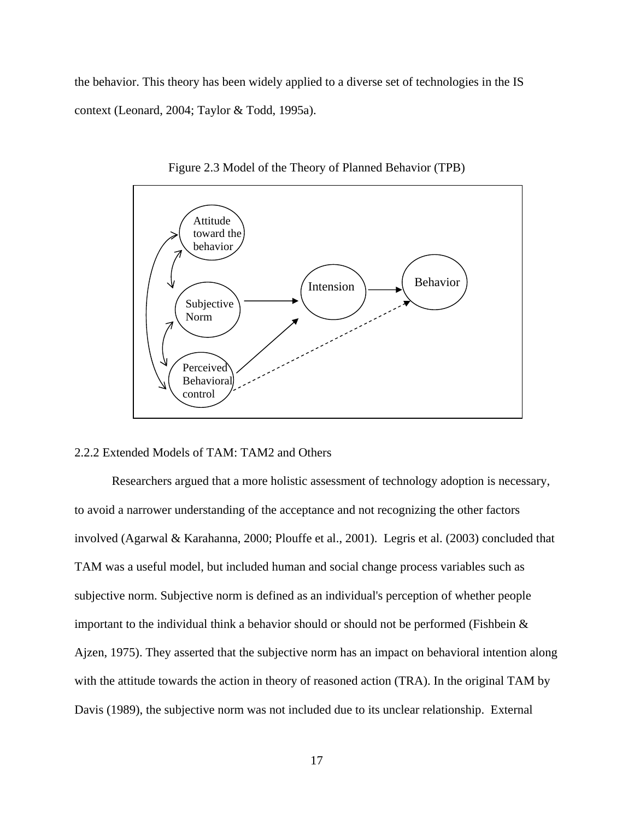the behavior. This theory has been widely applied to a diverse set of technologies in the IS context (Leonard, 2004; Taylor & Todd, 1995a).



Figure 2.3 Model of the Theory of Planned Behavior (TPB)

## 2.2.2 Extended Models of TAM: TAM2 and Others

Researchers argued that a more holistic assessment of technology adoption is necessary, to avoid a narrower understanding of the acceptance and not recognizing the other factors involved (Agarwal & Karahanna, 2000; Plouffe et al., 2001). Legris et al. (2003) concluded that TAM was a useful model, but included human and social change process variables such as subjective norm. Subjective norm is defined as an individual's perception of whether people important to the individual think a behavior should or should not be performed (Fishbein & Ajzen, 1975). They asserted that the subjective norm has an impact on behavioral intention along with the attitude towards the action in theory of reasoned action (TRA). In the original TAM by Davis (1989), the subjective norm was not included due to its unclear relationship. External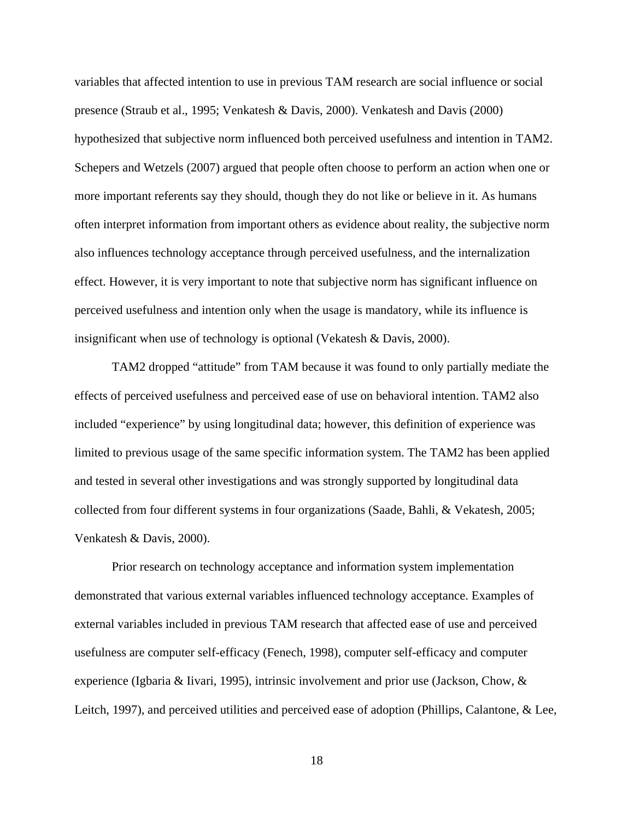variables that affected intention to use in previous TAM research are social influence or social presence (Straub et al., 1995; Venkatesh & Davis, 2000). Venkatesh and Davis (2000) hypothesized that subjective norm influenced both perceived usefulness and intention in TAM2. Schepers and Wetzels (2007) argued that people often choose to perform an action when one or more important referents say they should, though they do not like or believe in it. As humans often interpret information from important others as evidence about reality, the subjective norm also influences technology acceptance through perceived usefulness, and the internalization effect. However, it is very important to note that subjective norm has significant influence on perceived usefulness and intention only when the usage is mandatory, while its influence is insignificant when use of technology is optional (Vekatesh & Davis, 2000).

TAM2 dropped "attitude" from TAM because it was found to only partially mediate the effects of perceived usefulness and perceived ease of use on behavioral intention. TAM2 also included "experience" by using longitudinal data; however, this definition of experience was limited to previous usage of the same specific information system. The TAM2 has been applied and tested in several other investigations and was strongly supported by longitudinal data collected from four different systems in four organizations (Saade, Bahli, & Vekatesh, 2005; Venkatesh & Davis, 2000).

 Prior research on technology acceptance and information system implementation demonstrated that various external variables influenced technology acceptance. Examples of external variables included in previous TAM research that affected ease of use and perceived usefulness are computer self-efficacy (Fenech, 1998), computer self-efficacy and computer experience (Igbaria & Iivari, 1995), intrinsic involvement and prior use (Jackson, Chow, & Leitch, 1997), and perceived utilities and perceived ease of adoption (Phillips, Calantone, & Lee,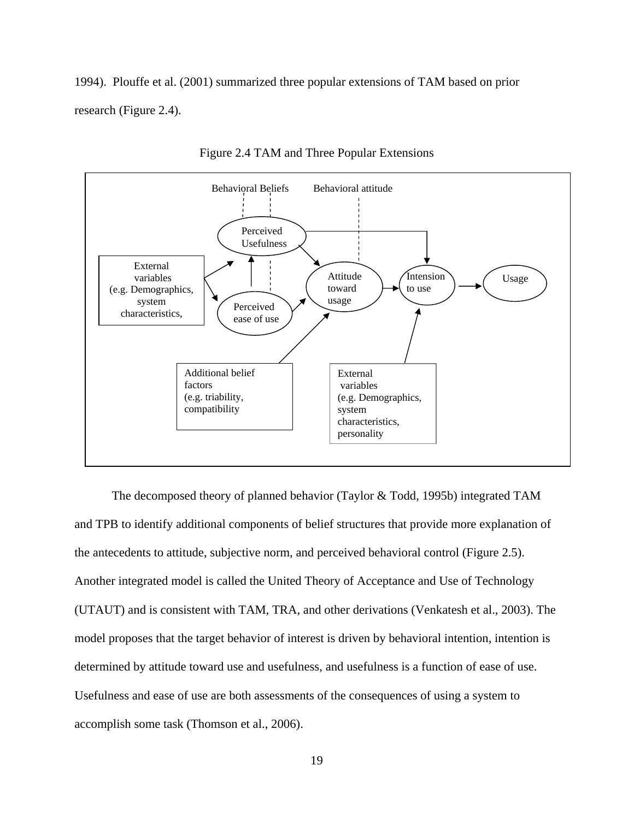1994). Plouffe et al. (2001) summarized three popular extensions of TAM based on prior research (Figure 2.4).



Figure 2.4 TAM and Three Popular Extensions

 The decomposed theory of planned behavior (Taylor & Todd, 1995b) integrated TAM and TPB to identify additional components of belief structures that provide more explanation of the antecedents to attitude, subjective norm, and perceived behavioral control (Figure 2.5). Another integrated model is called the United Theory of Acceptance and Use of Technology (UTAUT) and is consistent with TAM, TRA, and other derivations (Venkatesh et al., 2003). The model proposes that the target behavior of interest is driven by behavioral intention, intention is determined by attitude toward use and usefulness, and usefulness is a function of ease of use. Usefulness and ease of use are both assessments of the consequences of using a system to accomplish some task (Thomson et al., 2006).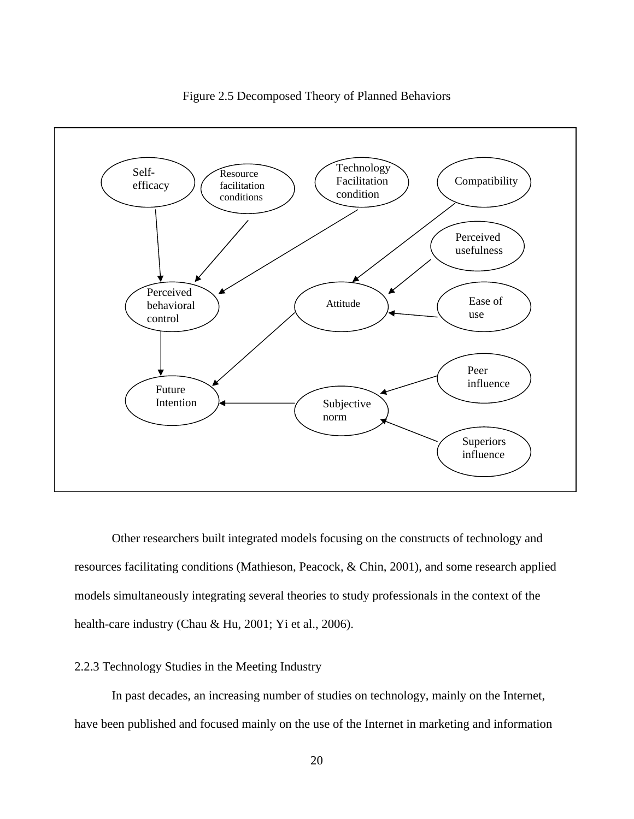

Figure 2.5 Decomposed Theory of Planned Behaviors

Other researchers built integrated models focusing on the constructs of technology and resources facilitating conditions (Mathieson, Peacock, & Chin, 2001), and some research applied models simultaneously integrating several theories to study professionals in the context of the health-care industry (Chau & Hu, 2001; Yi et al., 2006).

## 2.2.3 Technology Studies in the Meeting Industry

In past decades, an increasing number of studies on technology, mainly on the Internet, have been published and focused mainly on the use of the Internet in marketing and information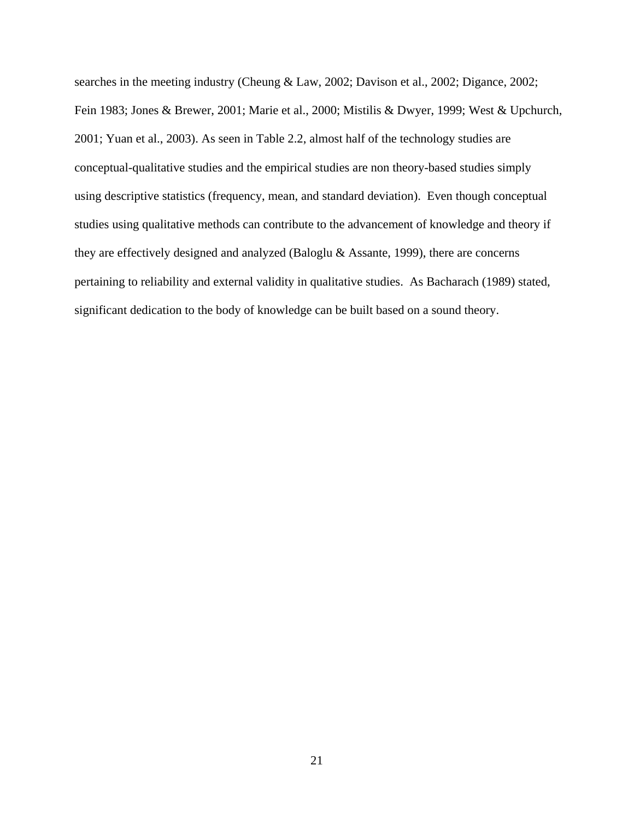searches in the meeting industry (Cheung & Law, 2002; Davison et al., 2002; Digance, 2002; Fein 1983; Jones & Brewer, 2001; Marie et al., 2000; Mistilis & Dwyer, 1999; West & Upchurch, 2001; Yuan et al., 2003). As seen in Table 2.2, almost half of the technology studies are conceptual-qualitative studies and the empirical studies are non theory-based studies simply using descriptive statistics (frequency, mean, and standard deviation). Even though conceptual studies using qualitative methods can contribute to the advancement of knowledge and theory if they are effectively designed and analyzed (Baloglu & Assante, 1999), there are concerns pertaining to reliability and external validity in qualitative studies. As Bacharach (1989) stated, significant dedication to the body of knowledge can be built based on a sound theory.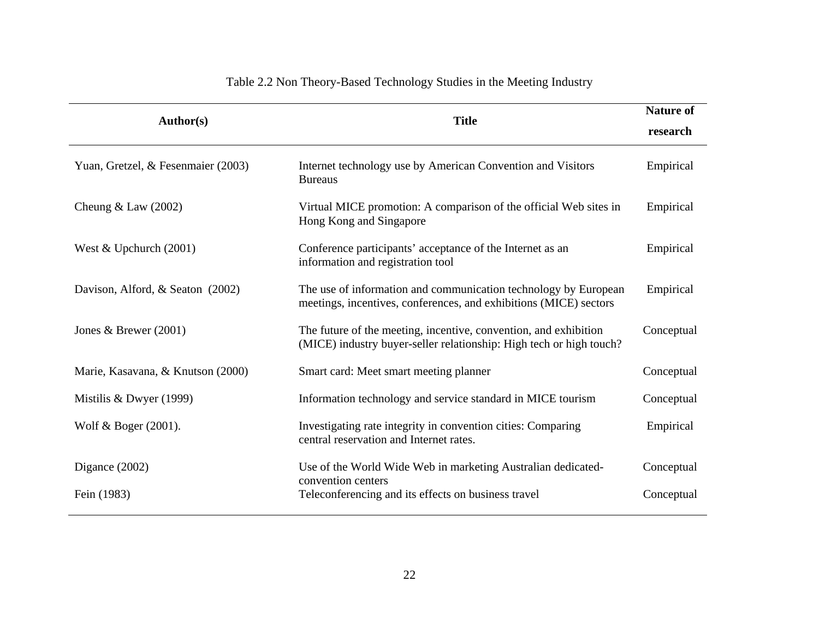| <b>Author(s)</b>                   | <b>Title</b>                                                                                                                            |            |  |  |
|------------------------------------|-----------------------------------------------------------------------------------------------------------------------------------------|------------|--|--|
|                                    |                                                                                                                                         | research   |  |  |
| Yuan, Gretzel, & Fesenmaier (2003) | Internet technology use by American Convention and Visitors<br><b>Bureaus</b>                                                           | Empirical  |  |  |
| Cheung $&$ Law (2002)              | Virtual MICE promotion: A comparison of the official Web sites in<br>Hong Kong and Singapore                                            | Empirical  |  |  |
| West & Upchurch $(2001)$           | Conference participants' acceptance of the Internet as an<br>information and registration tool                                          | Empirical  |  |  |
| Davison, Alford, & Seaton (2002)   | The use of information and communication technology by European<br>meetings, incentives, conferences, and exhibitions (MICE) sectors    | Empirical  |  |  |
| Jones & Brewer $(2001)$            | The future of the meeting, incentive, convention, and exhibition<br>(MICE) industry buyer-seller relationship: High tech or high touch? | Conceptual |  |  |
| Marie, Kasavana, & Knutson (2000)  | Smart card: Meet smart meeting planner                                                                                                  | Conceptual |  |  |
| Mistilis & Dwyer (1999)            | Information technology and service standard in MICE tourism                                                                             | Conceptual |  |  |
| Wolf & Boger $(2001)$ .            | Investigating rate integrity in convention cities: Comparing<br>central reservation and Internet rates.                                 | Empirical  |  |  |
| Digance $(2002)$                   | Use of the World Wide Web in marketing Australian dedicated-<br>convention centers                                                      | Conceptual |  |  |
| Fein (1983)                        | Teleconferencing and its effects on business travel                                                                                     | Conceptual |  |  |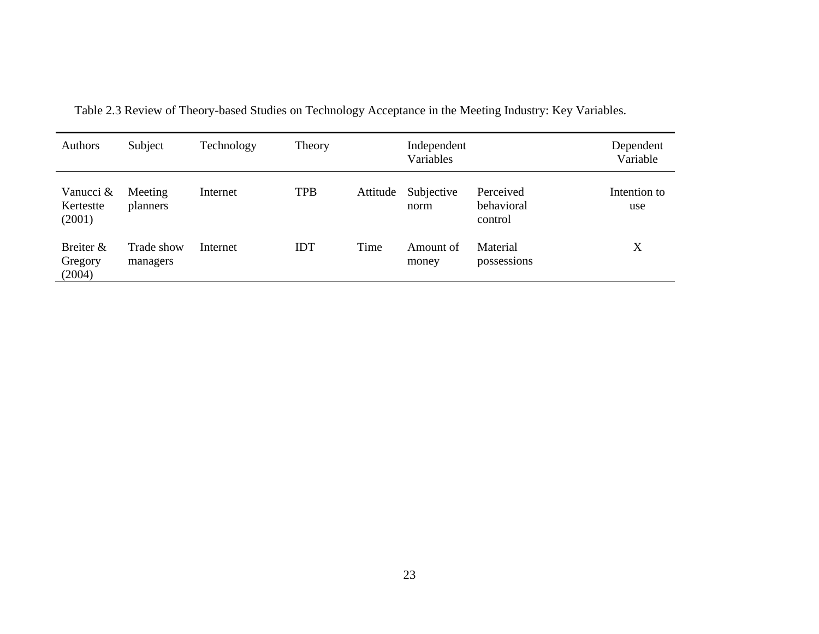| Authors                          | Subject                | Technology | Theory     |          | Independent<br>Variables |                                    | Dependent<br>Variable |
|----------------------------------|------------------------|------------|------------|----------|--------------------------|------------------------------------|-----------------------|
| Vanucci &<br>Kertestte<br>(2001) | Meeting<br>planners    | Internet   | <b>TPB</b> | Attitude | Subjective<br>norm       | Perceived<br>behavioral<br>control | Intention to<br>use   |
| Breiter &<br>Gregory<br>(2004)   | Trade show<br>managers | Internet   | IDT        | Time     | Amount of<br>money       | Material<br>possessions            | X                     |

Table 2.3 Review of Theory-based Studies on Technology Acceptance in the Meeting Industry: Key Variables.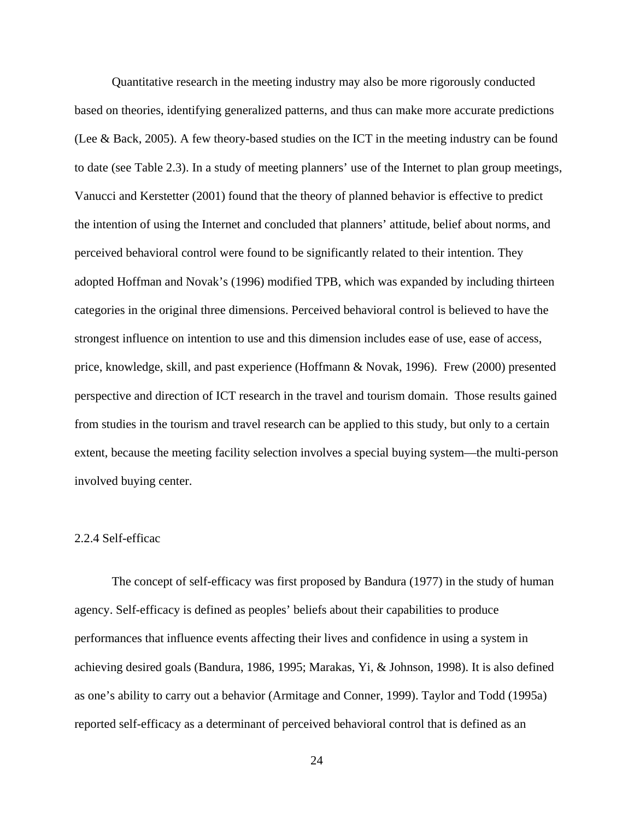Quantitative research in the meeting industry may also be more rigorously conducted based on theories, identifying generalized patterns, and thus can make more accurate predictions (Lee & Back, 2005). A few theory-based studies on the ICT in the meeting industry can be found to date (see Table 2.3). In a study of meeting planners' use of the Internet to plan group meetings, Vanucci and Kerstetter (2001) found that the theory of planned behavior is effective to predict the intention of using the Internet and concluded that planners' attitude, belief about norms, and perceived behavioral control were found to be significantly related to their intention. They adopted Hoffman and Novak's (1996) modified TPB, which was expanded by including thirteen categories in the original three dimensions. Perceived behavioral control is believed to have the strongest influence on intention to use and this dimension includes ease of use, ease of access, price, knowledge, skill, and past experience (Hoffmann & Novak, 1996). Frew (2000) presented perspective and direction of ICT research in the travel and tourism domain. Those results gained from studies in the tourism and travel research can be applied to this study, but only to a certain extent, because the meeting facility selection involves a special buying system—the multi-person involved buying center.

## 2.2.4 Self-efficac

The concept of self-efficacy was first proposed by Bandura (1977) in the study of human agency. Self-efficacy is defined as peoples' beliefs about their capabilities to produce performances that influence events affecting their lives and confidence in using a system in achieving desired goals (Bandura, 1986, 1995; Marakas, Yi, & Johnson, 1998). It is also defined as one's ability to carry out a behavior (Armitage and Conner, 1999). Taylor and Todd (1995a) reported self-efficacy as a determinant of perceived behavioral control that is defined as an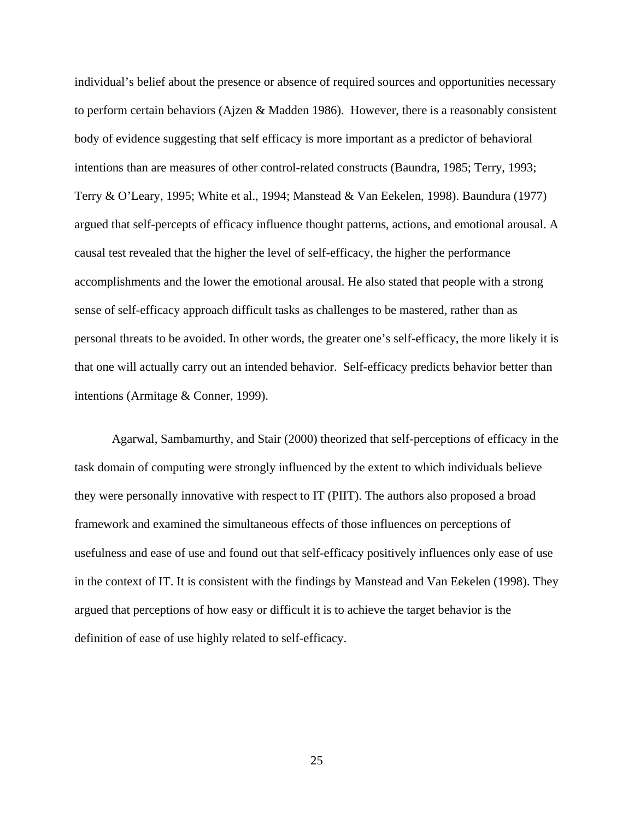individual's belief about the presence or absence of required sources and opportunities necessary to perform certain behaviors (Ajzen & Madden 1986). However, there is a reasonably consistent body of evidence suggesting that self efficacy is more important as a predictor of behavioral intentions than are measures of other control-related constructs (Baundra, 1985; Terry, 1993; Terry & O'Leary, 1995; White et al., 1994; Manstead & Van Eekelen, 1998). Baundura (1977) argued that self-percepts of efficacy influence thought patterns, actions, and emotional arousal. A causal test revealed that the higher the level of self-efficacy, the higher the performance accomplishments and the lower the emotional arousal. He also stated that people with a strong sense of self-efficacy approach difficult tasks as challenges to be mastered, rather than as personal threats to be avoided. In other words, the greater one's self-efficacy, the more likely it is that one will actually carry out an intended behavior. Self-efficacy predicts behavior better than intentions (Armitage & Conner, 1999).

Agarwal, Sambamurthy, and Stair (2000) theorized that self-perceptions of efficacy in the task domain of computing were strongly influenced by the extent to which individuals believe they were personally innovative with respect to IT (PIIT). The authors also proposed a broad framework and examined the simultaneous effects of those influences on perceptions of usefulness and ease of use and found out that self-efficacy positively influences only ease of use in the context of IT. It is consistent with the findings by Manstead and Van Eekelen (1998). They argued that perceptions of how easy or difficult it is to achieve the target behavior is the definition of ease of use highly related to self-efficacy.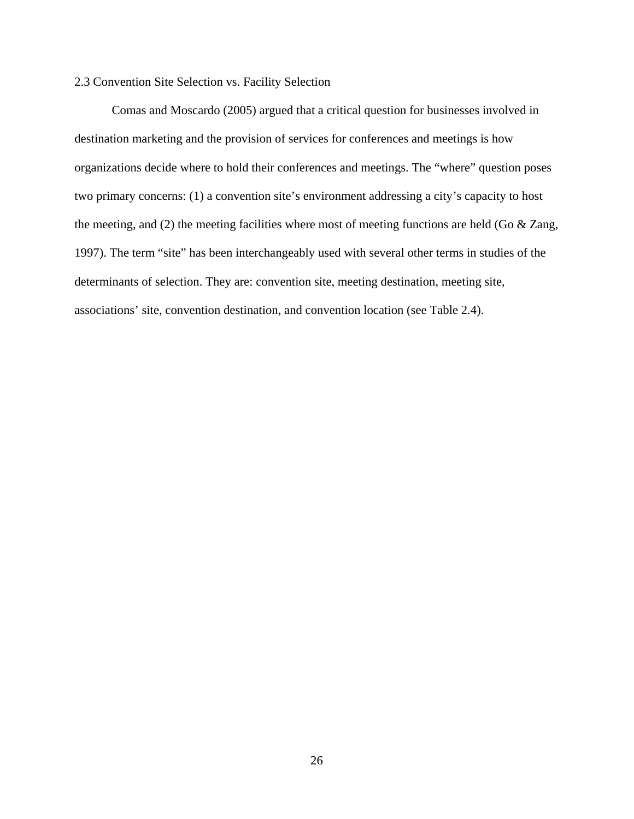# 2.3 Convention Site Selection vs. Facility Selection

Comas and Moscardo (2005) argued that a critical question for businesses involved in destination marketing and the provision of services for conferences and meetings is how organizations decide where to hold their conferences and meetings. The "where" question poses two primary concerns: (1) a convention site's environment addressing a city's capacity to host the meeting, and (2) the meeting facilities where most of meeting functions are held (Go & Zang, 1997). The term "site" has been interchangeably used with several other terms in studies of the determinants of selection. They are: convention site, meeting destination, meeting site, associations' site, convention destination, and convention location (see Table 2.4).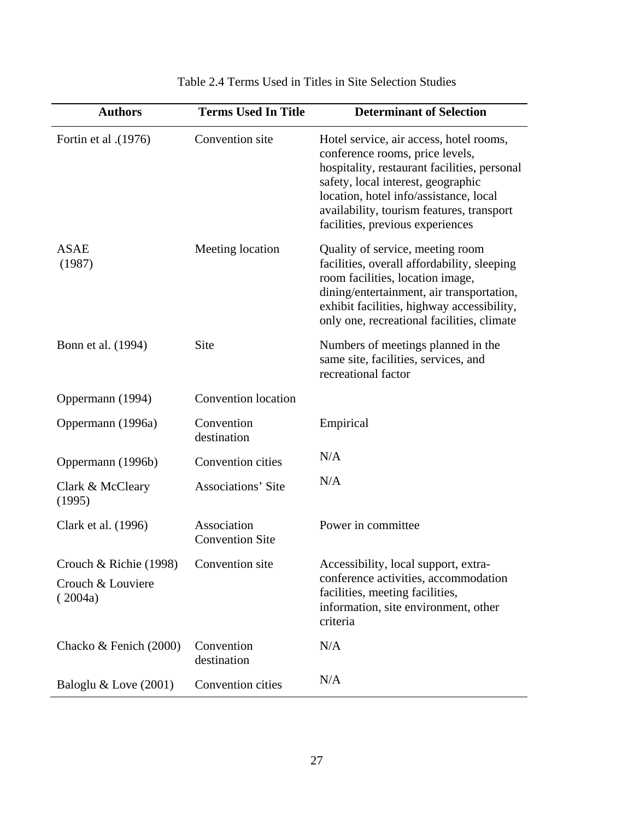| <b>Authors</b>                                         | <b>Terms Used In Title</b>            | <b>Determinant of Selection</b>                                                                                                                                                                                                                                                             |
|--------------------------------------------------------|---------------------------------------|---------------------------------------------------------------------------------------------------------------------------------------------------------------------------------------------------------------------------------------------------------------------------------------------|
| Fortin et al .(1976)                                   | Convention site                       | Hotel service, air access, hotel rooms,<br>conference rooms, price levels,<br>hospitality, restaurant facilities, personal<br>safety, local interest, geographic<br>location, hotel info/assistance, local<br>availability, tourism features, transport<br>facilities, previous experiences |
| <b>ASAE</b><br>(1987)                                  | Meeting location                      | Quality of service, meeting room<br>facilities, overall affordability, sleeping<br>room facilities, location image,<br>dining/entertainment, air transportation,<br>exhibit facilities, highway accessibility,<br>only one, recreational facilities, climate                                |
| Bonn et al. (1994)                                     | Site                                  | Numbers of meetings planned in the<br>same site, facilities, services, and<br>recreational factor                                                                                                                                                                                           |
| Oppermann (1994)                                       | <b>Convention</b> location            |                                                                                                                                                                                                                                                                                             |
| Oppermann (1996a)                                      | Convention<br>destination             | Empirical                                                                                                                                                                                                                                                                                   |
| Oppermann (1996b)                                      | Convention cities                     | N/A                                                                                                                                                                                                                                                                                         |
| Clark & McCleary<br>(1995)                             | <b>Associations' Site</b>             | N/A                                                                                                                                                                                                                                                                                         |
| Clark et al. (1996)                                    | Association<br><b>Convention Site</b> | Power in committee                                                                                                                                                                                                                                                                          |
| Crouch & Richie (1998)<br>Crouch & Louviere<br>(2004a) | Convention site                       | Accessibility, local support, extra-<br>conference activities, accommodation<br>facilities, meeting facilities,<br>information, site environment, other<br>criteria                                                                                                                         |
| Chacko & Fenich (2000)                                 | Convention<br>destination             | N/A                                                                                                                                                                                                                                                                                         |
| Baloglu & Love (2001)                                  | Convention cities                     | N/A                                                                                                                                                                                                                                                                                         |

# Table 2.4 Terms Used in Titles in Site Selection Studies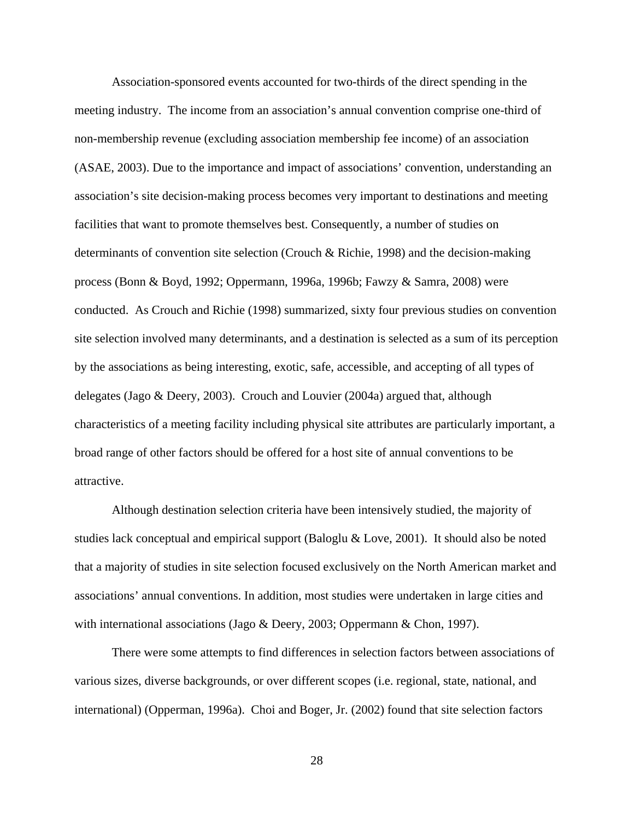Association-sponsored events accounted for two-thirds of the direct spending in the meeting industry. The income from an association's annual convention comprise one-third of non-membership revenue (excluding association membership fee income) of an association (ASAE, 2003). Due to the importance and impact of associations' convention, understanding an association's site decision-making process becomes very important to destinations and meeting facilities that want to promote themselves best. Consequently, a number of studies on determinants of convention site selection (Crouch & Richie, 1998) and the decision-making process (Bonn & Boyd, 1992; Oppermann, 1996a, 1996b; Fawzy & Samra, 2008) were conducted. As Crouch and Richie (1998) summarized, sixty four previous studies on convention site selection involved many determinants, and a destination is selected as a sum of its perception by the associations as being interesting, exotic, safe, accessible, and accepting of all types of delegates (Jago & Deery, 2003). Crouch and Louvier (2004a) argued that, although characteristics of a meeting facility including physical site attributes are particularly important, a broad range of other factors should be offered for a host site of annual conventions to be attractive.

Although destination selection criteria have been intensively studied, the majority of studies lack conceptual and empirical support (Baloglu & Love, 2001). It should also be noted that a majority of studies in site selection focused exclusively on the North American market and associations' annual conventions. In addition, most studies were undertaken in large cities and with international associations (Jago & Deery, 2003; Oppermann & Chon, 1997).

There were some attempts to find differences in selection factors between associations of various sizes, diverse backgrounds, or over different scopes (i.e. regional, state, national, and international) (Opperman, 1996a). Choi and Boger, Jr. (2002) found that site selection factors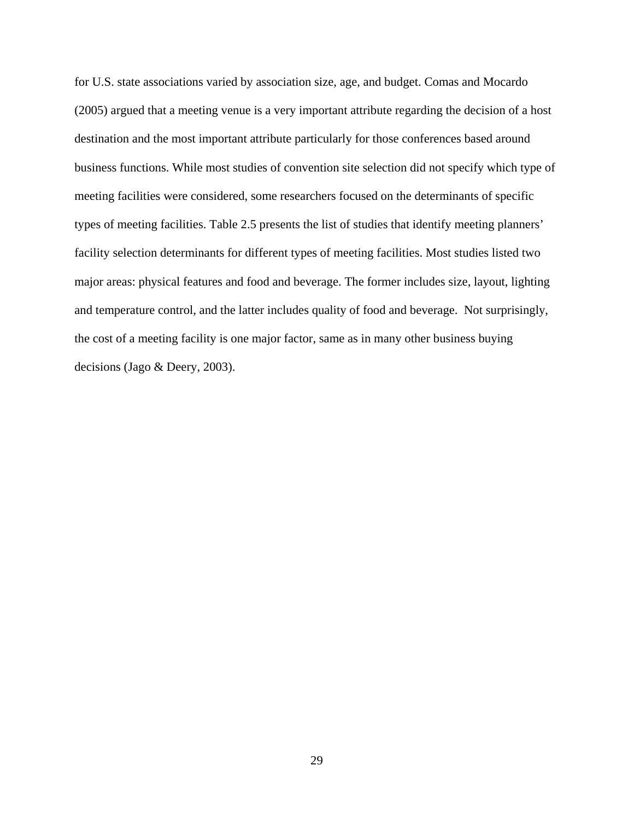for U.S. state associations varied by association size, age, and budget. Comas and Mocardo (2005) argued that a meeting venue is a very important attribute regarding the decision of a host destination and the most important attribute particularly for those conferences based around business functions. While most studies of convention site selection did not specify which type of meeting facilities were considered, some researchers focused on the determinants of specific types of meeting facilities. Table 2.5 presents the list of studies that identify meeting planners' facility selection determinants for different types of meeting facilities. Most studies listed two major areas: physical features and food and beverage. The former includes size, layout, lighting and temperature control, and the latter includes quality of food and beverage. Not surprisingly, the cost of a meeting facility is one major factor, same as in many other business buying decisions (Jago & Deery, 2003).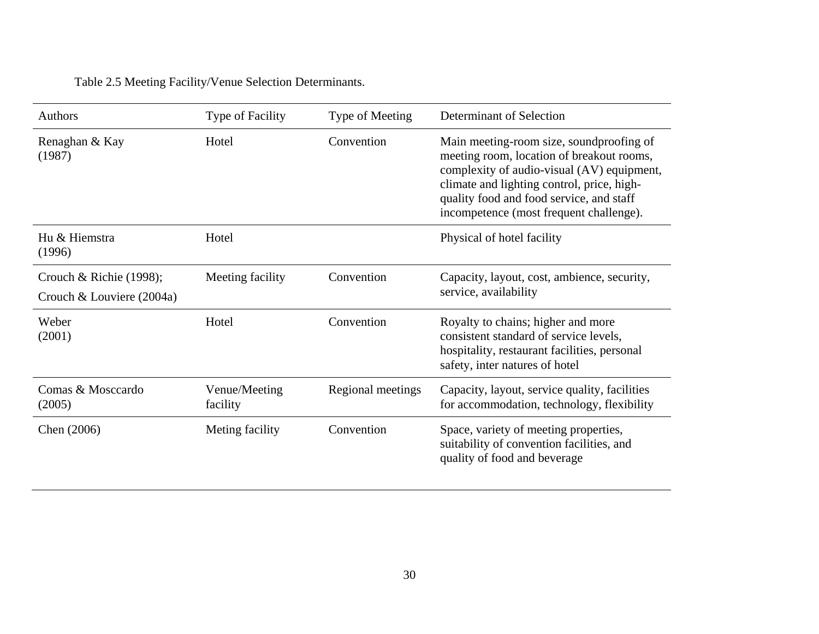# Table 2.5 Meeting Facility/Venue Selection Determinants.

| <b>Authors</b>                                       | Type of Facility          | Type of Meeting   | Determinant of Selection                                                                                                                                                                                                                                                 |
|------------------------------------------------------|---------------------------|-------------------|--------------------------------------------------------------------------------------------------------------------------------------------------------------------------------------------------------------------------------------------------------------------------|
| Renaghan & Kay<br>(1987)                             | Hotel                     | Convention        | Main meeting-room size, soundproofing of<br>meeting room, location of breakout rooms,<br>complexity of audio-visual (AV) equipment,<br>climate and lighting control, price, high-<br>quality food and food service, and staff<br>incompetence (most frequent challenge). |
| Hu & Hiemstra<br>(1996)                              | Hotel                     |                   | Physical of hotel facility                                                                                                                                                                                                                                               |
| Crouch & Richie (1998);<br>Crouch & Louviere (2004a) | Meeting facility          | Convention        | Capacity, layout, cost, ambience, security,<br>service, availability                                                                                                                                                                                                     |
| Weber<br>(2001)                                      | Hotel                     | Convention        | Royalty to chains; higher and more<br>consistent standard of service levels,<br>hospitality, restaurant facilities, personal<br>safety, inter natures of hotel                                                                                                           |
| Comas & Mosccardo<br>(2005)                          | Venue/Meeting<br>facility | Regional meetings | Capacity, layout, service quality, facilities<br>for accommodation, technology, flexibility                                                                                                                                                                              |
| Chen (2006)                                          | Meting facility           | Convention        | Space, variety of meeting properties,<br>suitability of convention facilities, and<br>quality of food and beverage                                                                                                                                                       |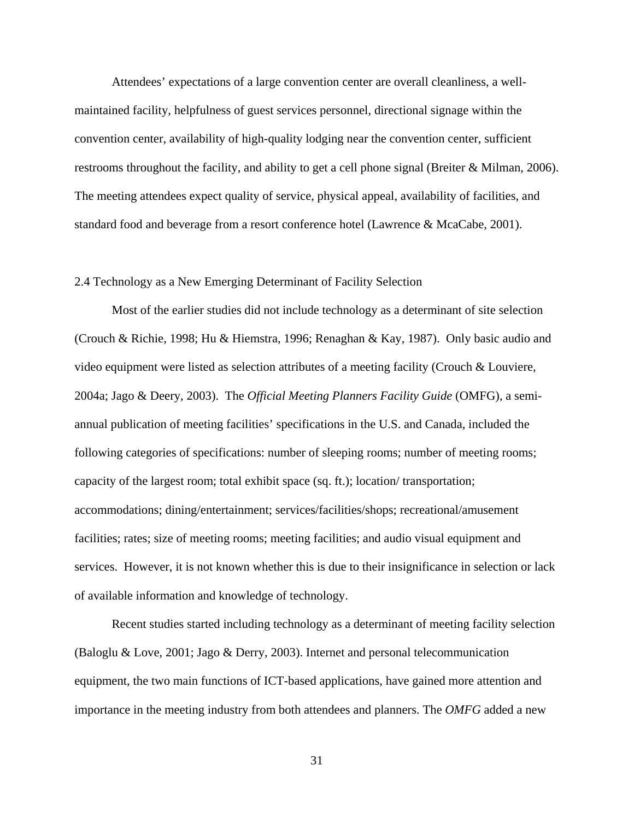Attendees' expectations of a large convention center are overall cleanliness, a wellmaintained facility, helpfulness of guest services personnel, directional signage within the convention center, availability of high-quality lodging near the convention center, sufficient restrooms throughout the facility, and ability to get a cell phone signal (Breiter & Milman, 2006). The meeting attendees expect quality of service, physical appeal, availability of facilities, and standard food and beverage from a resort conference hotel (Lawrence & McaCabe, 2001).

#### 2.4 Technology as a New Emerging Determinant of Facility Selection

Most of the earlier studies did not include technology as a determinant of site selection (Crouch & Richie, 1998; Hu & Hiemstra, 1996; Renaghan & Kay, 1987). Only basic audio and video equipment were listed as selection attributes of a meeting facility (Crouch & Louviere, 2004a; Jago & Deery, 2003). The *Official Meeting Planners Facility Guide* (OMFG), a semiannual publication of meeting facilities' specifications in the U.S. and Canada, included the following categories of specifications: number of sleeping rooms; number of meeting rooms; capacity of the largest room; total exhibit space (sq. ft.); location/ transportation; accommodations; dining/entertainment; services/facilities/shops; recreational/amusement facilities; rates; size of meeting rooms; meeting facilities; and audio visual equipment and services. However, it is not known whether this is due to their insignificance in selection or lack of available information and knowledge of technology.

Recent studies started including technology as a determinant of meeting facility selection (Baloglu & Love, 2001; Jago & Derry, 2003). Internet and personal telecommunication equipment, the two main functions of ICT-based applications, have gained more attention and importance in the meeting industry from both attendees and planners. The *OMFG* added a new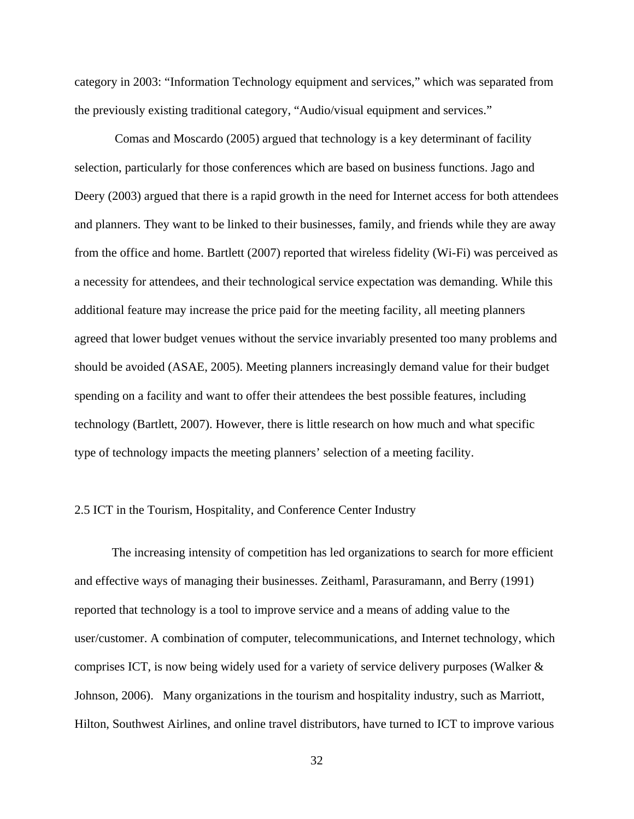category in 2003: "Information Technology equipment and services," which was separated from the previously existing traditional category, "Audio/visual equipment and services."

 Comas and Moscardo (2005) argued that technology is a key determinant of facility selection, particularly for those conferences which are based on business functions. Jago and Deery (2003) argued that there is a rapid growth in the need for Internet access for both attendees and planners. They want to be linked to their businesses, family, and friends while they are away from the office and home. Bartlett (2007) reported that wireless fidelity (Wi-Fi) was perceived as a necessity for attendees, and their technological service expectation was demanding. While this additional feature may increase the price paid for the meeting facility, all meeting planners agreed that lower budget venues without the service invariably presented too many problems and should be avoided (ASAE, 2005). Meeting planners increasingly demand value for their budget spending on a facility and want to offer their attendees the best possible features, including technology (Bartlett, 2007). However, there is little research on how much and what specific type of technology impacts the meeting planners' selection of a meeting facility.

# 2.5 ICT in the Tourism, Hospitality, and Conference Center Industry

The increasing intensity of competition has led organizations to search for more efficient and effective ways of managing their businesses. Zeithaml, Parasuramann, and Berry (1991) reported that technology is a tool to improve service and a means of adding value to the user/customer. A combination of computer, telecommunications, and Internet technology, which comprises ICT, is now being widely used for a variety of service delivery purposes (Walker & Johnson, 2006). Many organizations in the tourism and hospitality industry, such as Marriott, Hilton, Southwest Airlines, and online travel distributors, have turned to ICT to improve various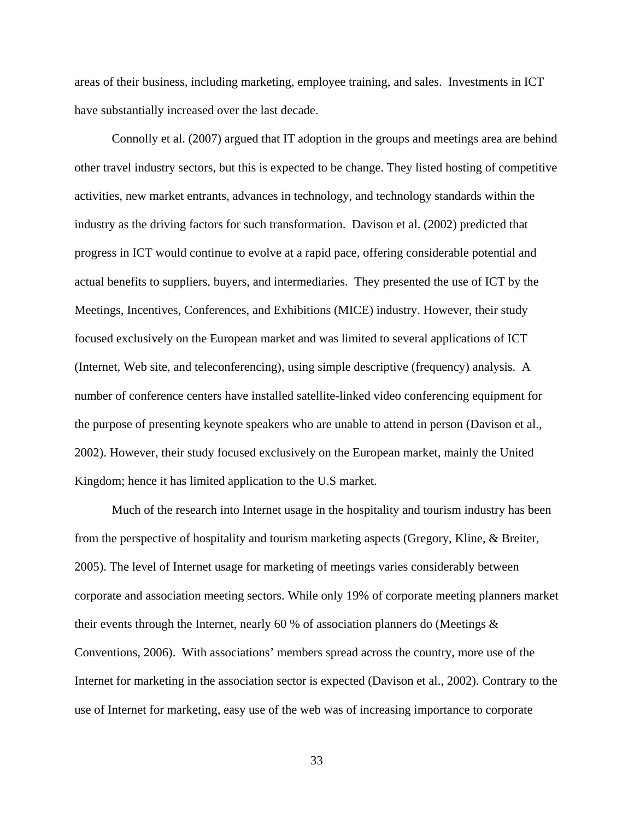areas of their business, including marketing, employee training, and sales. Investments in ICT have substantially increased over the last decade.

Connolly et al. (2007) argued that IT adoption in the groups and meetings area are behind other travel industry sectors, but this is expected to be change. They listed hosting of competitive activities, new market entrants, advances in technology, and technology standards within the industry as the driving factors for such transformation. Davison et al. (2002) predicted that progress in ICT would continue to evolve at a rapid pace, offering considerable potential and actual benefits to suppliers, buyers, and intermediaries. They presented the use of ICT by the Meetings, Incentives, Conferences, and Exhibitions (MICE) industry. However, their study focused exclusively on the European market and was limited to several applications of ICT (Internet, Web site, and teleconferencing), using simple descriptive (frequency) analysis. A number of conference centers have installed satellite-linked video conferencing equipment for the purpose of presenting keynote speakers who are unable to attend in person (Davison et al., 2002). However, their study focused exclusively on the European market, mainly the United Kingdom; hence it has limited application to the U.S market.

Much of the research into Internet usage in the hospitality and tourism industry has been from the perspective of hospitality and tourism marketing aspects (Gregory, Kline, & Breiter, 2005). The level of Internet usage for marketing of meetings varies considerably between corporate and association meeting sectors. While only 19% of corporate meeting planners market their events through the Internet, nearly 60 % of association planners do (Meetings & Conventions, 2006). With associations' members spread across the country, more use of the Internet for marketing in the association sector is expected (Davison et al., 2002). Contrary to the use of Internet for marketing, easy use of the web was of increasing importance to corporate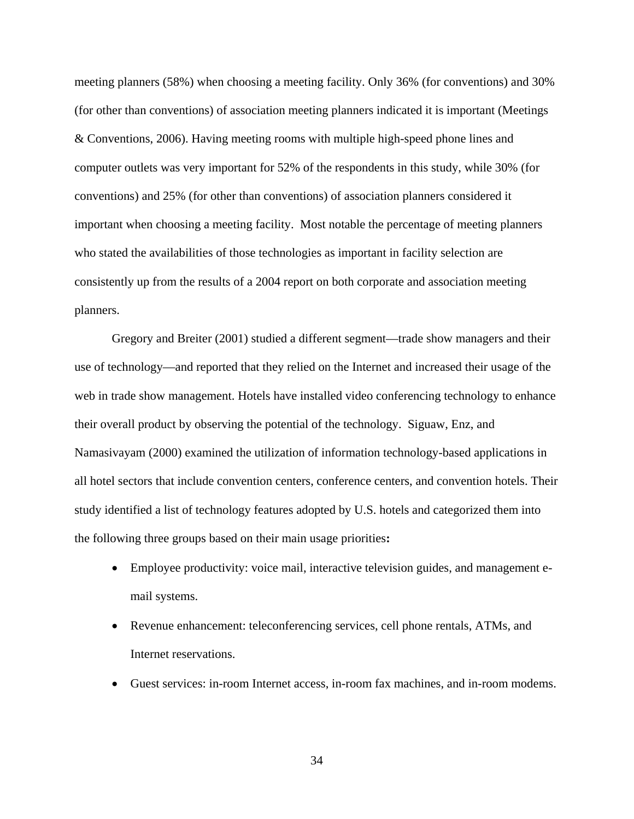meeting planners (58%) when choosing a meeting facility. Only 36% (for conventions) and 30% (for other than conventions) of association meeting planners indicated it is important (Meetings & Conventions, 2006). Having meeting rooms with multiple high-speed phone lines and computer outlets was very important for 52% of the respondents in this study, while 30% (for conventions) and 25% (for other than conventions) of association planners considered it important when choosing a meeting facility. Most notable the percentage of meeting planners who stated the availabilities of those technologies as important in facility selection are consistently up from the results of a 2004 report on both corporate and association meeting planners.

Gregory and Breiter (2001) studied a different segment—trade show managers and their use of technology—and reported that they relied on the Internet and increased their usage of the web in trade show management. Hotels have installed video conferencing technology to enhance their overall product by observing the potential of the technology. Siguaw, Enz, and Namasivayam (2000) examined the utilization of information technology-based applications in all hotel sectors that include convention centers, conference centers, and convention hotels. Their study identified a list of technology features adopted by U.S. hotels and categorized them into the following three groups based on their main usage priorities**:**

- Employee productivity: voice mail, interactive television guides, and management email systems.
- Revenue enhancement: teleconferencing services, cell phone rentals, ATMs, and Internet reservations.
- Guest services: in-room Internet access, in-room fax machines, and in-room modems.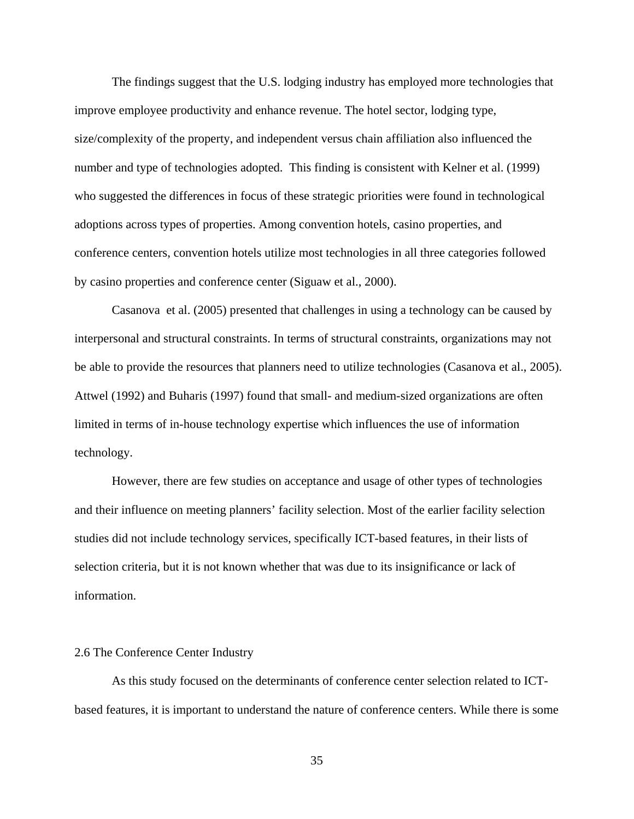The findings suggest that the U.S. lodging industry has employed more technologies that improve employee productivity and enhance revenue. The hotel sector, lodging type, size/complexity of the property, and independent versus chain affiliation also influenced the number and type of technologies adopted. This finding is consistent with Kelner et al. (1999) who suggested the differences in focus of these strategic priorities were found in technological adoptions across types of properties. Among convention hotels, casino properties, and conference centers, convention hotels utilize most technologies in all three categories followed by casino properties and conference center (Siguaw et al., 2000).

Casanova et al. (2005) presented that challenges in using a technology can be caused by interpersonal and structural constraints. In terms of structural constraints, organizations may not be able to provide the resources that planners need to utilize technologies (Casanova et al., 2005). Attwel (1992) and Buharis (1997) found that small- and medium-sized organizations are often limited in terms of in-house technology expertise which influences the use of information technology.

However, there are few studies on acceptance and usage of other types of technologies and their influence on meeting planners' facility selection. Most of the earlier facility selection studies did not include technology services, specifically ICT-based features, in their lists of selection criteria, but it is not known whether that was due to its insignificance or lack of information.

#### 2.6 The Conference Center Industry

As this study focused on the determinants of conference center selection related to ICTbased features, it is important to understand the nature of conference centers. While there is some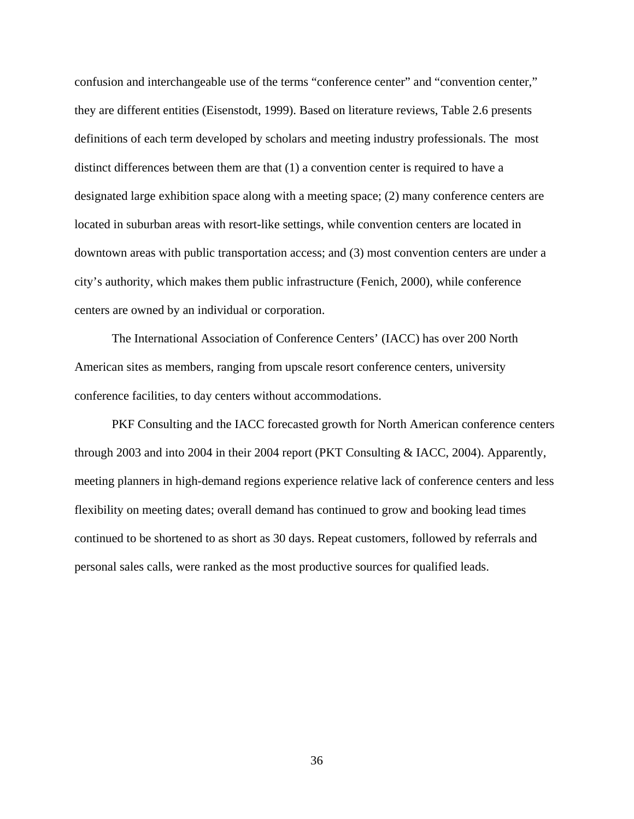confusion and interchangeable use of the terms "conference center" and "convention center," they are different entities (Eisenstodt, 1999). Based on literature reviews, Table 2.6 presents definitions of each term developed by scholars and meeting industry professionals. The most distinct differences between them are that (1) a convention center is required to have a designated large exhibition space along with a meeting space; (2) many conference centers are located in suburban areas with resort-like settings, while convention centers are located in downtown areas with public transportation access; and (3) most convention centers are under a city's authority, which makes them public infrastructure (Fenich, 2000), while conference centers are owned by an individual or corporation.

The International Association of Conference Centers' (IACC) has over 200 North American sites as members, ranging from upscale resort conference centers, university conference facilities, to day centers without accommodations.

PKF Consulting and the IACC forecasted growth for North American conference centers through 2003 and into 2004 in their 2004 report (PKT Consulting & IACC, 2004). Apparently, meeting planners in high-demand regions experience relative lack of conference centers and less flexibility on meeting dates; overall demand has continued to grow and booking lead times continued to be shortened to as short as 30 days. Repeat customers, followed by referrals and personal sales calls, were ranked as the most productive sources for qualified leads.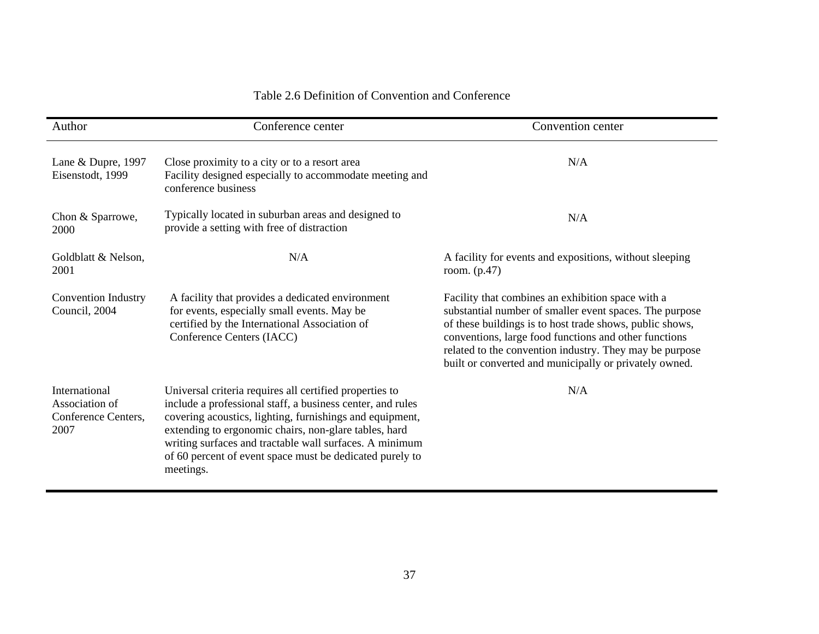#### Table 2.6 Definition of Convention and Conference

| Author                                                         | Conference center                                                                                                                                                                                                                                                                                                                                                              | Convention center                                                                                                                                                                                                                                                                                                                                      |
|----------------------------------------------------------------|--------------------------------------------------------------------------------------------------------------------------------------------------------------------------------------------------------------------------------------------------------------------------------------------------------------------------------------------------------------------------------|--------------------------------------------------------------------------------------------------------------------------------------------------------------------------------------------------------------------------------------------------------------------------------------------------------------------------------------------------------|
| Lane & Dupre, 1997<br>Eisenstodt, 1999                         | Close proximity to a city or to a resort area<br>Facility designed especially to accommodate meeting and<br>conference business                                                                                                                                                                                                                                                | N/A                                                                                                                                                                                                                                                                                                                                                    |
| Chon & Sparrowe,<br>2000                                       | Typically located in suburban areas and designed to<br>provide a setting with free of distraction                                                                                                                                                                                                                                                                              | N/A                                                                                                                                                                                                                                                                                                                                                    |
| Goldblatt & Nelson,<br>2001                                    | N/A                                                                                                                                                                                                                                                                                                                                                                            | A facility for events and expositions, without sleeping<br>room. $(p.47)$                                                                                                                                                                                                                                                                              |
| <b>Convention Industry</b><br>Council, 2004                    | A facility that provides a dedicated environment<br>for events, especially small events. May be<br>certified by the International Association of<br>Conference Centers (IACC)                                                                                                                                                                                                  | Facility that combines an exhibition space with a<br>substantial number of smaller event spaces. The purpose<br>of these buildings is to host trade shows, public shows,<br>conventions, large food functions and other functions<br>related to the convention industry. They may be purpose<br>built or converted and municipally or privately owned. |
| International<br>Association of<br>Conference Centers,<br>2007 | Universal criteria requires all certified properties to<br>include a professional staff, a business center, and rules<br>covering acoustics, lighting, furnishings and equipment,<br>extending to ergonomic chairs, non-glare tables, hard<br>writing surfaces and tractable wall surfaces. A minimum<br>of 60 percent of event space must be dedicated purely to<br>meetings. | N/A                                                                                                                                                                                                                                                                                                                                                    |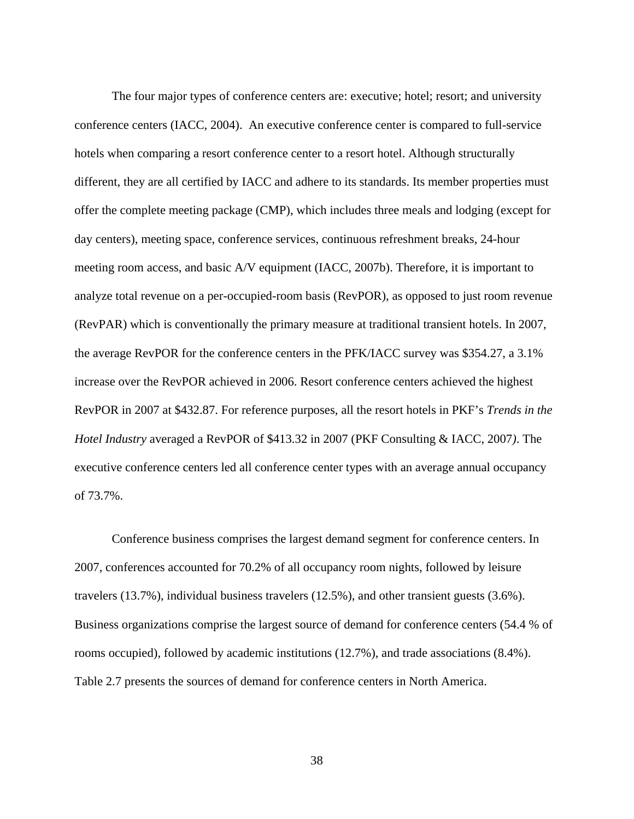The four major types of conference centers are: executive; hotel; resort; and university conference centers (IACC, 2004). An executive conference center is compared to full-service hotels when comparing a resort conference center to a resort hotel. Although structurally different, they are all certified by IACC and adhere to its standards. Its member properties must offer the complete meeting package (CMP), which includes three meals and lodging (except for day centers), meeting space, conference services, continuous refreshment breaks, 24-hour meeting room access, and basic A/V equipment (IACC, 2007b). Therefore, it is important to analyze total revenue on a per-occupied-room basis (RevPOR), as opposed to just room revenue (RevPAR) which is conventionally the primary measure at traditional transient hotels. In 2007, the average RevPOR for the conference centers in the PFK/IACC survey was \$354.27, a 3.1% increase over the RevPOR achieved in 2006. Resort conference centers achieved the highest RevPOR in 2007 at \$432.87. For reference purposes, all the resort hotels in PKF's *Trends in the Hotel Industry* averaged a RevPOR of \$413.32 in 2007 (PKF Consulting & IACC, 2007*)*. The executive conference centers led all conference center types with an average annual occupancy of 73.7%.

Conference business comprises the largest demand segment for conference centers. In 2007, conferences accounted for 70.2% of all occupancy room nights, followed by leisure travelers (13.7%), individual business travelers (12.5%), and other transient guests (3.6%). Business organizations comprise the largest source of demand for conference centers (54.4 % of rooms occupied), followed by academic institutions (12.7%), and trade associations (8.4%). Table 2.7 presents the sources of demand for conference centers in North America.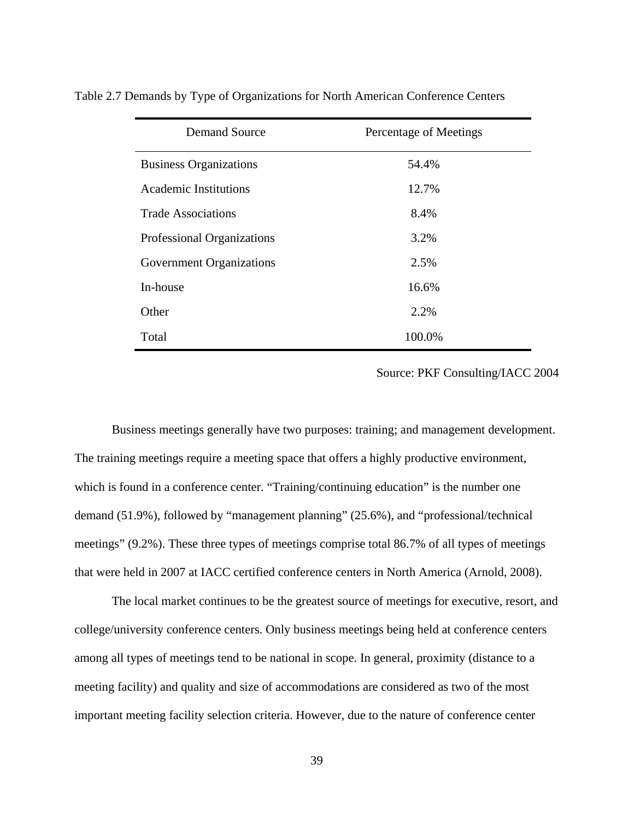| <b>Demand Source</b>            | Percentage of Meetings |
|---------------------------------|------------------------|
| <b>Business Organizations</b>   | 54.4%                  |
| <b>Academic Institutions</b>    | 12.7%                  |
| <b>Trade Associations</b>       | 8.4%                   |
| Professional Organizations      | 3.2%                   |
| <b>Government Organizations</b> | 2.5%                   |
| In-house                        | 16.6%                  |
| Other                           | 2.2%                   |
| Total                           | 100.0%                 |

Table 2.7 Demands by Type of Organizations for North American Conference Centers

Source: PKF Consulting/IACC 2004

Business meetings generally have two purposes: training; and management development. The training meetings require a meeting space that offers a highly productive environment, which is found in a conference center. "Training/continuing education" is the number one demand (51.9%), followed by "management planning" (25.6%), and "professional/technical meetings" (9.2%). These three types of meetings comprise total 86.7% of all types of meetings that were held in 2007 at IACC certified conference centers in North America (Arnold, 2008).

The local market continues to be the greatest source of meetings for executive, resort, and college/university conference centers. Only business meetings being held at conference centers among all types of meetings tend to be national in scope. In general, proximity (distance to a meeting facility) and quality and size of accommodations are considered as two of the most important meeting facility selection criteria. However, due to the nature of conference center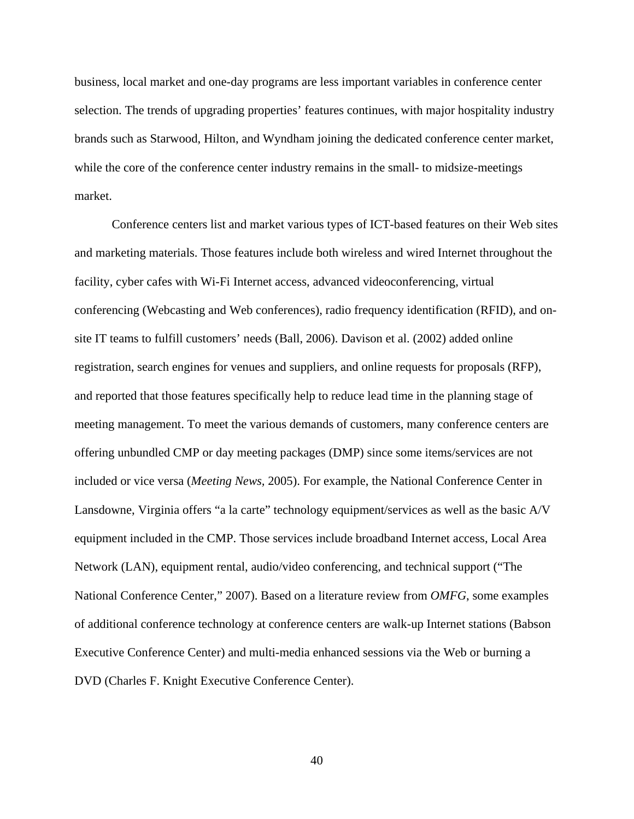business, local market and one-day programs are less important variables in conference center selection. The trends of upgrading properties' features continues, with major hospitality industry brands such as Starwood, Hilton, and Wyndham joining the dedicated conference center market, while the core of the conference center industry remains in the small- to midsize-meetings market.

Conference centers list and market various types of ICT-based features on their Web sites and marketing materials. Those features include both wireless and wired Internet throughout the facility, cyber cafes with Wi-Fi Internet access, advanced videoconferencing, virtual conferencing (Webcasting and Web conferences), radio frequency identification (RFID), and onsite IT teams to fulfill customers' needs (Ball, 2006). Davison et al. (2002) added online registration, search engines for venues and suppliers, and online requests for proposals (RFP), and reported that those features specifically help to reduce lead time in the planning stage of meeting management. To meet the various demands of customers, many conference centers are offering unbundled CMP or day meeting packages (DMP) since some items/services are not included or vice versa (*Meeting News,* 2005). For example, the National Conference Center in Lansdowne, Virginia offers "a la carte" technology equipment/services as well as the basic A/V equipment included in the CMP. Those services include broadband Internet access, Local Area Network (LAN), equipment rental, audio/video conferencing, and technical support ("The National Conference Center," 2007). Based on a literature review from *OMFG*, some examples of additional conference technology at conference centers are walk-up Internet stations (Babson Executive Conference Center) and multi-media enhanced sessions via the Web or burning a DVD (Charles F. Knight Executive Conference Center).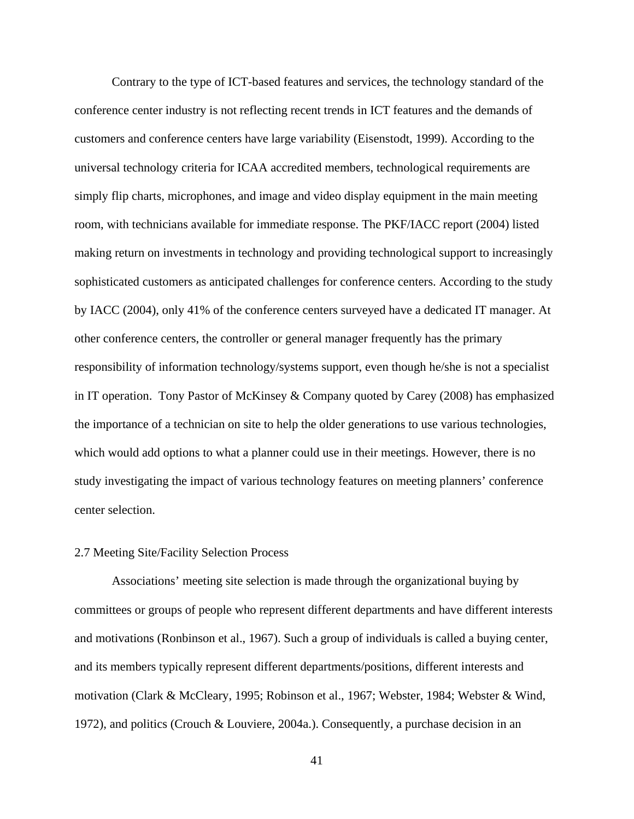Contrary to the type of ICT-based features and services, the technology standard of the conference center industry is not reflecting recent trends in ICT features and the demands of customers and conference centers have large variability (Eisenstodt, 1999). According to the universal technology criteria for ICAA accredited members, technological requirements are simply flip charts, microphones, and image and video display equipment in the main meeting room, with technicians available for immediate response. The PKF/IACC report (2004) listed making return on investments in technology and providing technological support to increasingly sophisticated customers as anticipated challenges for conference centers. According to the study by IACC (2004), only 41% of the conference centers surveyed have a dedicated IT manager. At other conference centers, the controller or general manager frequently has the primary responsibility of information technology/systems support, even though he/she is not a specialist in IT operation. Tony Pastor of McKinsey & Company quoted by Carey (2008) has emphasized the importance of a technician on site to help the older generations to use various technologies, which would add options to what a planner could use in their meetings. However, there is no study investigating the impact of various technology features on meeting planners' conference center selection.

# 2.7 Meeting Site/Facility Selection Process

Associations' meeting site selection is made through the organizational buying by committees or groups of people who represent different departments and have different interests and motivations (Ronbinson et al., 1967). Such a group of individuals is called a buying center, and its members typically represent different departments/positions, different interests and motivation (Clark & McCleary, 1995; Robinson et al., 1967; Webster, 1984; Webster & Wind, 1972), and politics (Crouch & Louviere, 2004a.). Consequently, a purchase decision in an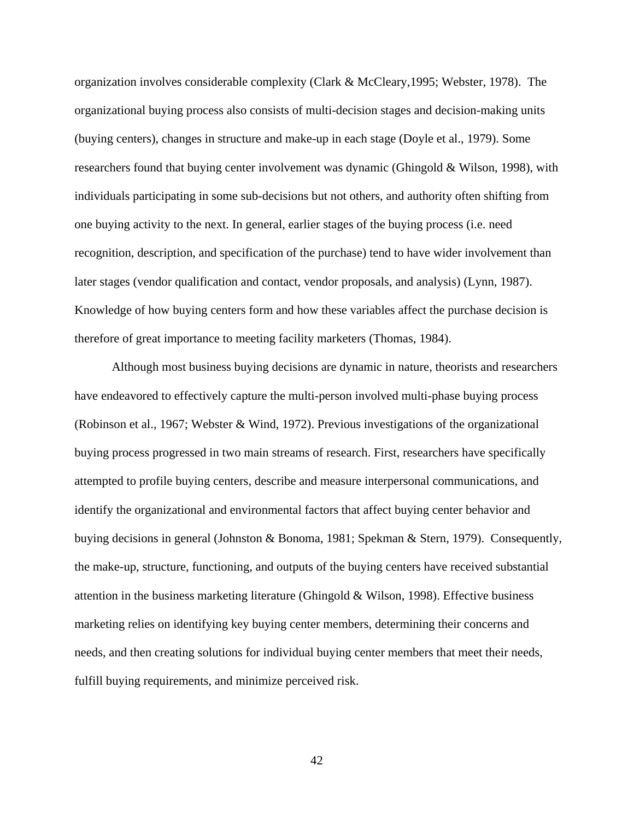organization involves considerable complexity (Clark & McCleary,1995; Webster, 1978). The organizational buying process also consists of multi-decision stages and decision-making units (buying centers), changes in structure and make-up in each stage (Doyle et al., 1979). Some researchers found that buying center involvement was dynamic (Ghingold & Wilson, 1998), with individuals participating in some sub-decisions but not others, and authority often shifting from one buying activity to the next. In general, earlier stages of the buying process (i.e. need recognition, description, and specification of the purchase) tend to have wider involvement than later stages (vendor qualification and contact, vendor proposals, and analysis) (Lynn, 1987). Knowledge of how buying centers form and how these variables affect the purchase decision is therefore of great importance to meeting facility marketers (Thomas, 1984).

Although most business buying decisions are dynamic in nature, theorists and researchers have endeavored to effectively capture the multi-person involved multi-phase buying process (Robinson et al., 1967; Webster & Wind, 1972). Previous investigations of the organizational buying process progressed in two main streams of research. First, researchers have specifically attempted to profile buying centers, describe and measure interpersonal communications, and identify the organizational and environmental factors that affect buying center behavior and buying decisions in general (Johnston & Bonoma, 1981; Spekman & Stern, 1979). Consequently, the make-up, structure, functioning, and outputs of the buying centers have received substantial attention in the business marketing literature (Ghingold & Wilson, 1998). Effective business marketing relies on identifying key buying center members, determining their concerns and needs, and then creating solutions for individual buying center members that meet their needs, fulfill buying requirements, and minimize perceived risk.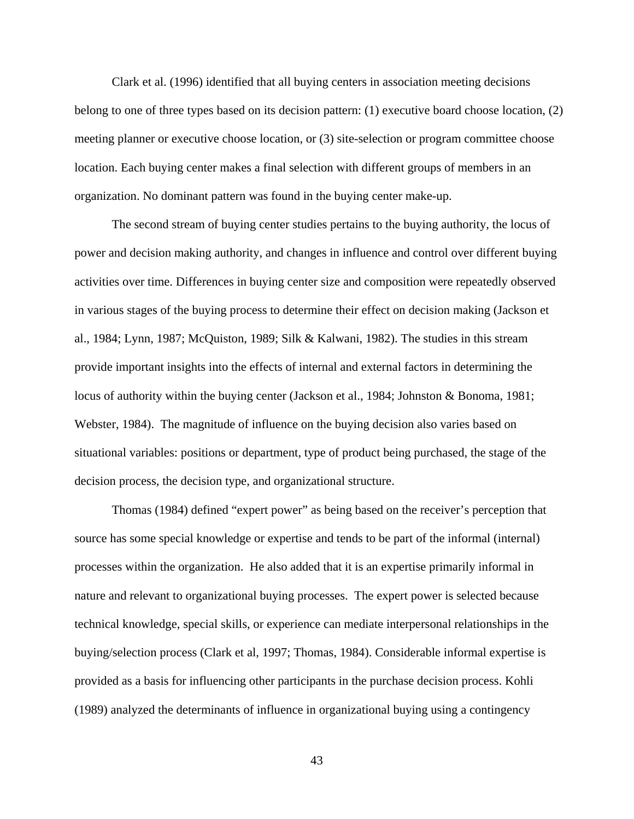Clark et al. (1996) identified that all buying centers in association meeting decisions belong to one of three types based on its decision pattern: (1) executive board choose location, (2) meeting planner or executive choose location, or (3) site-selection or program committee choose location. Each buying center makes a final selection with different groups of members in an organization. No dominant pattern was found in the buying center make-up.

The second stream of buying center studies pertains to the buying authority, the locus of power and decision making authority, and changes in influence and control over different buying activities over time. Differences in buying center size and composition were repeatedly observed in various stages of the buying process to determine their effect on decision making (Jackson et al., 1984; Lynn, 1987; McQuiston, 1989; Silk & Kalwani, 1982). The studies in this stream provide important insights into the effects of internal and external factors in determining the locus of authority within the buying center (Jackson et al., 1984; Johnston & Bonoma, 1981; Webster, 1984). The magnitude of influence on the buying decision also varies based on situational variables: positions or department, type of product being purchased, the stage of the decision process, the decision type, and organizational structure.

Thomas (1984) defined "expert power" as being based on the receiver's perception that source has some special knowledge or expertise and tends to be part of the informal (internal) processes within the organization. He also added that it is an expertise primarily informal in nature and relevant to organizational buying processes. The expert power is selected because technical knowledge, special skills, or experience can mediate interpersonal relationships in the buying/selection process (Clark et al, 1997; Thomas, 1984). Considerable informal expertise is provided as a basis for influencing other participants in the purchase decision process. Kohli (1989) analyzed the determinants of influence in organizational buying using a contingency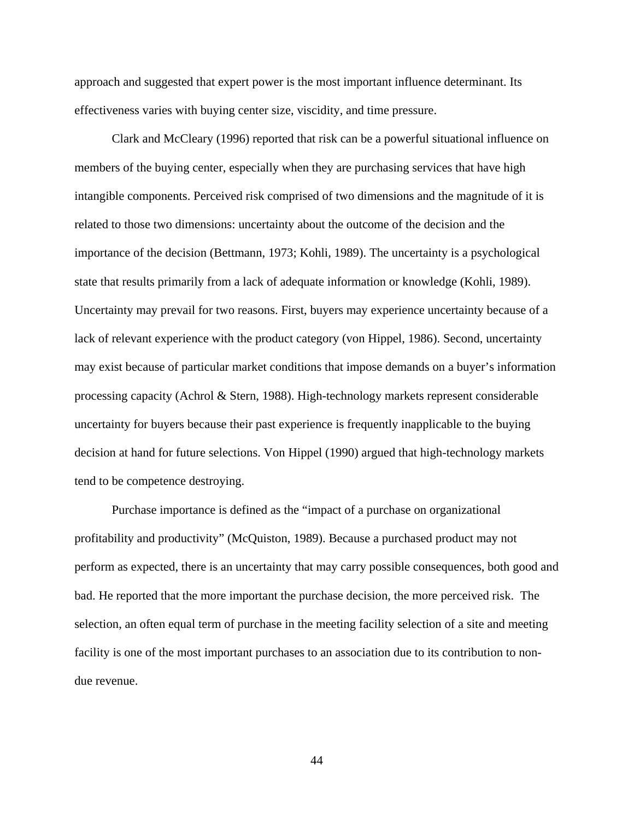approach and suggested that expert power is the most important influence determinant. Its effectiveness varies with buying center size, viscidity, and time pressure.

Clark and McCleary (1996) reported that risk can be a powerful situational influence on members of the buying center, especially when they are purchasing services that have high intangible components. Perceived risk comprised of two dimensions and the magnitude of it is related to those two dimensions: uncertainty about the outcome of the decision and the importance of the decision (Bettmann, 1973; Kohli, 1989). The uncertainty is a psychological state that results primarily from a lack of adequate information or knowledge (Kohli, 1989). Uncertainty may prevail for two reasons. First, buyers may experience uncertainty because of a lack of relevant experience with the product category (von Hippel, 1986). Second, uncertainty may exist because of particular market conditions that impose demands on a buyer's information processing capacity (Achrol & Stern, 1988). High-technology markets represent considerable uncertainty for buyers because their past experience is frequently inapplicable to the buying decision at hand for future selections. Von Hippel (1990) argued that high-technology markets tend to be competence destroying.

Purchase importance is defined as the "impact of a purchase on organizational profitability and productivity" (McQuiston, 1989). Because a purchased product may not perform as expected, there is an uncertainty that may carry possible consequences, both good and bad. He reported that the more important the purchase decision, the more perceived risk. The selection, an often equal term of purchase in the meeting facility selection of a site and meeting facility is one of the most important purchases to an association due to its contribution to nondue revenue.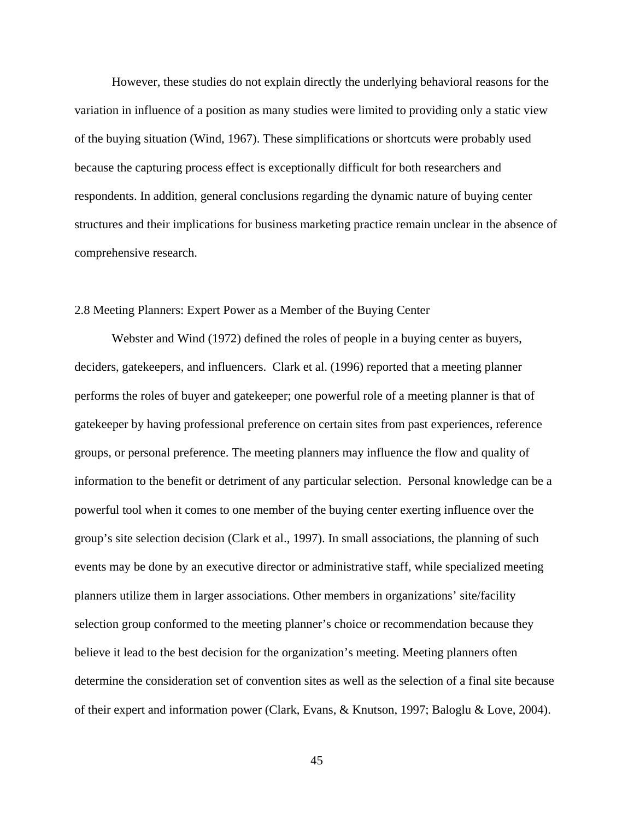However, these studies do not explain directly the underlying behavioral reasons for the variation in influence of a position as many studies were limited to providing only a static view of the buying situation (Wind, 1967). These simplifications or shortcuts were probably used because the capturing process effect is exceptionally difficult for both researchers and respondents. In addition, general conclusions regarding the dynamic nature of buying center structures and their implications for business marketing practice remain unclear in the absence of comprehensive research.

# 2.8 Meeting Planners: Expert Power as a Member of the Buying Center

Webster and Wind (1972) defined the roles of people in a buying center as buyers, deciders, gatekeepers, and influencers. Clark et al. (1996) reported that a meeting planner performs the roles of buyer and gatekeeper; one powerful role of a meeting planner is that of gatekeeper by having professional preference on certain sites from past experiences, reference groups, or personal preference. The meeting planners may influence the flow and quality of information to the benefit or detriment of any particular selection. Personal knowledge can be a powerful tool when it comes to one member of the buying center exerting influence over the group's site selection decision (Clark et al., 1997). In small associations, the planning of such events may be done by an executive director or administrative staff, while specialized meeting planners utilize them in larger associations. Other members in organizations' site/facility selection group conformed to the meeting planner's choice or recommendation because they believe it lead to the best decision for the organization's meeting. Meeting planners often determine the consideration set of convention sites as well as the selection of a final site because of their expert and information power (Clark, Evans, & Knutson, 1997; Baloglu & Love, 2004).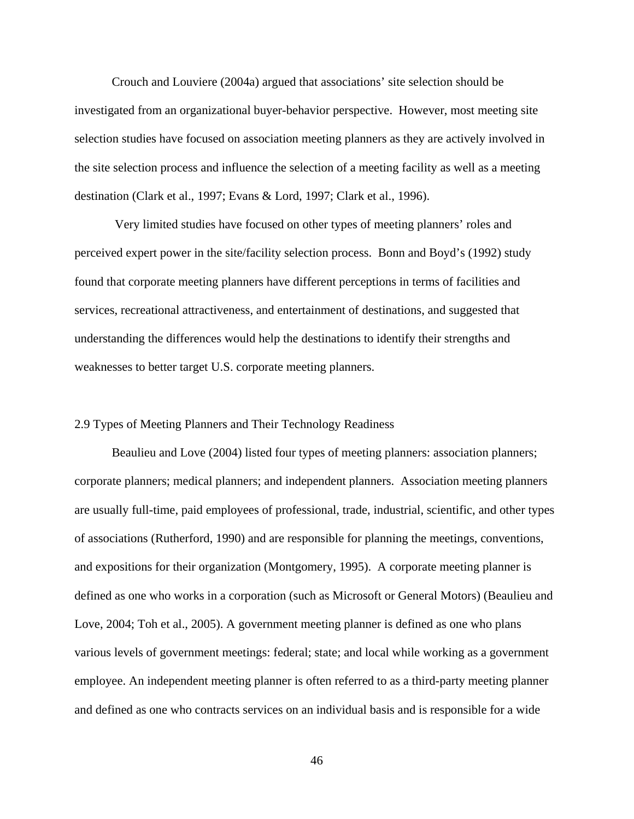Crouch and Louviere (2004a) argued that associations' site selection should be investigated from an organizational buyer-behavior perspective. However, most meeting site selection studies have focused on association meeting planners as they are actively involved in the site selection process and influence the selection of a meeting facility as well as a meeting destination (Clark et al., 1997; Evans & Lord, 1997; Clark et al., 1996).

 Very limited studies have focused on other types of meeting planners' roles and perceived expert power in the site/facility selection process. Bonn and Boyd's (1992) study found that corporate meeting planners have different perceptions in terms of facilities and services, recreational attractiveness, and entertainment of destinations, and suggested that understanding the differences would help the destinations to identify their strengths and weaknesses to better target U.S. corporate meeting planners.

### 2.9 Types of Meeting Planners and Their Technology Readiness

Beaulieu and Love (2004) listed four types of meeting planners: association planners; corporate planners; medical planners; and independent planners. Association meeting planners are usually full-time, paid employees of professional, trade, industrial, scientific, and other types of associations (Rutherford, 1990) and are responsible for planning the meetings, conventions, and expositions for their organization (Montgomery, 1995). A corporate meeting planner is defined as one who works in a corporation (such as Microsoft or General Motors) (Beaulieu and Love, 2004; Toh et al., 2005). A government meeting planner is defined as one who plans various levels of government meetings: federal; state; and local while working as a government employee. An independent meeting planner is often referred to as a third-party meeting planner and defined as one who contracts services on an individual basis and is responsible for a wide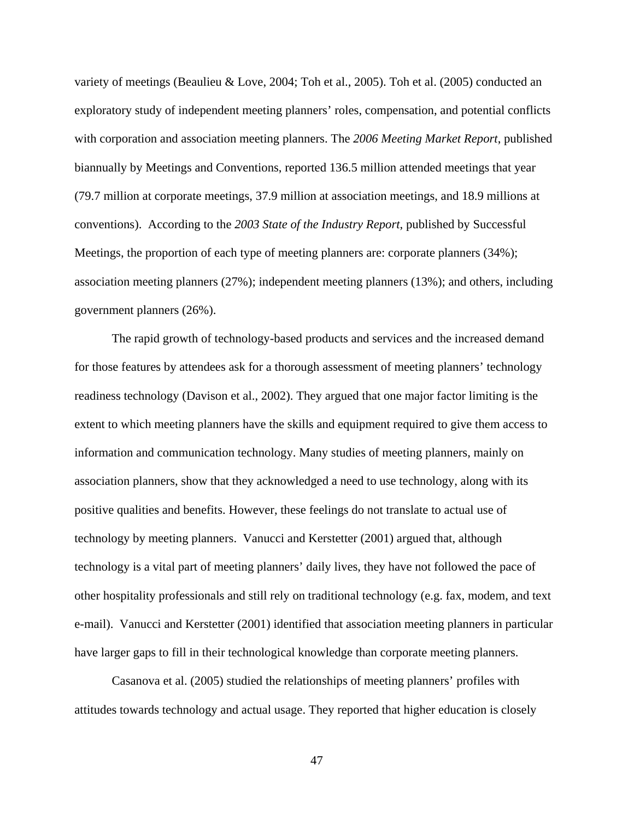variety of meetings (Beaulieu & Love, 2004; Toh et al., 2005). Toh et al. (2005) conducted an exploratory study of independent meeting planners' roles, compensation, and potential conflicts with corporation and association meeting planners. The *2006 Meeting Market Report*, published biannually by Meetings and Conventions, reported 136.5 million attended meetings that year (79.7 million at corporate meetings, 37.9 million at association meetings, and 18.9 millions at conventions). According to the *2003 State of the Industry Report*, published by Successful Meetings, the proportion of each type of meeting planners are: corporate planners (34%); association meeting planners (27%); independent meeting planners (13%); and others, including government planners (26%).

The rapid growth of technology-based products and services and the increased demand for those features by attendees ask for a thorough assessment of meeting planners' technology readiness technology (Davison et al., 2002). They argued that one major factor limiting is the extent to which meeting planners have the skills and equipment required to give them access to information and communication technology. Many studies of meeting planners, mainly on association planners, show that they acknowledged a need to use technology, along with its positive qualities and benefits. However, these feelings do not translate to actual use of technology by meeting planners. Vanucci and Kerstetter (2001) argued that, although technology is a vital part of meeting planners' daily lives, they have not followed the pace of other hospitality professionals and still rely on traditional technology (e.g. fax, modem, and text e-mail). Vanucci and Kerstetter (2001) identified that association meeting planners in particular have larger gaps to fill in their technological knowledge than corporate meeting planners.

Casanova et al. (2005) studied the relationships of meeting planners' profiles with attitudes towards technology and actual usage. They reported that higher education is closely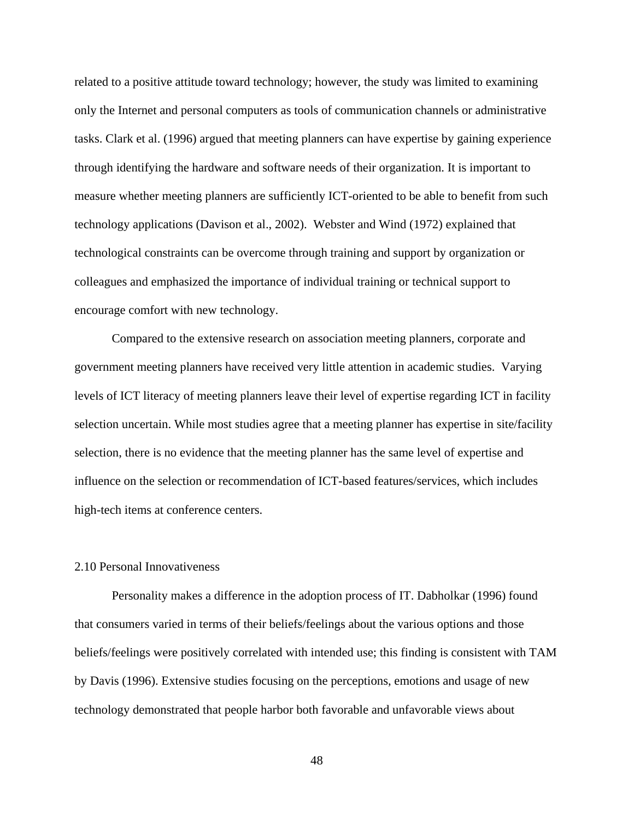related to a positive attitude toward technology; however, the study was limited to examining only the Internet and personal computers as tools of communication channels or administrative tasks. Clark et al. (1996) argued that meeting planners can have expertise by gaining experience through identifying the hardware and software needs of their organization. It is important to measure whether meeting planners are sufficiently ICT-oriented to be able to benefit from such technology applications (Davison et al., 2002). Webster and Wind (1972) explained that technological constraints can be overcome through training and support by organization or colleagues and emphasized the importance of individual training or technical support to encourage comfort with new technology.

Compared to the extensive research on association meeting planners, corporate and government meeting planners have received very little attention in academic studies. Varying levels of ICT literacy of meeting planners leave their level of expertise regarding ICT in facility selection uncertain. While most studies agree that a meeting planner has expertise in site/facility selection, there is no evidence that the meeting planner has the same level of expertise and influence on the selection or recommendation of ICT-based features/services, which includes high-tech items at conference centers.

# 2.10 Personal Innovativeness

Personality makes a difference in the adoption process of IT. Dabholkar (1996) found that consumers varied in terms of their beliefs/feelings about the various options and those beliefs/feelings were positively correlated with intended use; this finding is consistent with TAM by Davis (1996). Extensive studies focusing on the perceptions, emotions and usage of new technology demonstrated that people harbor both favorable and unfavorable views about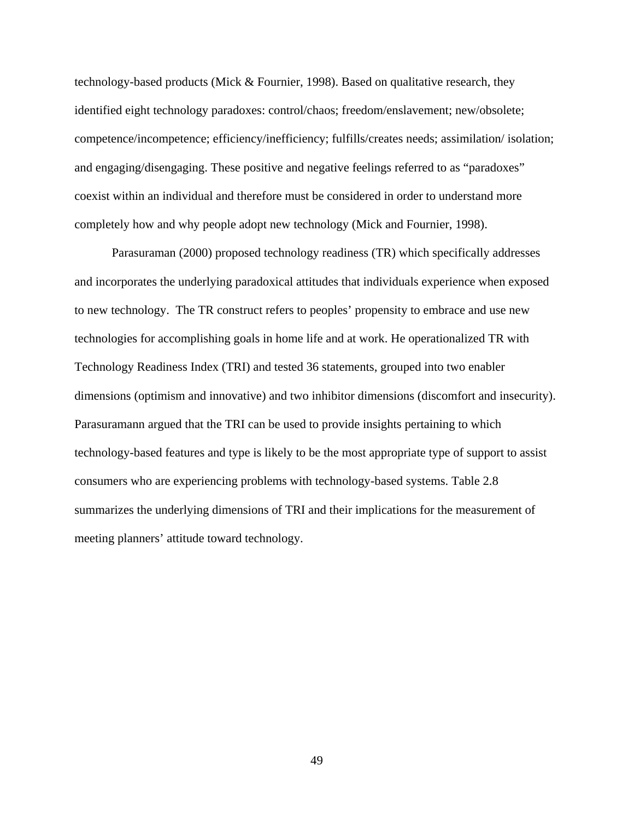technology-based products (Mick & Fournier, 1998). Based on qualitative research, they identified eight technology paradoxes: control/chaos; freedom/enslavement; new/obsolete; competence/incompetence; efficiency/inefficiency; fulfills/creates needs; assimilation/ isolation; and engaging/disengaging. These positive and negative feelings referred to as "paradoxes" coexist within an individual and therefore must be considered in order to understand more completely how and why people adopt new technology (Mick and Fournier, 1998).

Parasuraman (2000) proposed technology readiness (TR) which specifically addresses and incorporates the underlying paradoxical attitudes that individuals experience when exposed to new technology. The TR construct refers to peoples' propensity to embrace and use new technologies for accomplishing goals in home life and at work. He operationalized TR with Technology Readiness Index (TRI) and tested 36 statements, grouped into two enabler dimensions (optimism and innovative) and two inhibitor dimensions (discomfort and insecurity). Parasuramann argued that the TRI can be used to provide insights pertaining to which technology-based features and type is likely to be the most appropriate type of support to assist consumers who are experiencing problems with technology-based systems. Table 2.8 summarizes the underlying dimensions of TRI and their implications for the measurement of meeting planners' attitude toward technology.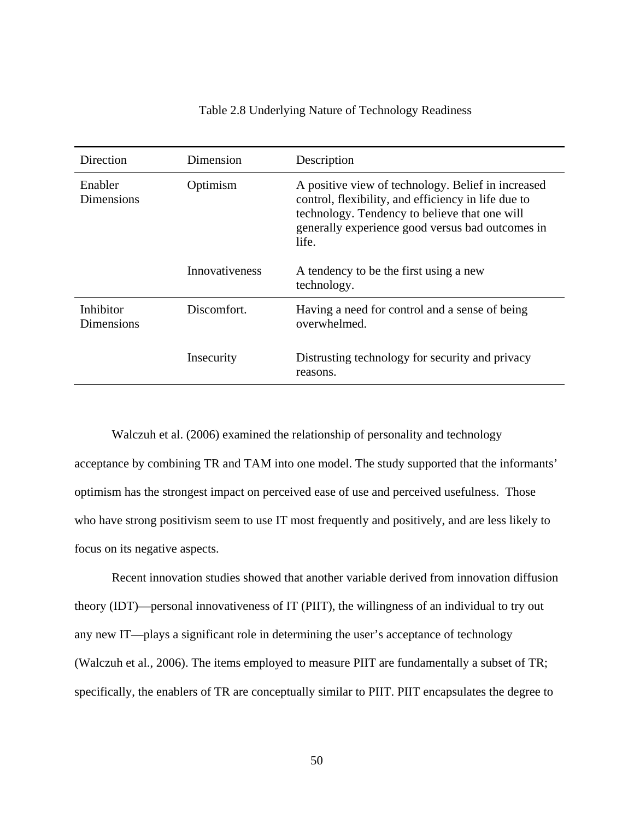| Direction               | Dimension      | Description                                                                                                                                                                                                             |
|-------------------------|----------------|-------------------------------------------------------------------------------------------------------------------------------------------------------------------------------------------------------------------------|
| Enabler<br>Dimensions   | Optimism       | A positive view of technology. Belief in increased<br>control, flexibility, and efficiency in life due to<br>technology. Tendency to believe that one will<br>generally experience good versus bad outcomes in<br>life. |
|                         | Innovativeness | A tendency to be the first using a new<br>technology.                                                                                                                                                                   |
| Inhibitor<br>Dimensions | Discomfort.    | Having a need for control and a sense of being<br>overwhelmed.                                                                                                                                                          |
|                         | Insecurity     | Distrusting technology for security and privacy<br>reasons.                                                                                                                                                             |

# Table 2.8 Underlying Nature of Technology Readiness

Walczuh et al. (2006) examined the relationship of personality and technology acceptance by combining TR and TAM into one model. The study supported that the informants' optimism has the strongest impact on perceived ease of use and perceived usefulness. Those who have strong positivism seem to use IT most frequently and positively, and are less likely to focus on its negative aspects.

Recent innovation studies showed that another variable derived from innovation diffusion theory (IDT)—personal innovativeness of IT (PIIT), the willingness of an individual to try out any new IT—plays a significant role in determining the user's acceptance of technology (Walczuh et al., 2006). The items employed to measure PIIT are fundamentally a subset of TR; specifically, the enablers of TR are conceptually similar to PIIT. PIIT encapsulates the degree to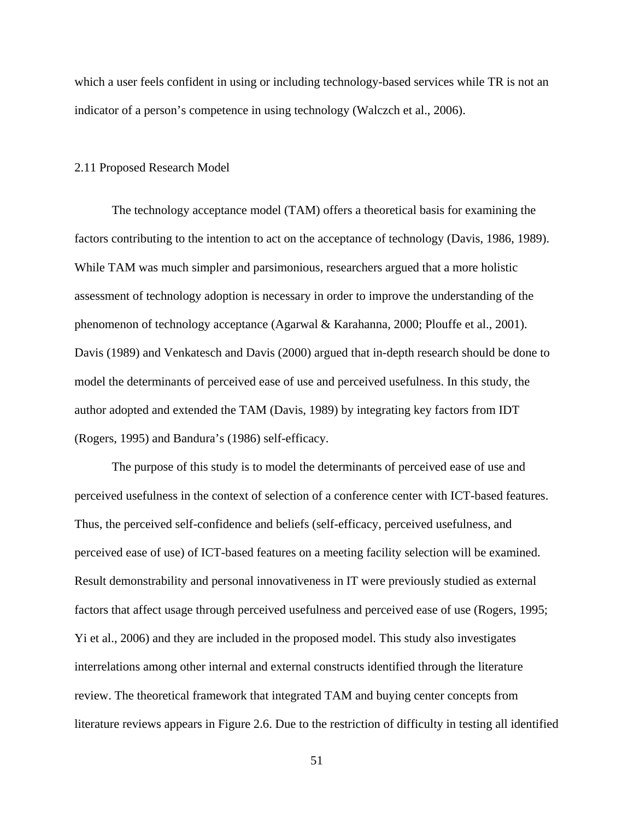which a user feels confident in using or including technology-based services while TR is not an indicator of a person's competence in using technology (Walczch et al., 2006).

### 2.11 Proposed Research Model

The technology acceptance model (TAM) offers a theoretical basis for examining the factors contributing to the intention to act on the acceptance of technology (Davis, 1986, 1989). While TAM was much simpler and parsimonious, researchers argued that a more holistic assessment of technology adoption is necessary in order to improve the understanding of the phenomenon of technology acceptance (Agarwal & Karahanna, 2000; Plouffe et al., 2001). Davis (1989) and Venkatesch and Davis (2000) argued that in-depth research should be done to model the determinants of perceived ease of use and perceived usefulness. In this study, the author adopted and extended the TAM (Davis, 1989) by integrating key factors from IDT (Rogers, 1995) and Bandura's (1986) self-efficacy.

The purpose of this study is to model the determinants of perceived ease of use and perceived usefulness in the context of selection of a conference center with ICT-based features. Thus, the perceived self-confidence and beliefs (self-efficacy, perceived usefulness, and perceived ease of use) of ICT-based features on a meeting facility selection will be examined. Result demonstrability and personal innovativeness in IT were previously studied as external factors that affect usage through perceived usefulness and perceived ease of use (Rogers, 1995; Yi et al., 2006) and they are included in the proposed model. This study also investigates interrelations among other internal and external constructs identified through the literature review. The theoretical framework that integrated TAM and buying center concepts from literature reviews appears in Figure 2.6. Due to the restriction of difficulty in testing all identified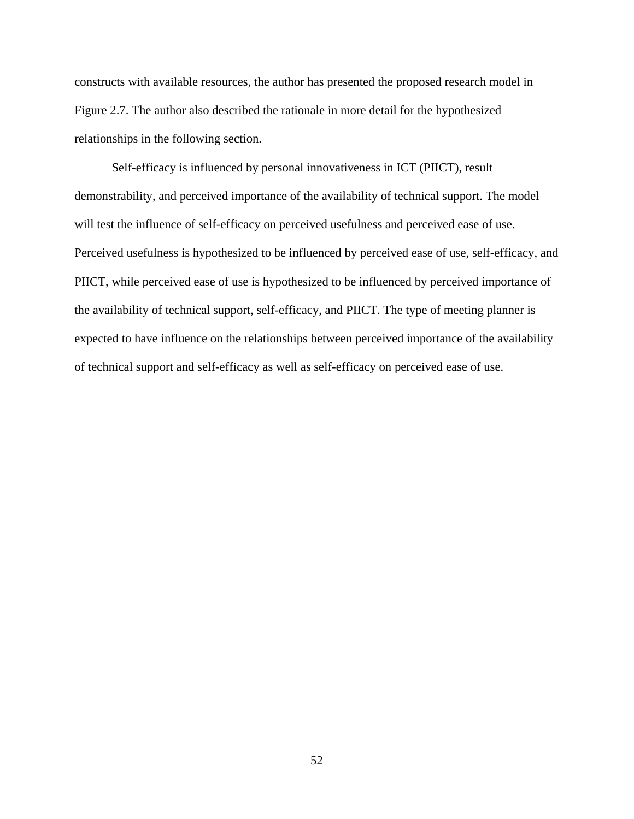constructs with available resources, the author has presented the proposed research model in Figure 2.7. The author also described the rationale in more detail for the hypothesized relationships in the following section.

Self-efficacy is influenced by personal innovativeness in ICT (PIICT), result demonstrability, and perceived importance of the availability of technical support. The model will test the influence of self-efficacy on perceived usefulness and perceived ease of use. Perceived usefulness is hypothesized to be influenced by perceived ease of use, self-efficacy, and PIICT, while perceived ease of use is hypothesized to be influenced by perceived importance of the availability of technical support, self-efficacy, and PIICT. The type of meeting planner is expected to have influence on the relationships between perceived importance of the availability of technical support and self-efficacy as well as self-efficacy on perceived ease of use.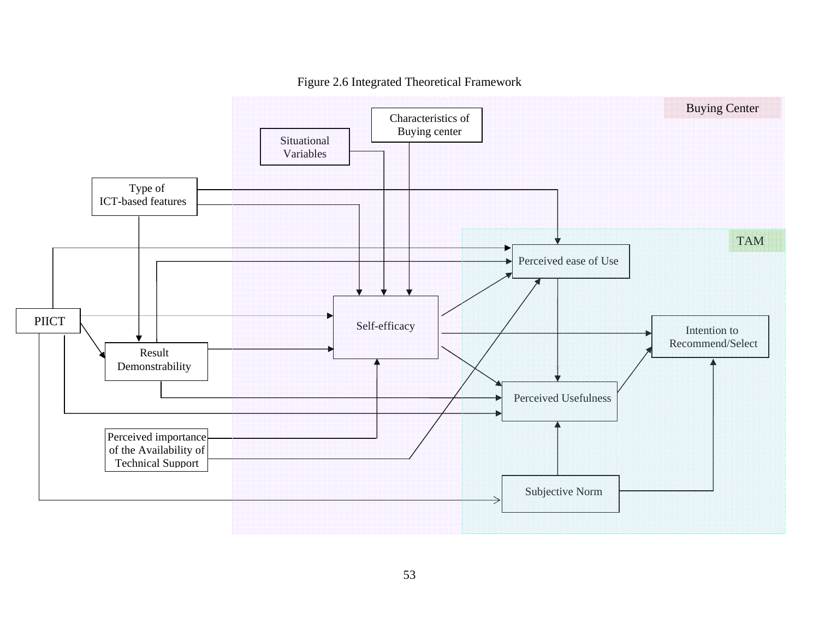

Figure 2.6 Integrated Theoretical Framework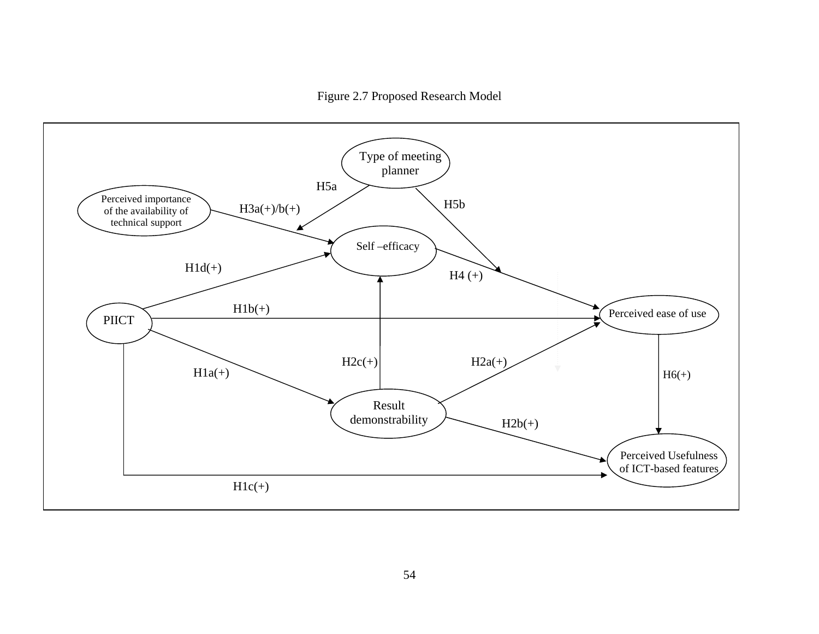Figure 2.7 Proposed Research Model

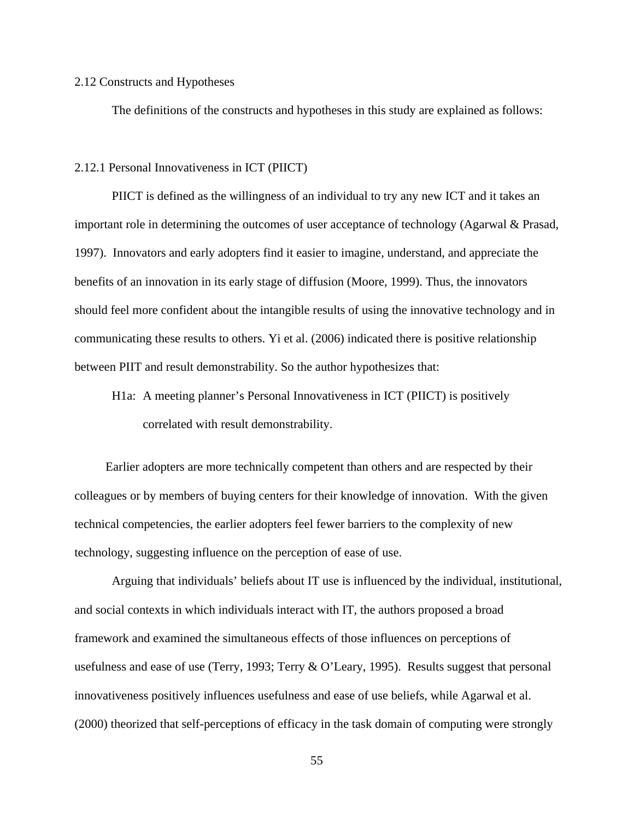#### 2.12 Constructs and Hypotheses

The definitions of the constructs and hypotheses in this study are explained as follows:

### 2.12.1 Personal Innovativeness in ICT (PIICT)

PIICT is defined as the willingness of an individual to try any new ICT and it takes an important role in determining the outcomes of user acceptance of technology (Agarwal & Prasad, 1997). Innovators and early adopters find it easier to imagine, understand, and appreciate the benefits of an innovation in its early stage of diffusion (Moore, 1999). Thus, the innovators should feel more confident about the intangible results of using the innovative technology and in communicating these results to others. Yi et al. (2006) indicated there is positive relationship between PIIT and result demonstrability. So the author hypothesizes that:

H1a: A meeting planner's Personal Innovativeness in ICT (PIICT) is positively correlated with result demonstrability.

Earlier adopters are more technically competent than others and are respected by their colleagues or by members of buying centers for their knowledge of innovation. With the given technical competencies, the earlier adopters feel fewer barriers to the complexity of new technology, suggesting influence on the perception of ease of use.

Arguing that individuals' beliefs about IT use is influenced by the individual, institutional, and social contexts in which individuals interact with IT, the authors proposed a broad framework and examined the simultaneous effects of those influences on perceptions of usefulness and ease of use (Terry, 1993; Terry & O'Leary, 1995). Results suggest that personal innovativeness positively influences usefulness and ease of use beliefs, while Agarwal et al. (2000) theorized that self-perceptions of efficacy in the task domain of computing were strongly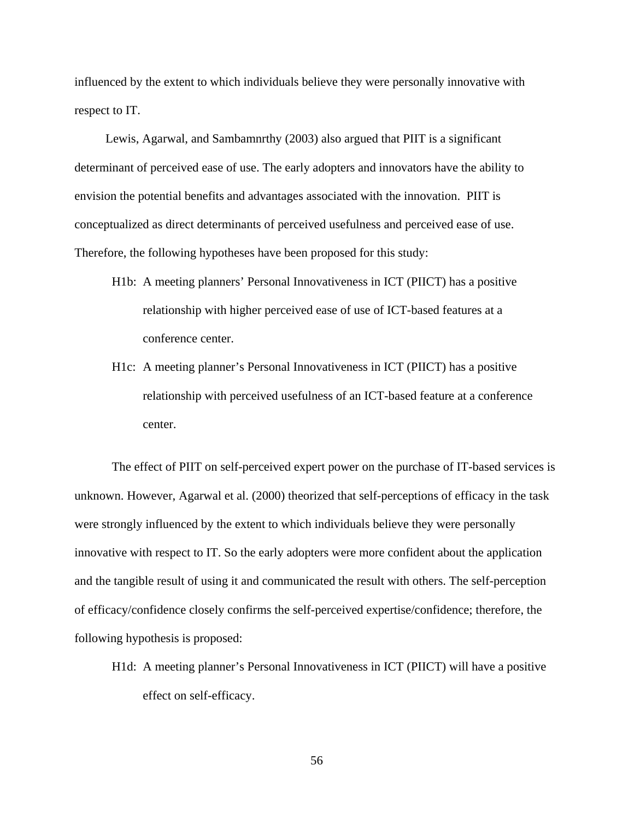influenced by the extent to which individuals believe they were personally innovative with respect to IT.

Lewis, Agarwal, and Sambamnrthy (2003) also argued that PIIT is a significant determinant of perceived ease of use. The early adopters and innovators have the ability to envision the potential benefits and advantages associated with the innovation. PIIT is conceptualized as direct determinants of perceived usefulness and perceived ease of use. Therefore, the following hypotheses have been proposed for this study:

- H1b: A meeting planners' Personal Innovativeness in ICT (PIICT) has a positive relationship with higher perceived ease of use of ICT-based features at a conference center.
- H1c: A meeting planner's Personal Innovativeness in ICT (PIICT) has a positive relationship with perceived usefulness of an ICT-based feature at a conference center.

The effect of PIIT on self-perceived expert power on the purchase of IT-based services is unknown. However, Agarwal et al. (2000) theorized that self-perceptions of efficacy in the task were strongly influenced by the extent to which individuals believe they were personally innovative with respect to IT. So the early adopters were more confident about the application and the tangible result of using it and communicated the result with others. The self-perception of efficacy/confidence closely confirms the self-perceived expertise/confidence; therefore, the following hypothesis is proposed:

H1d: A meeting planner's Personal Innovativeness in ICT (PIICT) will have a positive effect on self-efficacy.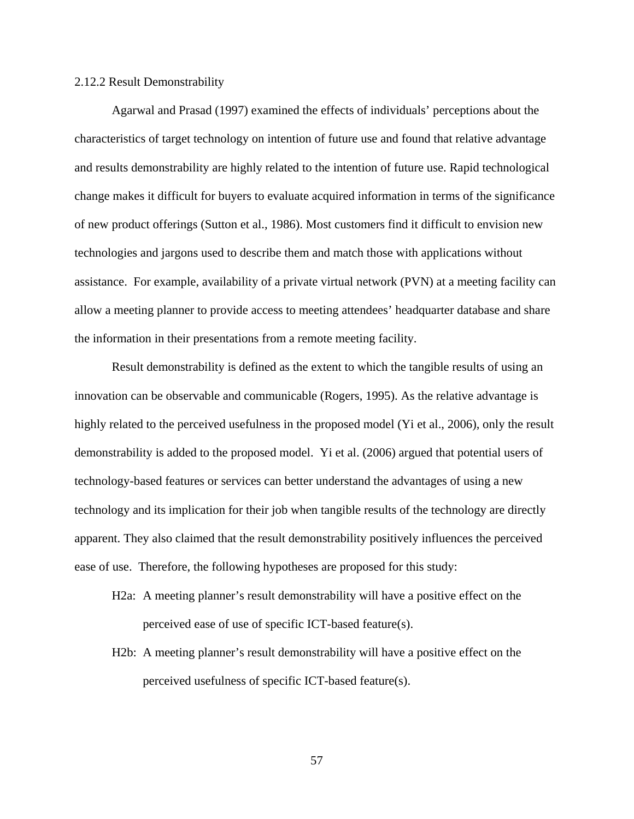#### 2.12.2 Result Demonstrability

Agarwal and Prasad (1997) examined the effects of individuals' perceptions about the characteristics of target technology on intention of future use and found that relative advantage and results demonstrability are highly related to the intention of future use. Rapid technological change makes it difficult for buyers to evaluate acquired information in terms of the significance of new product offerings (Sutton et al., 1986). Most customers find it difficult to envision new technologies and jargons used to describe them and match those with applications without assistance. For example, availability of a private virtual network (PVN) at a meeting facility can allow a meeting planner to provide access to meeting attendees' headquarter database and share the information in their presentations from a remote meeting facility.

Result demonstrability is defined as the extent to which the tangible results of using an innovation can be observable and communicable (Rogers, 1995). As the relative advantage is highly related to the perceived usefulness in the proposed model (Yi et al., 2006), only the result demonstrability is added to the proposed model. Yi et al. (2006) argued that potential users of technology-based features or services can better understand the advantages of using a new technology and its implication for their job when tangible results of the technology are directly apparent. They also claimed that the result demonstrability positively influences the perceived ease of use. Therefore, the following hypotheses are proposed for this study:

- H2a: A meeting planner's result demonstrability will have a positive effect on the perceived ease of use of specific ICT-based feature(s).
- H2b: A meeting planner's result demonstrability will have a positive effect on the perceived usefulness of specific ICT-based feature(s).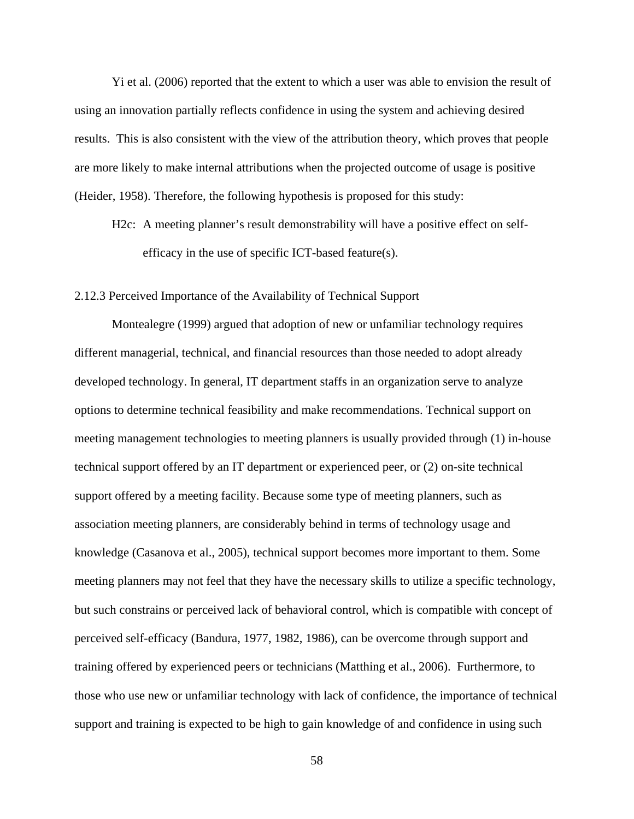Yi et al. (2006) reported that the extent to which a user was able to envision the result of using an innovation partially reflects confidence in using the system and achieving desired results. This is also consistent with the view of the attribution theory, which proves that people are more likely to make internal attributions when the projected outcome of usage is positive (Heider, 1958). Therefore, the following hypothesis is proposed for this study:

H2c: A meeting planner's result demonstrability will have a positive effect on selfefficacy in the use of specific ICT-based feature(s).

# 2.12.3 Perceived Importance of the Availability of Technical Support

Montealegre (1999) argued that adoption of new or unfamiliar technology requires different managerial, technical, and financial resources than those needed to adopt already developed technology. In general, IT department staffs in an organization serve to analyze options to determine technical feasibility and make recommendations. Technical support on meeting management technologies to meeting planners is usually provided through (1) in-house technical support offered by an IT department or experienced peer, or (2) on-site technical support offered by a meeting facility. Because some type of meeting planners, such as association meeting planners, are considerably behind in terms of technology usage and knowledge (Casanova et al., 2005), technical support becomes more important to them. Some meeting planners may not feel that they have the necessary skills to utilize a specific technology, but such constrains or perceived lack of behavioral control, which is compatible with concept of perceived self-efficacy (Bandura, 1977, 1982, 1986), can be overcome through support and training offered by experienced peers or technicians (Matthing et al., 2006). Furthermore, to those who use new or unfamiliar technology with lack of confidence, the importance of technical support and training is expected to be high to gain knowledge of and confidence in using such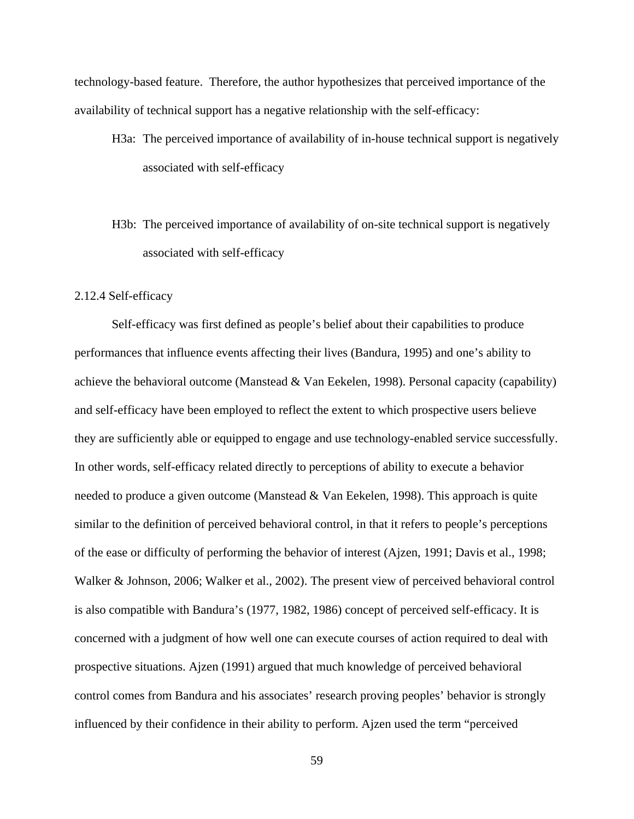technology-based feature. Therefore, the author hypothesizes that perceived importance of the availability of technical support has a negative relationship with the self-efficacy:

- H3a: The perceived importance of availability of in-house technical support is negatively associated with self-efficacy
- H3b: The perceived importance of availability of on-site technical support is negatively associated with self-efficacy

# 2.12.4 Self-efficacy

Self-efficacy was first defined as people's belief about their capabilities to produce performances that influence events affecting their lives (Bandura, 1995) and one's ability to achieve the behavioral outcome (Manstead  $&$  Van Eekelen, 1998). Personal capacity (capability) and self-efficacy have been employed to reflect the extent to which prospective users believe they are sufficiently able or equipped to engage and use technology-enabled service successfully. In other words, self-efficacy related directly to perceptions of ability to execute a behavior needed to produce a given outcome (Manstead & Van Eekelen, 1998). This approach is quite similar to the definition of perceived behavioral control, in that it refers to people's perceptions of the ease or difficulty of performing the behavior of interest (Ajzen, 1991; Davis et al., 1998; Walker & Johnson, 2006; Walker et al., 2002). The present view of perceived behavioral control is also compatible with Bandura's (1977, 1982, 1986) concept of perceived self-efficacy. It is concerned with a judgment of how well one can execute courses of action required to deal with prospective situations. Ajzen (1991) argued that much knowledge of perceived behavioral control comes from Bandura and his associates' research proving peoples' behavior is strongly influenced by their confidence in their ability to perform. Ajzen used the term "perceived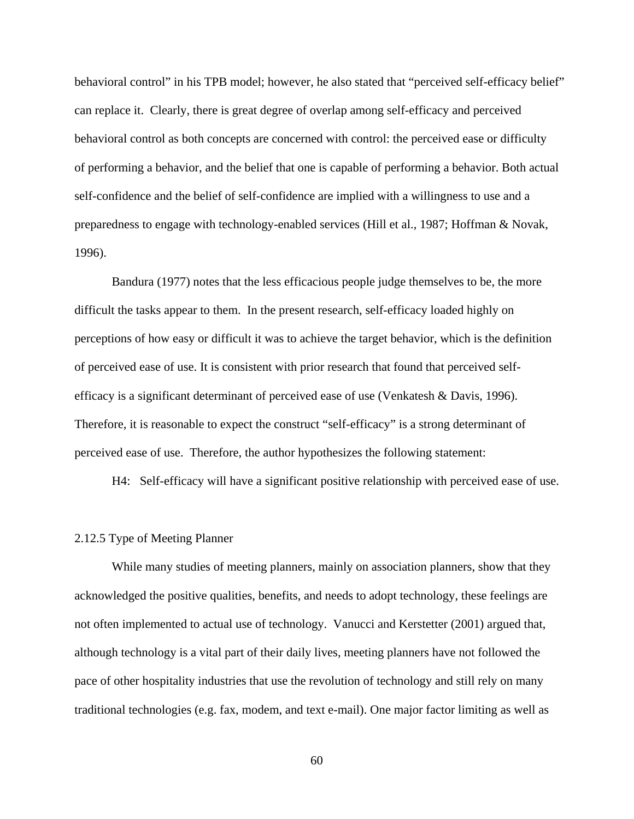behavioral control" in his TPB model; however, he also stated that "perceived self-efficacy belief" can replace it. Clearly, there is great degree of overlap among self-efficacy and perceived behavioral control as both concepts are concerned with control: the perceived ease or difficulty of performing a behavior, and the belief that one is capable of performing a behavior. Both actual self-confidence and the belief of self-confidence are implied with a willingness to use and a preparedness to engage with technology-enabled services (Hill et al., 1987; Hoffman & Novak, 1996).

Bandura (1977) notes that the less efficacious people judge themselves to be, the more difficult the tasks appear to them. In the present research, self-efficacy loaded highly on perceptions of how easy or difficult it was to achieve the target behavior, which is the definition of perceived ease of use. It is consistent with prior research that found that perceived selfefficacy is a significant determinant of perceived ease of use (Venkatesh & Davis, 1996). Therefore, it is reasonable to expect the construct "self-efficacy" is a strong determinant of perceived ease of use. Therefore, the author hypothesizes the following statement:

H4: Self-efficacy will have a significant positive relationship with perceived ease of use.

#### 2.12.5 Type of Meeting Planner

While many studies of meeting planners, mainly on association planners, show that they acknowledged the positive qualities, benefits, and needs to adopt technology, these feelings are not often implemented to actual use of technology. Vanucci and Kerstetter (2001) argued that, although technology is a vital part of their daily lives, meeting planners have not followed the pace of other hospitality industries that use the revolution of technology and still rely on many traditional technologies (e.g. fax, modem, and text e-mail). One major factor limiting as well as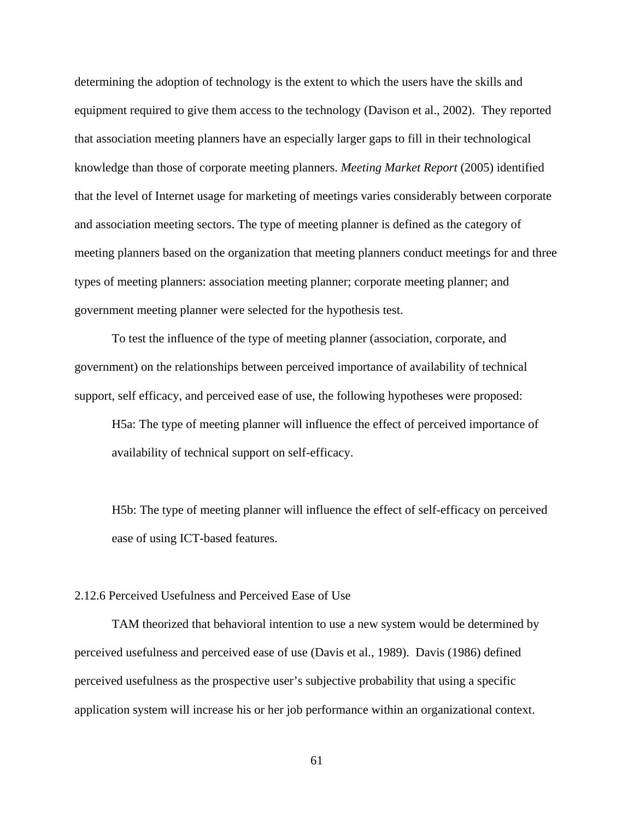determining the adoption of technology is the extent to which the users have the skills and equipment required to give them access to the technology (Davison et al., 2002). They reported that association meeting planners have an especially larger gaps to fill in their technological knowledge than those of corporate meeting planners. *Meeting Market Report* (2005) identified that the level of Internet usage for marketing of meetings varies considerably between corporate and association meeting sectors. The type of meeting planner is defined as the category of meeting planners based on the organization that meeting planners conduct meetings for and three types of meeting planners: association meeting planner; corporate meeting planner; and government meeting planner were selected for the hypothesis test.

To test the influence of the type of meeting planner (association, corporate, and government) on the relationships between perceived importance of availability of technical support, self efficacy, and perceived ease of use, the following hypotheses were proposed:

H5a: The type of meeting planner will influence the effect of perceived importance of availability of technical support on self-efficacy.

H5b: The type of meeting planner will influence the effect of self-efficacy on perceived ease of using ICT-based features.

## 2.12.6 Perceived Usefulness and Perceived Ease of Use

TAM theorized that behavioral intention to use a new system would be determined by perceived usefulness and perceived ease of use (Davis et al., 1989). Davis (1986) defined perceived usefulness as the prospective user's subjective probability that using a specific application system will increase his or her job performance within an organizational context.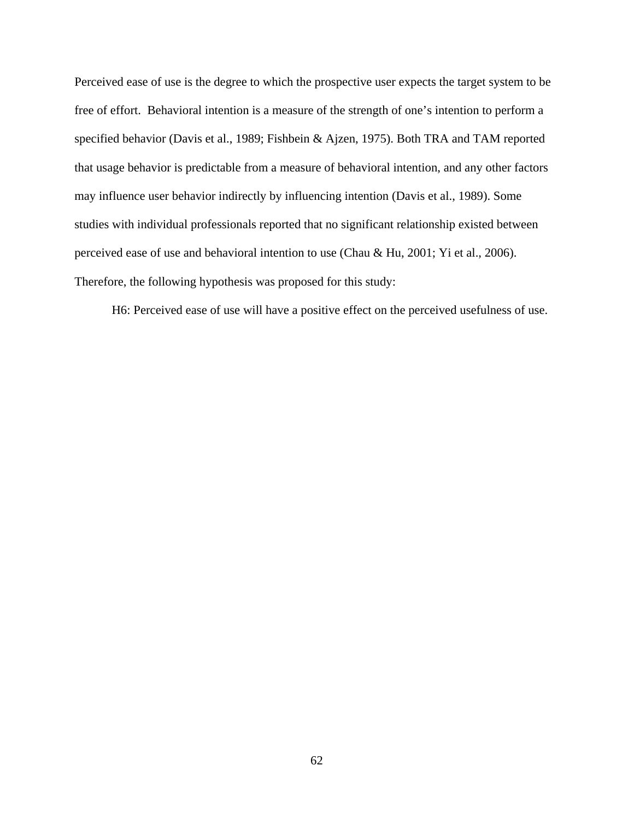Perceived ease of use is the degree to which the prospective user expects the target system to be free of effort. Behavioral intention is a measure of the strength of one's intention to perform a specified behavior (Davis et al., 1989; Fishbein & Ajzen, 1975). Both TRA and TAM reported that usage behavior is predictable from a measure of behavioral intention, and any other factors may influence user behavior indirectly by influencing intention (Davis et al., 1989). Some studies with individual professionals reported that no significant relationship existed between perceived ease of use and behavioral intention to use (Chau & Hu, 2001; Yi et al., 2006). Therefore, the following hypothesis was proposed for this study:

H6: Perceived ease of use will have a positive effect on the perceived usefulness of use.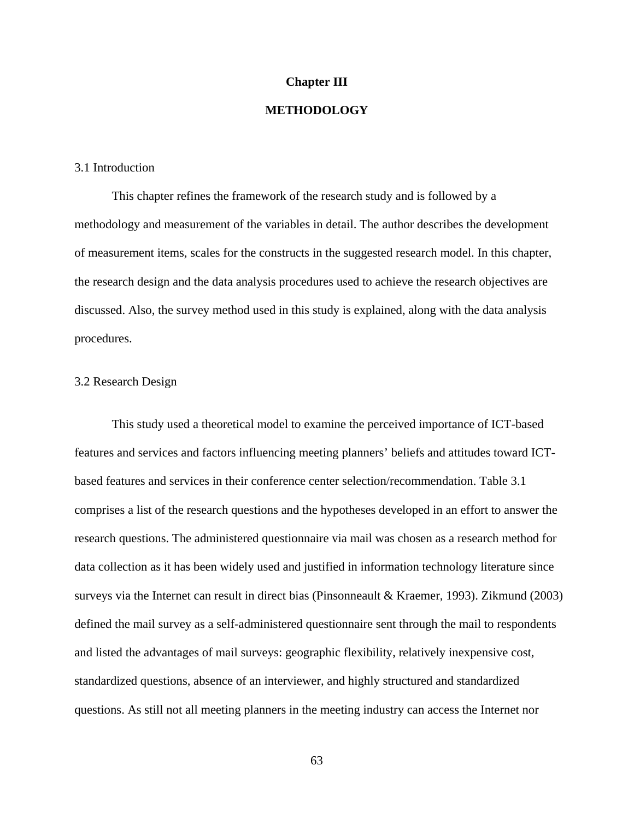#### **Chapter III**

# **METHODOLOGY**

#### 3.1 Introduction

This chapter refines the framework of the research study and is followed by a methodology and measurement of the variables in detail. The author describes the development of measurement items, scales for the constructs in the suggested research model. In this chapter, the research design and the data analysis procedures used to achieve the research objectives are discussed. Also, the survey method used in this study is explained, along with the data analysis procedures.

# 3.2 Research Design

 This study used a theoretical model to examine the perceived importance of ICT-based features and services and factors influencing meeting planners' beliefs and attitudes toward ICTbased features and services in their conference center selection/recommendation. Table 3.1 comprises a list of the research questions and the hypotheses developed in an effort to answer the research questions. The administered questionnaire via mail was chosen as a research method for data collection as it has been widely used and justified in information technology literature since surveys via the Internet can result in direct bias (Pinsonneault & Kraemer, 1993). Zikmund (2003) defined the mail survey as a self-administered questionnaire sent through the mail to respondents and listed the advantages of mail surveys: geographic flexibility, relatively inexpensive cost, standardized questions, absence of an interviewer, and highly structured and standardized questions. As still not all meeting planners in the meeting industry can access the Internet nor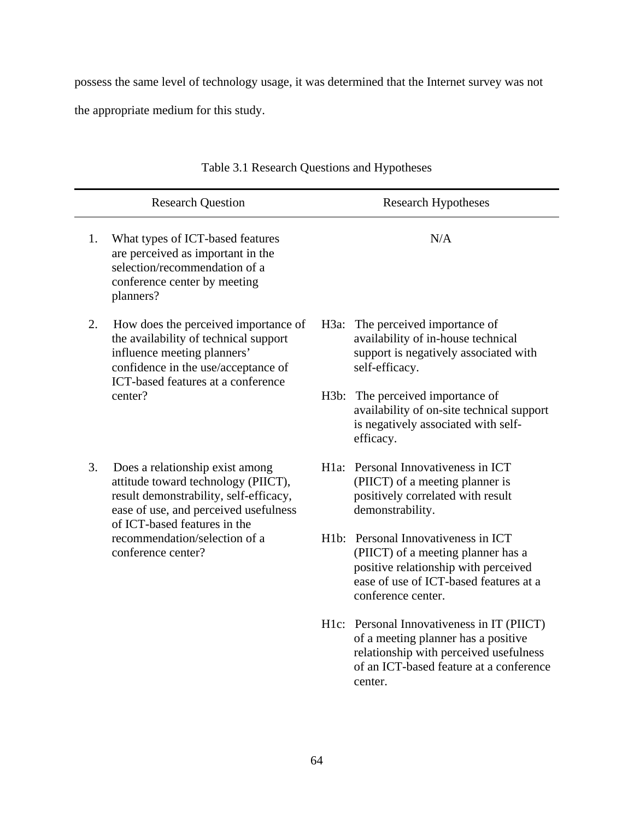possess the same level of technology usage, it was determined that the Internet survey was not

the appropriate medium for this study.

|    | <b>Research Question</b>                                                                                                                                                                  |      | <b>Research Hypotheses</b>                                                                                                                                                        |
|----|-------------------------------------------------------------------------------------------------------------------------------------------------------------------------------------------|------|-----------------------------------------------------------------------------------------------------------------------------------------------------------------------------------|
| 1. | What types of ICT-based features<br>are perceived as important in the<br>selection/recommendation of a<br>conference center by meeting<br>planners?                                       |      | N/A                                                                                                                                                                               |
| 2. | How does the perceived importance of<br>the availability of technical support<br>influence meeting planners'<br>confidence in the use/acceptance of<br>ICT-based features at a conference |      | H3a: The perceived importance of<br>availability of in-house technical<br>support is negatively associated with<br>self-efficacy.                                                 |
|    | center?                                                                                                                                                                                   | H3b: | The perceived importance of<br>availability of on-site technical support<br>is negatively associated with self-<br>efficacy.                                                      |
| 3. | Does a relationship exist among<br>attitude toward technology (PIICT),<br>result demonstrability, self-efficacy,<br>ease of use, and perceived usefulness<br>of ICT-based features in the |      | H1a: Personal Innovativeness in ICT<br>(PIICT) of a meeting planner is<br>positively correlated with result<br>demonstrability.                                                   |
|    | recommendation/selection of a<br>conference center?                                                                                                                                       |      | H1b: Personal Innovativeness in ICT<br>(PIICT) of a meeting planner has a<br>positive relationship with perceived<br>ease of use of ICT-based features at a<br>conference center. |
|    |                                                                                                                                                                                           |      | H1c: Personal Innovativeness in IT (PIICT)<br>of a meeting planner has a positive<br>relationship with perceived usefulness<br>of an ICT-based feature at a conference<br>center. |

# Table 3.1 Research Questions and Hypotheses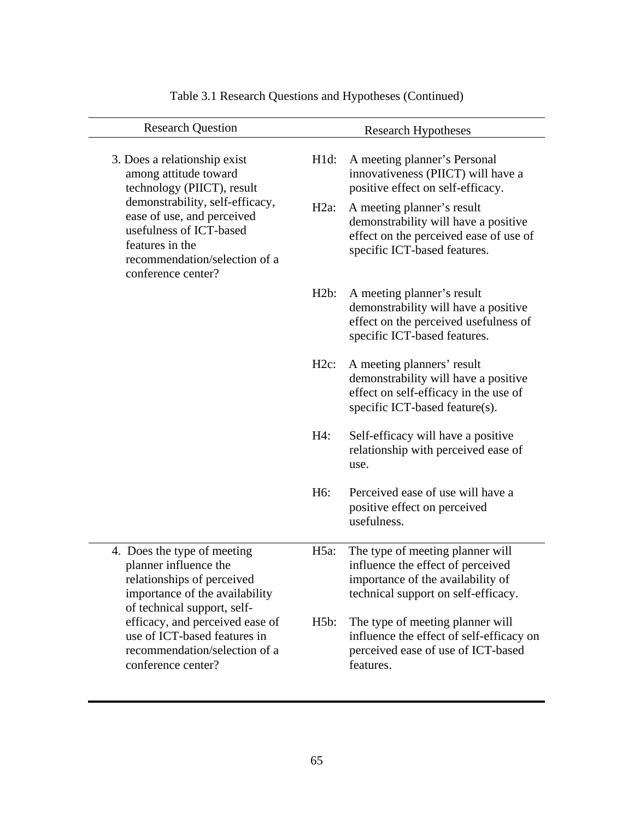| <b>Research Question</b>                                                                                                                                           |                  | <b>Research Hypotheses</b>                                                                                                                        |
|--------------------------------------------------------------------------------------------------------------------------------------------------------------------|------------------|---------------------------------------------------------------------------------------------------------------------------------------------------|
| 3. Does a relationship exist<br>among attitude toward<br>technology (PIICT), result                                                                                | $H1d$ :          | A meeting planner's Personal<br>innovativeness (PIICT) will have a<br>positive effect on self-efficacy.                                           |
| demonstrability, self-efficacy,<br>ease of use, and perceived<br>usefulness of ICT-based<br>features in the<br>recommendation/selection of a<br>conference center? | $H2a$ :          | A meeting planner's result<br>demonstrability will have a positive<br>effect on the perceived ease of use of<br>specific ICT-based features.      |
|                                                                                                                                                                    | H2b:             | A meeting planner's result<br>demonstrability will have a positive<br>effect on the perceived usefulness of<br>specific ICT-based features.       |
|                                                                                                                                                                    | $H2c$ :          | A meeting planners' result<br>demonstrability will have a positive<br>effect on self-efficacy in the use of<br>specific ICT-based feature(s).     |
|                                                                                                                                                                    | H4:              | Self-efficacy will have a positive<br>relationship with perceived ease of<br>use.                                                                 |
|                                                                                                                                                                    | H <sub>6</sub> : | Perceived ease of use will have a<br>positive effect on perceived<br>usefulness.                                                                  |
| 4. Does the type of meeting<br>planner influence the<br>relationships of perceived<br>importance of the availability<br>of technical support, self-                | $H5a$ :          | The type of meeting planner will<br>influence the effect of perceived<br>importance of the availability of<br>technical support on self-efficacy. |
| efficacy, and perceived ease of<br>use of ICT-based features in<br>recommendation/selection of a<br>conference center?                                             | H5b:             | The type of meeting planner will<br>influence the effect of self-efficacy on<br>perceived ease of use of ICT-based<br>features.                   |

# Table 3.1 Research Questions and Hypotheses (Continued)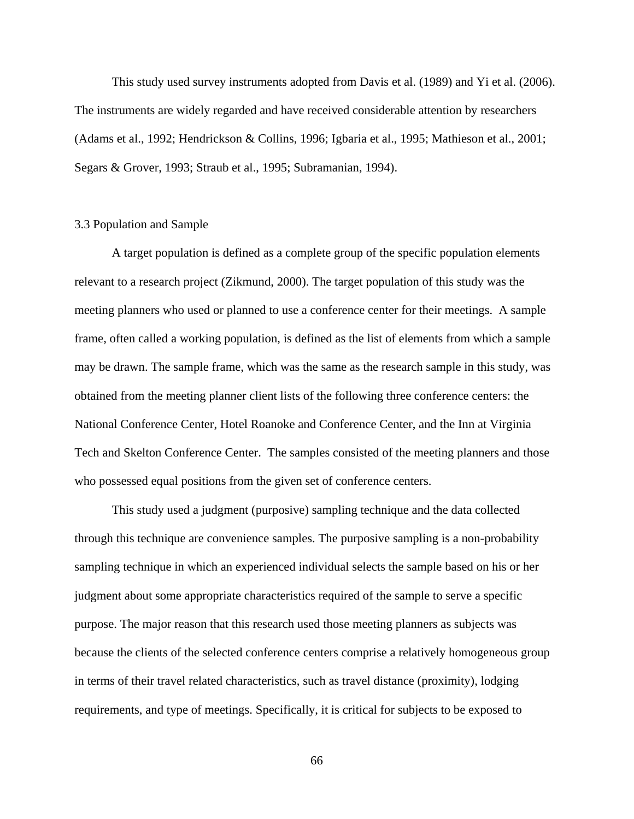This study used survey instruments adopted from Davis et al. (1989) and Yi et al. (2006). The instruments are widely regarded and have received considerable attention by researchers (Adams et al., 1992; Hendrickson & Collins, 1996; Igbaria et al., 1995; Mathieson et al., 2001; Segars & Grover, 1993; Straub et al., 1995; Subramanian, 1994).

# 3.3 Population and Sample

A target population is defined as a complete group of the specific population elements relevant to a research project (Zikmund, 2000). The target population of this study was the meeting planners who used or planned to use a conference center for their meetings. A sample frame, often called a working population, is defined as the list of elements from which a sample may be drawn. The sample frame, which was the same as the research sample in this study, was obtained from the meeting planner client lists of the following three conference centers: the National Conference Center, Hotel Roanoke and Conference Center, and the Inn at Virginia Tech and Skelton Conference Center. The samples consisted of the meeting planners and those who possessed equal positions from the given set of conference centers.

This study used a judgment (purposive) sampling technique and the data collected through this technique are convenience samples. The purposive sampling is a non-probability sampling technique in which an experienced individual selects the sample based on his or her judgment about some appropriate characteristics required of the sample to serve a specific purpose. The major reason that this research used those meeting planners as subjects was because the clients of the selected conference centers comprise a relatively homogeneous group in terms of their travel related characteristics, such as travel distance (proximity), lodging requirements, and type of meetings. Specifically, it is critical for subjects to be exposed to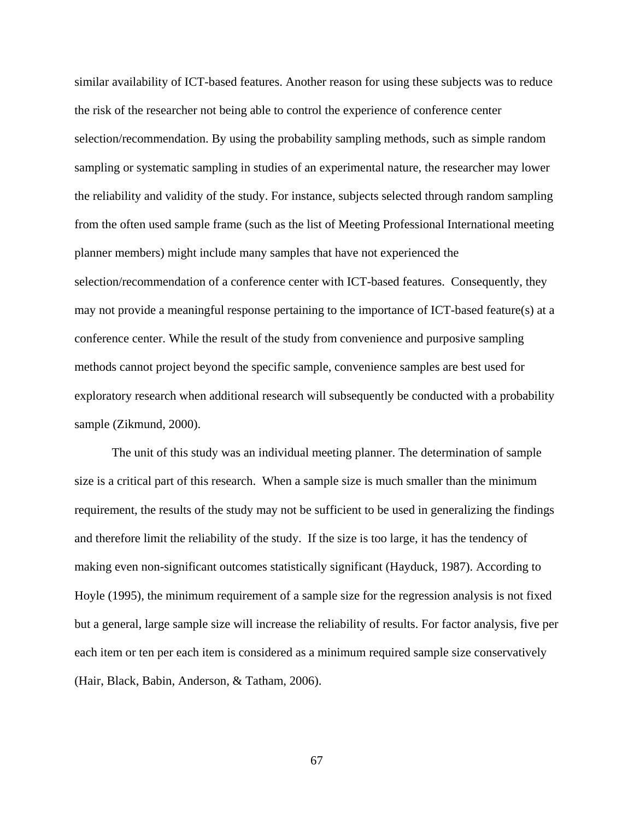similar availability of ICT-based features. Another reason for using these subjects was to reduce the risk of the researcher not being able to control the experience of conference center selection/recommendation. By using the probability sampling methods, such as simple random sampling or systematic sampling in studies of an experimental nature, the researcher may lower the reliability and validity of the study. For instance, subjects selected through random sampling from the often used sample frame (such as the list of Meeting Professional International meeting planner members) might include many samples that have not experienced the selection/recommendation of a conference center with ICT-based features. Consequently, they may not provide a meaningful response pertaining to the importance of ICT-based feature(s) at a conference center. While the result of the study from convenience and purposive sampling methods cannot project beyond the specific sample, convenience samples are best used for exploratory research when additional research will subsequently be conducted with a probability sample (Zikmund, 2000).

The unit of this study was an individual meeting planner. The determination of sample size is a critical part of this research. When a sample size is much smaller than the minimum requirement, the results of the study may not be sufficient to be used in generalizing the findings and therefore limit the reliability of the study. If the size is too large, it has the tendency of making even non-significant outcomes statistically significant (Hayduck, 1987). According to Hoyle (1995), the minimum requirement of a sample size for the regression analysis is not fixed but a general, large sample size will increase the reliability of results. For factor analysis, five per each item or ten per each item is considered as a minimum required sample size conservatively (Hair, Black, Babin, Anderson, & Tatham, 2006).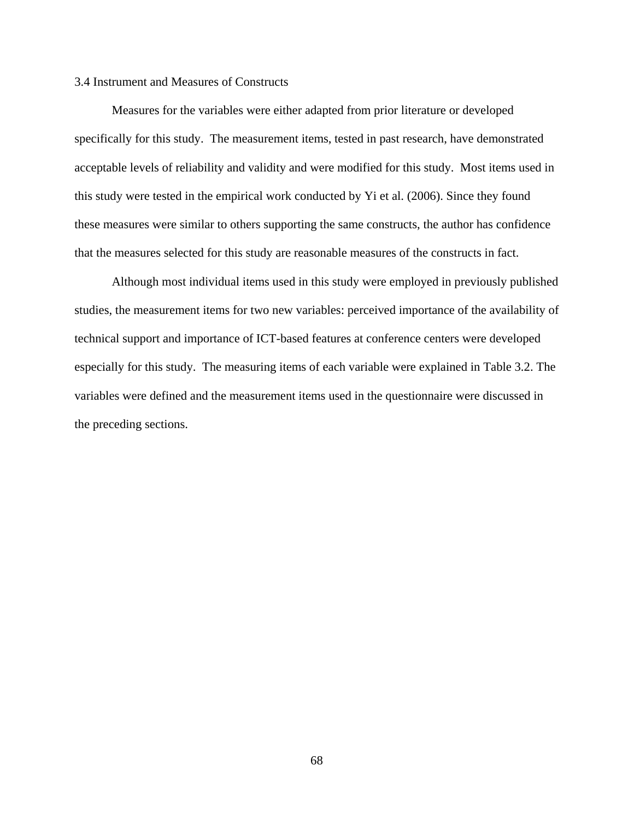# 3.4 Instrument and Measures of Constructs

Measures for the variables were either adapted from prior literature or developed specifically for this study. The measurement items, tested in past research, have demonstrated acceptable levels of reliability and validity and were modified for this study. Most items used in this study were tested in the empirical work conducted by Yi et al. (2006). Since they found these measures were similar to others supporting the same constructs, the author has confidence that the measures selected for this study are reasonable measures of the constructs in fact.

Although most individual items used in this study were employed in previously published studies, the measurement items for two new variables: perceived importance of the availability of technical support and importance of ICT-based features at conference centers were developed especially for this study. The measuring items of each variable were explained in Table 3.2. The variables were defined and the measurement items used in the questionnaire were discussed in the preceding sections.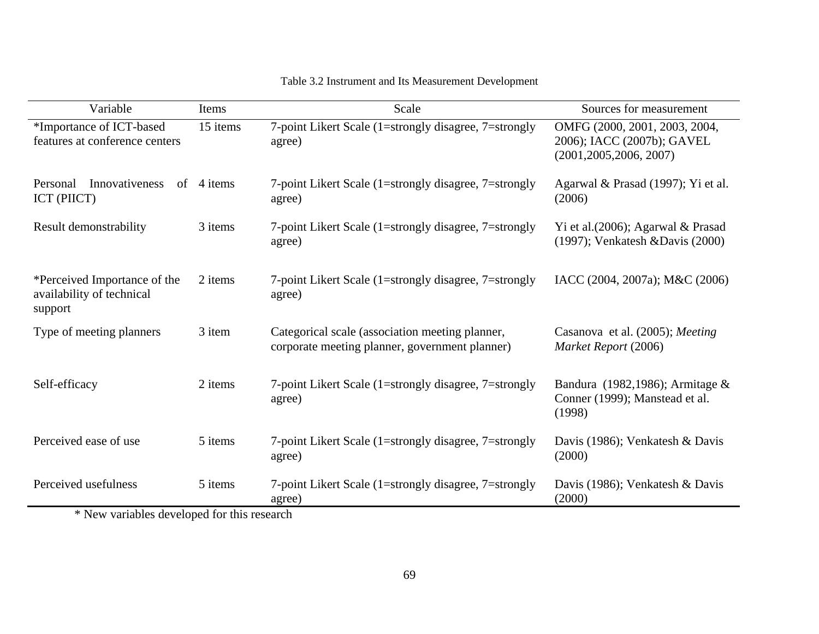| Variable                                                             | Items    | Scale                                                                                             | Sources for measurement                                                                 |
|----------------------------------------------------------------------|----------|---------------------------------------------------------------------------------------------------|-----------------------------------------------------------------------------------------|
| *Importance of ICT-based<br>features at conference centers           | 15 items | 7-point Likert Scale (1=strongly disagree, 7=strongly<br>agree)                                   | OMFG (2000, 2001, 2003, 2004,<br>2006); IACC (2007b); GAVEL<br>(2001, 2005, 2006, 2007) |
| <b>Innovativeness</b><br>Personal<br>of<br>ICT (PIICT)               | 4 items  | 7-point Likert Scale (1=strongly disagree, 7=strongly<br>agree)                                   | Agarwal & Prasad (1997); Yi et al.<br>(2006)                                            |
| Result demonstrability                                               | 3 items  | 7-point Likert Scale (1=strongly disagree, 7=strongly<br>agree)                                   | Yi et al. (2006); Agarwal & Prasad<br>(1997); Venkatesh & Davis (2000)                  |
| *Perceived Importance of the<br>availability of technical<br>support | 2 items  | 7-point Likert Scale (1=strongly disagree, 7=strongly<br>agree)                                   | IACC (2004, 2007a); M&C (2006)                                                          |
| Type of meeting planners                                             | 3 item   | Categorical scale (association meeting planner,<br>corporate meeting planner, government planner) | Casanova et al. (2005); Meeting<br>Market Report (2006)                                 |
| Self-efficacy                                                        | 2 items  | 7-point Likert Scale (1=strongly disagree, 7=strongly<br>agree)                                   | Bandura (1982,1986); Armitage &<br>Conner (1999); Manstead et al.<br>(1998)             |
| Perceived ease of use                                                | 5 items  | 7-point Likert Scale (1=strongly disagree, 7=strongly<br>agree)                                   | Davis (1986); Venkatesh & Davis<br>(2000)                                               |
| Perceived usefulness                                                 | 5 items  | 7-point Likert Scale (1=strongly disagree, 7=strongly<br>agree)                                   | Davis (1986); Venkatesh & Davis<br>(2000)                                               |

# Table 3.2 Instrument and Its Measurement Development

\* New variables developed for this research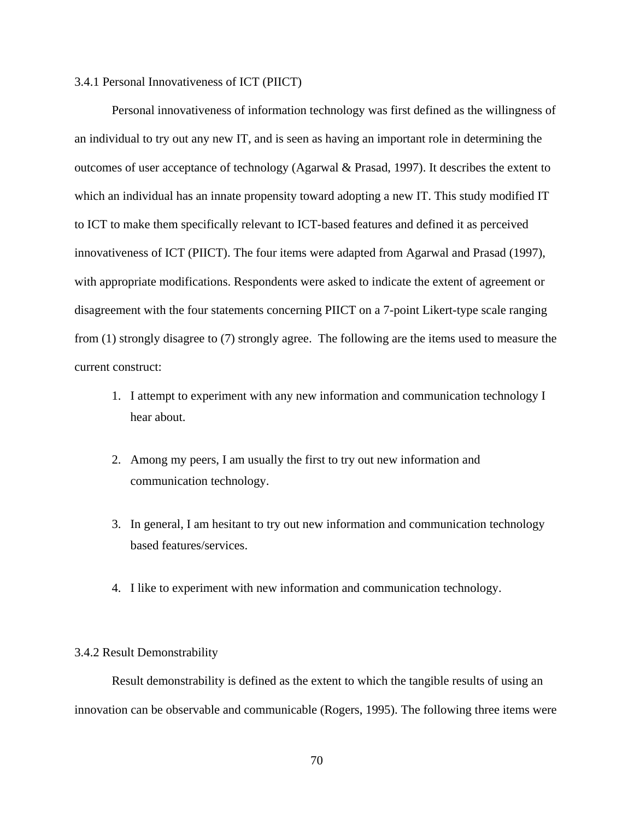# 3.4.1 Personal Innovativeness of ICT (PIICT)

Personal innovativeness of information technology was first defined as the willingness of an individual to try out any new IT, and is seen as having an important role in determining the outcomes of user acceptance of technology (Agarwal & Prasad, 1997). It describes the extent to which an individual has an innate propensity toward adopting a new IT. This study modified IT to ICT to make them specifically relevant to ICT-based features and defined it as perceived innovativeness of ICT (PIICT). The four items were adapted from Agarwal and Prasad (1997), with appropriate modifications. Respondents were asked to indicate the extent of agreement or disagreement with the four statements concerning PIICT on a 7-point Likert-type scale ranging from (1) strongly disagree to (7) strongly agree. The following are the items used to measure the current construct:

- 1. I attempt to experiment with any new information and communication technology I hear about.
- 2. Among my peers, I am usually the first to try out new information and communication technology.
- 3. In general, I am hesitant to try out new information and communication technology based features/services.
- 4. I like to experiment with new information and communication technology.

#### 3.4.2 Result Demonstrability

Result demonstrability is defined as the extent to which the tangible results of using an innovation can be observable and communicable (Rogers, 1995). The following three items were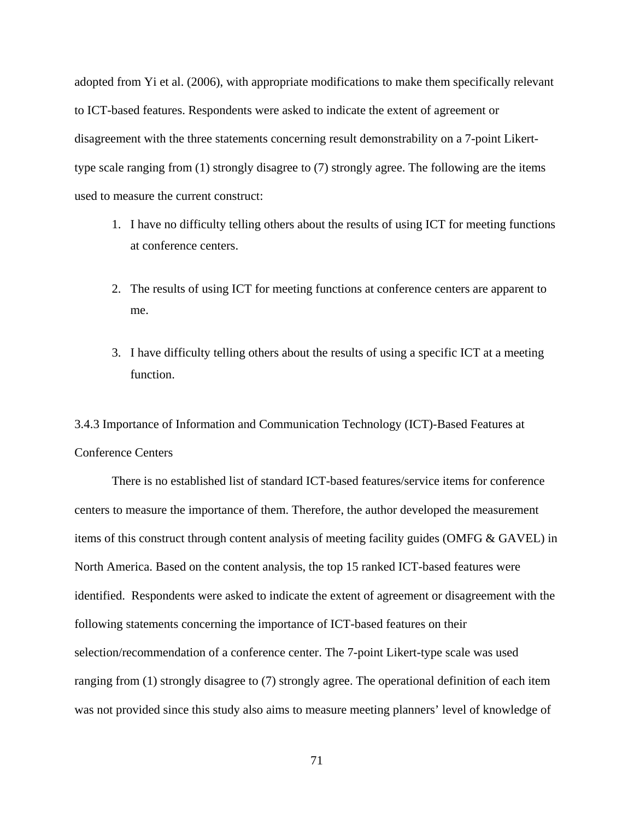adopted from Yi et al. (2006), with appropriate modifications to make them specifically relevant to ICT-based features. Respondents were asked to indicate the extent of agreement or disagreement with the three statements concerning result demonstrability on a 7-point Likerttype scale ranging from (1) strongly disagree to (7) strongly agree. The following are the items used to measure the current construct:

- 1. I have no difficulty telling others about the results of using ICT for meeting functions at conference centers.
- 2. The results of using ICT for meeting functions at conference centers are apparent to me.
- 3. I have difficulty telling others about the results of using a specific ICT at a meeting function.

3.4.3 Importance of Information and Communication Technology (ICT)-Based Features at Conference Centers

There is no established list of standard ICT-based features/service items for conference centers to measure the importance of them. Therefore, the author developed the measurement items of this construct through content analysis of meeting facility guides (OMFG & GAVEL) in North America. Based on the content analysis, the top 15 ranked ICT-based features were identified. Respondents were asked to indicate the extent of agreement or disagreement with the following statements concerning the importance of ICT-based features on their selection/recommendation of a conference center. The 7-point Likert-type scale was used ranging from (1) strongly disagree to (7) strongly agree. The operational definition of each item was not provided since this study also aims to measure meeting planners' level of knowledge of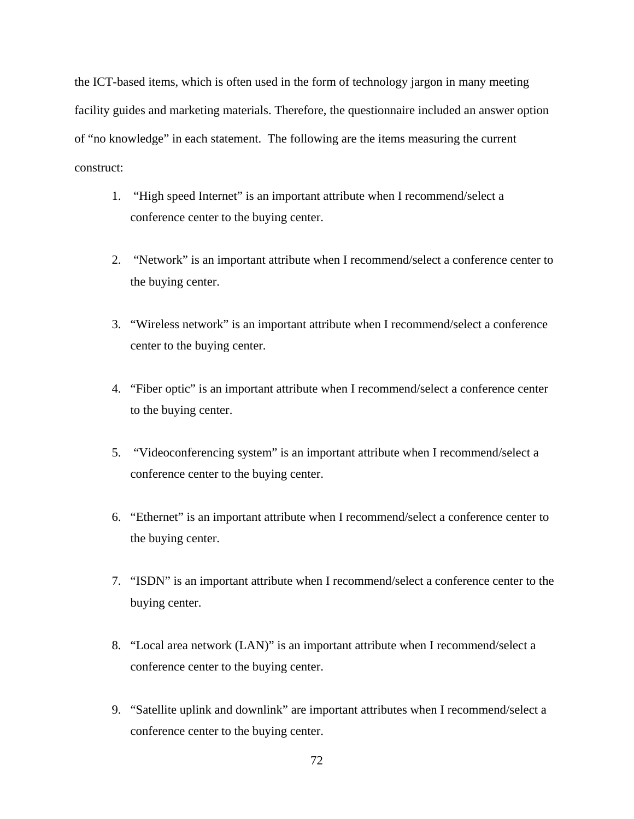the ICT-based items, which is often used in the form of technology jargon in many meeting facility guides and marketing materials. Therefore, the questionnaire included an answer option of "no knowledge" in each statement. The following are the items measuring the current construct:

- 1. "High speed Internet" is an important attribute when I recommend/select a conference center to the buying center.
- 2. "Network" is an important attribute when I recommend/select a conference center to the buying center.
- 3. "Wireless network" is an important attribute when I recommend/select a conference center to the buying center.
- 4. "Fiber optic" is an important attribute when I recommend/select a conference center to the buying center.
- 5. "Videoconferencing system" is an important attribute when I recommend/select a conference center to the buying center.
- 6. "Ethernet" is an important attribute when I recommend/select a conference center to the buying center.
- 7. "ISDN" is an important attribute when I recommend/select a conference center to the buying center.
- 8. "Local area network (LAN)" is an important attribute when I recommend/select a conference center to the buying center.
- 9. "Satellite uplink and downlink" are important attributes when I recommend/select a conference center to the buying center.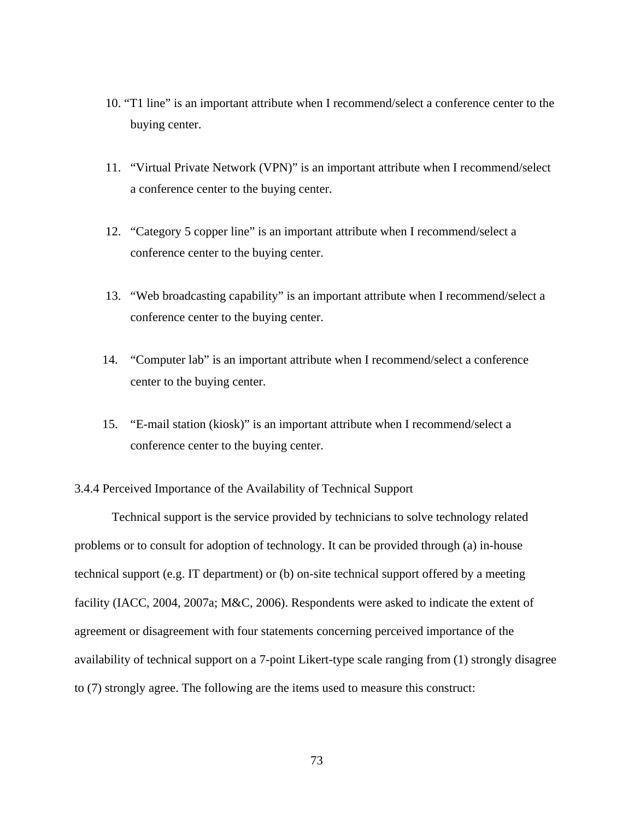- 10. "T1 line" is an important attribute when I recommend/select a conference center to the buying center.
- 11. "Virtual Private Network (VPN)" is an important attribute when I recommend/select a conference center to the buying center.
- 12. "Category 5 copper line" is an important attribute when I recommend/select a conference center to the buying center.
- 13. "Web broadcasting capability" is an important attribute when I recommend/select a conference center to the buying center.
- 14. "Computer lab" is an important attribute when I recommend/select a conference center to the buying center.
- 15. "E-mail station (kiosk)" is an important attribute when I recommend/select a conference center to the buying center.

3.4.4 Perceived Importance of the Availability of Technical Support

Technical support is the service provided by technicians to solve technology related problems or to consult for adoption of technology. It can be provided through (a) in-house technical support (e.g. IT department) or (b) on-site technical support offered by a meeting facility (IACC, 2004, 2007a; M&C, 2006). Respondents were asked to indicate the extent of agreement or disagreement with four statements concerning perceived importance of the availability of technical support on a 7-point Likert-type scale ranging from (1) strongly disagree to (7) strongly agree. The following are the items used to measure this construct: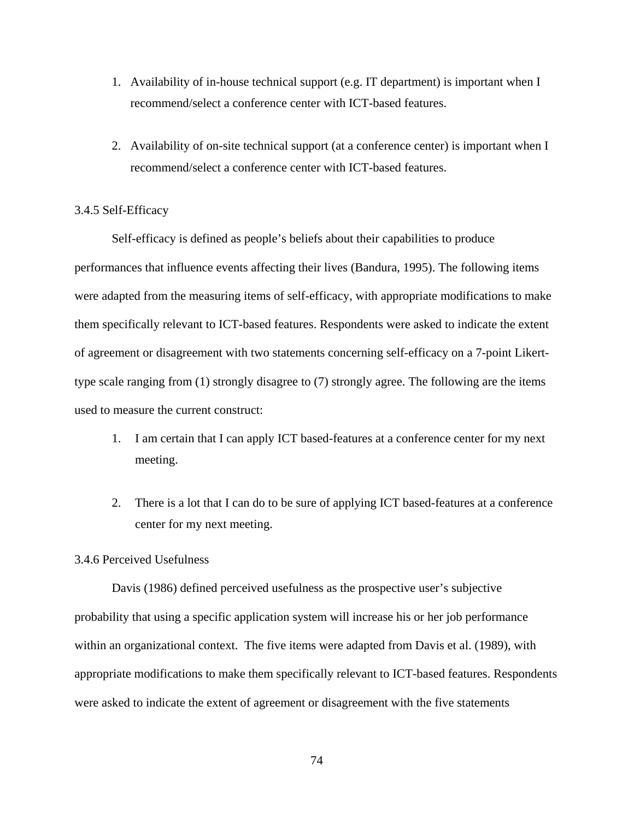- 1. Availability of in-house technical support (e.g. IT department) is important when I recommend/select a conference center with ICT-based features.
- 2. Availability of on-site technical support (at a conference center) is important when I recommend/select a conference center with ICT-based features.

# 3.4.5 Self-Efficacy

Self-efficacy is defined as people's beliefs about their capabilities to produce performances that influence events affecting their lives (Bandura, 1995). The following items were adapted from the measuring items of self-efficacy, with appropriate modifications to make them specifically relevant to ICT-based features. Respondents were asked to indicate the extent of agreement or disagreement with two statements concerning self-efficacy on a 7-point Likerttype scale ranging from (1) strongly disagree to (7) strongly agree. The following are the items used to measure the current construct:

- 1. I am certain that I can apply ICT based-features at a conference center for my next meeting.
- 2. There is a lot that I can do to be sure of applying ICT based-features at a conference center for my next meeting.

## 3.4.6 Perceived Usefulness

 Davis (1986) defined perceived usefulness as the prospective user's subjective probability that using a specific application system will increase his or her job performance within an organizational context. The five items were adapted from Davis et al. (1989), with appropriate modifications to make them specifically relevant to ICT-based features. Respondents were asked to indicate the extent of agreement or disagreement with the five statements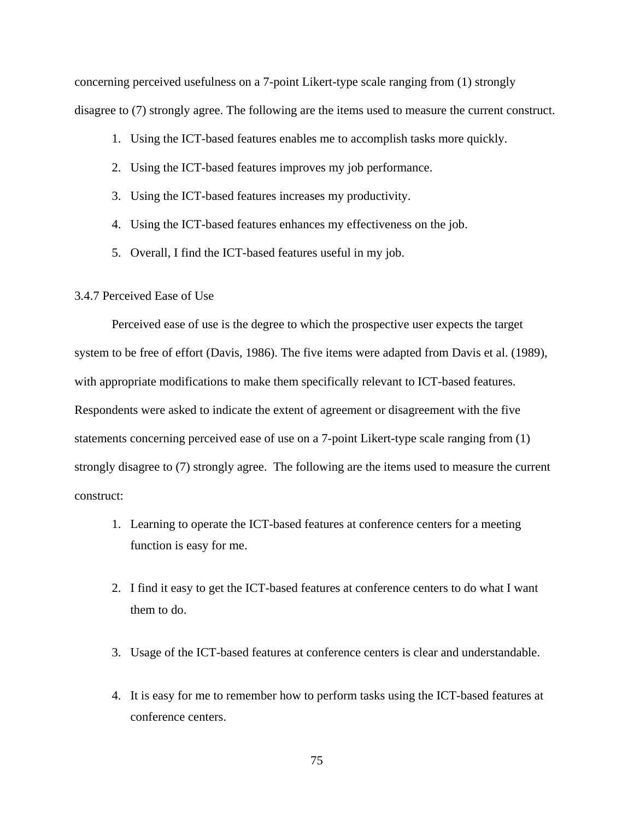concerning perceived usefulness on a 7-point Likert-type scale ranging from (1) strongly disagree to (7) strongly agree. The following are the items used to measure the current construct.

- 1. Using the ICT-based features enables me to accomplish tasks more quickly.
- 2. Using the ICT-based features improves my job performance.
- 3. Using the ICT-based features increases my productivity.
- 4. Using the ICT-based features enhances my effectiveness on the job.
- 5. Overall, I find the ICT-based features useful in my job.

# 3.4.7 Perceived Ease of Use

 Perceived ease of use is the degree to which the prospective user expects the target system to be free of effort (Davis, 1986). The five items were adapted from Davis et al. (1989), with appropriate modifications to make them specifically relevant to ICT-based features. Respondents were asked to indicate the extent of agreement or disagreement with the five statements concerning perceived ease of use on a 7-point Likert-type scale ranging from (1) strongly disagree to (7) strongly agree. The following are the items used to measure the current construct:

- 1. Learning to operate the ICT-based features at conference centers for a meeting function is easy for me.
- 2. I find it easy to get the ICT-based features at conference centers to do what I want them to do.
- 3. Usage of the ICT-based features at conference centers is clear and understandable.
- 4. It is easy for me to remember how to perform tasks using the ICT-based features at conference centers.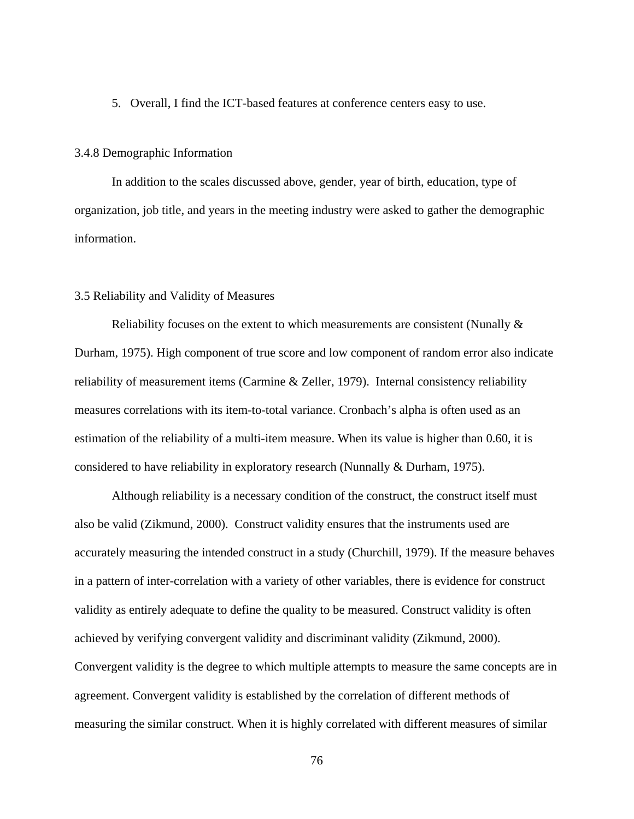5. Overall, I find the ICT-based features at conference centers easy to use.

#### 3.4.8 Demographic Information

In addition to the scales discussed above, gender, year of birth, education, type of organization, job title, and years in the meeting industry were asked to gather the demographic information.

## 3.5 Reliability and Validity of Measures

Reliability focuses on the extent to which measurements are consistent (Nunally  $\&$ Durham, 1975). High component of true score and low component of random error also indicate reliability of measurement items (Carmine & Zeller, 1979). Internal consistency reliability measures correlations with its item-to-total variance. Cronbach's alpha is often used as an estimation of the reliability of a multi-item measure. When its value is higher than 0.60, it is considered to have reliability in exploratory research (Nunnally & Durham, 1975).

Although reliability is a necessary condition of the construct, the construct itself must also be valid (Zikmund, 2000). Construct validity ensures that the instruments used are accurately measuring the intended construct in a study (Churchill, 1979). If the measure behaves in a pattern of inter-correlation with a variety of other variables, there is evidence for construct validity as entirely adequate to define the quality to be measured. Construct validity is often achieved by verifying convergent validity and discriminant validity (Zikmund, 2000). Convergent validity is the degree to which multiple attempts to measure the same concepts are in agreement. Convergent validity is established by the correlation of different methods of measuring the similar construct. When it is highly correlated with different measures of similar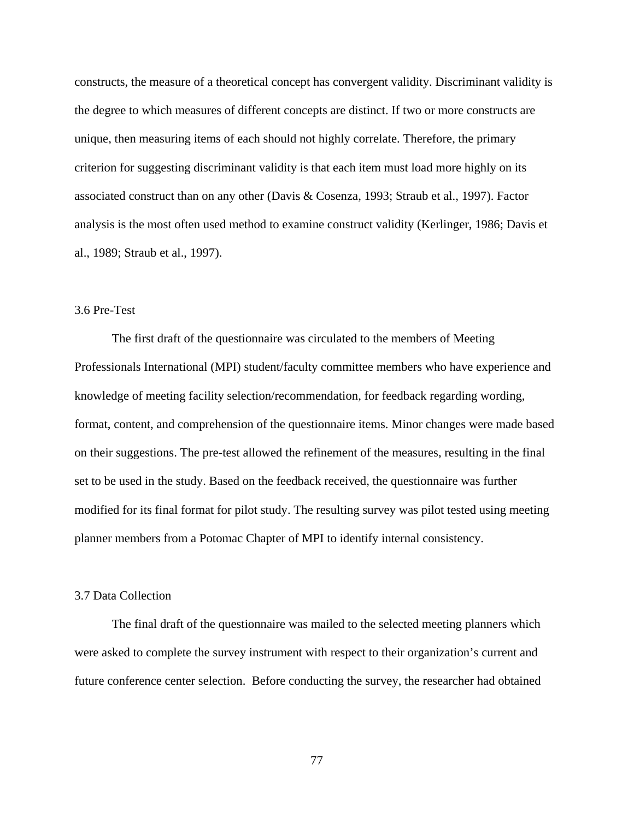constructs, the measure of a theoretical concept has convergent validity. Discriminant validity is the degree to which measures of different concepts are distinct. If two or more constructs are unique, then measuring items of each should not highly correlate. Therefore, the primary criterion for suggesting discriminant validity is that each item must load more highly on its associated construct than on any other (Davis & Cosenza, 1993; Straub et al., 1997). Factor analysis is the most often used method to examine construct validity (Kerlinger, 1986; Davis et al., 1989; Straub et al., 1997).

# 3.6 Pre-Test

 The first draft of the questionnaire was circulated to the members of Meeting Professionals International (MPI) student/faculty committee members who have experience and knowledge of meeting facility selection/recommendation, for feedback regarding wording, format, content, and comprehension of the questionnaire items. Minor changes were made based on their suggestions. The pre-test allowed the refinement of the measures, resulting in the final set to be used in the study. Based on the feedback received, the questionnaire was further modified for its final format for pilot study. The resulting survey was pilot tested using meeting planner members from a Potomac Chapter of MPI to identify internal consistency.

# 3.7 Data Collection

 The final draft of the questionnaire was mailed to the selected meeting planners which were asked to complete the survey instrument with respect to their organization's current and future conference center selection. Before conducting the survey, the researcher had obtained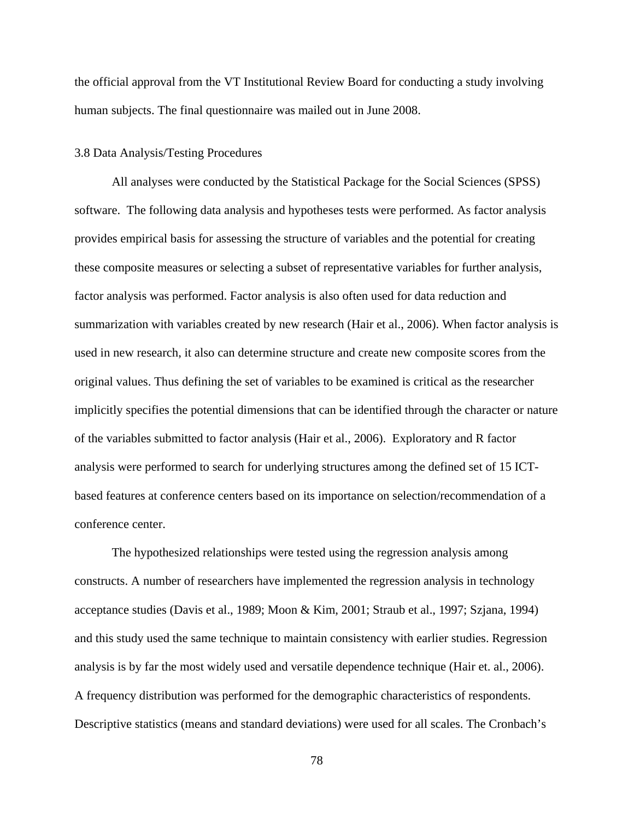the official approval from the VT Institutional Review Board for conducting a study involving human subjects. The final questionnaire was mailed out in June 2008.

# 3.8 Data Analysis/Testing Procedures

All analyses were conducted by the Statistical Package for the Social Sciences (SPSS) software. The following data analysis and hypotheses tests were performed. As factor analysis provides empirical basis for assessing the structure of variables and the potential for creating these composite measures or selecting a subset of representative variables for further analysis, factor analysis was performed. Factor analysis is also often used for data reduction and summarization with variables created by new research (Hair et al., 2006). When factor analysis is used in new research, it also can determine structure and create new composite scores from the original values. Thus defining the set of variables to be examined is critical as the researcher implicitly specifies the potential dimensions that can be identified through the character or nature of the variables submitted to factor analysis (Hair et al., 2006). Exploratory and R factor analysis were performed to search for underlying structures among the defined set of 15 ICTbased features at conference centers based on its importance on selection/recommendation of a conference center.

The hypothesized relationships were tested using the regression analysis among constructs. A number of researchers have implemented the regression analysis in technology acceptance studies (Davis et al., 1989; Moon & Kim, 2001; Straub et al., 1997; Szjana, 1994) and this study used the same technique to maintain consistency with earlier studies. Regression analysis is by far the most widely used and versatile dependence technique (Hair et. al., 2006). A frequency distribution was performed for the demographic characteristics of respondents. Descriptive statistics (means and standard deviations) were used for all scales. The Cronbach's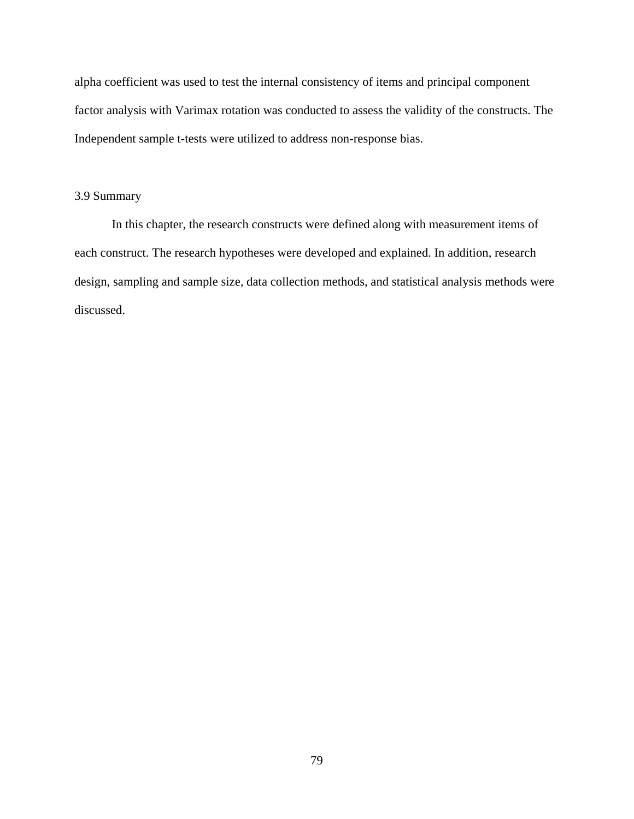alpha coefficient was used to test the internal consistency of items and principal component factor analysis with Varimax rotation was conducted to assess the validity of the constructs. The Independent sample t-tests were utilized to address non-response bias.

# 3.9 Summary

In this chapter, the research constructs were defined along with measurement items of each construct. The research hypotheses were developed and explained. In addition, research design, sampling and sample size, data collection methods, and statistical analysis methods were discussed.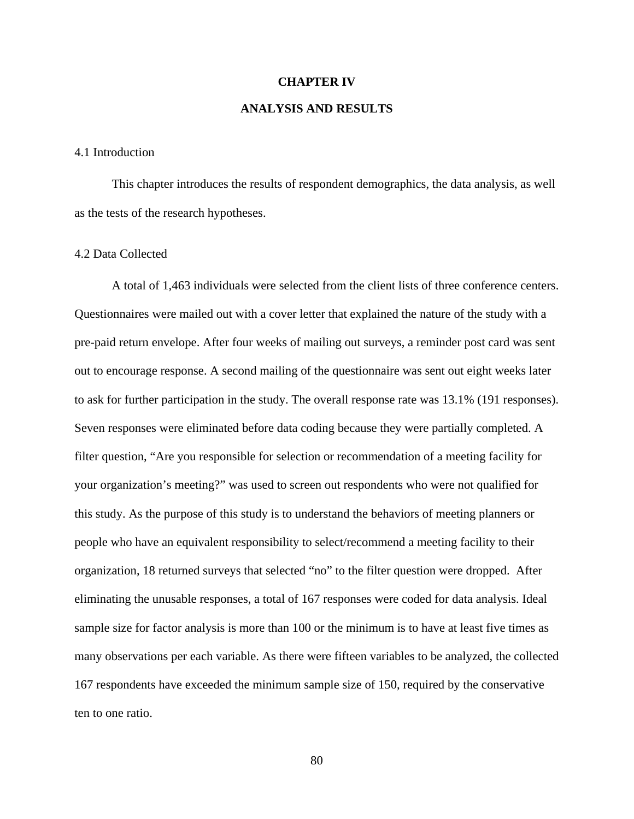#### **CHAPTER IV**

# **ANALYSIS AND RESULTS**

#### 4.1 Introduction

This chapter introduces the results of respondent demographics, the data analysis, as well as the tests of the research hypotheses.

## 4.2 Data Collected

 A total of 1,463 individuals were selected from the client lists of three conference centers. Questionnaires were mailed out with a cover letter that explained the nature of the study with a pre-paid return envelope. After four weeks of mailing out surveys, a reminder post card was sent out to encourage response. A second mailing of the questionnaire was sent out eight weeks later to ask for further participation in the study. The overall response rate was 13.1% (191 responses). Seven responses were eliminated before data coding because they were partially completed. A filter question, "Are you responsible for selection or recommendation of a meeting facility for your organization's meeting?" was used to screen out respondents who were not qualified for this study. As the purpose of this study is to understand the behaviors of meeting planners or people who have an equivalent responsibility to select/recommend a meeting facility to their organization, 18 returned surveys that selected "no" to the filter question were dropped. After eliminating the unusable responses, a total of 167 responses were coded for data analysis. Ideal sample size for factor analysis is more than 100 or the minimum is to have at least five times as many observations per each variable. As there were fifteen variables to be analyzed, the collected 167 respondents have exceeded the minimum sample size of 150, required by the conservative ten to one ratio.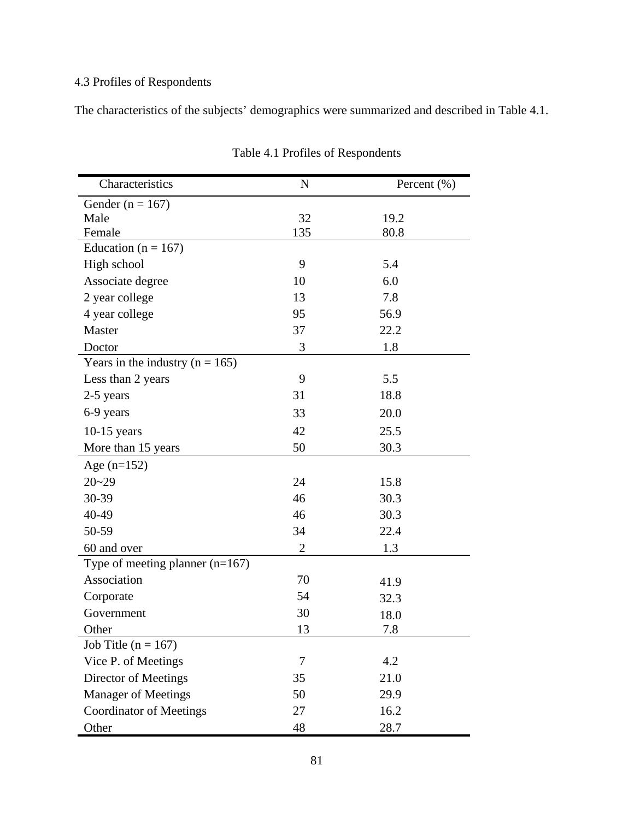# 4.3 Profiles of Respondents

The characteristics of the subjects' demographics were summarized and described in Table 4.1.

| Characteristics                   | $\mathbf N$    | Percent $(\% )$ |
|-----------------------------------|----------------|-----------------|
| Gender ( $n = 167$ )              |                |                 |
| Male                              | 32             | 19.2            |
| Female                            | 135            | 80.8            |
| Education ( $n = 167$ )           |                |                 |
| High school                       | 9              | 5.4             |
| Associate degree                  | 10             | 6.0             |
| 2 year college                    | 13             | 7.8             |
| 4 year college                    | 95             | 56.9            |
| Master                            | 37             | 22.2            |
| Doctor                            | 3              | 1.8             |
| Years in the industry $(n = 165)$ |                |                 |
| Less than 2 years                 | 9              | 5.5             |
| 2-5 years                         | 31             | 18.8            |
| 6-9 years                         | 33             | 20.0            |
| $10-15$ years                     | 42             | 25.5            |
| More than 15 years                | 50             | 30.3            |
| Age $(n=152)$                     |                |                 |
| $20 - 29$                         | 24             | 15.8            |
| 30-39                             | 46             | 30.3            |
| 40-49                             | 46             | 30.3            |
| 50-59                             | 34             | 22.4            |
| 60 and over                       | $\overline{2}$ | 1.3             |
| Type of meeting planner $(n=167)$ |                |                 |
| Association                       | 70             | 41.9            |
| Corporate                         | 54             | 32.3            |
| Government                        | 30             | 18.0            |
| Other                             | 13             | 7.8             |
| Job Title ( $n = 167$ )           |                |                 |
| Vice P. of Meetings               | $\tau$         | 4.2             |
| Director of Meetings              | 35             | 21.0            |
| <b>Manager of Meetings</b>        | 50             | 29.9            |
| <b>Coordinator of Meetings</b>    | 27             | 16.2            |
| Other                             | 48             | 28.7            |

Table 4.1 Profiles of Respondents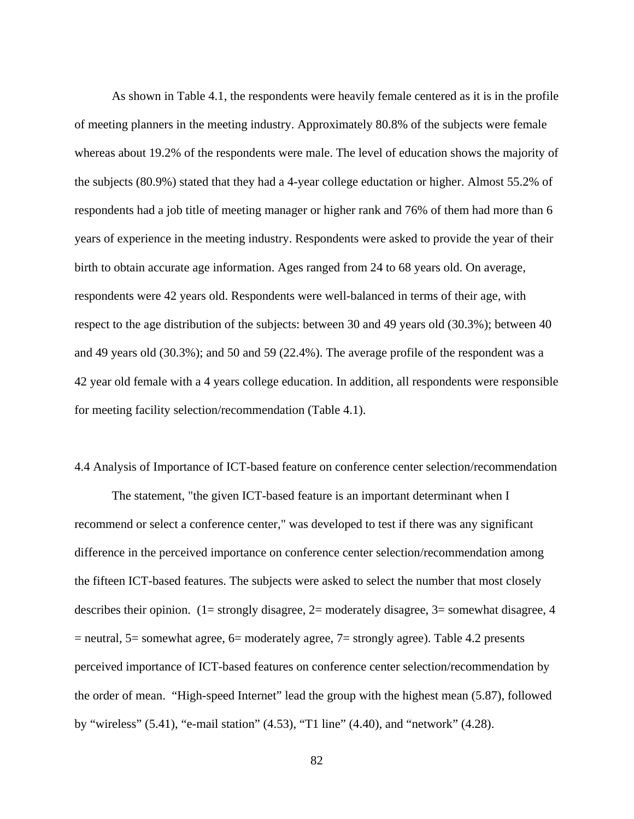As shown in Table 4.1, the respondents were heavily female centered as it is in the profile of meeting planners in the meeting industry. Approximately 80.8% of the subjects were female whereas about 19.2% of the respondents were male. The level of education shows the majority of the subjects (80.9%) stated that they had a 4-year college eductation or higher. Almost 55.2% of respondents had a job title of meeting manager or higher rank and 76% of them had more than 6 years of experience in the meeting industry. Respondents were asked to provide the year of their birth to obtain accurate age information. Ages ranged from 24 to 68 years old. On average, respondents were 42 years old. Respondents were well-balanced in terms of their age, with respect to the age distribution of the subjects: between 30 and 49 years old (30.3%); between 40 and 49 years old (30.3%); and 50 and 59 (22.4%). The average profile of the respondent was a 42 year old female with a 4 years college education. In addition, all respondents were responsible for meeting facility selection/recommendation (Table 4.1).

4.4 Analysis of Importance of ICT-based feature on conference center selection/recommendation

The statement, "the given ICT-based feature is an important determinant when I recommend or select a conference center," was developed to test if there was any significant difference in the perceived importance on conference center selection/recommendation among the fifteen ICT-based features. The subjects were asked to select the number that most closely describes their opinion. (1= strongly disagree, 2= moderately disagree, 3= somewhat disagree, 4 = neutral, 5= somewhat agree, 6= moderately agree, 7= strongly agree). Table 4.2 presents perceived importance of ICT-based features on conference center selection/recommendation by the order of mean. "High-speed Internet" lead the group with the highest mean (5.87), followed by "wireless" (5.41), "e-mail station" (4.53), "T1 line" (4.40), and "network" (4.28).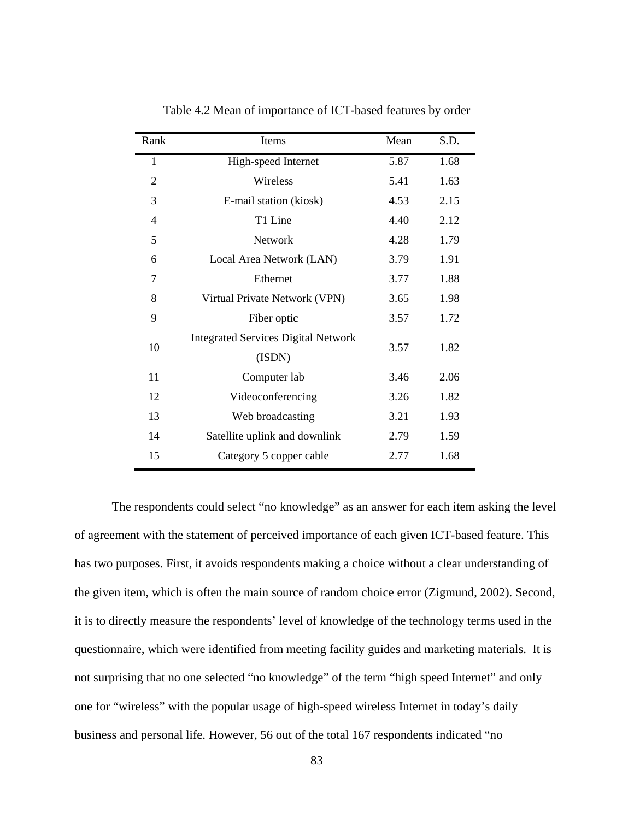| Rank           | Items                                      | Mean | S.D. |
|----------------|--------------------------------------------|------|------|
| 1              | High-speed Internet                        | 5.87 | 1.68 |
| $\overline{2}$ | Wireless                                   | 5.41 | 1.63 |
| 3              | E-mail station (kiosk)                     | 4.53 | 2.15 |
| $\overline{4}$ | T1 Line                                    | 4.40 | 2.12 |
| 5              | Network                                    | 4.28 | 1.79 |
| 6              | Local Area Network (LAN)                   | 3.79 | 1.91 |
| 7              | Ethernet                                   | 3.77 | 1.88 |
| 8              | Virtual Private Network (VPN)              | 3.65 | 1.98 |
| 9              | Fiber optic                                | 3.57 | 1.72 |
| 10             | <b>Integrated Services Digital Network</b> | 3.57 | 1.82 |
|                | (ISDN)                                     |      |      |
| 11             | Computer lab                               | 3.46 | 2.06 |
| 12             | Videoconferencing                          | 3.26 | 1.82 |
| 13             | Web broadcasting                           | 3.21 | 1.93 |
| 14             | Satellite uplink and downlink              | 2.79 | 1.59 |
| 15             | Category 5 copper cable                    | 2.77 | 1.68 |

Table 4.2 Mean of importance of ICT-based features by order

The respondents could select "no knowledge" as an answer for each item asking the level of agreement with the statement of perceived importance of each given ICT-based feature. This has two purposes. First, it avoids respondents making a choice without a clear understanding of the given item, which is often the main source of random choice error (Zigmund, 2002). Second, it is to directly measure the respondents' level of knowledge of the technology terms used in the questionnaire, which were identified from meeting facility guides and marketing materials. It is not surprising that no one selected "no knowledge" of the term "high speed Internet" and only one for "wireless" with the popular usage of high-speed wireless Internet in today's daily business and personal life. However, 56 out of the total 167 respondents indicated "no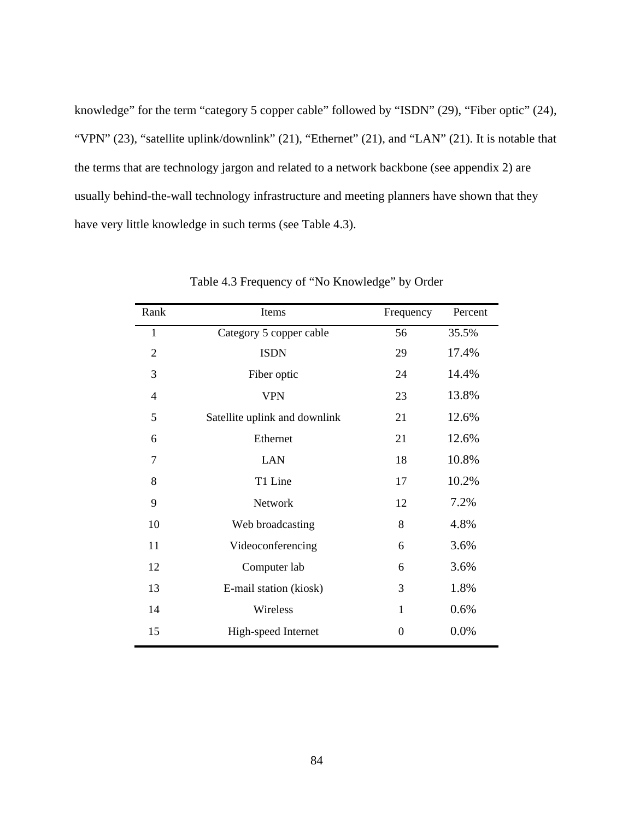knowledge" for the term "category 5 copper cable" followed by "ISDN" (29), "Fiber optic" (24), "VPN" (23), "satellite uplink/downlink" (21), "Ethernet" (21), and "LAN" (21). It is notable that the terms that are technology jargon and related to a network backbone (see appendix 2) are usually behind-the-wall technology infrastructure and meeting planners have shown that they have very little knowledge in such terms (see Table 4.3).

| Rank           | Items                         | Frequency      | Percent |
|----------------|-------------------------------|----------------|---------|
| $\mathbf{1}$   | Category 5 copper cable       | 56             | 35.5%   |
| $\overline{2}$ | <b>ISDN</b>                   | 29             | 17.4%   |
| 3              | Fiber optic                   | 24             | 14.4%   |
| $\overline{4}$ | <b>VPN</b>                    | 23             | 13.8%   |
| 5              | Satellite uplink and downlink | 21             | 12.6%   |
| 6              | Ethernet                      | 21             | 12.6%   |
| 7              | <b>LAN</b>                    | 18             | 10.8%   |
| 8              | T1 Line                       | 17             | 10.2%   |
| 9              | Network                       | 12             | 7.2%    |
| 10             | Web broadcasting              | 8              | 4.8%    |
| 11             | Videoconferencing             | 6              | 3.6%    |
| 12             | Computer lab                  | 6              | 3.6%    |
| 13             | E-mail station (kiosk)        | 3              | 1.8%    |
| 14             | Wireless                      | $\mathbf{1}$   | 0.6%    |
| 15             | High-speed Internet           | $\overline{0}$ | 0.0%    |

Table 4.3 Frequency of "No Knowledge" by Order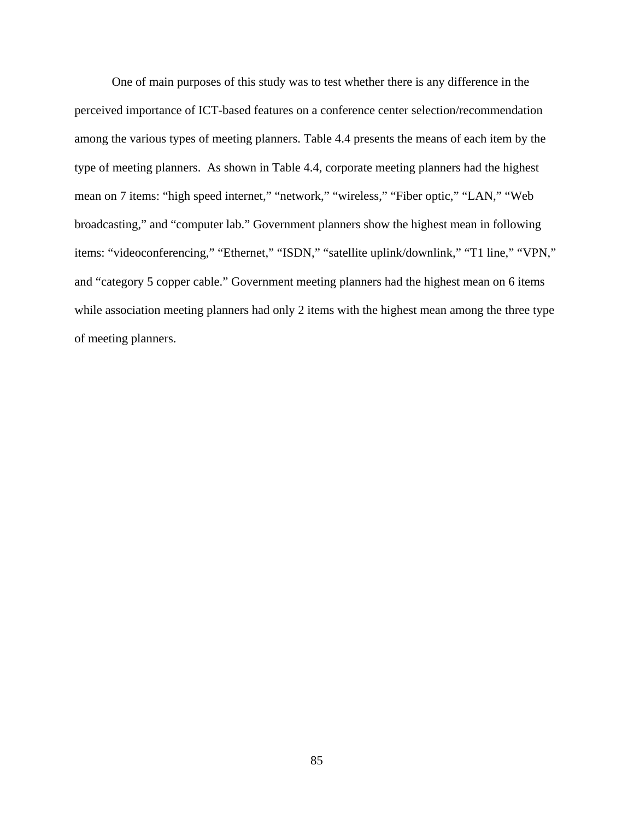One of main purposes of this study was to test whether there is any difference in the perceived importance of ICT-based features on a conference center selection/recommendation among the various types of meeting planners. Table 4.4 presents the means of each item by the type of meeting planners. As shown in Table 4.4, corporate meeting planners had the highest mean on 7 items: "high speed internet," "network," "wireless," "Fiber optic," "LAN," "Web broadcasting," and "computer lab." Government planners show the highest mean in following items: "videoconferencing," "Ethernet," "ISDN," "satellite uplink/downlink," "T1 line," "VPN," and "category 5 copper cable." Government meeting planners had the highest mean on 6 items while association meeting planners had only 2 items with the highest mean among the three type of meeting planners.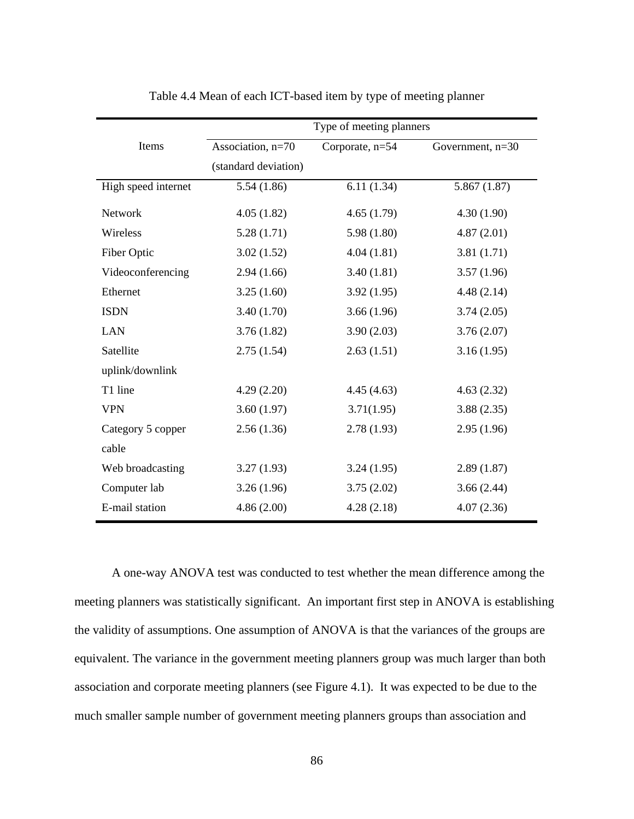|                     | Type of meeting planners |                 |                    |  |  |  |
|---------------------|--------------------------|-----------------|--------------------|--|--|--|
| Items               | Association, n=70        | Corporate, n=54 | Government, $n=30$ |  |  |  |
|                     | (standard deviation)     |                 |                    |  |  |  |
| High speed internet | 5.54(1.86)               | 6.11(1.34)      | 5.867(1.87)        |  |  |  |
| Network             | 4.05(1.82)               | 4.65(1.79)      | 4.30(1.90)         |  |  |  |
| Wireless            | 5.28(1.71)               | 5.98(1.80)      | 4.87(2.01)         |  |  |  |
| Fiber Optic         | 3.02(1.52)               | 4.04(1.81)      | 3.81(1.71)         |  |  |  |
| Videoconferencing   | 2.94(1.66)               | 3.40(1.81)      | 3.57(1.96)         |  |  |  |
| Ethernet            | 3.25(1.60)               | 3.92(1.95)      | 4.48(2.14)         |  |  |  |
| <b>ISDN</b>         | 3.40(1.70)               | 3.66(1.96)      | 3.74(2.05)         |  |  |  |
| <b>LAN</b>          | 3.76(1.82)               | 3.90(2.03)      | 3.76(2.07)         |  |  |  |
| Satellite           | 2.75(1.54)               | 2.63(1.51)      | 3.16(1.95)         |  |  |  |
| uplink/downlink     |                          |                 |                    |  |  |  |
| T1 line             | 4.29(2.20)               | 4.45(4.63)      | 4.63(2.32)         |  |  |  |
| <b>VPN</b>          | 3.60(1.97)               | 3.71(1.95)      | 3.88(2.35)         |  |  |  |
| Category 5 copper   | 2.56(1.36)               | 2.78(1.93)      | 2.95(1.96)         |  |  |  |
| cable               |                          |                 |                    |  |  |  |
| Web broadcasting    | 3.27(1.93)               | 3.24(1.95)      | 2.89(1.87)         |  |  |  |
| Computer lab        | 3.26(1.96)               | 3.75(2.02)      | 3.66(2.44)         |  |  |  |
| E-mail station      | 4.86(2.00)               | 4.28(2.18)      | 4.07(2.36)         |  |  |  |

Table 4.4 Mean of each ICT-based item by type of meeting planner

A one-way ANOVA test was conducted to test whether the mean difference among the meeting planners was statistically significant. An important first step in ANOVA is establishing the validity of assumptions. One assumption of ANOVA is that the variances of the groups are equivalent. The variance in the government meeting planners group was much larger than both association and corporate meeting planners (see Figure 4.1). It was expected to be due to the much smaller sample number of government meeting planners groups than association and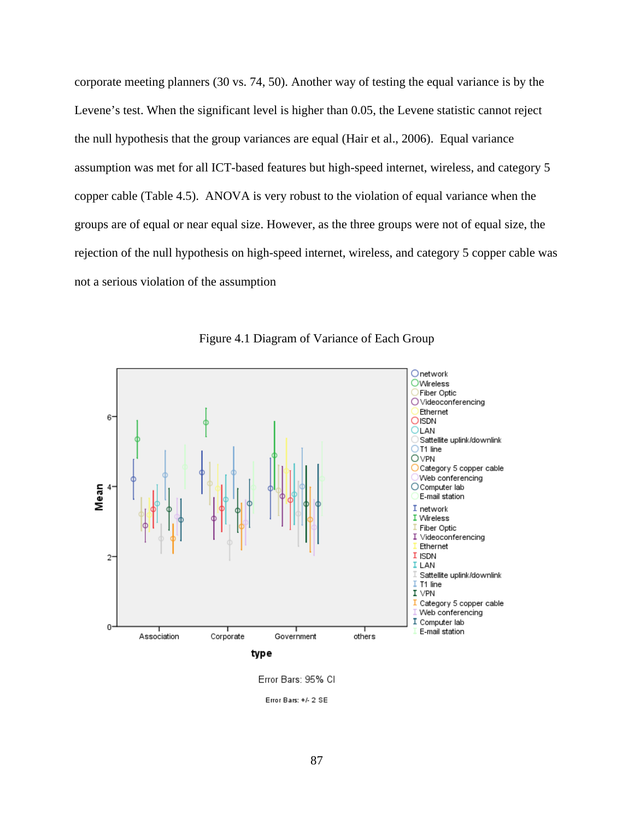corporate meeting planners (30 vs. 74, 50). Another way of testing the equal variance is by the Levene's test. When the significant level is higher than 0.05, the Levene statistic cannot reject the null hypothesis that the group variances are equal (Hair et al., 2006). Equal variance assumption was met for all ICT-based features but high-speed internet, wireless, and category 5 copper cable (Table 4.5). ANOVA is very robust to the violation of equal variance when the groups are of equal or near equal size. However, as the three groups were not of equal size, the rejection of the null hypothesis on high-speed internet, wireless, and category 5 copper cable was not a serious violation of the assumption



Figure 4.1 Diagram of Variance of Each Group

Error Bars: 95% CI

Error Bars: +/- 2 SE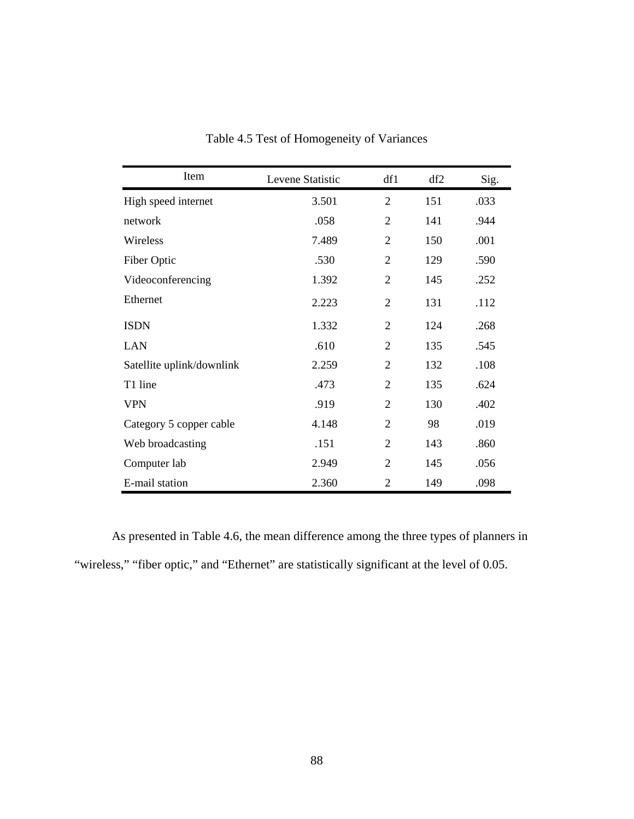| Item                      | Levene Statistic | df1            | df2 | Sig. |
|---------------------------|------------------|----------------|-----|------|
| High speed internet       | 3.501            | $\overline{2}$ | 151 | .033 |
| network                   | .058             | $\overline{2}$ | 141 | .944 |
| Wireless                  | 7.489            | $\overline{2}$ | 150 | .001 |
| Fiber Optic               | .530             | $\overline{2}$ | 129 | .590 |
| Videoconferencing         | 1.392            | $\overline{2}$ | 145 | .252 |
| Ethernet                  | 2.223            | $\overline{2}$ | 131 | .112 |
| <b>ISDN</b>               | 1.332            | $\overline{2}$ | 124 | .268 |
| <b>LAN</b>                | .610             | $\overline{2}$ | 135 | .545 |
| Satellite uplink/downlink | 2.259            | $\overline{2}$ | 132 | .108 |
| T1 line                   | .473             | $\overline{2}$ | 135 | .624 |
| <b>VPN</b>                | .919             | $\overline{2}$ | 130 | .402 |
| Category 5 copper cable   | 4.148            | $\overline{2}$ | 98  | .019 |
| Web broadcasting          | .151             | $\overline{2}$ | 143 | .860 |
| Computer lab              | 2.949            | $\overline{2}$ | 145 | .056 |
| E-mail station            | 2.360            | $\overline{2}$ | 149 | .098 |

Table 4.5 Test of Homogeneity of Variances

As presented in Table 4.6, the mean difference among the three types of planners in "wireless," "fiber optic," and "Ethernet" are statistically significant at the level of 0.05.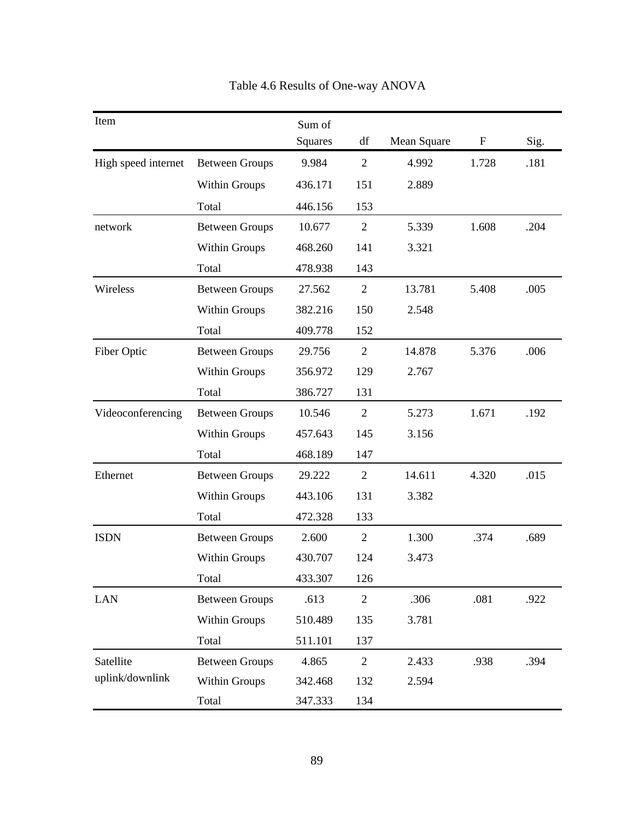| Item                |                       | Sum of  |                |             |                           |      |
|---------------------|-----------------------|---------|----------------|-------------|---------------------------|------|
|                     |                       | Squares | df             | Mean Square | $\boldsymbol{\mathrm{F}}$ | Sig. |
| High speed internet | <b>Between Groups</b> | 9.984   | $\overline{2}$ | 4.992       | 1.728                     | .181 |
|                     | Within Groups         | 436.171 | 151            | 2.889       |                           |      |
|                     | Total                 | 446.156 | 153            |             |                           |      |
| network             | <b>Between Groups</b> | 10.677  | $\overline{2}$ | 5.339       | 1.608                     | .204 |
|                     | Within Groups         | 468.260 | 141            | 3.321       |                           |      |
|                     | Total                 | 478.938 | 143            |             |                           |      |
| Wireless            | <b>Between Groups</b> | 27.562  | $\overline{2}$ | 13.781      | 5.408                     | .005 |
|                     | Within Groups         | 382.216 | 150            | 2.548       |                           |      |
|                     | Total                 | 409.778 | 152            |             |                           |      |
| Fiber Optic         | <b>Between Groups</b> | 29.756  | $\overline{2}$ | 14.878      | 5.376                     | .006 |
|                     | Within Groups         | 356.972 | 129            | 2.767       |                           |      |
|                     | Total                 | 386.727 | 131            |             |                           |      |
| Videoconferencing   | <b>Between Groups</b> | 10.546  | $\overline{2}$ | 5.273       | 1.671                     | .192 |
|                     | Within Groups         | 457.643 | 145            | 3.156       |                           |      |
|                     | Total                 | 468.189 | 147            |             |                           |      |
| Ethernet            | <b>Between Groups</b> | 29.222  | $\overline{2}$ | 14.611      | 4.320                     | .015 |
|                     | Within Groups         | 443.106 | 131            | 3.382       |                           |      |
|                     | Total                 | 472.328 | 133            |             |                           |      |
| <b>ISDN</b>         | <b>Between Groups</b> | 2.600   | $\overline{2}$ | 1.300       | .374                      | .689 |
|                     | Within Groups         | 430.707 | 124            | 3.473       |                           |      |
|                     | Total                 | 433.307 | 126            |             |                           |      |
| <b>LAN</b>          | <b>Between Groups</b> | .613    | $\mathfrak{2}$ | .306        | .081                      | .922 |
|                     | Within Groups         | 510.489 | 135            | 3.781       |                           |      |
|                     | Total                 | 511.101 | 137            |             |                           |      |
| Satellite           | <b>Between Groups</b> | 4.865   | $\mathfrak{2}$ | 2.433       | .938                      | .394 |
| uplink/downlink     | Within Groups         | 342.468 | 132            | 2.594       |                           |      |
|                     | Total                 | 347.333 | 134            |             |                           |      |

Table 4.6 Results of One-way ANOVA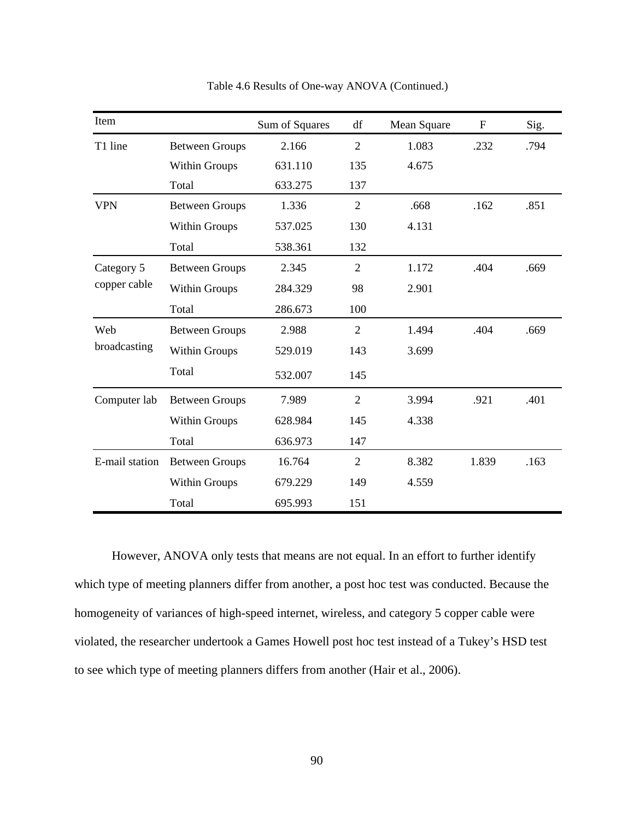| Item           |                       | Sum of Squares | df             | Mean Square | $\mathbf{F}$ | Sig. |
|----------------|-----------------------|----------------|----------------|-------------|--------------|------|
| T1 line        | <b>Between Groups</b> | 2.166          | $\mathfrak{2}$ | 1.083       | .232         | .794 |
|                | Within Groups         | 631.110        | 135            | 4.675       |              |      |
|                | Total                 | 633.275        | 137            |             |              |      |
| <b>VPN</b>     | <b>Between Groups</b> | 1.336          | $\mathfrak{2}$ | .668        | .162         | .851 |
|                | Within Groups         | 537.025        | 130            | 4.131       |              |      |
|                | Total                 | 538.361        | 132            |             |              |      |
| Category 5     | <b>Between Groups</b> | 2.345          | $\overline{2}$ | 1.172       | .404         | .669 |
| copper cable   | Within Groups         | 284.329        | 98             | 2.901       |              |      |
|                | Total                 | 286.673        | 100            |             |              |      |
| Web            | <b>Between Groups</b> | 2.988          | $\overline{2}$ | 1.494       | .404         | .669 |
| broadcasting   | Within Groups         | 529.019        | 143            | 3.699       |              |      |
|                | Total                 | 532.007        | 145            |             |              |      |
| Computer lab   | <b>Between Groups</b> | 7.989          | $\overline{2}$ | 3.994       | .921         | .401 |
|                | <b>Within Groups</b>  | 628.984        | 145            | 4.338       |              |      |
|                | Total                 | 636.973        | 147            |             |              |      |
| E-mail station | <b>Between Groups</b> | 16.764         | $\overline{2}$ | 8.382       | 1.839        | .163 |
|                | <b>Within Groups</b>  | 679.229        | 149            | 4.559       |              |      |
|                | Total                 | 695.993        | 151            |             |              |      |

Table 4.6 Results of One-way ANOVA (Continued.)

However, ANOVA only tests that means are not equal. In an effort to further identify which type of meeting planners differ from another, a post hoc test was conducted. Because the homogeneity of variances of high-speed internet, wireless, and category 5 copper cable were violated, the researcher undertook a Games Howell post hoc test instead of a Tukey's HSD test to see which type of meeting planners differs from another (Hair et al., 2006).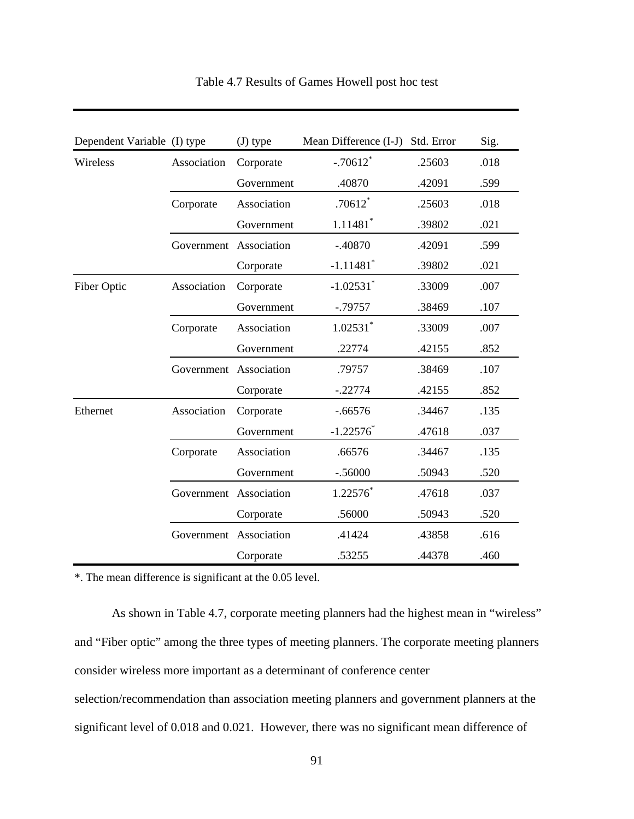| Dependent Variable (I) type |                        | $(J)$ type  | Mean Difference (I-J) Std. Error |        | Sig. |
|-----------------------------|------------------------|-------------|----------------------------------|--------|------|
| Wireless                    | Association            | Corporate   | $-.70612$ <sup>*</sup>           | .25603 | .018 |
|                             |                        | Government  | .40870                           | .42091 | .599 |
|                             | Corporate              | Association | $.70612$ <sup>*</sup>            | .25603 | .018 |
|                             |                        | Government  | $1.11481$ <sup>*</sup>           | .39802 | .021 |
|                             | Government Association |             | $-.40870$                        | .42091 | .599 |
|                             |                        | Corporate   | $-1.11481$ <sup>*</sup>          | .39802 | .021 |
| Fiber Optic                 | Association            | Corporate   | $-1.02531$ <sup>*</sup>          | .33009 | .007 |
|                             |                        | Government  | $-.79757$                        | .38469 | .107 |
|                             | Corporate              | Association | $1.02531$ *                      | .33009 | .007 |
|                             |                        | Government  | .22774                           | .42155 | .852 |
|                             | Government Association |             | .79757                           | .38469 | .107 |
|                             |                        | Corporate   | $-.22774$                        | .42155 | .852 |
| Ethernet                    | Association            | Corporate   | $-.66576$                        | .34467 | .135 |
|                             |                        | Government  | $-1.22576$ *                     | .47618 | .037 |
|                             | Corporate              | Association | .66576                           | .34467 | .135 |
|                             |                        | Government  | $-.56000$                        | .50943 | .520 |
|                             | Government Association |             | $1.22576^*$                      | .47618 | .037 |
|                             |                        | Corporate   | .56000                           | .50943 | .520 |
|                             | Government Association |             | .41424                           | .43858 | .616 |
|                             |                        | Corporate   | .53255                           | .44378 | .460 |

# Table 4.7 Results of Games Howell post hoc test

\*. The mean difference is significant at the 0.05 level.

As shown in Table 4.7, corporate meeting planners had the highest mean in "wireless" and "Fiber optic" among the three types of meeting planners. The corporate meeting planners consider wireless more important as a determinant of conference center selection/recommendation than association meeting planners and government planners at the significant level of 0.018 and 0.021. However, there was no significant mean difference of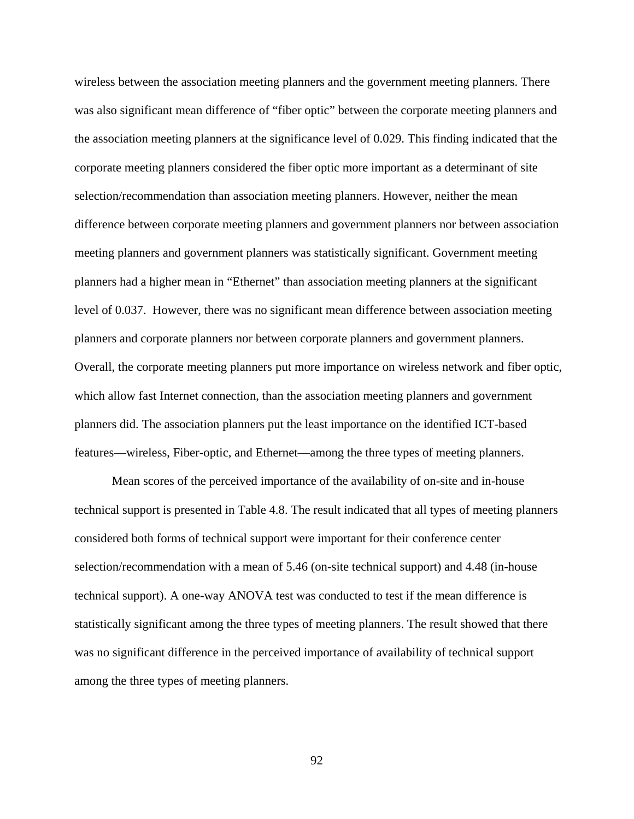wireless between the association meeting planners and the government meeting planners. There was also significant mean difference of "fiber optic" between the corporate meeting planners and the association meeting planners at the significance level of 0.029. This finding indicated that the corporate meeting planners considered the fiber optic more important as a determinant of site selection/recommendation than association meeting planners. However, neither the mean difference between corporate meeting planners and government planners nor between association meeting planners and government planners was statistically significant. Government meeting planners had a higher mean in "Ethernet" than association meeting planners at the significant level of 0.037. However, there was no significant mean difference between association meeting planners and corporate planners nor between corporate planners and government planners. Overall, the corporate meeting planners put more importance on wireless network and fiber optic, which allow fast Internet connection, than the association meeting planners and government planners did. The association planners put the least importance on the identified ICT-based features—wireless, Fiber-optic, and Ethernet—among the three types of meeting planners.

Mean scores of the perceived importance of the availability of on-site and in-house technical support is presented in Table 4.8. The result indicated that all types of meeting planners considered both forms of technical support were important for their conference center selection/recommendation with a mean of 5.46 (on-site technical support) and 4.48 (in-house technical support). A one-way ANOVA test was conducted to test if the mean difference is statistically significant among the three types of meeting planners. The result showed that there was no significant difference in the perceived importance of availability of technical support among the three types of meeting planners.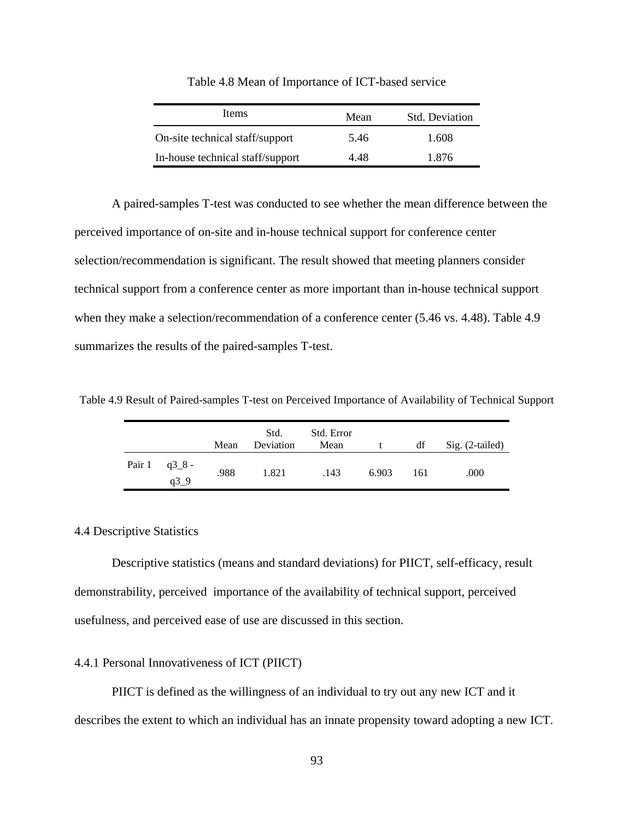| <b>Items</b>                     | Mean | <b>Std.</b> Deviation |
|----------------------------------|------|-----------------------|
| On-site technical staff/support  | 5.46 | 1.608                 |
| In-house technical staff/support | 4.48 | 1.876                 |

Table 4.8 Mean of Importance of ICT-based service

A paired-samples T-test was conducted to see whether the mean difference between the perceived importance of on-site and in-house technical support for conference center selection/recommendation is significant. The result showed that meeting planners consider technical support from a conference center as more important than in-house technical support when they make a selection/recommendation of a conference center (5.46 vs. 4.48). Table 4.9 summarizes the results of the paired-samples T-test.

Table 4.9 Result of Paired-samples T-test on Perceived Importance of Availability of Technical Support

|                                      | Mean | Std.<br>Deviation | Std. Error<br>Mean | t     | df  | $Sig. (2-tailed)$ |
|--------------------------------------|------|-------------------|--------------------|-------|-----|-------------------|
| Pair $1 \text{ q3}_{-}8$ -<br>$q3_9$ | .988 | 1.821             | .143               | 6.903 | 161 | .000              |

## 4.4 Descriptive Statistics

Descriptive statistics (means and standard deviations) for PIICT, self-efficacy, result demonstrability, perceived importance of the availability of technical support, perceived usefulness, and perceived ease of use are discussed in this section.

## 4.4.1 Personal Innovativeness of ICT (PIICT)

PIICT is defined as the willingness of an individual to try out any new ICT and it describes the extent to which an individual has an innate propensity toward adopting a new ICT.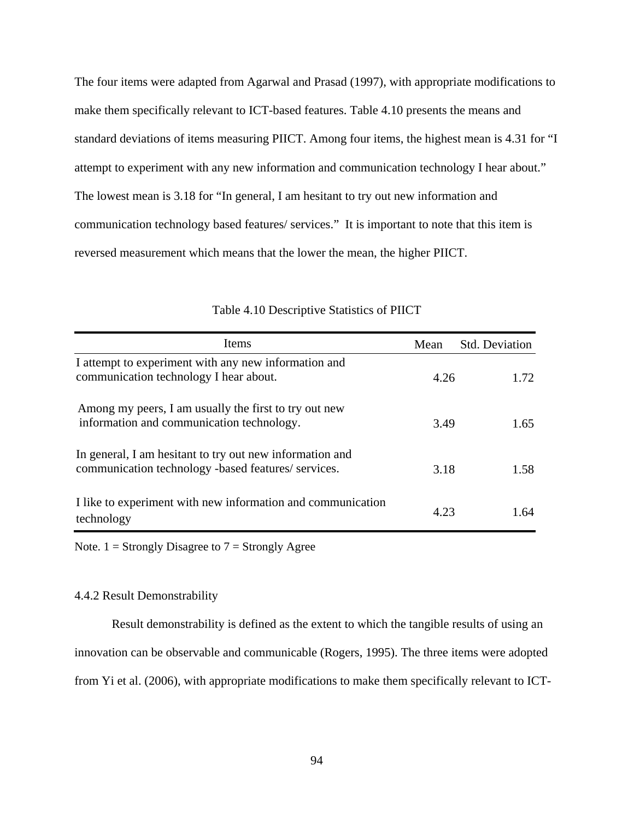The four items were adapted from Agarwal and Prasad (1997), with appropriate modifications to make them specifically relevant to ICT-based features. Table 4.10 presents the means and standard deviations of items measuring PIICT. Among four items, the highest mean is 4.31 for "I attempt to experiment with any new information and communication technology I hear about." The lowest mean is 3.18 for "In general, I am hesitant to try out new information and communication technology based features/ services." It is important to note that this item is reversed measurement which means that the lower the mean, the higher PIICT.

| Items                                                                                                           | Mean | Std. Deviation |
|-----------------------------------------------------------------------------------------------------------------|------|----------------|
| I attempt to experiment with any new information and<br>communication technology I hear about.                  | 4.26 | 1.72.          |
| Among my peers, I am usually the first to try out new<br>information and communication technology.              | 3.49 | 1.65           |
| In general, I am hesitant to try out new information and<br>communication technology -based features/ services. | 3.18 | 1.58           |
| I like to experiment with new information and communication<br>technology                                       | 4.23 | 1.64           |

# Table 4.10 Descriptive Statistics of PIICT

Note.  $1 =$  Strongly Disagree to  $7 =$  Strongly Agree

# 4.4.2 Result Demonstrability

Result demonstrability is defined as the extent to which the tangible results of using an innovation can be observable and communicable (Rogers, 1995). The three items were adopted from Yi et al. (2006), with appropriate modifications to make them specifically relevant to ICT-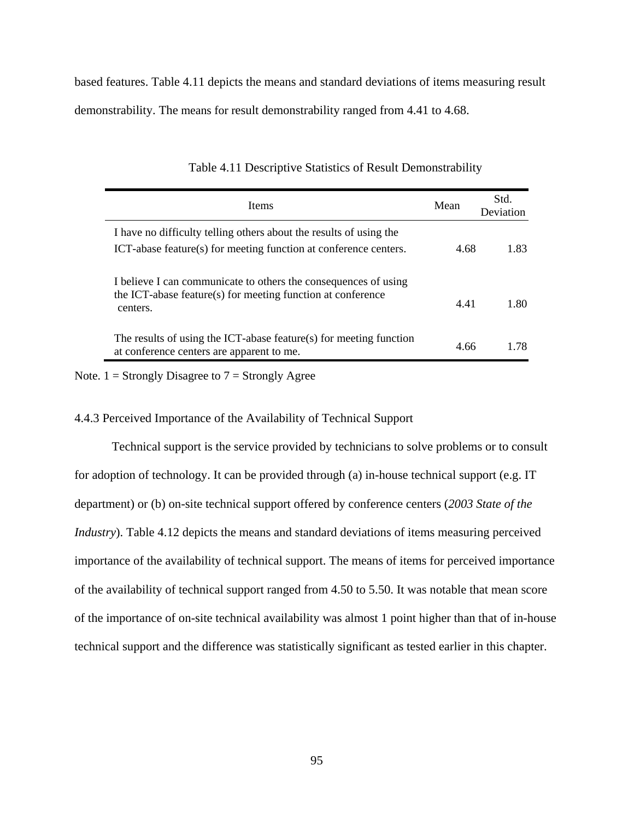based features. Table 4.11 depicts the means and standard deviations of items measuring result demonstrability. The means for result demonstrability ranged from 4.41 to 4.68.

| <b>Items</b>                                                                                                                               | Mean | Std.<br>Deviation |
|--------------------------------------------------------------------------------------------------------------------------------------------|------|-------------------|
| I have no difficulty telling others about the results of using the<br>ICT-abase feature(s) for meeting function at conference centers.     | 4.68 | 1.83              |
| I believe I can communicate to others the consequences of using<br>the ICT-abase feature(s) for meeting function at conference<br>centers. | 4.41 | 1.80              |
| The results of using the ICT-abase feature(s) for meeting function<br>at conference centers are apparent to me.                            | 4.66 | 178               |

Table 4.11 Descriptive Statistics of Result Demonstrability

Note.  $1 =$  Strongly Disagree to  $7 =$  Strongly Agree

# 4.4.3 Perceived Importance of the Availability of Technical Support

Technical support is the service provided by technicians to solve problems or to consult for adoption of technology. It can be provided through (a) in-house technical support (e.g. IT department) or (b) on-site technical support offered by conference centers (*2003 State of the Industry*). Table 4.12 depicts the means and standard deviations of items measuring perceived importance of the availability of technical support. The means of items for perceived importance of the availability of technical support ranged from 4.50 to 5.50. It was notable that mean score of the importance of on-site technical availability was almost 1 point higher than that of in-house technical support and the difference was statistically significant as tested earlier in this chapter.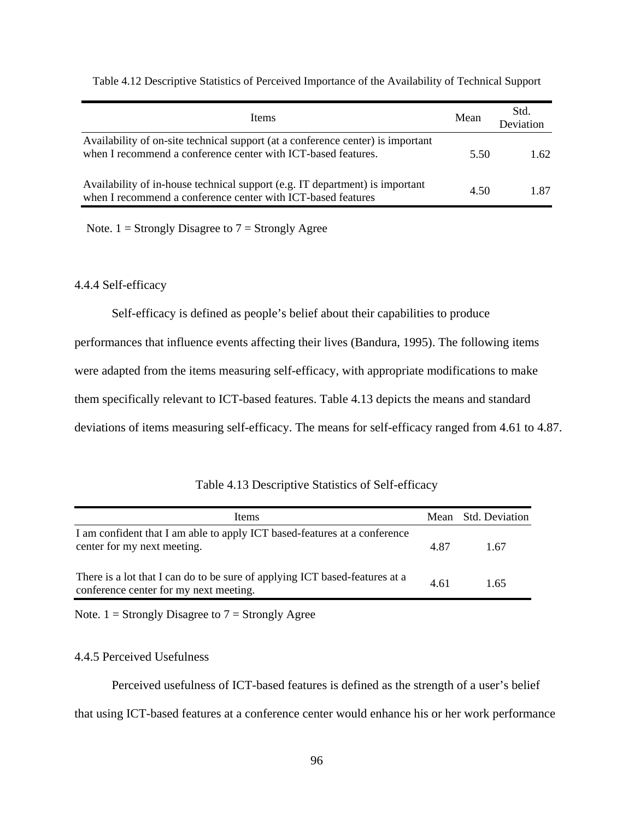| Items                                                                                                                                            | Mean | Std.<br>Deviation |
|--------------------------------------------------------------------------------------------------------------------------------------------------|------|-------------------|
| Availability of on-site technical support (at a conference center) is important<br>when I recommend a conference center with ICT-based features. | 5.50 | 1.62              |
| Availability of in-house technical support (e.g. IT department) is important<br>when I recommend a conference center with ICT-based features     | 4.50 | 187               |

Table 4.12 Descriptive Statistics of Perceived Importance of the Availability of Technical Support

Note.  $1 =$  Strongly Disagree to  $7 =$  Strongly Agree

# 4.4.4 Self-efficacy

Self-efficacy is defined as people's belief about their capabilities to produce performances that influence events affecting their lives (Bandura, 1995). The following items

were adapted from the items measuring self-efficacy, with appropriate modifications to make

them specifically relevant to ICT-based features. Table 4.13 depicts the means and standard

deviations of items measuring self-efficacy. The means for self-efficacy ranged from 4.61 to 4.87.

| Items                                                                                                                 |      | Mean Std. Deviation |
|-----------------------------------------------------------------------------------------------------------------------|------|---------------------|
| I am confident that I am able to apply ICT based-features at a conference<br>center for my next meeting.              | 4.87 | 1.67                |
| There is a lot that I can do to be sure of applying ICT based-features at a<br>conference center for my next meeting. | 4.61 | 1 65                |

Note.  $1 =$  Strongly Disagree to  $7 =$  Strongly Agree

# 4.4.5 Perceived Usefulness

 Perceived usefulness of ICT-based features is defined as the strength of a user's belief that using ICT-based features at a conference center would enhance his or her work performance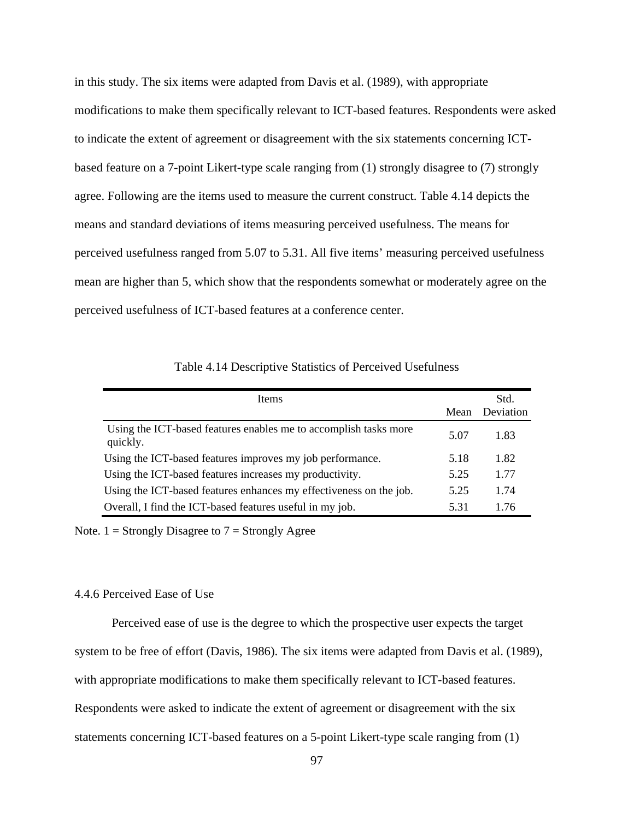in this study. The six items were adapted from Davis et al. (1989), with appropriate modifications to make them specifically relevant to ICT-based features. Respondents were asked to indicate the extent of agreement or disagreement with the six statements concerning ICTbased feature on a 7-point Likert-type scale ranging from (1) strongly disagree to (7) strongly agree. Following are the items used to measure the current construct. Table 4.14 depicts the means and standard deviations of items measuring perceived usefulness. The means for perceived usefulness ranged from 5.07 to 5.31. All five items' measuring perceived usefulness mean are higher than 5, which show that the respondents somewhat or moderately agree on the perceived usefulness of ICT-based features at a conference center.

Table 4.14 Descriptive Statistics of Perceived Usefulness

| Items                                                                        | Mean | Std.<br>Deviation |
|------------------------------------------------------------------------------|------|-------------------|
| Using the ICT-based features enables me to accomplish tasks more<br>quickly. | 5.07 | 1.83              |
| Using the ICT-based features improves my job performance.                    | 5.18 | 1.82              |
| Using the ICT-based features increases my productivity.                      | 5.25 | 1.77              |
| Using the ICT-based features enhances my effectiveness on the job.           | 5.25 | 1.74              |
| Overall, I find the ICT-based features useful in my job.                     | 5.31 | 1.76              |

Note.  $1 =$  Strongly Disagree to  $7 =$  Strongly Agree

## 4.4.6 Perceived Ease of Use

 Perceived ease of use is the degree to which the prospective user expects the target system to be free of effort (Davis, 1986). The six items were adapted from Davis et al. (1989), with appropriate modifications to make them specifically relevant to ICT-based features. Respondents were asked to indicate the extent of agreement or disagreement with the six statements concerning ICT-based features on a 5-point Likert-type scale ranging from (1)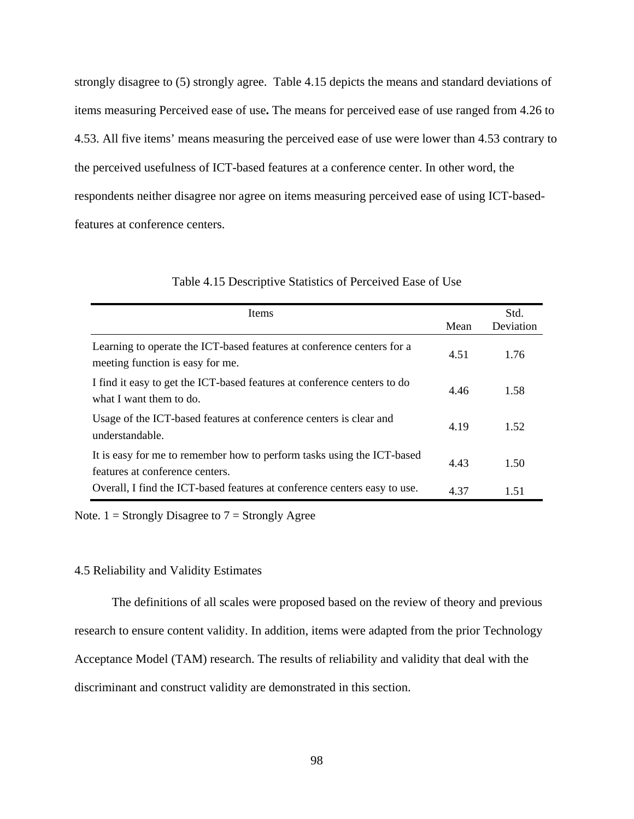strongly disagree to (5) strongly agree. Table 4.15 depicts the means and standard deviations of items measuring Perceived ease of use**.** The means for perceived ease of use ranged from 4.26 to 4.53. All five items' means measuring the perceived ease of use were lower than 4.53 contrary to the perceived usefulness of ICT-based features at a conference center. In other word, the respondents neither disagree nor agree on items measuring perceived ease of using ICT-basedfeatures at conference centers.

| <b>Items</b>                                                                                               |      | Std.      |
|------------------------------------------------------------------------------------------------------------|------|-----------|
|                                                                                                            | Mean | Deviation |
| Learning to operate the ICT-based features at conference centers for a<br>meeting function is easy for me. | 4.51 | 1.76      |
| I find it easy to get the ICT-based features at conference centers to do<br>what I want them to do.        | 4.46 | 1.58      |
| Usage of the ICT-based features at conference centers is clear and<br>understandable.                      | 4.19 | 1.52      |
| It is easy for me to remember how to perform tasks using the ICT-based<br>features at conference centers.  | 4.43 | 1.50      |
| Overall, I find the ICT-based features at conference centers easy to use.                                  | 4.37 | 151       |

### Table 4.15 Descriptive Statistics of Perceived Ease of Use

Note.  $1 =$  Strongly Disagree to  $7 =$  Strongly Agree

### 4.5 Reliability and Validity Estimates

The definitions of all scales were proposed based on the review of theory and previous research to ensure content validity. In addition, items were adapted from the prior Technology Acceptance Model (TAM) research. The results of reliability and validity that deal with the discriminant and construct validity are demonstrated in this section.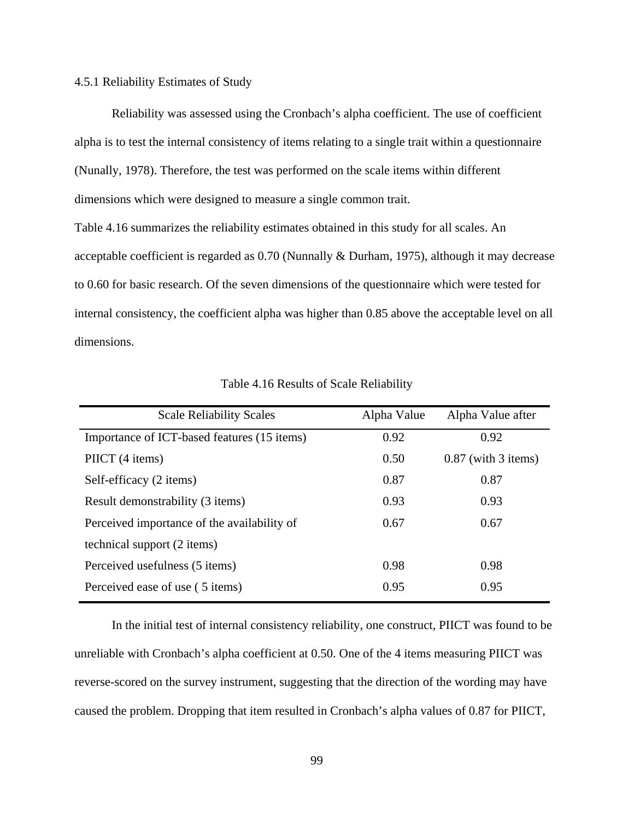### 4.5.1 Reliability Estimates of Study

Reliability was assessed using the Cronbach's alpha coefficient. The use of coefficient alpha is to test the internal consistency of items relating to a single trait within a questionnaire (Nunally, 1978). Therefore, the test was performed on the scale items within different dimensions which were designed to measure a single common trait.

Table 4.16 summarizes the reliability estimates obtained in this study for all scales. An acceptable coefficient is regarded as 0.70 (Nunnally & Durham, 1975), although it may decrease to 0.60 for basic research. Of the seven dimensions of the questionnaire which were tested for internal consistency, the coefficient alpha was higher than 0.85 above the acceptable level on all dimensions.

| <b>Scale Reliability Scales</b>             | Alpha Value | Alpha Value after     |
|---------------------------------------------|-------------|-----------------------|
| Importance of ICT-based features (15 items) | 0.92        | 0.92                  |
| PIICT (4 items)                             | 0.50        | $0.87$ (with 3 items) |
| Self-efficacy (2 items)                     | 0.87        | 0.87                  |
| Result demonstrability (3 items)            | 0.93        | 0.93                  |
| Perceived importance of the availability of | 0.67        | 0.67                  |
| technical support (2 items)                 |             |                       |
| Perceived usefulness (5 items)              | 0.98        | 0.98                  |
| Perceived ease of use (5 items)             | 0.95        | 0.95                  |

Table 4.16 Results of Scale Reliability

In the initial test of internal consistency reliability, one construct, PIICT was found to be unreliable with Cronbach's alpha coefficient at 0.50. One of the 4 items measuring PIICT was reverse-scored on the survey instrument, suggesting that the direction of the wording may have caused the problem. Dropping that item resulted in Cronbach's alpha values of 0.87 for PIICT,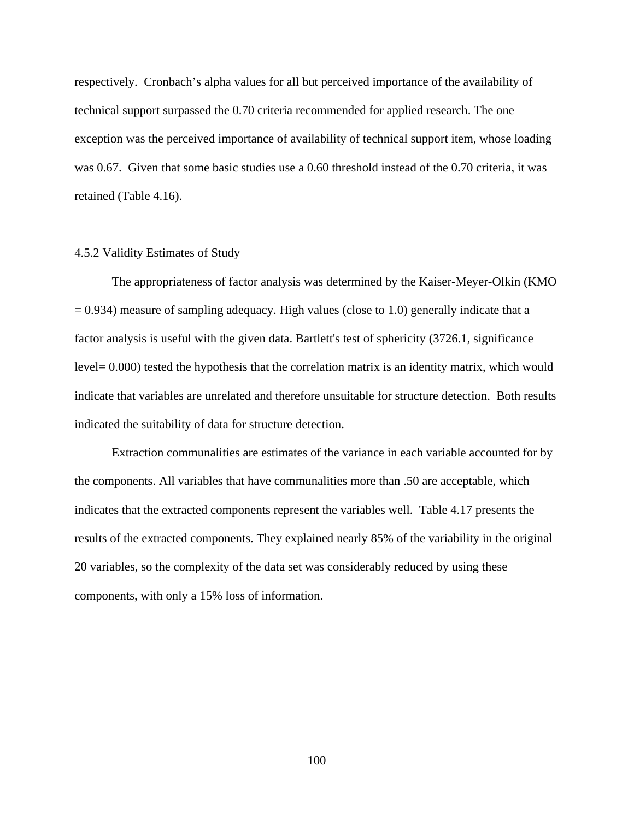respectively. Cronbach's alpha values for all but perceived importance of the availability of technical support surpassed the 0.70 criteria recommended for applied research. The one exception was the perceived importance of availability of technical support item, whose loading was 0.67. Given that some basic studies use a 0.60 threshold instead of the 0.70 criteria, it was retained (Table 4.16).

### 4.5.2 Validity Estimates of Study

The appropriateness of factor analysis was determined by the Kaiser-Meyer-Olkin (KMO  $= 0.934$ ) measure of sampling adequacy. High values (close to 1.0) generally indicate that a factor analysis is useful with the given data. Bartlett's test of sphericity (3726.1, significance level= 0.000) tested the hypothesis that the correlation matrix is an identity matrix, which would indicate that variables are unrelated and therefore unsuitable for structure detection. Both results indicated the suitability of data for structure detection.

Extraction communalities are estimates of the variance in each variable accounted for by the components. All variables that have communalities more than .50 are acceptable, which indicates that the extracted components represent the variables well. Table 4.17 presents the results of the extracted components. They explained nearly 85% of the variability in the original 20 variables, so the complexity of the data set was considerably reduced by using these components, with only a 15% loss of information.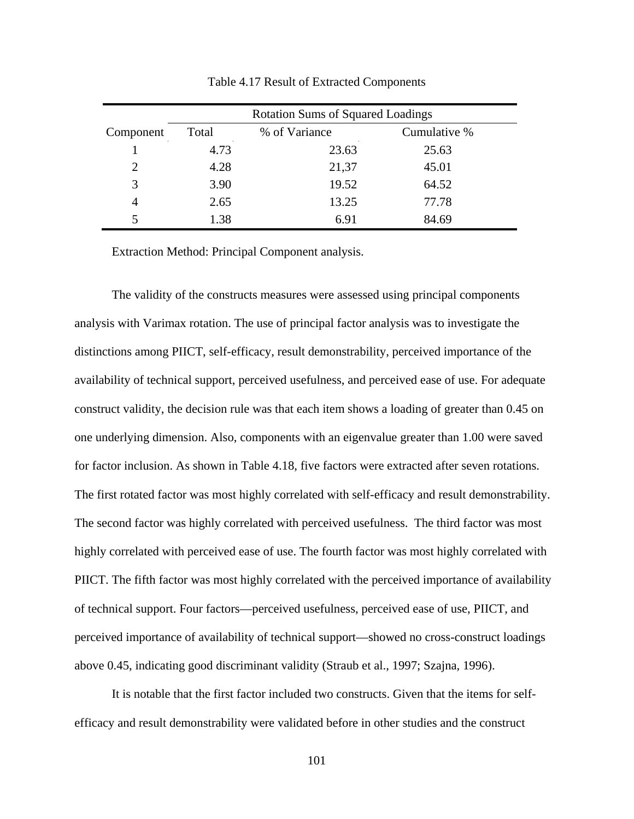|           | <b>Rotation Sums of Squared Loadings</b> |               |              |  |  |  |  |  |  |  |  |
|-----------|------------------------------------------|---------------|--------------|--|--|--|--|--|--|--|--|
| Component | Total                                    | % of Variance | Cumulative % |  |  |  |  |  |  |  |  |
|           | 4.73                                     | 23.63         | 25.63        |  |  |  |  |  |  |  |  |
| 2         | 4.28                                     | 21,37         | 45.01        |  |  |  |  |  |  |  |  |
| 3         | 3.90                                     | 19.52         | 64.52        |  |  |  |  |  |  |  |  |
|           | 2.65                                     | 13.25         | 77.78        |  |  |  |  |  |  |  |  |
|           | 1.38                                     | 6.91          | 84.69        |  |  |  |  |  |  |  |  |

Table 4.17 Result of Extracted Components

Extraction Method: Principal Component analysis.

The validity of the constructs measures were assessed using principal components analysis with Varimax rotation. The use of principal factor analysis was to investigate the distinctions among PIICT, self-efficacy, result demonstrability, perceived importance of the availability of technical support, perceived usefulness, and perceived ease of use. For adequate construct validity, the decision rule was that each item shows a loading of greater than 0.45 on one underlying dimension. Also, components with an eigenvalue greater than 1.00 were saved for factor inclusion. As shown in Table 4.18, five factors were extracted after seven rotations. The first rotated factor was most highly correlated with self-efficacy and result demonstrability. The second factor was highly correlated with perceived usefulness. The third factor was most highly correlated with perceived ease of use. The fourth factor was most highly correlated with PIICT. The fifth factor was most highly correlated with the perceived importance of availability of technical support. Four factors—perceived usefulness, perceived ease of use, PIICT, and perceived importance of availability of technical support—showed no cross-construct loadings above 0.45, indicating good discriminant validity (Straub et al., 1997; Szajna, 1996).

It is notable that the first factor included two constructs. Given that the items for selfefficacy and result demonstrability were validated before in other studies and the construct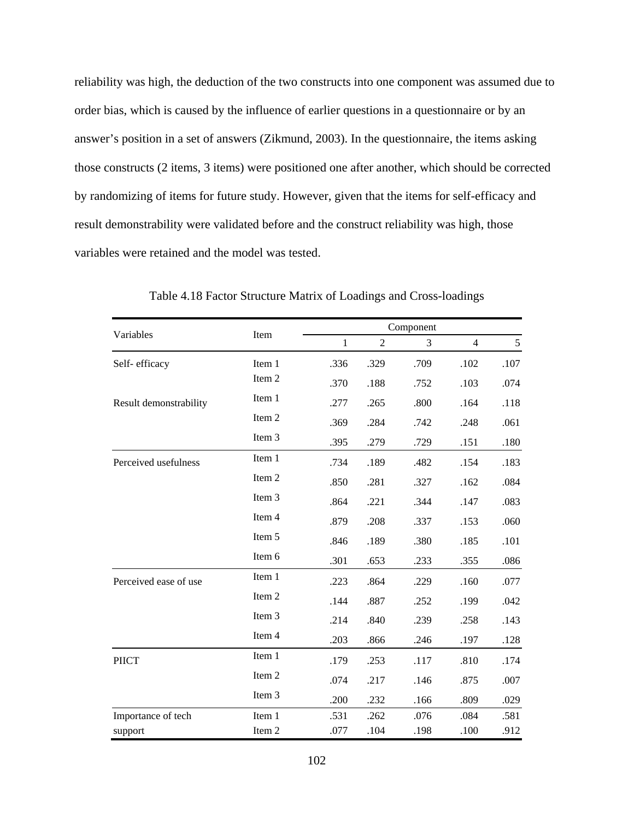reliability was high, the deduction of the two constructs into one component was assumed due to order bias, which is caused by the influence of earlier questions in a questionnaire or by an answer's position in a set of answers (Zikmund, 2003). In the questionnaire, the items asking those constructs (2 items, 3 items) were positioned one after another, which should be corrected by randomizing of items for future study. However, given that the items for self-efficacy and result demonstrability were validated before and the construct reliability was high, those variables were retained and the model was tested.

|                        |        |              |                | Component |                |      |
|------------------------|--------|--------------|----------------|-----------|----------------|------|
| Variables              | Item   | $\mathbf{1}$ | $\overline{2}$ | 3         | $\overline{4}$ | 5    |
| Self-efficacy          | Item 1 | .336         | .329           | .709      | .102           | .107 |
|                        | Item 2 | .370         | .188           | .752      | .103           | .074 |
| Result demonstrability | Item 1 | .277         | .265           | .800      | .164           | .118 |
|                        | Item 2 | .369         | .284           | .742      | .248           | .061 |
|                        | Item 3 | .395         | .279           | .729      | .151           | .180 |
| Perceived usefulness   | Item 1 | .734         | .189           | .482      | .154           | .183 |
|                        | Item 2 | .850         | .281           | .327      | .162           | .084 |
|                        | Item 3 | .864         | .221           | .344      | .147           | .083 |
|                        | Item 4 | .879         | .208           | .337      | .153           | .060 |
|                        | Item 5 | .846         | .189           | .380      | .185           | .101 |
|                        | Item 6 | .301         | .653           | .233      | .355           | .086 |
| Perceived ease of use  | Item 1 | .223         | .864           | .229      | .160           | .077 |
|                        | Item 2 | .144         | .887           | .252      | .199           | .042 |
|                        | Item 3 | .214         | .840           | .239      | .258           | .143 |
|                        | Item 4 | .203         | .866           | .246      | .197           | .128 |
| <b>PIICT</b>           | Item 1 | .179         | .253           | .117      | .810           | .174 |
|                        | Item 2 | .074         | .217           | .146      | .875           | .007 |
|                        | Item 3 | .200         | .232           | .166      | .809           | .029 |
| Importance of tech     | Item 1 | .531         | .262           | .076      | .084           | .581 |
| support                | Item 2 | .077         | .104           | .198      | .100           | .912 |

Table 4.18 Factor Structure Matrix of Loadings and Cross-loadings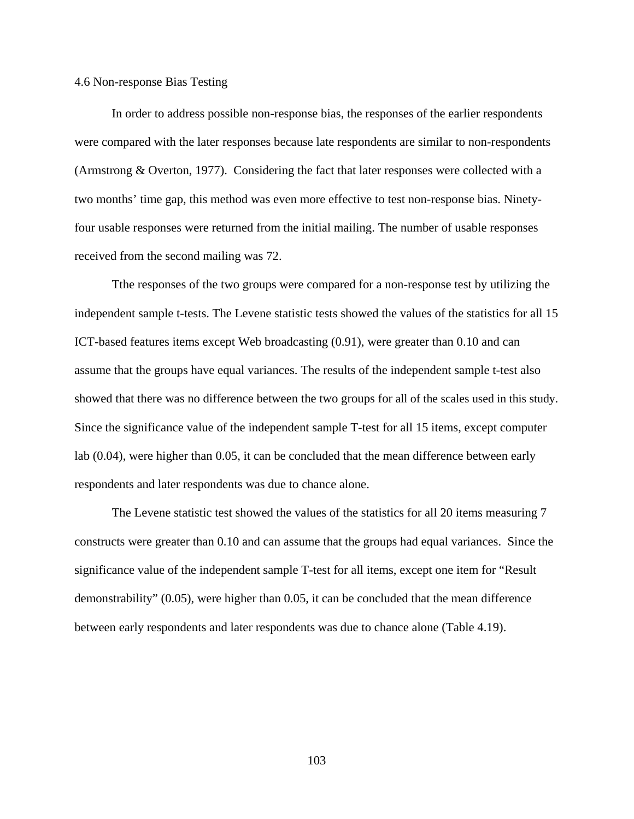#### 4.6 Non-response Bias Testing

In order to address possible non-response bias, the responses of the earlier respondents were compared with the later responses because late respondents are similar to non-respondents (Armstrong & Overton, 1977). Considering the fact that later responses were collected with a two months' time gap, this method was even more effective to test non-response bias. Ninetyfour usable responses were returned from the initial mailing. The number of usable responses received from the second mailing was 72.

Tthe responses of the two groups were compared for a non-response test by utilizing the independent sample t-tests. The Levene statistic tests showed the values of the statistics for all 15 ICT-based features items except Web broadcasting (0.91), were greater than 0.10 and can assume that the groups have equal variances. The results of the independent sample t-test also showed that there was no difference between the two groups for all of the scales used in this study. Since the significance value of the independent sample T-test for all 15 items, except computer lab (0.04), were higher than 0.05, it can be concluded that the mean difference between early respondents and later respondents was due to chance alone.

The Levene statistic test showed the values of the statistics for all 20 items measuring 7 constructs were greater than 0.10 and can assume that the groups had equal variances. Since the significance value of the independent sample T-test for all items, except one item for "Result demonstrability" (0.05), were higher than 0.05, it can be concluded that the mean difference between early respondents and later respondents was due to chance alone (Table 4.19).

103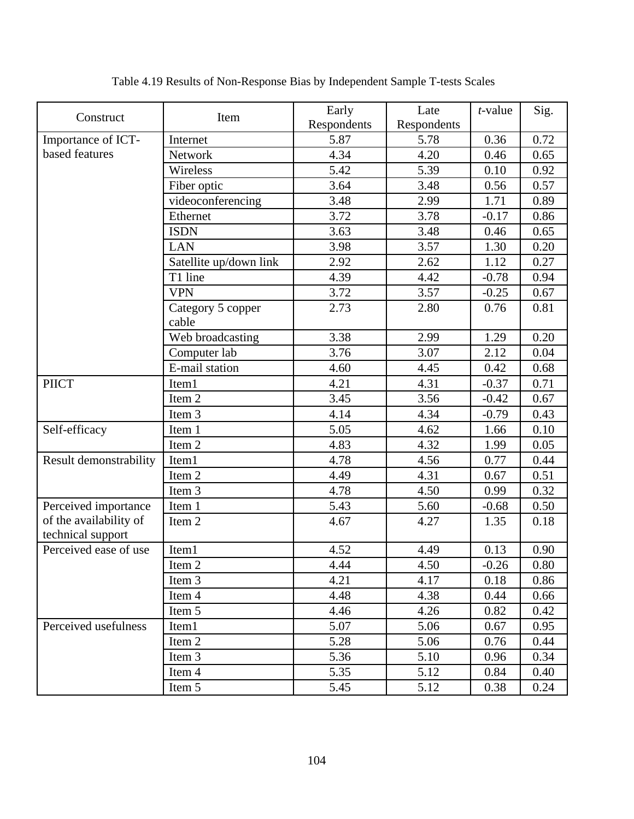| Construct              | Item                       | Early       | Late        | $t$ -value | Sig.     |
|------------------------|----------------------------|-------------|-------------|------------|----------|
|                        |                            | Respondents | Respondents |            |          |
| Importance of ICT-     | Internet                   | 5.87        | 5.78        | 0.36       | 0.72     |
| based features         | <b>Network</b>             | 4.34        | 4.20        | 0.46       | 0.65     |
|                        | Wireless                   | 5.42        | 5.39        | 0.10       | 0.92     |
|                        | Fiber optic                | 3.64        | 3.48        | 0.56       | 0.57     |
|                        | videoconferencing          | 3.48        | 2.99        | 1.71       | 0.89     |
|                        | Ethernet                   | 3.72        | 3.78        | $-0.17$    | 0.86     |
|                        | <b>ISDN</b>                | 3.63        | 3.48        | 0.46       | 0.65     |
|                        | <b>LAN</b>                 | 3.98        | 3.57        | 1.30       | 0.20     |
|                        | Satellite up/down link     | 2.92        | 2.62        | 1.12       | 0.27     |
|                        | T1 line                    | 4.39        | 4.42        | $-0.78$    | 0.94     |
|                        | <b>VPN</b>                 | 3.72        | 3.57        | $-0.25$    | 0.67     |
|                        | Category 5 copper<br>cable | 2.73        | 2.80        | 0.76       | 0.81     |
|                        | Web broadcasting           | 3.38        | 2.99        | 1.29       | 0.20     |
|                        | Computer lab               | 3.76        | 3.07        | 2.12       | 0.04     |
|                        | E-mail station             | 4.60        | 4.45        | 0.42       | 0.68     |
| <b>PIICT</b>           | Item1                      | 4.21        | 4.31        | $-0.37$    | 0.71     |
|                        | Item 2                     | 3.45        | 3.56        | $-0.42$    | 0.67     |
|                        | Item 3                     | 4.14        | 4.34        | $-0.79$    | 0.43     |
| Self-efficacy          | Item 1                     | 5.05        | 4.62        | 1.66       | 0.10     |
|                        | Item 2                     | 4.83        | 4.32        | 1.99       | 0.05     |
| Result demonstrability | Item1                      | 4.78        | 4.56        | 0.77       | 0.44     |
|                        | Item 2                     | 4.49        | 4.31        | 0.67       | 0.51     |
|                        | Item 3                     | 4.78        | 4.50        | 0.99       | 0.32     |
| Perceived importance   | Item 1                     | 5.43        | 5.60        | $-0.68$    | 0.50     |
| of the availability of | Item 2                     | 4.67        | 4.27        | 1.35       | 0.18     |
| technical support      |                            |             |             |            |          |
| Perceived ease of use  | Item1                      | 4.52        | 4.49        | 0.13       | 0.90     |
|                        | Item 2                     | 4.44        | 4.50        | $-0.26$    | $0.80\,$ |
|                        | Item 3                     | 4.21        | 4.17        | 0.18       | 0.86     |
|                        | Item 4                     | 4.48        | 4.38        | 0.44       | 0.66     |
|                        | Item 5                     | 4.46        | 4.26        | 0.82       | 0.42     |
| Perceived usefulness   | Item1                      | 5.07        | 5.06        | 0.67       | 0.95     |
|                        | Item 2                     | 5.28        | 5.06        | 0.76       | 0.44     |
|                        | Item 3                     | 5.36        | 5.10        | 0.96       | 0.34     |
|                        | Item 4                     | 5.35        | 5.12        | 0.84       | 0.40     |
|                        | Item 5                     | 5.45        | 5.12        | 0.38       | 0.24     |

Table 4.19 Results of Non-Response Bias by Independent Sample T-tests Scales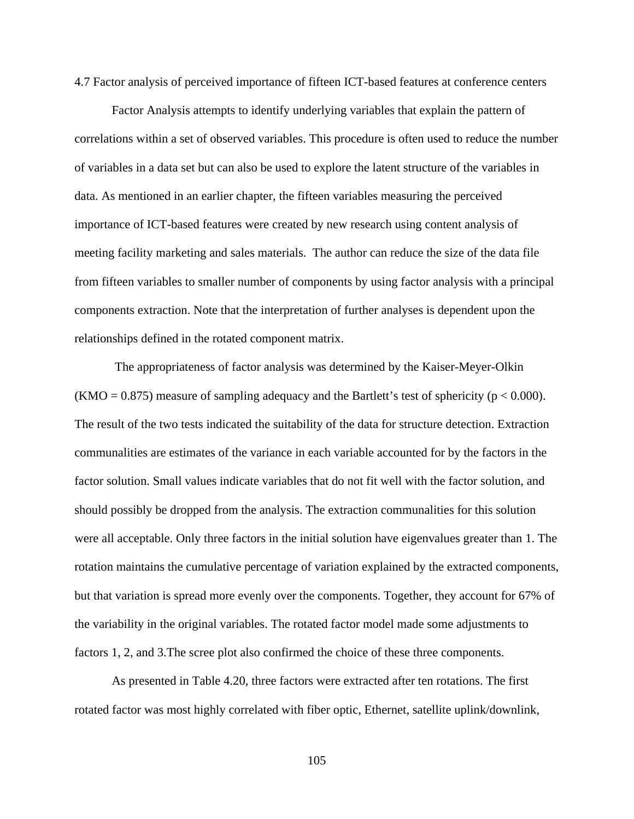4.7 Factor analysis of perceived importance of fifteen ICT-based features at conference centers

 Factor Analysis attempts to identify underlying variables that explain the pattern of correlations within a set of observed variables. This procedure is often used to reduce the number of variables in a data set but can also be used to explore the latent structure of the variables in data. As mentioned in an earlier chapter, the fifteen variables measuring the perceived importance of ICT-based features were created by new research using content analysis of meeting facility marketing and sales materials. The author can reduce the size of the data file from fifteen variables to smaller number of components by using factor analysis with a principal components extraction. Note that the interpretation of further analyses is dependent upon the relationships defined in the rotated component matrix.

 The appropriateness of factor analysis was determined by the Kaiser-Meyer-Olkin  $(KMO = 0.875)$  measure of sampling adequacy and the Bartlett's test of sphericity ( $p < 0.000$ ). The result of the two tests indicated the suitability of the data for structure detection. Extraction communalities are estimates of the variance in each variable accounted for by the factors in the factor solution. Small values indicate variables that do not fit well with the factor solution, and should possibly be dropped from the analysis. The extraction communalities for this solution were all acceptable. Only three factors in the initial solution have eigenvalues greater than 1. The rotation maintains the cumulative percentage of variation explained by the extracted components, but that variation is spread more evenly over the components. Together, they account for 67% of the variability in the original variables. The rotated factor model made some adjustments to factors 1, 2, and 3.The scree plot also confirmed the choice of these three components.

As presented in Table 4.20, three factors were extracted after ten rotations. The first rotated factor was most highly correlated with fiber optic, Ethernet, satellite uplink/downlink,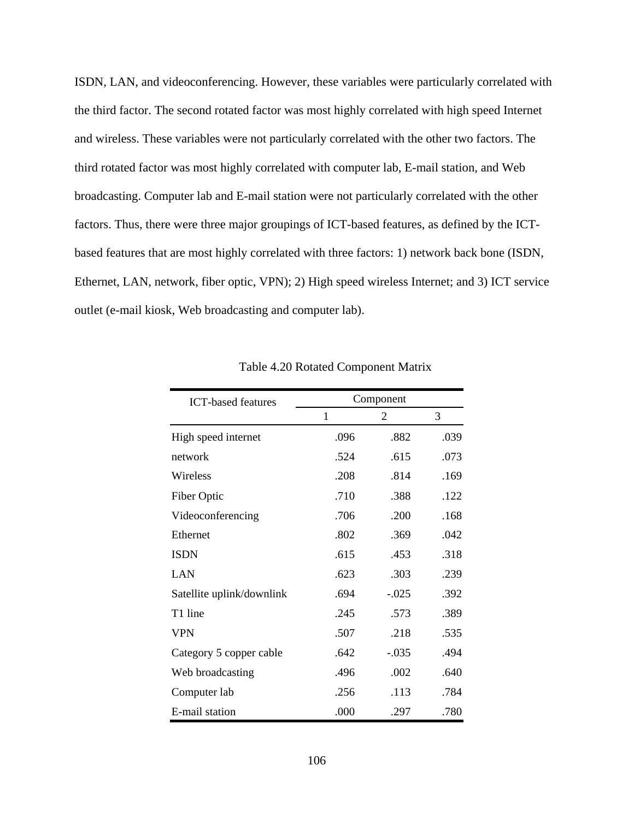ISDN, LAN, and videoconferencing. However, these variables were particularly correlated with the third factor. The second rotated factor was most highly correlated with high speed Internet and wireless. These variables were not particularly correlated with the other two factors. The third rotated factor was most highly correlated with computer lab, E-mail station, and Web broadcasting. Computer lab and E-mail station were not particularly correlated with the other factors. Thus, there were three major groupings of ICT-based features, as defined by the ICTbased features that are most highly correlated with three factors: 1) network back bone (ISDN, Ethernet, LAN, network, fiber optic, VPN); 2) High speed wireless Internet; and 3) ICT service outlet (e-mail kiosk, Web broadcasting and computer lab).

| <b>ICT-based features</b> |      | Component |      |
|---------------------------|------|-----------|------|
|                           | 1    | 2         | 3    |
| High speed internet       | .096 | .882      | .039 |
| network                   | .524 | .615      | .073 |
| Wireless                  | .208 | .814      | .169 |
| Fiber Optic               | .710 | .388      | .122 |
| Videoconferencing         | .706 | .200      | .168 |
| Ethernet                  | .802 | .369      | .042 |
| <b>ISDN</b>               | .615 | .453      | .318 |
| LAN                       | .623 | .303      | .239 |
| Satellite uplink/downlink | .694 | $-.025$   | .392 |
| T1 line                   | .245 | .573      | .389 |
| <b>VPN</b>                | .507 | .218      | .535 |
| Category 5 copper cable   | .642 | $-.035$   | .494 |
| Web broadcasting          | .496 | .002      | .640 |
| Computer lab              | .256 | .113      | .784 |
| E-mail station            | .000 | .297      | .780 |

Table 4.20 Rotated Component Matrix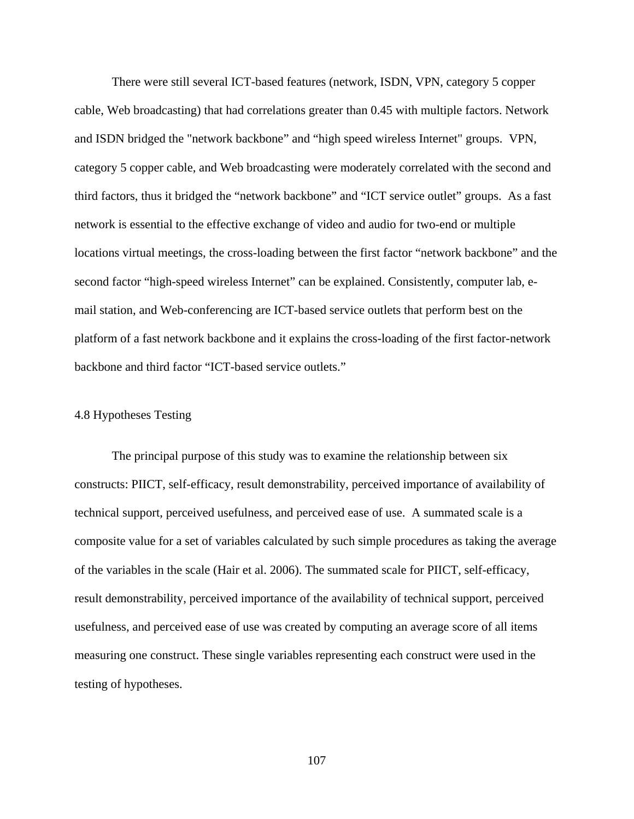There were still several ICT-based features (network, ISDN, VPN, category 5 copper cable, Web broadcasting) that had correlations greater than 0.45 with multiple factors. Network and ISDN bridged the "network backbone" and "high speed wireless Internet" groups. VPN, category 5 copper cable, and Web broadcasting were moderately correlated with the second and third factors, thus it bridged the "network backbone" and "ICT service outlet" groups. As a fast network is essential to the effective exchange of video and audio for two-end or multiple locations virtual meetings, the cross-loading between the first factor "network backbone" and the second factor "high-speed wireless Internet" can be explained. Consistently, computer lab, email station, and Web-conferencing are ICT-based service outlets that perform best on the platform of a fast network backbone and it explains the cross-loading of the first factor-network backbone and third factor "ICT-based service outlets."

## 4.8 Hypotheses Testing

The principal purpose of this study was to examine the relationship between six constructs: PIICT, self-efficacy, result demonstrability, perceived importance of availability of technical support, perceived usefulness, and perceived ease of use. A summated scale is a composite value for a set of variables calculated by such simple procedures as taking the average of the variables in the scale (Hair et al. 2006). The summated scale for PIICT, self-efficacy, result demonstrability, perceived importance of the availability of technical support, perceived usefulness, and perceived ease of use was created by computing an average score of all items measuring one construct. These single variables representing each construct were used in the testing of hypotheses.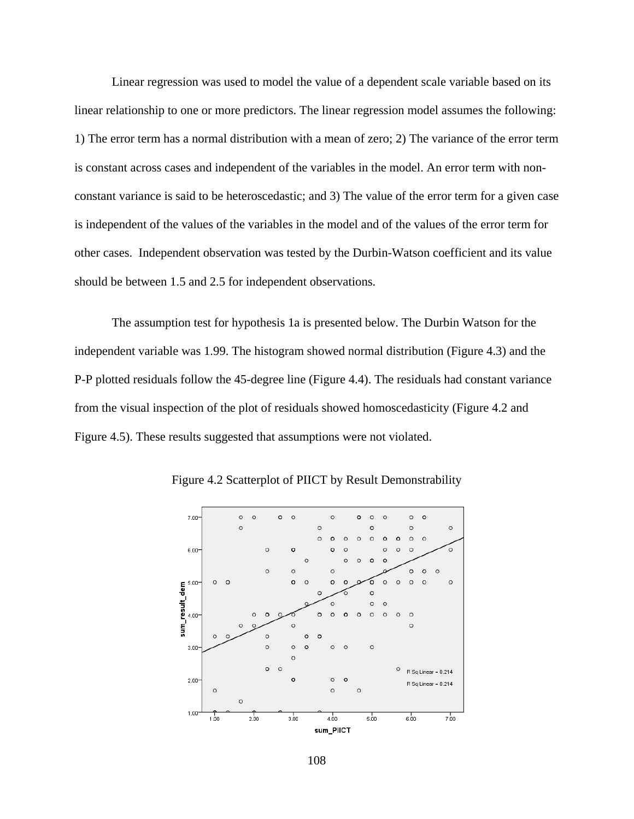Linear regression was used to model the value of a dependent scale variable based on its linear relationship to one or more predictors. The linear regression model assumes the following: 1) The error term has a normal distribution with a mean of zero; 2) The variance of the error term is constant across cases and independent of the variables in the model. An error term with nonconstant variance is said to be heteroscedastic; and 3) The value of the error term for a given case is independent of the values of the variables in the model and of the values of the error term for other cases. Independent observation was tested by the Durbin-Watson coefficient and its value should be between 1.5 and 2.5 for independent observations.

The assumption test for hypothesis 1a is presented below. The Durbin Watson for the independent variable was 1.99. The histogram showed normal distribution (Figure 4.3) and the P-P plotted residuals follow the 45-degree line (Figure 4.4). The residuals had constant variance from the visual inspection of the plot of residuals showed homoscedasticity (Figure 4.2 and Figure 4.5). These results suggested that assumptions were not violated.



Figure 4.2 Scatterplot of PIICT by Result Demonstrability

108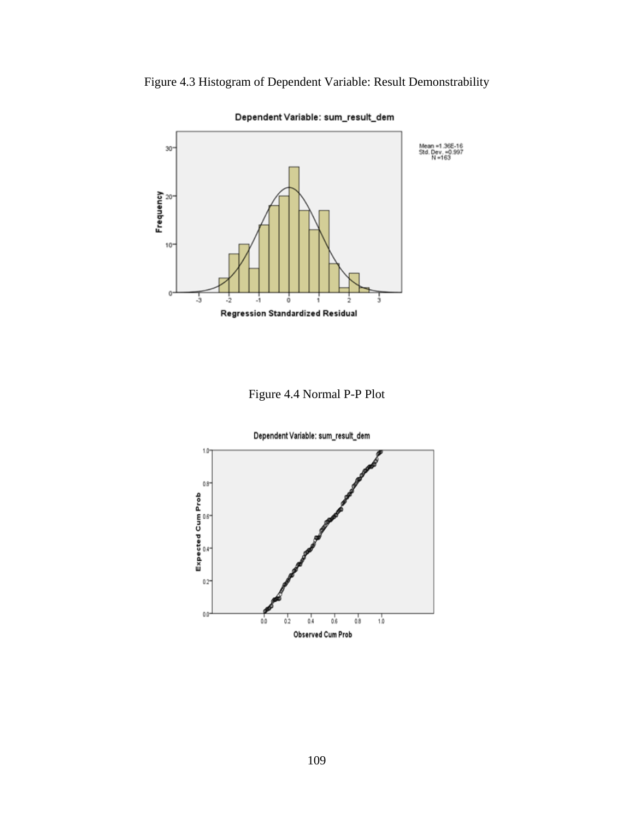



Dependent Variable: sum\_result\_dem

Figure 4.4 Normal P-P Plot

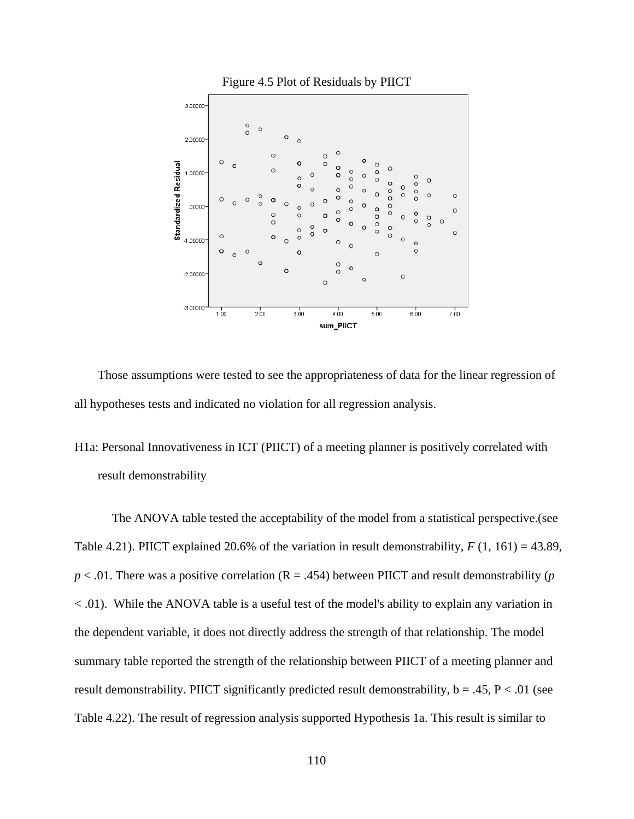

Those assumptions were tested to see the appropriateness of data for the linear regression of all hypotheses tests and indicated no violation for all regression analysis.

# H1a: Personal Innovativeness in ICT (PIICT) of a meeting planner is positively correlated with result demonstrability

The ANOVA table tested the acceptability of the model from a statistical perspective.(see Table 4.21). PIICT explained 20.6% of the variation in result demonstrability, *F* (1, 161) = 43.89,  $p < .01$ . There was a positive correlation (R = .454) between PIICT and result demonstrability (*p* < .01). While the ANOVA table is a useful test of the model's ability to explain any variation in the dependent variable, it does not directly address the strength of that relationship. The model summary table reported the strength of the relationship between PIICT of a meeting planner and result demonstrability. PIICT significantly predicted result demonstrability,  $b = .45$ ,  $P < .01$  (see Table 4.22). The result of regression analysis supported Hypothesis 1a. This result is similar to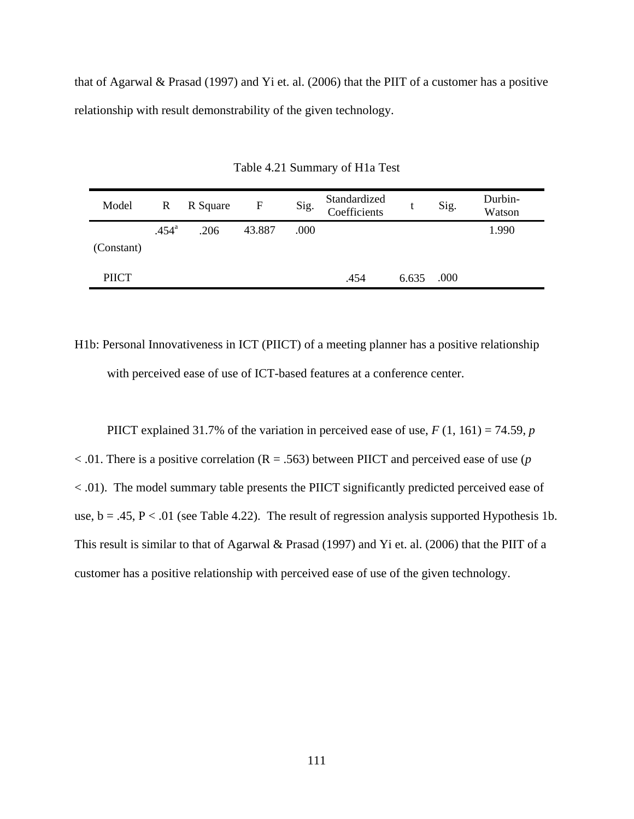that of Agarwal & Prasad (1997) and Yi et. al. (2006) that the PIIT of a customer has a positive relationship with result demonstrability of the given technology.

| Model        | R              | R Square | $\mathbf F$ | Sig. | Standardized<br>Coefficients | t     | Sig. | Durbin-<br>Watson |
|--------------|----------------|----------|-------------|------|------------------------------|-------|------|-------------------|
|              | $.454^{\circ}$ | .206     | 43.887      | .000 |                              |       |      | 1.990             |
| (Constant)   |                |          |             |      |                              |       |      |                   |
| <b>PIICT</b> |                |          |             |      | .454                         | 6.635 | .000 |                   |

Table 4.21 Summary of H1a Test

H1b: Personal Innovativeness in ICT (PIICT) of a meeting planner has a positive relationship with perceived ease of use of ICT-based features at a conference center.

PIICT explained 31.7% of the variation in perceived ease of use,  $F(1, 161) = 74.59$ , *p* < .01. There is a positive correlation (R = .563) between PIICT and perceived ease of use (*p* < .01). The model summary table presents the PIICT significantly predicted perceived ease of use,  $b = .45$ ,  $P < .01$  (see Table 4.22). The result of regression analysis supported Hypothesis 1b. This result is similar to that of Agarwal & Prasad (1997) and Yi et. al. (2006) that the PIIT of a customer has a positive relationship with perceived ease of use of the given technology.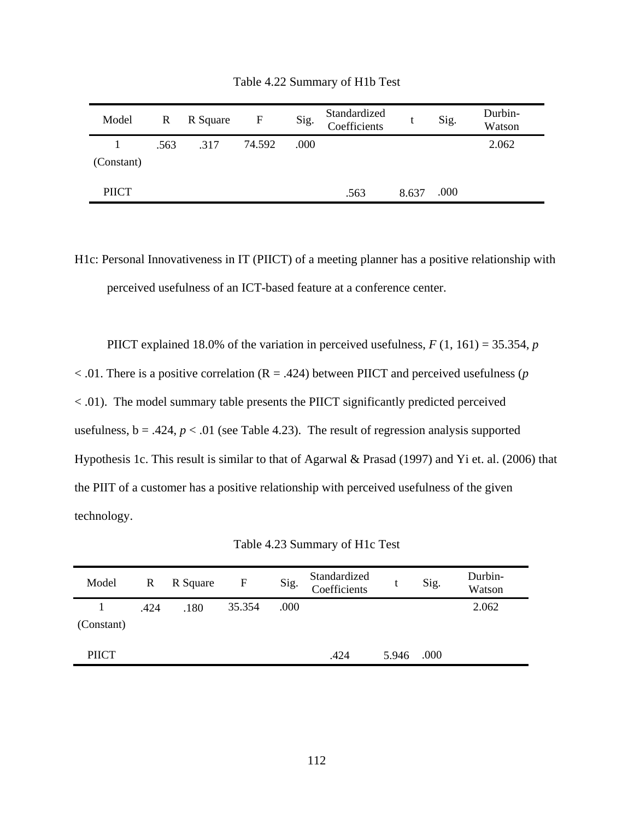| Model        | $\mathbb{R}$ | R Square | $\mathbf{F}$ | Sig. | Standardized<br>Coefficients |       | Sig. | Durbin-<br>Watson |
|--------------|--------------|----------|--------------|------|------------------------------|-------|------|-------------------|
| (Constant)   | .563         | .317     | 74.592       | .000 |                              |       |      | 2.062             |
| <b>PIICT</b> |              |          |              |      | .563                         | 8.637 | .000 |                   |

Table 4.22 Summary of H1b Test

H1c: Personal Innovativeness in IT (PIICT) of a meeting planner has a positive relationship with perceived usefulness of an ICT-based feature at a conference center.

PIICT explained 18.0% of the variation in perceived usefulness, *F* (1, 161) = 35.354, *p* < .01. There is a positive correlation (R = .424) between PIICT and perceived usefulness (*p* < .01). The model summary table presents the PIICT significantly predicted perceived

usefulness,  $b = .424$ ,  $p < .01$  (see Table 4.23). The result of regression analysis supported Hypothesis 1c. This result is similar to that of Agarwal & Prasad (1997) and Yi et. al. (2006) that the PIIT of a customer has a positive relationship with perceived usefulness of the given technology.

Table 4.23 Summary of H1c Test

| Model        | $\mathbf{R}$ | R Square | F      | Sig. | Standardized<br>Coefficients |       | Sig. | Durbin-<br>Watson |
|--------------|--------------|----------|--------|------|------------------------------|-------|------|-------------------|
| (Constant)   | .424         | .180     | 35.354 | .000 |                              |       |      | 2.062             |
| <b>PIICT</b> |              |          |        |      | .424                         | 5.946 | .000 |                   |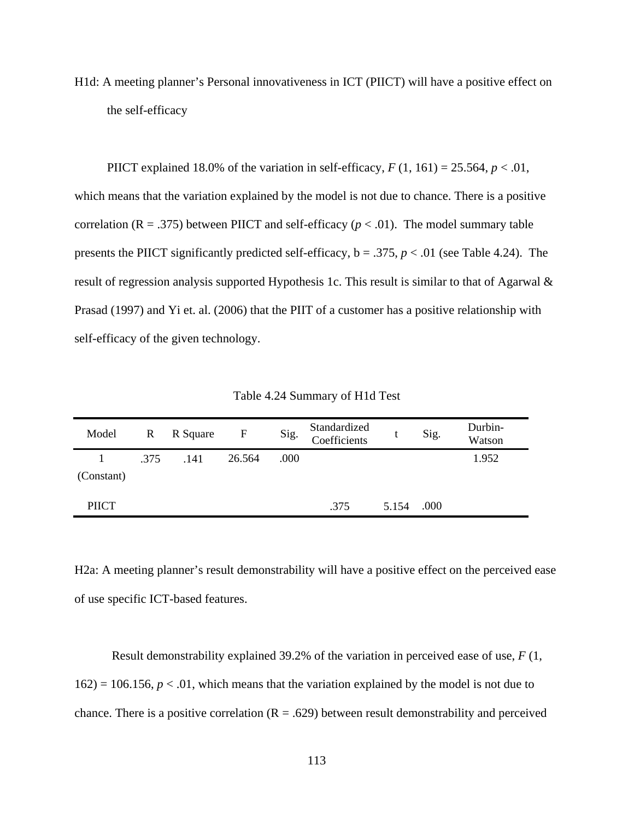H1d: A meeting planner's Personal innovativeness in ICT (PIICT) will have a positive effect on the self-efficacy

PIICT explained 18.0% of the variation in self-efficacy,  $F(1, 161) = 25.564$ ,  $p < .01$ , which means that the variation explained by the model is not due to chance. There is a positive correlation ( $R = .375$ ) between PIICT and self-efficacy ( $p < .01$ ). The model summary table presents the PIICT significantly predicted self-efficacy,  $b = .375$ ,  $p < .01$  (see Table 4.24). The result of regression analysis supported Hypothesis 1c. This result is similar to that of Agarwal & Prasad (1997) and Yi et. al. (2006) that the PIIT of a customer has a positive relationship with self-efficacy of the given technology.

| Model           |      | R R Square | $\overline{F}$ | Sig. | Standardized<br>Coefficients |       | Sig. | Durbin-<br>Watson |
|-----------------|------|------------|----------------|------|------------------------------|-------|------|-------------------|
| 1<br>(Constant) | .375 | .141       | 26.564         | .000 |                              |       |      | 1.952             |
| <b>PIICT</b>    |      |            |                |      | .375                         | 5.154 | .000 |                   |

Table 4.24 Summary of H1d Test

H2a: A meeting planner's result demonstrability will have a positive effect on the perceived ease of use specific ICT-based features.

Result demonstrability explained 39.2% of the variation in perceived ease of use, *F* (1,  $162$ ) = 106.156,  $p < 0.01$ , which means that the variation explained by the model is not due to chance. There is a positive correlation  $(R = .629)$  between result demonstrability and perceived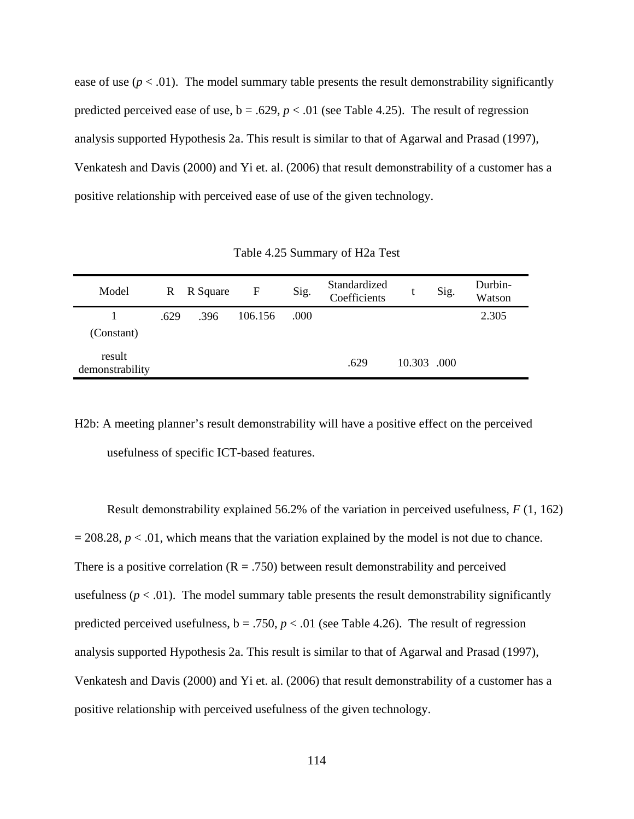ease of use  $(p < .01)$ . The model summary table presents the result demonstrability significantly predicted perceived ease of use,  $b = .629$ ,  $p < .01$  (see Table 4.25). The result of regression analysis supported Hypothesis 2a. This result is similar to that of Agarwal and Prasad (1997), Venkatesh and Davis (2000) and Yi et. al. (2006) that result demonstrability of a customer has a positive relationship with perceived ease of use of the given technology.

| Model                     | $\mathbb{R}$ | R Square | F       | Sig. | Standardized<br>Coefficients |             | Sig. | Durbin-<br>Watson |
|---------------------------|--------------|----------|---------|------|------------------------------|-------------|------|-------------------|
|                           | .629         | .396     | 106.156 | .000 |                              |             |      | 2.305             |
| (Constant)                |              |          |         |      |                              |             |      |                   |
| result<br>demonstrability |              |          |         |      | .629                         | 10.303 .000 |      |                   |

Table 4.25 Summary of H2a Test

H2b: A meeting planner's result demonstrability will have a positive effect on the perceived usefulness of specific ICT-based features.

Result demonstrability explained 56.2% of the variation in perceived usefulness, *F* (1, 162)  $= 208.28$ ,  $p < .01$ , which means that the variation explained by the model is not due to chance. There is a positive correlation  $(R = .750)$  between result demonstrability and perceived usefulness ( $p < .01$ ). The model summary table presents the result demonstrability significantly predicted perceived usefulness,  $b = .750$ ,  $p < .01$  (see Table 4.26). The result of regression analysis supported Hypothesis 2a. This result is similar to that of Agarwal and Prasad (1997), Venkatesh and Davis (2000) and Yi et. al. (2006) that result demonstrability of a customer has a positive relationship with perceived usefulness of the given technology.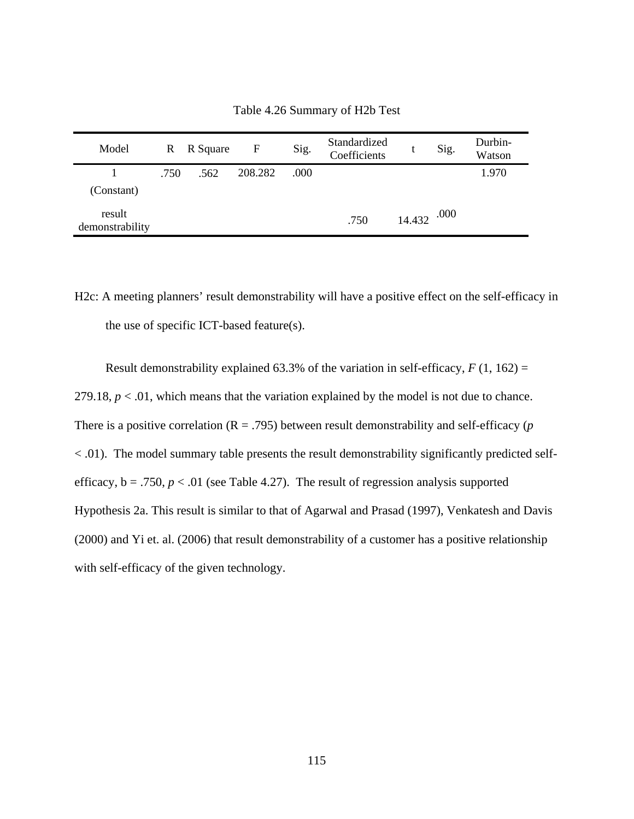| Model                     | R    | R Square | F       | Sig. | Standardized<br>Coefficients |        | Sig. | Durbin-<br>Watson |
|---------------------------|------|----------|---------|------|------------------------------|--------|------|-------------------|
|                           | .750 | .562     | 208.282 | .000 |                              |        |      | 1.970             |
| (Constant)                |      |          |         |      |                              |        |      |                   |
| result<br>demonstrability |      |          |         |      | .750                         | 14.432 | .000 |                   |

Table 4.26 Summary of H2b Test

H2c: A meeting planners' result demonstrability will have a positive effect on the self-efficacy in the use of specific ICT-based feature(s).

Result demonstrability explained 63.3% of the variation in self-efficacy,  $F(1, 162) =$ 279.18,  $p < 0.01$ , which means that the variation explained by the model is not due to chance. There is a positive correlation  $(R = .795)$  between result demonstrability and self-efficacy (*p* < .01). The model summary table presents the result demonstrability significantly predicted selfefficacy,  $b = .750$ ,  $p < .01$  (see Table 4.27). The result of regression analysis supported Hypothesis 2a. This result is similar to that of Agarwal and Prasad (1997), Venkatesh and Davis (2000) and Yi et. al. (2006) that result demonstrability of a customer has a positive relationship with self-efficacy of the given technology.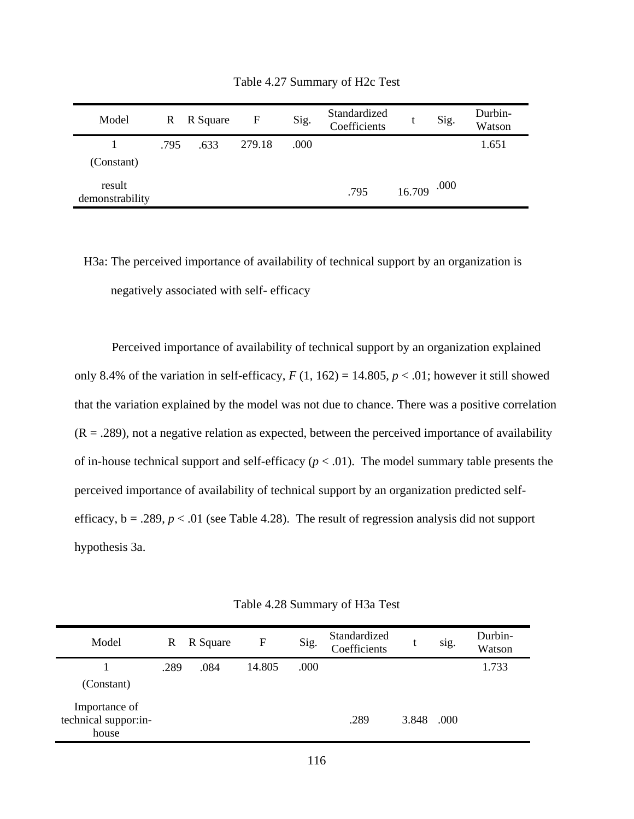| Model                     | R.   | R Square | $\mathbf{F}$ | Sig. | Standardized<br>Coefficients |        | Sig. | Durbin-<br>Watson |
|---------------------------|------|----------|--------------|------|------------------------------|--------|------|-------------------|
|                           | .795 | .633     | 279.18       | .000 |                              |        |      | 1.651             |
| (Constant)                |      |          |              |      |                              |        |      |                   |
| result<br>demonstrability |      |          |              |      | .795                         | 16.709 | .000 |                   |

Table 4.27 Summary of H2c Test

H3a: The perceived importance of availability of technical support by an organization is negatively associated with self- efficacy

Perceived importance of availability of technical support by an organization explained only 8.4% of the variation in self-efficacy,  $F(1, 162) = 14.805$ ,  $p < .01$ ; however it still showed that the variation explained by the model was not due to chance. There was a positive correlation  $(R = .289)$ , not a negative relation as expected, between the perceived importance of availability of in-house technical support and self-efficacy  $(p < .01)$ . The model summary table presents the perceived importance of availability of technical support by an organization predicted selfefficacy,  $b = .289$ ,  $p < .01$  (see Table 4.28). The result of regression analysis did not support hypothesis 3a.

Table 4.28 Summary of H3a Test

| Model                                          | R    | R Square | F      | Sig. | Standardized<br>Coefficients |       | sig. | Durbin-<br>Watson |
|------------------------------------------------|------|----------|--------|------|------------------------------|-------|------|-------------------|
|                                                | .289 | .084     | 14.805 | .000 |                              |       |      | 1.733             |
| (Constant)                                     |      |          |        |      |                              |       |      |                   |
| Importance of<br>technical suppor:in-<br>house |      |          |        |      | .289                         | 3.848 | .000 |                   |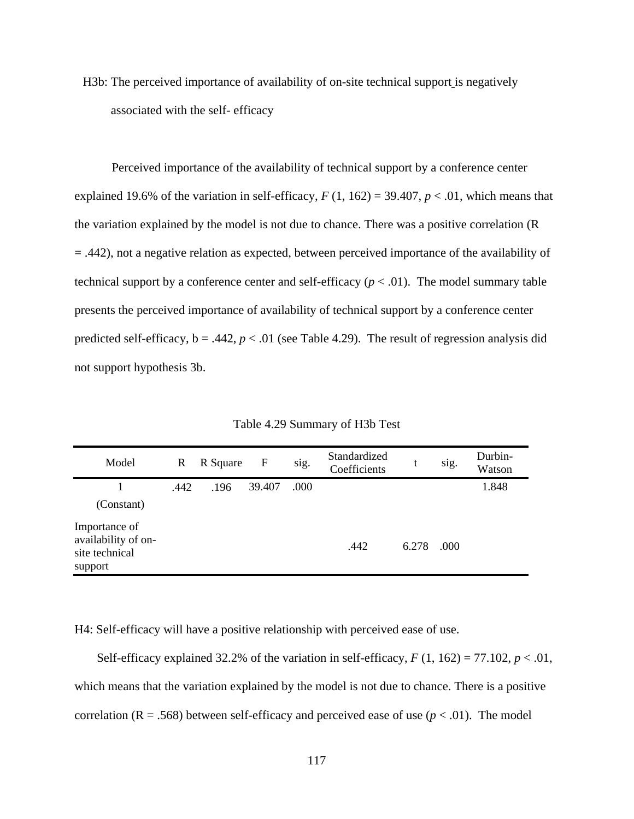H3b: The perceived importance of availability of on-site technical support is negatively associated with the self- efficacy

Perceived importance of the availability of technical support by a conference center explained 19.6% of the variation in self-efficacy,  $F(1, 162) = 39.407$ ,  $p < .01$ , which means that the variation explained by the model is not due to chance. There was a positive correlation (R = .442), not a negative relation as expected, between perceived importance of the availability of technical support by a conference center and self-efficacy  $(p < .01)$ . The model summary table presents the perceived importance of availability of technical support by a conference center predicted self-efficacy,  $b = .442$ ,  $p < .01$  (see Table 4.29). The result of regression analysis did not support hypothesis 3b.

| Model                                                             | R    | R Square | F      | sig. | Standardized<br>Coefficients | t     | sig. | Durbin-<br>Watson |
|-------------------------------------------------------------------|------|----------|--------|------|------------------------------|-------|------|-------------------|
|                                                                   | .442 | .196     | 39.407 | .000 |                              |       |      | 1.848             |
| (Constant)                                                        |      |          |        |      |                              |       |      |                   |
| Importance of<br>availability of on-<br>site technical<br>support |      |          |        |      | .442                         | 6.278 | .000 |                   |

Table 4.29 Summary of H3b Test

H4: Self-efficacy will have a positive relationship with perceived ease of use.

Self-efficacy explained 32.2% of the variation in self-efficacy,  $F(1, 162) = 77.102$ ,  $p < .01$ , which means that the variation explained by the model is not due to chance. There is a positive correlation ( $R = .568$ ) between self-efficacy and perceived ease of use ( $p < .01$ ). The model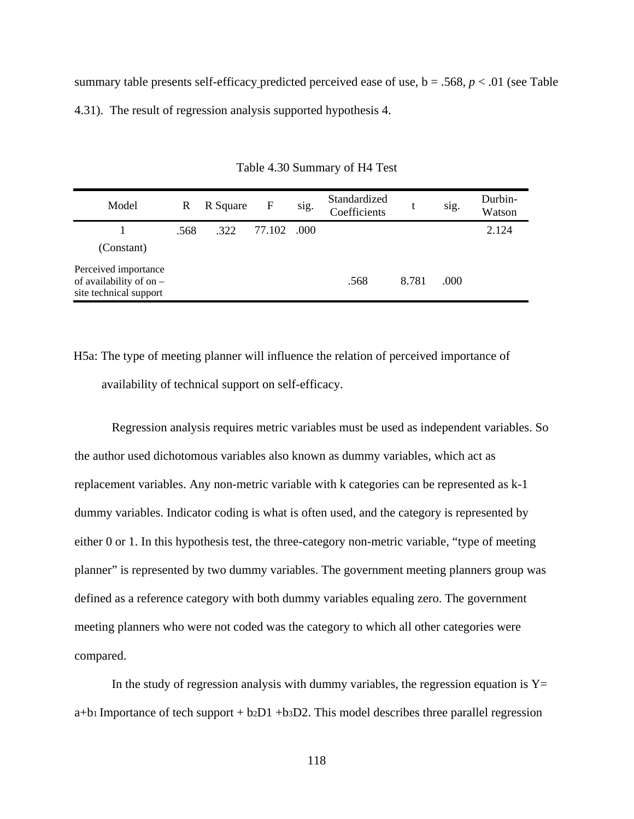summary table presents self-efficacy predicted perceived ease of use,  $b = .568$ ,  $p < .01$  (see Table 4.31). The result of regression analysis supported hypothesis 4.

| Model                                                                       | R    | R Square | F           | sig. | Standardized<br>Coefficients |       | sig. | Durbin-<br>Watson |
|-----------------------------------------------------------------------------|------|----------|-------------|------|------------------------------|-------|------|-------------------|
|                                                                             | .568 | .322     | 77.102 .000 |      |                              |       |      | 2.124             |
| (Constant)                                                                  |      |          |             |      |                              |       |      |                   |
| Perceived importance<br>of availability of on $-$<br>site technical support |      |          |             |      | .568                         | 8.781 | .000 |                   |

Table 4.30 Summary of H4 Test

H5a: The type of meeting planner will influence the relation of perceived importance of availability of technical support on self-efficacy.

Regression analysis requires metric variables must be used as independent variables. So the author used dichotomous variables also known as dummy variables, which act as replacement variables. Any non-metric variable with k categories can be represented as k-1 dummy variables. Indicator coding is what is often used, and the category is represented by either 0 or 1. In this hypothesis test, the three-category non-metric variable, "type of meeting planner" is represented by two dummy variables. The government meeting planners group was defined as a reference category with both dummy variables equaling zero. The government meeting planners who were not coded was the category to which all other categories were compared.

In the study of regression analysis with dummy variables, the regression equation is  $Y=$  $a+b1$  Importance of tech support +  $b2D1 + b3D2$ . This model describes three parallel regression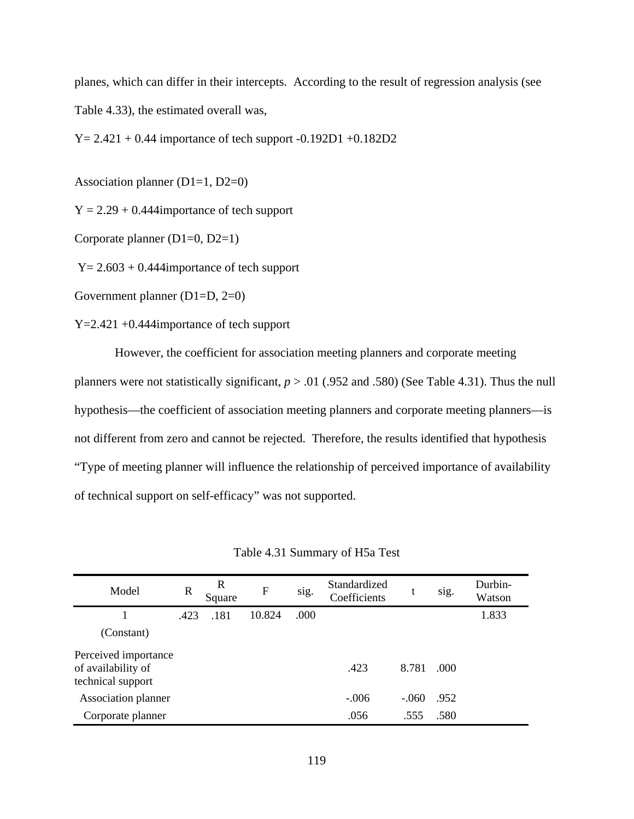planes, which can differ in their intercepts. According to the result of regression analysis (see Table 4.33), the estimated overall was,

 $Y = 2.421 + 0.44$  importance of tech support  $-0.192D1 + 0.182D2$ 

Association planner (D1=1, D2=0)

 $Y = 2.29 + 0.444$  importance of tech support

Corporate planner (D1=0, D2=1)

 $Y = 2.603 + 0.444$  importance of tech support

Government planner (D1=D, 2=0)

Y=2.421 +0.444importance of tech support

 However, the coefficient for association meeting planners and corporate meeting planners were not statistically significant,  $p > .01$  (.952 and .580) (See Table 4.31). Thus the null hypothesis—the coefficient of association meeting planners and corporate meeting planners—is not different from zero and cannot be rejected. Therefore, the results identified that hypothesis "Type of meeting planner will influence the relationship of perceived importance of availability of technical support on self-efficacy" was not supported.

| Model                                                           | R    | R<br>Square | $\mathbf{F}$ | sig. | Standardized<br>Coefficients | t       | sig. | Durbin-<br>Watson |
|-----------------------------------------------------------------|------|-------------|--------------|------|------------------------------|---------|------|-------------------|
|                                                                 | .423 | .181        | 10.824       | .000 |                              |         |      | 1.833             |
| (Constant)                                                      |      |             |              |      |                              |         |      |                   |
| Perceived importance<br>of availability of<br>technical support |      |             |              |      | .423                         | 8.781   | .000 |                   |
| Association planner                                             |      |             |              |      | $-.006$                      | $-.060$ | .952 |                   |
| Corporate planner                                               |      |             |              |      | .056                         | .555    | .580 |                   |

Table 4.31 Summary of H5a Test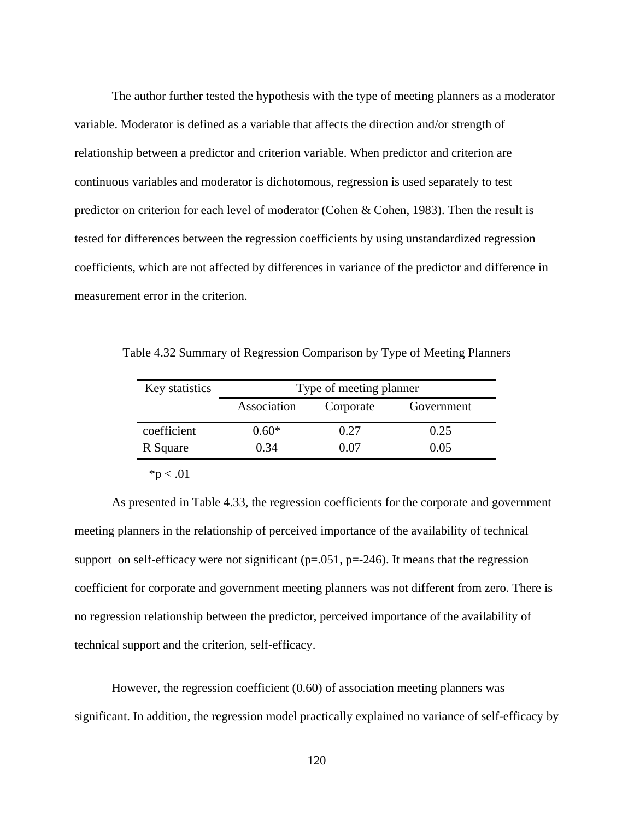The author further tested the hypothesis with the type of meeting planners as a moderator variable. Moderator is defined as a variable that affects the direction and/or strength of relationship between a predictor and criterion variable. When predictor and criterion are continuous variables and moderator is dichotomous, regression is used separately to test predictor on criterion for each level of moderator (Cohen & Cohen, 1983). Then the result is tested for differences between the regression coefficients by using unstandardized regression coefficients, which are not affected by differences in variance of the predictor and difference in measurement error in the criterion.

Table 4.32 Summary of Regression Comparison by Type of Meeting Planners

| Key statistics | Type of meeting planner |           |            |  |  |  |  |  |  |
|----------------|-------------------------|-----------|------------|--|--|--|--|--|--|
|                | Association             | Corporate | Government |  |  |  |  |  |  |
| coefficient    | $0.60*$                 | 0.27      | 0.25       |  |  |  |  |  |  |
| R Square       | 0.34                    | 0.07      | 0.05       |  |  |  |  |  |  |
|                |                         |           |            |  |  |  |  |  |  |

 $*<sub>p</sub> < .01$ 

As presented in Table 4.33, the regression coefficients for the corporate and government meeting planners in the relationship of perceived importance of the availability of technical support on self-efficacy were not significant  $(p=.051, p=.246)$ . It means that the regression coefficient for corporate and government meeting planners was not different from zero. There is no regression relationship between the predictor, perceived importance of the availability of technical support and the criterion, self-efficacy.

However, the regression coefficient (0.60) of association meeting planners was significant. In addition, the regression model practically explained no variance of self-efficacy by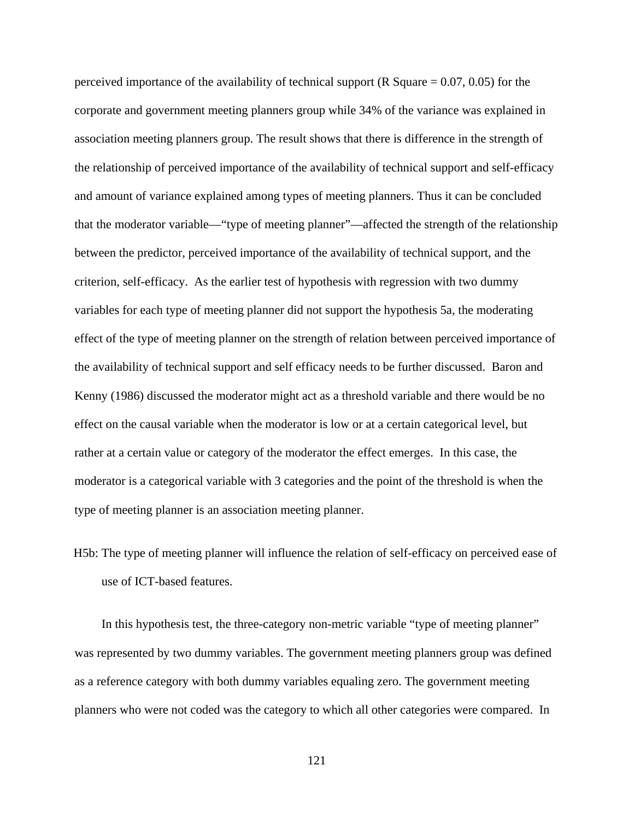perceived importance of the availability of technical support (R Square  $= 0.07, 0.05$ ) for the corporate and government meeting planners group while 34% of the variance was explained in association meeting planners group. The result shows that there is difference in the strength of the relationship of perceived importance of the availability of technical support and self-efficacy and amount of variance explained among types of meeting planners. Thus it can be concluded that the moderator variable—"type of meeting planner"—affected the strength of the relationship between the predictor, perceived importance of the availability of technical support, and the criterion, self-efficacy. As the earlier test of hypothesis with regression with two dummy variables for each type of meeting planner did not support the hypothesis 5a, the moderating effect of the type of meeting planner on the strength of relation between perceived importance of the availability of technical support and self efficacy needs to be further discussed. Baron and Kenny (1986) discussed the moderator might act as a threshold variable and there would be no effect on the causal variable when the moderator is low or at a certain categorical level, but rather at a certain value or category of the moderator the effect emerges. In this case, the moderator is a categorical variable with 3 categories and the point of the threshold is when the type of meeting planner is an association meeting planner.

H5b: The type of meeting planner will influence the relation of self-efficacy on perceived ease of use of ICT-based features.

In this hypothesis test, the three-category non-metric variable "type of meeting planner" was represented by two dummy variables. The government meeting planners group was defined as a reference category with both dummy variables equaling zero. The government meeting planners who were not coded was the category to which all other categories were compared. In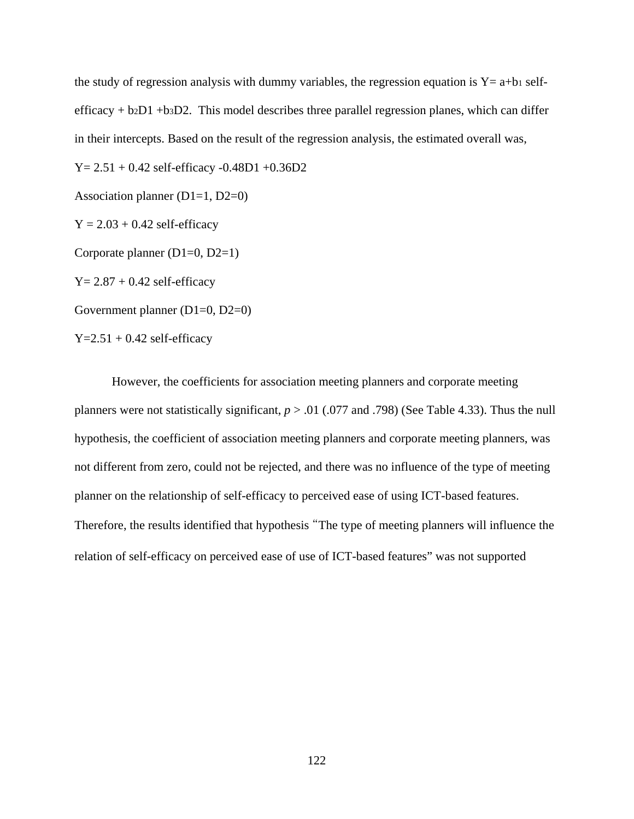the study of regression analysis with dummy variables, the regression equation is  $Y = a+b_1$  selfefficacy  $+ b_2D1 + b_3D2$ . This model describes three parallel regression planes, which can differ in their intercepts. Based on the result of the regression analysis, the estimated overall was,

 $Y = 2.51 + 0.42$  self-efficacy  $-0.48D1 + 0.36D2$ 

Association planner  $(D1=1, D2=0)$ 

 $Y = 2.03 + 0.42$  self-efficacy

Corporate planner (D1=0, D2=1)

 $Y = 2.87 + 0.42$  self-efficacy

Government planner (D1=0, D2=0)

 $Y=2.51 + 0.42$  self-efficacy

However, the coefficients for association meeting planners and corporate meeting planners were not statistically significant, *p* > .01 (.077 and .798) (See Table 4.33). Thus the null hypothesis, the coefficient of association meeting planners and corporate meeting planners, was not different from zero, could not be rejected, and there was no influence of the type of meeting planner on the relationship of self-efficacy to perceived ease of using ICT-based features. Therefore, the results identified that hypothesis "The type of meeting planners will influence the relation of self-efficacy on perceived ease of use of ICT-based features" was not supported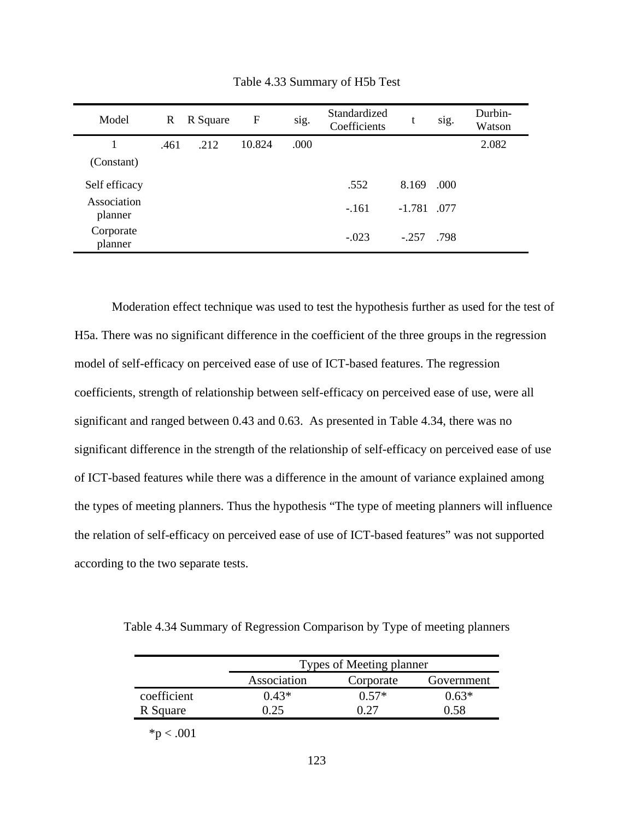| Model                  | R    | R Square | F      | sig. | Standardized<br>Coefficients | t             | sig. | Durbin-<br>Watson |
|------------------------|------|----------|--------|------|------------------------------|---------------|------|-------------------|
|                        | .461 | .212     | 10.824 | .000 |                              |               |      | 2.082             |
| (Constant)             |      |          |        |      |                              |               |      |                   |
| Self efficacy          |      |          |        |      | .552                         | 8.169         | .000 |                   |
| Association<br>planner |      |          |        |      | $-.161$                      | $-1.781$ .077 |      |                   |
| Corporate<br>planner   |      |          |        |      | $-.023$                      | $-.257$       | .798 |                   |

Table 4.33 Summary of H5b Test

Moderation effect technique was used to test the hypothesis further as used for the test of H5a. There was no significant difference in the coefficient of the three groups in the regression model of self-efficacy on perceived ease of use of ICT-based features. The regression coefficients, strength of relationship between self-efficacy on perceived ease of use, were all significant and ranged between 0.43 and 0.63. As presented in Table 4.34, there was no significant difference in the strength of the relationship of self-efficacy on perceived ease of use of ICT-based features while there was a difference in the amount of variance explained among the types of meeting planners. Thus the hypothesis "The type of meeting planners will influence the relation of self-efficacy on perceived ease of use of ICT-based features" was not supported according to the two separate tests.

Table 4.34 Summary of Regression Comparison by Type of meeting planners

|             | Types of Meeting planner |             |            |  |  |  |
|-------------|--------------------------|-------------|------------|--|--|--|
|             | Association              | Corporate   | Government |  |  |  |
| coefficient | $0.43*$                  | $0.57*$     | $0.63*$    |  |  |  |
| R Square    | በ 25                     | <u>በ 27</u> | N 58       |  |  |  |

 $*p < .001$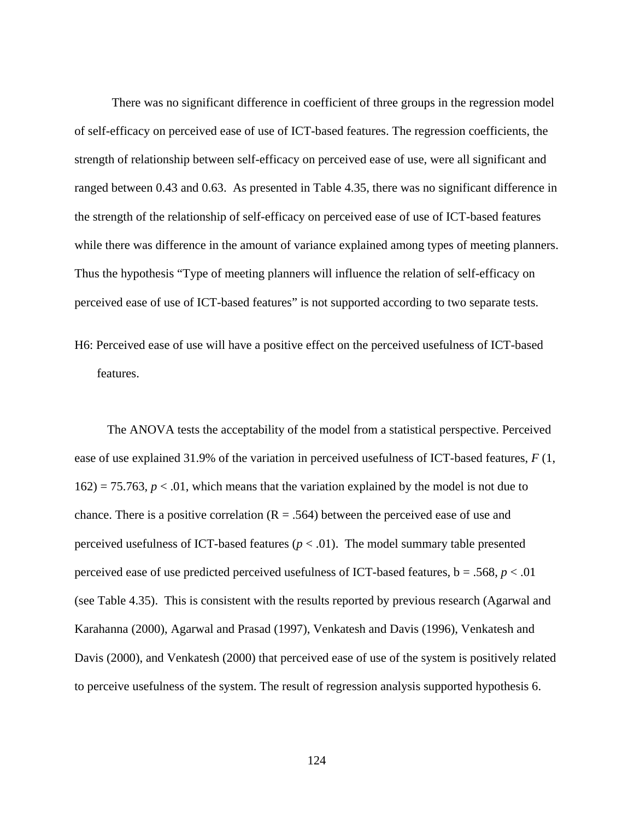There was no significant difference in coefficient of three groups in the regression model of self-efficacy on perceived ease of use of ICT-based features. The regression coefficients, the strength of relationship between self-efficacy on perceived ease of use, were all significant and ranged between 0.43 and 0.63. As presented in Table 4.35, there was no significant difference in the strength of the relationship of self-efficacy on perceived ease of use of ICT-based features while there was difference in the amount of variance explained among types of meeting planners. Thus the hypothesis "Type of meeting planners will influence the relation of self-efficacy on perceived ease of use of ICT-based features" is not supported according to two separate tests.

H6: Perceived ease of use will have a positive effect on the perceived usefulness of ICT-based features.

The ANOVA tests the acceptability of the model from a statistical perspective. Perceived ease of use explained 31.9% of the variation in perceived usefulness of ICT-based features, *F* (1,  $162$ ) = 75.763,  $p < 0.01$ , which means that the variation explained by the model is not due to chance. There is a positive correlation  $(R = .564)$  between the perceived ease of use and perceived usefulness of ICT-based features  $(p < .01)$ . The model summary table presented perceived ease of use predicted perceived usefulness of ICT-based features,  $b = .568$ ,  $p < .01$ (see Table 4.35). This is consistent with the results reported by previous research (Agarwal and Karahanna (2000), Agarwal and Prasad (1997), Venkatesh and Davis (1996), Venkatesh and Davis (2000), and Venkatesh (2000) that perceived ease of use of the system is positively related to perceive usefulness of the system. The result of regression analysis supported hypothesis 6.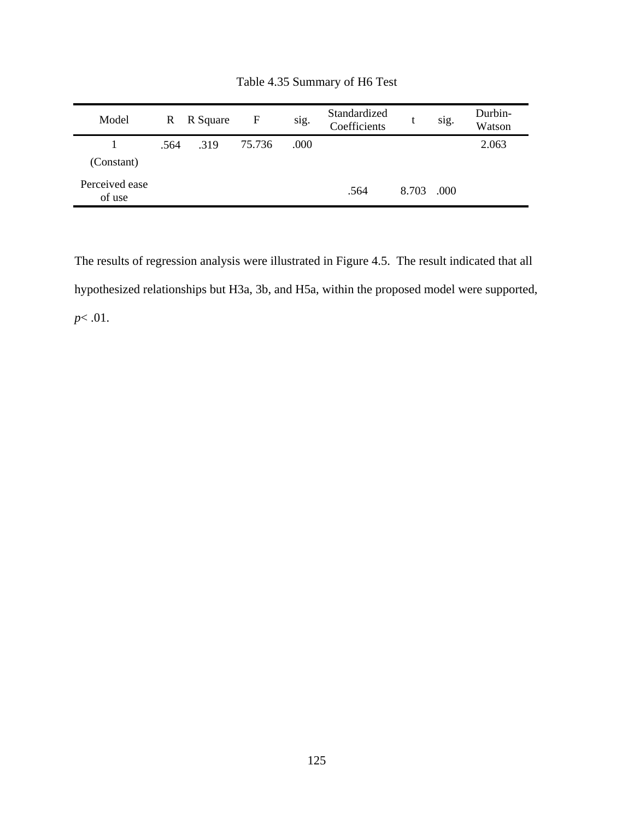| Model                    |      | R R Square | F      | $\bullet$<br>sig. | Standardized<br>Coefficients | t     | $\bullet$<br>sig. | Durbin-<br>Watson |
|--------------------------|------|------------|--------|-------------------|------------------------------|-------|-------------------|-------------------|
| (Constant)               | .564 | .319       | 75.736 | .000              |                              |       |                   | 2.063             |
| Perceived ease<br>of use |      |            |        |                   | .564                         | 8.703 | .000              |                   |

Table 4.35 Summary of H6 Test

The results of regression analysis were illustrated in Figure 4.5. The result indicated that all hypothesized relationships but H3a, 3b, and H5a, within the proposed model were supported, *p*< .01.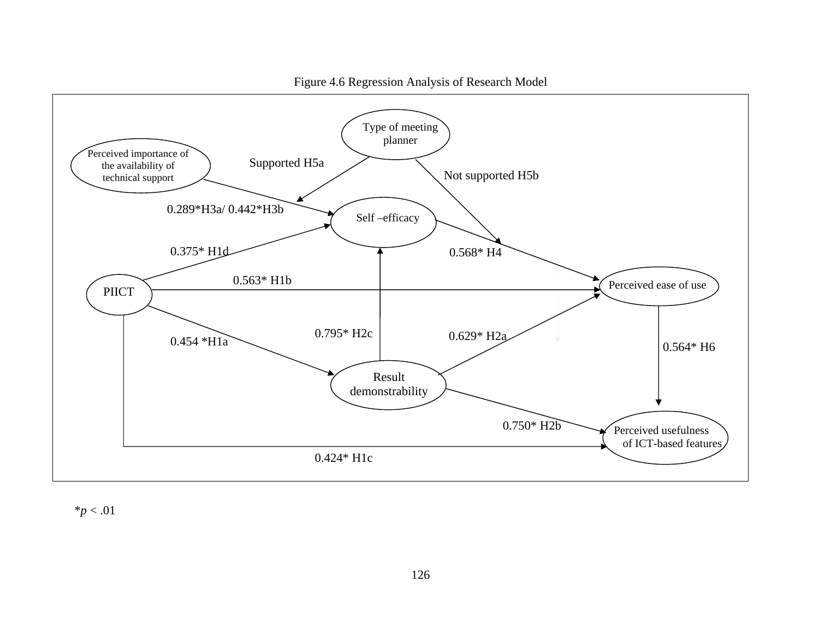

Figure 4.6 Regression Analysis of Research Model

 $*p < .01$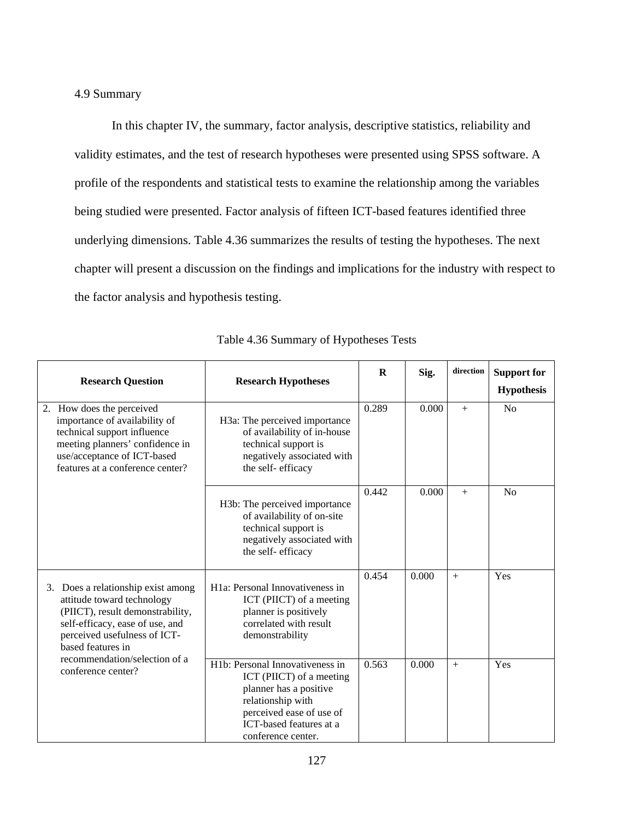## 4.9 Summary

In this chapter IV, the summary, factor analysis, descriptive statistics, reliability and validity estimates, and the test of research hypotheses were presented using SPSS software. A profile of the respondents and statistical tests to examine the relationship among the variables being studied were presented. Factor analysis of fifteen ICT-based features identified three underlying dimensions. Table 4.36 summarizes the results of testing the hypotheses. The next chapter will present a discussion on the findings and implications for the industry with respect to the factor analysis and hypothesis testing.

| <b>Research Question</b>                                                                                                                                                                        | <b>Research Hypotheses</b>                                                                                                                                                                           | $\bf{R}$ | Sig.  | direction | <b>Support for</b><br><b>Hypothesis</b> |
|-------------------------------------------------------------------------------------------------------------------------------------------------------------------------------------------------|------------------------------------------------------------------------------------------------------------------------------------------------------------------------------------------------------|----------|-------|-----------|-----------------------------------------|
| 2. How does the perceived<br>importance of availability of<br>technical support influence<br>meeting planners' confidence in<br>use/acceptance of ICT-based<br>features at a conference center? | H3a: The perceived importance<br>of availability of in-house<br>technical support is<br>negatively associated with<br>the self-efficacy                                                              | 0.289    | 0.000 | $+$       | N <sub>o</sub>                          |
|                                                                                                                                                                                                 | H3b: The perceived importance<br>of availability of on-site<br>technical support is<br>negatively associated with<br>the self-efficacy                                                               | 0.442    | 0.000 | $+$       | N <sub>o</sub>                          |
| 3. Does a relationship exist among<br>attitude toward technology<br>(PIICT), result demonstrability,<br>self-efficacy, ease of use, and<br>perceived usefulness of ICT-<br>based features in    | H <sub>1</sub> a: Personal Innovativeness in<br>ICT (PIICT) of a meeting<br>planner is positively<br>correlated with result<br>demonstrability                                                       | 0.454    | 0.000 | $+$       | Yes                                     |
| recommendation/selection of a<br>conference center?                                                                                                                                             | H <sub>1</sub> b: Personal Innovativeness in<br>ICT (PIICT) of a meeting<br>planner has a positive<br>relationship with<br>perceived ease of use of<br>ICT-based features at a<br>conference center. | 0.563    | 0.000 | $+$       | Yes                                     |

Table 4.36 Summary of Hypotheses Tests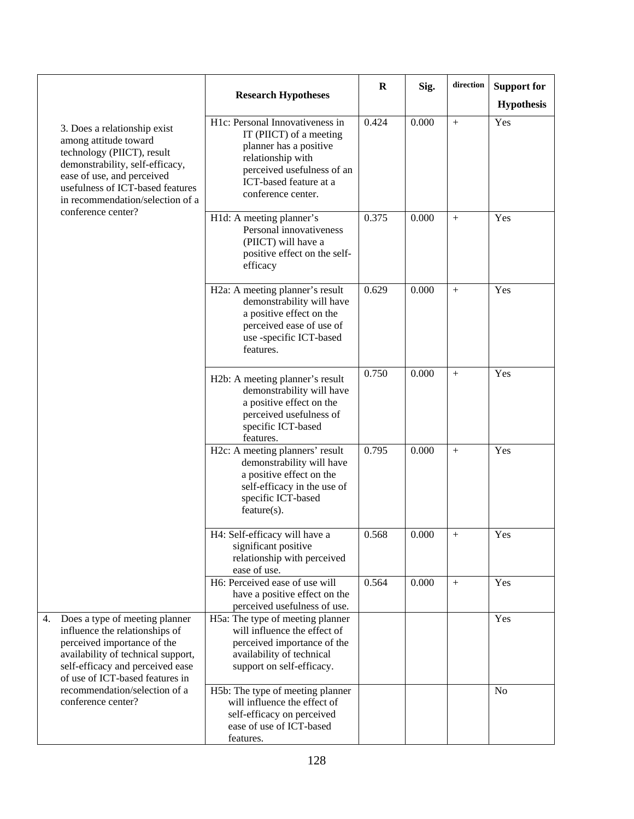|                                                                                                                                                                                                                              | <b>Research Hypotheses</b>                                                                                                                                                              | R     | Sig.  | direction | <b>Support for</b><br><b>Hypothesis</b> |
|------------------------------------------------------------------------------------------------------------------------------------------------------------------------------------------------------------------------------|-----------------------------------------------------------------------------------------------------------------------------------------------------------------------------------------|-------|-------|-----------|-----------------------------------------|
| 3. Does a relationship exist<br>among attitude toward<br>technology (PIICT), result<br>demonstrability, self-efficacy,<br>ease of use, and perceived<br>usefulness of ICT-based features<br>in recommendation/selection of a | H1c: Personal Innovativeness in<br>IT (PIICT) of a meeting<br>planner has a positive<br>relationship with<br>perceived usefulness of an<br>ICT-based feature at a<br>conference center. | 0.424 | 0.000 | $+$       | Yes                                     |
| conference center?                                                                                                                                                                                                           | H1d: A meeting planner's<br>Personal innovativeness<br>(PIICT) will have a<br>positive effect on the self-<br>efficacy                                                                  | 0.375 | 0.000 | $+$       | Yes                                     |
|                                                                                                                                                                                                                              | H2a: A meeting planner's result<br>demonstrability will have<br>a positive effect on the<br>perceived ease of use of<br>use -specific ICT-based<br>features.                            | 0.629 | 0.000 | $+$       | Yes                                     |
|                                                                                                                                                                                                                              | H2b: A meeting planner's result<br>demonstrability will have<br>a positive effect on the<br>perceived usefulness of<br>specific ICT-based<br>features.                                  | 0.750 | 0.000 | $+$       | Yes                                     |
|                                                                                                                                                                                                                              | H2c: A meeting planners' result<br>demonstrability will have<br>a positive effect on the<br>self-efficacy in the use of<br>specific ICT-based<br>feature(s).                            | 0.795 | 0.000 | $+$       | Yes                                     |
|                                                                                                                                                                                                                              | H4: Self-efficacy will have a<br>significant positive<br>relationship with perceived<br>ease of use.                                                                                    | 0.568 | 0.000 | $+$       | $\operatorname{Yes}$                    |
|                                                                                                                                                                                                                              | H6: Perceived ease of use will<br>have a positive effect on the<br>perceived usefulness of use.                                                                                         | 0.564 | 0.000 |           | Yes                                     |
| Does a type of meeting planner<br>4.<br>influence the relationships of<br>perceived importance of the<br>availability of technical support,<br>self-efficacy and perceived ease<br>of use of ICT-based features in           | H5a: The type of meeting planner<br>will influence the effect of<br>perceived importance of the<br>availability of technical<br>support on self-efficacy.                               |       |       |           | Yes                                     |
| recommendation/selection of a<br>conference center?                                                                                                                                                                          | H5b: The type of meeting planner<br>will influence the effect of<br>self-efficacy on perceived<br>ease of use of ICT-based<br>features.                                                 |       |       |           | N <sub>0</sub>                          |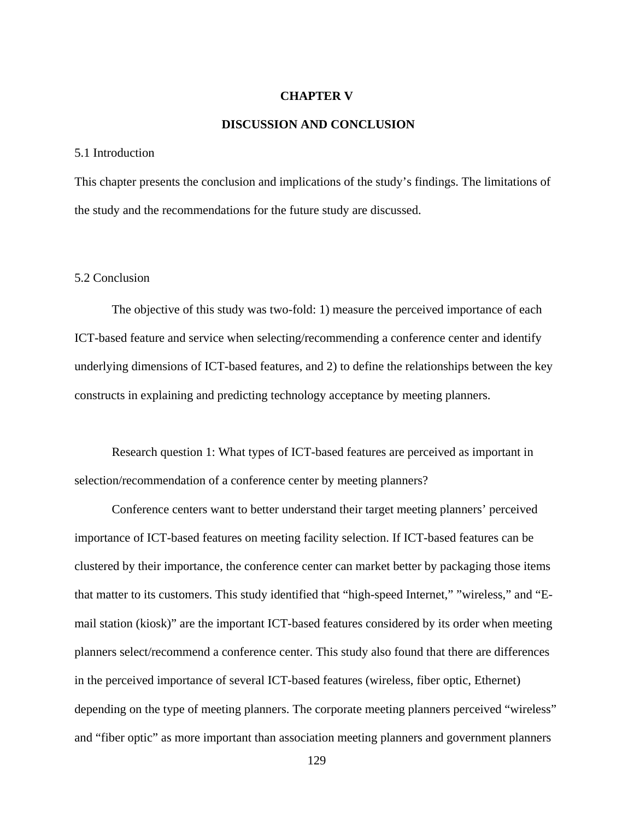### **CHAPTER V**

## **DISCUSSION AND CONCLUSION**

### 5.1 Introduction

This chapter presents the conclusion and implications of the study's findings. The limitations of the study and the recommendations for the future study are discussed.

## 5.2 Conclusion

The objective of this study was two-fold: 1) measure the perceived importance of each ICT-based feature and service when selecting/recommending a conference center and identify underlying dimensions of ICT-based features, and 2) to define the relationships between the key constructs in explaining and predicting technology acceptance by meeting planners.

Research question 1: What types of ICT-based features are perceived as important in selection/recommendation of a conference center by meeting planners?

Conference centers want to better understand their target meeting planners' perceived importance of ICT-based features on meeting facility selection. If ICT-based features can be clustered by their importance, the conference center can market better by packaging those items that matter to its customers. This study identified that "high-speed Internet," "wireless," and "Email station (kiosk)" are the important ICT-based features considered by its order when meeting planners select/recommend a conference center. This study also found that there are differences in the perceived importance of several ICT-based features (wireless, fiber optic, Ethernet) depending on the type of meeting planners. The corporate meeting planners perceived "wireless" and "fiber optic" as more important than association meeting planners and government planners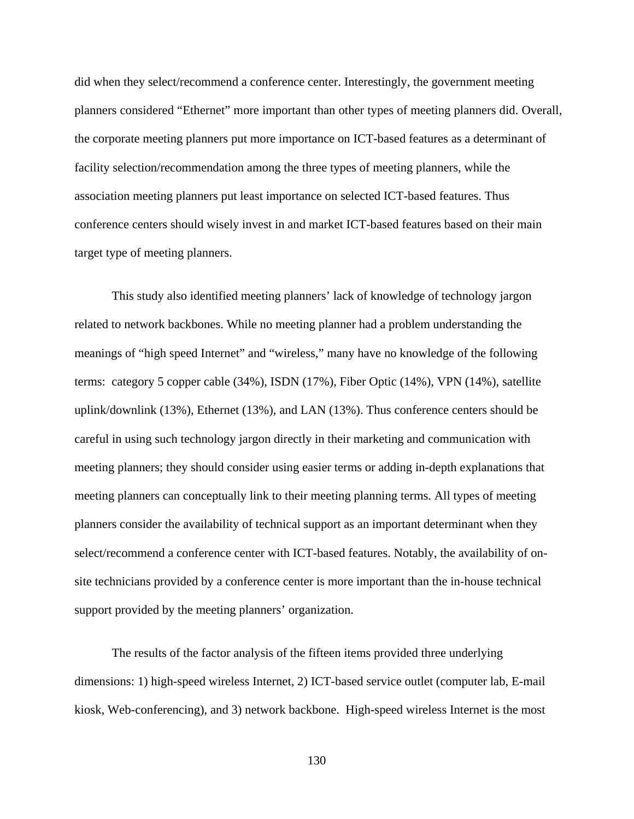did when they select/recommend a conference center. Interestingly, the government meeting planners considered "Ethernet" more important than other types of meeting planners did. Overall, the corporate meeting planners put more importance on ICT-based features as a determinant of facility selection/recommendation among the three types of meeting planners, while the association meeting planners put least importance on selected ICT-based features. Thus conference centers should wisely invest in and market ICT-based features based on their main target type of meeting planners.

This study also identified meeting planners' lack of knowledge of technology jargon related to network backbones. While no meeting planner had a problem understanding the meanings of "high speed Internet" and "wireless," many have no knowledge of the following terms: category 5 copper cable (34%), ISDN (17%), Fiber Optic (14%), VPN (14%), satellite uplink/downlink (13%), Ethernet (13%), and LAN (13%). Thus conference centers should be careful in using such technology jargon directly in their marketing and communication with meeting planners; they should consider using easier terms or adding in-depth explanations that meeting planners can conceptually link to their meeting planning terms. All types of meeting planners consider the availability of technical support as an important determinant when they select/recommend a conference center with ICT-based features. Notably, the availability of onsite technicians provided by a conference center is more important than the in-house technical support provided by the meeting planners' organization.

The results of the factor analysis of the fifteen items provided three underlying dimensions: 1) high-speed wireless Internet, 2) ICT-based service outlet (computer lab, E-mail kiosk, Web-conferencing), and 3) network backbone. High-speed wireless Internet is the most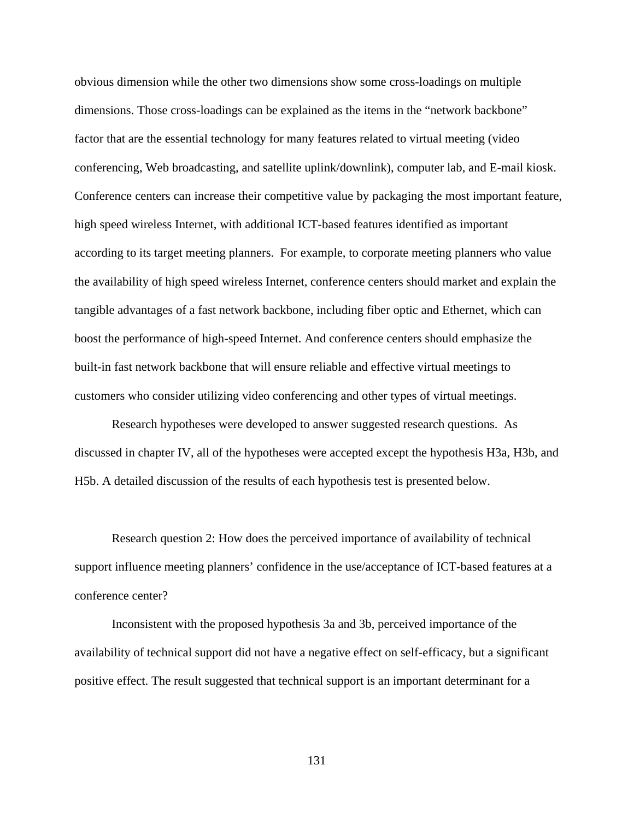obvious dimension while the other two dimensions show some cross-loadings on multiple dimensions. Those cross-loadings can be explained as the items in the "network backbone" factor that are the essential technology for many features related to virtual meeting (video conferencing, Web broadcasting, and satellite uplink/downlink), computer lab, and E-mail kiosk. Conference centers can increase their competitive value by packaging the most important feature, high speed wireless Internet, with additional ICT-based features identified as important according to its target meeting planners. For example, to corporate meeting planners who value the availability of high speed wireless Internet, conference centers should market and explain the tangible advantages of a fast network backbone, including fiber optic and Ethernet, which can boost the performance of high-speed Internet. And conference centers should emphasize the built-in fast network backbone that will ensure reliable and effective virtual meetings to customers who consider utilizing video conferencing and other types of virtual meetings.

Research hypotheses were developed to answer suggested research questions. As discussed in chapter IV, all of the hypotheses were accepted except the hypothesis H3a, H3b, and H5b. A detailed discussion of the results of each hypothesis test is presented below.

Research question 2: How does the perceived importance of availability of technical support influence meeting planners' confidence in the use/acceptance of ICT-based features at a conference center?

Inconsistent with the proposed hypothesis 3a and 3b, perceived importance of the availability of technical support did not have a negative effect on self-efficacy, but a significant positive effect. The result suggested that technical support is an important determinant for a

131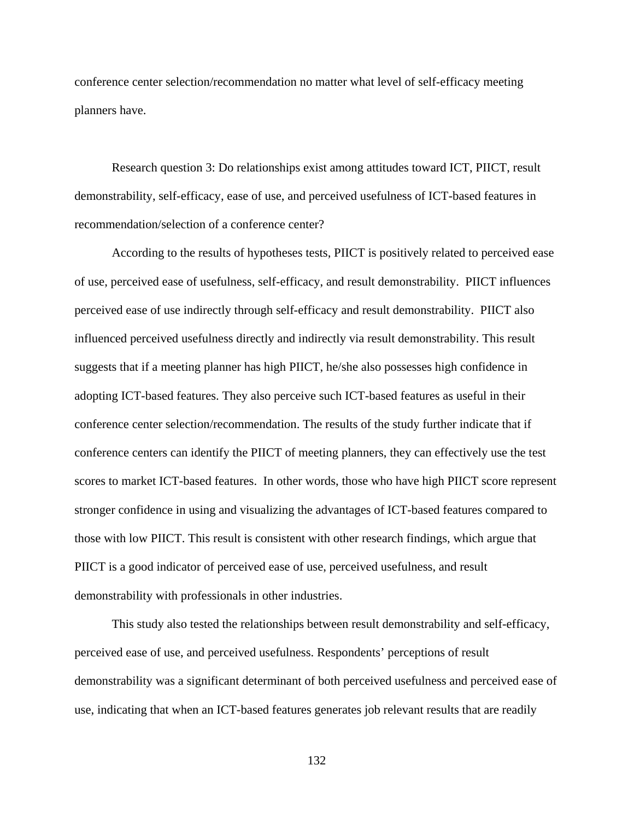conference center selection/recommendation no matter what level of self-efficacy meeting planners have.

Research question 3: Do relationships exist among attitudes toward ICT, PIICT, result demonstrability, self-efficacy, ease of use, and perceived usefulness of ICT-based features in recommendation/selection of a conference center?

According to the results of hypotheses tests, PIICT is positively related to perceived ease of use, perceived ease of usefulness, self-efficacy, and result demonstrability. PIICT influences perceived ease of use indirectly through self-efficacy and result demonstrability. PIICT also influenced perceived usefulness directly and indirectly via result demonstrability. This result suggests that if a meeting planner has high PIICT, he/she also possesses high confidence in adopting ICT-based features. They also perceive such ICT-based features as useful in their conference center selection/recommendation. The results of the study further indicate that if conference centers can identify the PIICT of meeting planners, they can effectively use the test scores to market ICT-based features. In other words, those who have high PIICT score represent stronger confidence in using and visualizing the advantages of ICT-based features compared to those with low PIICT. This result is consistent with other research findings, which argue that PIICT is a good indicator of perceived ease of use, perceived usefulness, and result demonstrability with professionals in other industries.

This study also tested the relationships between result demonstrability and self-efficacy, perceived ease of use, and perceived usefulness. Respondents' perceptions of result demonstrability was a significant determinant of both perceived usefulness and perceived ease of use, indicating that when an ICT-based features generates job relevant results that are readily

132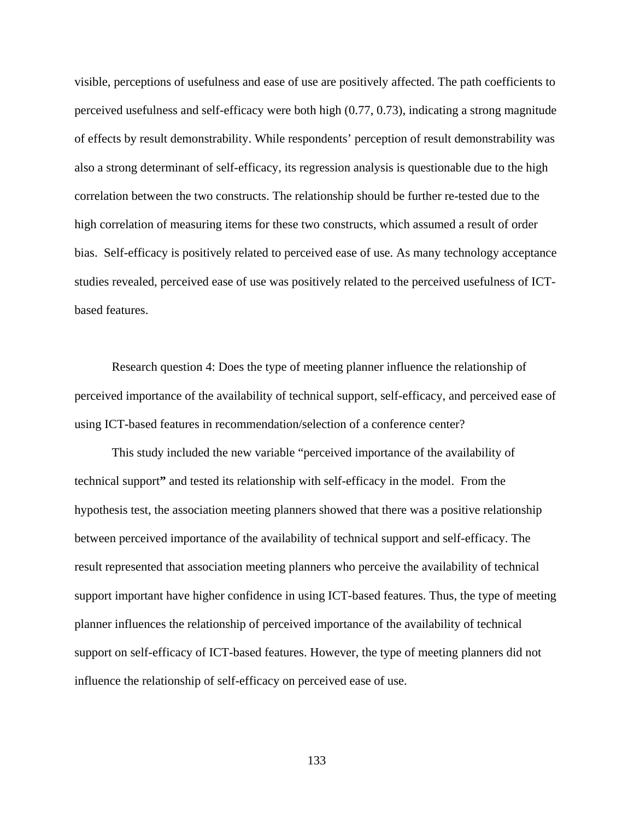visible, perceptions of usefulness and ease of use are positively affected. The path coefficients to perceived usefulness and self-efficacy were both high (0.77, 0.73), indicating a strong magnitude of effects by result demonstrability. While respondents' perception of result demonstrability was also a strong determinant of self-efficacy, its regression analysis is questionable due to the high correlation between the two constructs. The relationship should be further re-tested due to the high correlation of measuring items for these two constructs, which assumed a result of order bias. Self-efficacy is positively related to perceived ease of use. As many technology acceptance studies revealed, perceived ease of use was positively related to the perceived usefulness of ICTbased features.

Research question 4: Does the type of meeting planner influence the relationship of perceived importance of the availability of technical support, self-efficacy, and perceived ease of using ICT-based features in recommendation/selection of a conference center?

This study included the new variable "perceived importance of the availability of technical support**"** and tested its relationship with self-efficacy in the model. From the hypothesis test, the association meeting planners showed that there was a positive relationship between perceived importance of the availability of technical support and self-efficacy. The result represented that association meeting planners who perceive the availability of technical support important have higher confidence in using ICT-based features. Thus, the type of meeting planner influences the relationship of perceived importance of the availability of technical support on self-efficacy of ICT-based features. However, the type of meeting planners did not influence the relationship of self-efficacy on perceived ease of use.

133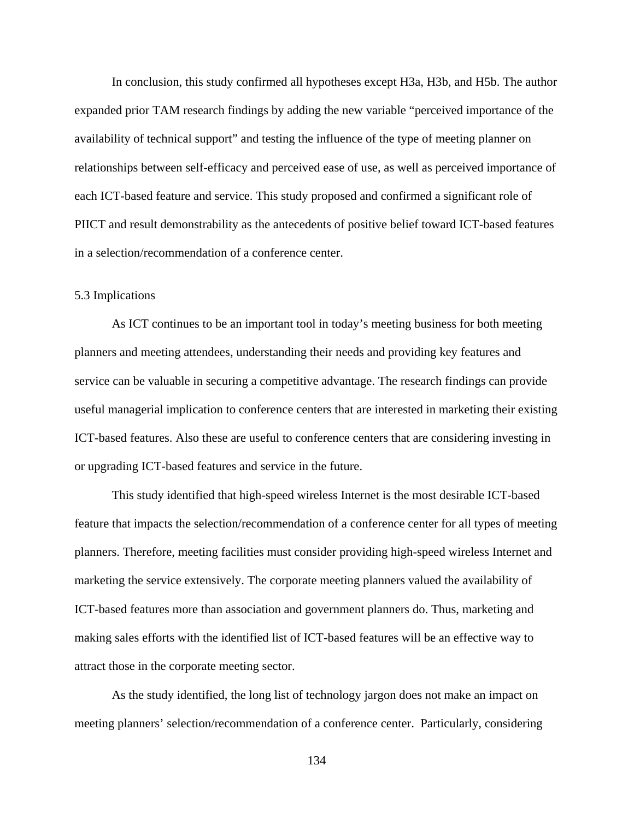In conclusion, this study confirmed all hypotheses except H3a, H3b, and H5b. The author expanded prior TAM research findings by adding the new variable "perceived importance of the availability of technical support" and testing the influence of the type of meeting planner on relationships between self-efficacy and perceived ease of use, as well as perceived importance of each ICT-based feature and service. This study proposed and confirmed a significant role of PIICT and result demonstrability as the antecedents of positive belief toward ICT-based features in a selection/recommendation of a conference center.

### 5.3 Implications

As ICT continues to be an important tool in today's meeting business for both meeting planners and meeting attendees, understanding their needs and providing key features and service can be valuable in securing a competitive advantage. The research findings can provide useful managerial implication to conference centers that are interested in marketing their existing ICT-based features. Also these are useful to conference centers that are considering investing in or upgrading ICT-based features and service in the future.

This study identified that high-speed wireless Internet is the most desirable ICT-based feature that impacts the selection/recommendation of a conference center for all types of meeting planners. Therefore, meeting facilities must consider providing high-speed wireless Internet and marketing the service extensively. The corporate meeting planners valued the availability of ICT-based features more than association and government planners do. Thus, marketing and making sales efforts with the identified list of ICT-based features will be an effective way to attract those in the corporate meeting sector.

As the study identified, the long list of technology jargon does not make an impact on meeting planners' selection/recommendation of a conference center. Particularly, considering

134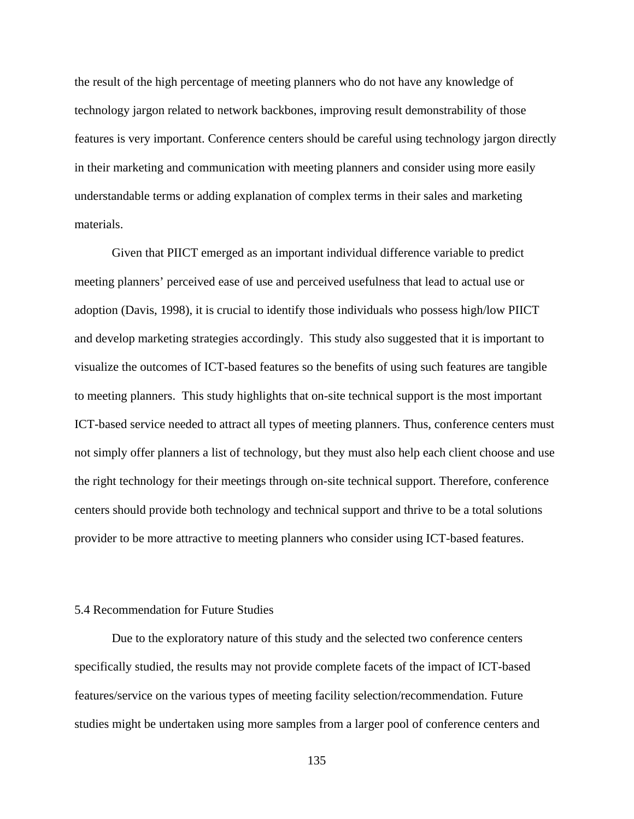the result of the high percentage of meeting planners who do not have any knowledge of technology jargon related to network backbones, improving result demonstrability of those features is very important. Conference centers should be careful using technology jargon directly in their marketing and communication with meeting planners and consider using more easily understandable terms or adding explanation of complex terms in their sales and marketing materials.

Given that PIICT emerged as an important individual difference variable to predict meeting planners' perceived ease of use and perceived usefulness that lead to actual use or adoption (Davis, 1998), it is crucial to identify those individuals who possess high/low PIICT and develop marketing strategies accordingly. This study also suggested that it is important to visualize the outcomes of ICT-based features so the benefits of using such features are tangible to meeting planners. This study highlights that on-site technical support is the most important ICT-based service needed to attract all types of meeting planners. Thus, conference centers must not simply offer planners a list of technology, but they must also help each client choose and use the right technology for their meetings through on-site technical support. Therefore, conference centers should provide both technology and technical support and thrive to be a total solutions provider to be more attractive to meeting planners who consider using ICT-based features.

### 5.4 Recommendation for Future Studies

Due to the exploratory nature of this study and the selected two conference centers specifically studied, the results may not provide complete facets of the impact of ICT-based features/service on the various types of meeting facility selection/recommendation. Future studies might be undertaken using more samples from a larger pool of conference centers and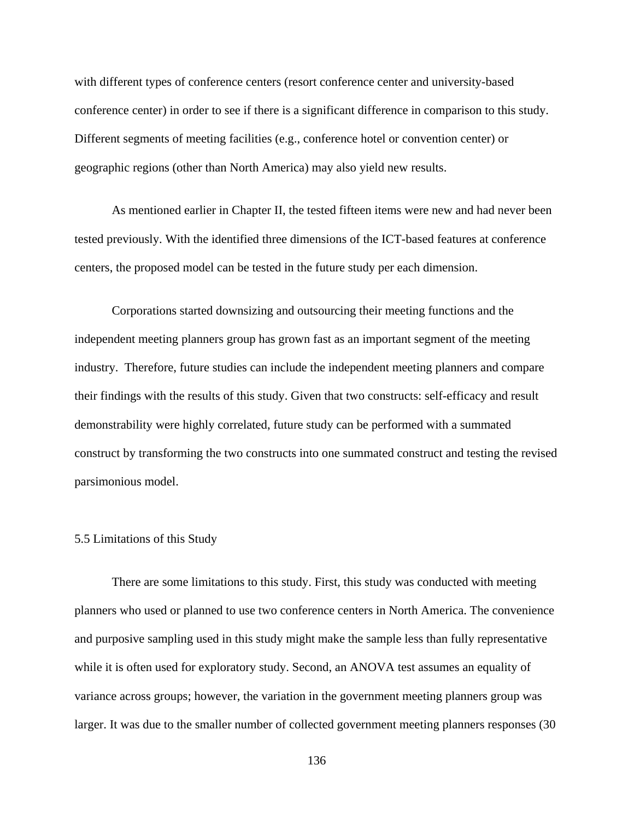with different types of conference centers (resort conference center and university-based conference center) in order to see if there is a significant difference in comparison to this study. Different segments of meeting facilities (e.g., conference hotel or convention center) or geographic regions (other than North America) may also yield new results.

As mentioned earlier in Chapter II, the tested fifteen items were new and had never been tested previously. With the identified three dimensions of the ICT-based features at conference centers, the proposed model can be tested in the future study per each dimension.

Corporations started downsizing and outsourcing their meeting functions and the independent meeting planners group has grown fast as an important segment of the meeting industry. Therefore, future studies can include the independent meeting planners and compare their findings with the results of this study. Given that two constructs: self-efficacy and result demonstrability were highly correlated, future study can be performed with a summated construct by transforming the two constructs into one summated construct and testing the revised parsimonious model.

### 5.5 Limitations of this Study

There are some limitations to this study. First, this study was conducted with meeting planners who used or planned to use two conference centers in North America. The convenience and purposive sampling used in this study might make the sample less than fully representative while it is often used for exploratory study. Second, an ANOVA test assumes an equality of variance across groups; however, the variation in the government meeting planners group was larger. It was due to the smaller number of collected government meeting planners responses (30

136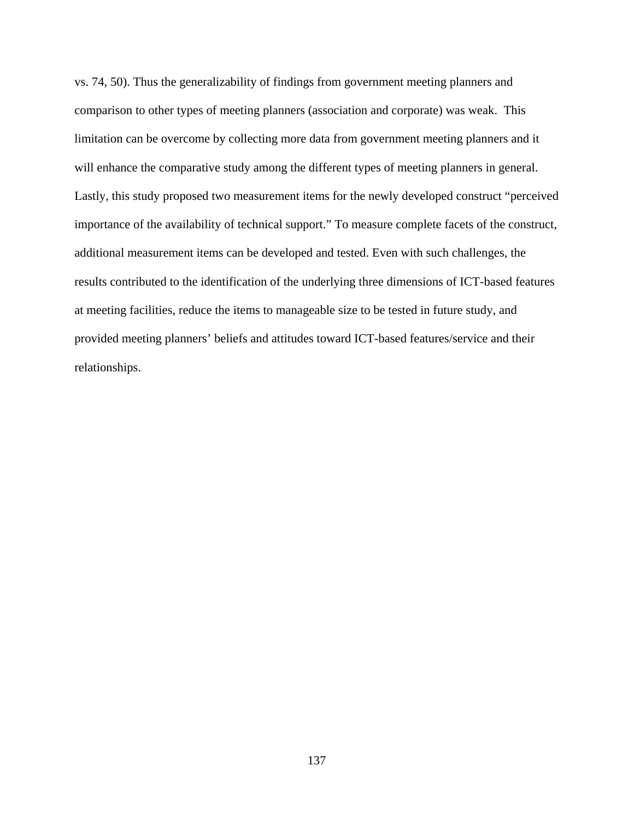vs. 74, 50). Thus the generalizability of findings from government meeting planners and comparison to other types of meeting planners (association and corporate) was weak. This limitation can be overcome by collecting more data from government meeting planners and it will enhance the comparative study among the different types of meeting planners in general. Lastly, this study proposed two measurement items for the newly developed construct "perceived importance of the availability of technical support." To measure complete facets of the construct, additional measurement items can be developed and tested. Even with such challenges, the results contributed to the identification of the underlying three dimensions of ICT-based features at meeting facilities, reduce the items to manageable size to be tested in future study, and provided meeting planners' beliefs and attitudes toward ICT-based features/service and their relationships.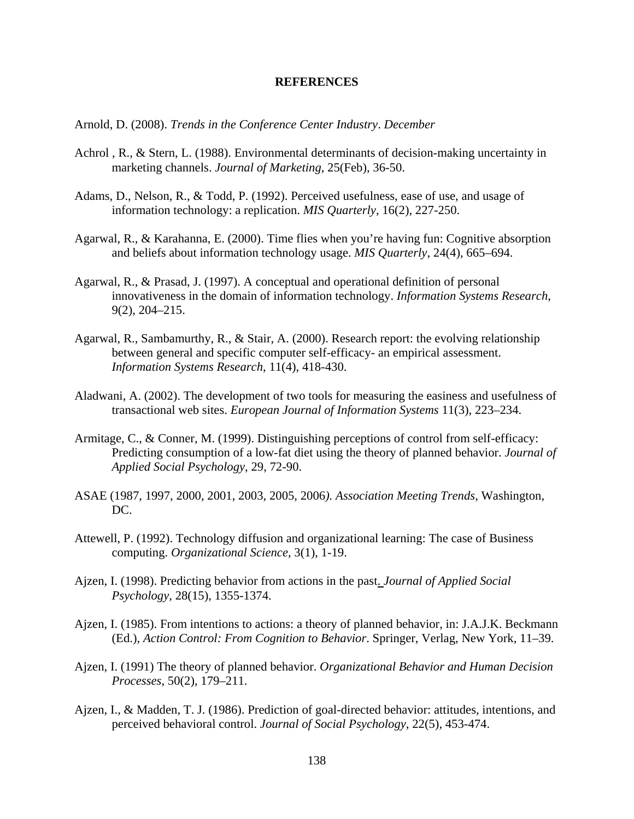### **REFERENCES**

Arnold, D. (2008). *Trends in the Conference Center Industry*. *December* 

- Achrol , R., & Stern, L. (1988). Environmental determinants of decision-making uncertainty in marketing channels. *Journal of Marketing*, 25(Feb), 36-50.
- Adams, D., Nelson, R., & Todd, P. (1992). Perceived usefulness, ease of use, and usage of information technology: a replication. *MIS Quarterly*, 16(2), 227-250.
- Agarwal, R., & Karahanna, E. (2000). Time flies when you're having fun: Cognitive absorption and beliefs about information technology usage. *MIS Quarterly*, 24(4), 665–694.
- Agarwal, R., & Prasad, J. (1997). A conceptual and operational definition of personal innovativeness in the domain of information technology. *Information Systems Research*, 9(2), 204–215.
- Agarwal, R., Sambamurthy, R., & Stair, A. (2000). Research report: the evolving relationship between general and specific computer self-efficacy- an empirical assessment. *Information Systems Research*, 11(4), 418-430.
- Aladwani, A. (2002). The development of two tools for measuring the easiness and usefulness of transactional web sites. *European Journal of Information Systems* 11(3), 223–234.
- Armitage, C., & Conner, M. (1999). Distinguishing perceptions of control from self-efficacy: Predicting consumption of a low-fat diet using the theory of planned behavior. *Journal of Applied Social Psychology*, 29, 72-90.
- ASAE (1987, 1997, 2000, 2001, 2003, 2005, 2006*). Association Meeting Trends*, Washington, DC.
- Attewell, P. (1992). Technology diffusion and organizational learning: The case of Business computing. *Organizational Science*, 3(1), 1-19.
- Ajzen, I. (1998). Predicting behavior from actions in the past. *Journal of Applied Social Psychology*, 28(15), 1355-1374.
- Ajzen, I. (1985). From intentions to actions: a theory of planned behavior, in: J.A.J.K. Beckmann (Ed.), *Action Control: From Cognition to Behavior*. Springer, Verlag, New York, 11–39.
- Ajzen, I. (1991) The theory of planned behavior. *Organizational Behavior and Human Decision Processes*, 50(2), 179–211.
- Ajzen, I., & Madden, T. J. (1986). Prediction of goal-directed behavior: attitudes, intentions, and perceived behavioral control. *Journal of Social Psychology*, 22(5), 453-474.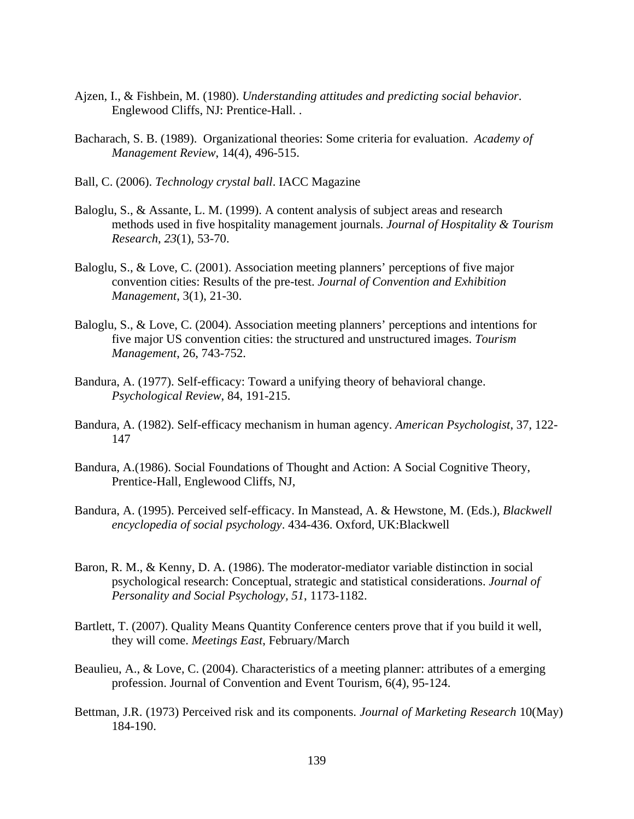- Ajzen, I., & Fishbein, M. (1980). *Understanding attitudes and predicting social behavior*. Englewood Cliffs, NJ: Prentice-Hall. .
- Bacharach, S. B. (1989). Organizational theories: Some criteria for evaluation. *Academy of Management Review*, 14(4), 496-515.
- Ball, C. (2006). *Technology crystal ball*. IACC Magazine
- Baloglu, S., & Assante, L. M. (1999). A content analysis of subject areas and research methods used in five hospitality management journals. *Journal of Hospitality & Tourism Research*, *23*(1), 53-70.
- Baloglu, S., & Love, C. (2001). Association meeting planners' perceptions of five major convention cities: Results of the pre-test. *Journal of Convention and Exhibition Management*, 3(1), 21-30.
- Baloglu, S., & Love, C. (2004). Association meeting planners' perceptions and intentions for five major US convention cities: the structured and unstructured images. *Tourism Management*, 26, 743-752.
- Bandura, A. (1977). Self-efficacy: Toward a unifying theory of behavioral change. *Psychological Review*, 84, 191-215.
- Bandura, A. (1982). Self-efficacy mechanism in human agency. *American Psychologist*, 37, 122- 147
- Bandura, A.(1986). Social Foundations of Thought and Action: A Social Cognitive Theory, Prentice-Hall, Englewood Cliffs, NJ,
- Bandura, A. (1995). Perceived self-efficacy. In Manstead, A. & Hewstone, M. (Eds.), *Blackwell encyclopedia of social psychology*. 434-436. Oxford, UK:Blackwell
- Baron, R. M., & Kenny, D. A. (1986). The moderator-mediator variable distinction in social psychological research: Conceptual, strategic and statistical considerations. *Journal of Personality and Social Psychology, 51*, 1173-1182.
- Bartlett, T. (2007). Quality Means Quantity Conference centers prove that if you build it well, they will come. *Meetings East*, February/March
- Beaulieu, A., & Love, C. (2004). Characteristics of a meeting planner: attributes of a emerging profession. Journal of Convention and Event Tourism, 6(4), 95-124.
- Bettman, J.R. (1973) Perceived risk and its components. *Journal of Marketing Research* 10(May) 184-190.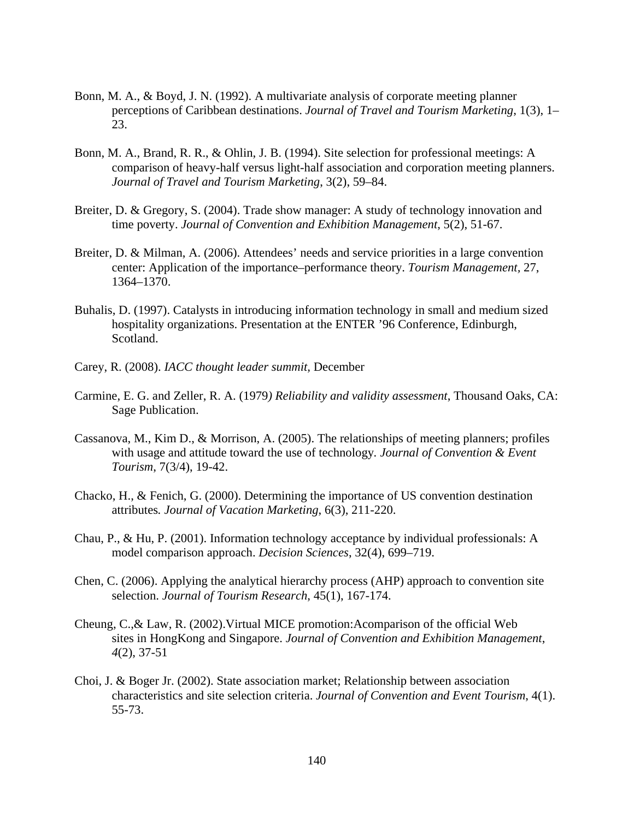- Bonn, M. A., & Boyd, J. N. (1992). A multivariate analysis of corporate meeting planner perceptions of Caribbean destinations. *Journal of Travel and Tourism Marketing*, 1(3), 1– 23.
- Bonn, M. A., Brand, R. R., & Ohlin, J. B. (1994). Site selection for professional meetings: A comparison of heavy-half versus light-half association and corporation meeting planners. *Journal of Travel and Tourism Marketing*, 3(2), 59–84.
- Breiter, D. & Gregory, S. (2004). Trade show manager: A study of technology innovation and time poverty. *Journal of Convention and Exhibition Management*, 5(2), 51-67.
- Breiter, D. & Milman, A. (2006). Attendees' needs and service priorities in a large convention center: Application of the importance–performance theory. *Tourism Management,* 27, 1364–1370.
- Buhalis, D. (1997). Catalysts in introducing information technology in small and medium sized hospitality organizations. Presentation at the ENTER '96 Conference, Edinburgh, Scotland.
- Carey, R. (2008). *IACC thought leader summit,* December
- Carmine, E. G. and Zeller, R. A. (1979*) Reliability and validity assessment*, Thousand Oaks, CA: Sage Publication.
- Cassanova, M., Kim D., & Morrison, A. (2005). The relationships of meeting planners; profiles with usage and attitude toward the use of technology*. Journal of Convention & Event Tourism*, 7(3/4), 19-42.
- Chacko, H., & Fenich, G. (2000). Determining the importance of US convention destination attributes*. Journal of Vacation Marketing*, 6(3), 211-220.
- Chau, P., & Hu, P. (2001). Information technology acceptance by individual professionals: A model comparison approach. *Decision Sciences*, 32(4), 699–719.
- Chen, C. (2006). Applying the analytical hierarchy process (AHP) approach to convention site selection. *Journal of Tourism Research*, 45(1), 167-174.
- Cheung, C.,& Law, R. (2002).Virtual MICE promotion:Acomparison of the official Web sites in HongKong and Singapore. *Journal of Convention and Exhibition Management*,  *4*(2), 37-51
- Choi, J. & Boger Jr. (2002). State association market; Relationship between association characteristics and site selection criteria. *Journal of Convention and Event Tourism*, 4(1). 55-73.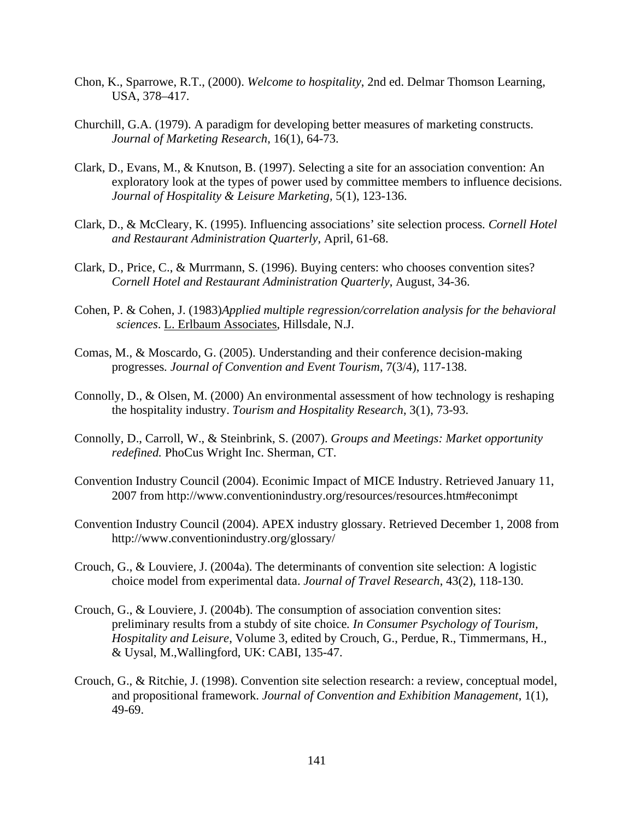- Chon, K., Sparrowe, R.T., (2000). *Welcome to hospitality*, 2nd ed. Delmar Thomson Learning, USA, 378–417.
- Churchill, G.A. (1979). A paradigm for developing better measures of marketing constructs. *Journal of Marketing Research*, 16(1), 64-73.
- Clark, D., Evans, M., & Knutson, B. (1997). Selecting a site for an association convention: An exploratory look at the types of power used by committee members to influence decisions. *Journal of Hospitality & Leisure Marketing,* 5(1), 123-136.
- Clark, D., & McCleary, K. (1995). Influencing associations' site selection process*. Cornell Hotel and Restaurant Administration Quarterly*, April, 61-68.
- Clark, D., Price, C., & Murrmann, S. (1996). Buying centers: who chooses convention sites? *Cornell Hotel and Restaurant Administration Quarterly*, August, 34-36.
- Cohen, P. & Cohen, J. (1983)*Applied multiple regression/correlation analysis for the behavioral sciences*. L. Erlbaum Associates, Hillsdale, N.J.
- Comas, M., & Moscardo, G. (2005). Understanding and their conference decision-making progresses*. Journal of Convention and Event Tourism*, 7(3/4), 117-138.
- Connolly, D., & Olsen, M. (2000) An environmental assessment of how technology is reshaping the hospitality industry. *Tourism and Hospitality Research*, 3(1), 73-93.
- Connolly, D., Carroll, W., & Steinbrink, S. (2007). *Groups and Meetings: Market opportunity redefined.* PhoCus Wright Inc. Sherman, CT.
- Convention Industry Council (2004). Econimic Impact of MICE Industry. Retrieved January 11, 2007 from http://www.conventionindustry.org/resources/resources.htm#econimpt
- Convention Industry Council (2004). APEX industry glossary. Retrieved December 1, 2008 from http://www.conventionindustry.org/glossary/
- Crouch, G., & Louviere, J. (2004a). The determinants of convention site selection: A logistic choice model from experimental data. *Journal of Travel Research*, 43(2), 118-130.
- Crouch, G., & Louviere, J. (2004b). The consumption of association convention sites: preliminary results from a stubdy of site choice*. In Consumer Psychology of Tourism, Hospitality and Leisure*, Volume 3, edited by Crouch, G., Perdue, R., Timmermans, H., & Uysal, M.,Wallingford, UK: CABI, 135-47.
- Crouch, G., & Ritchie, J. (1998). Convention site selection research: a review, conceptual model, and propositional framework. *Journal of Convention and Exhibition Management*, 1(1), 49-69.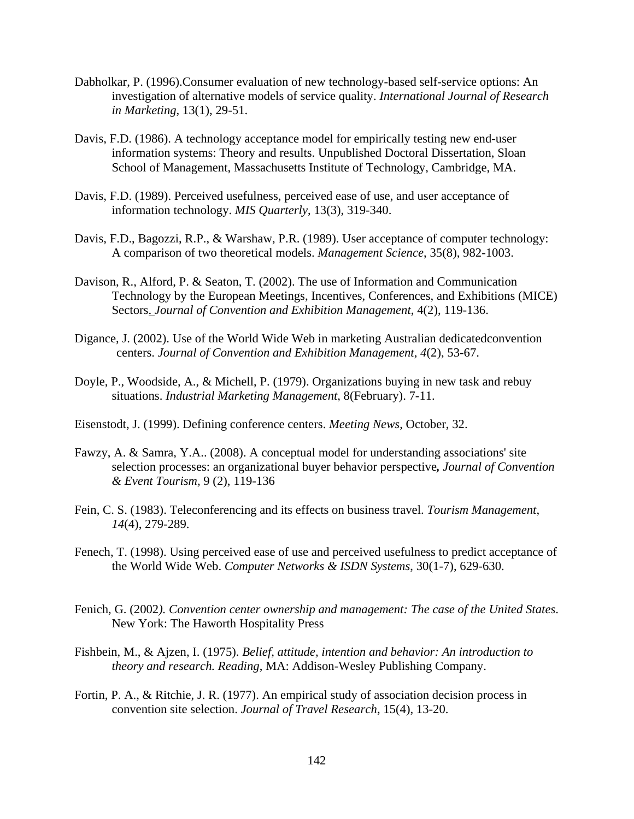- Dabholkar, P. (1996).Consumer evaluation of new technology-based self-service options: An investigation of alternative models of service quality. *International Journal of Research in Marketing*, 13(1), 29-51.
- Davis, F.D. (1986). A technology acceptance model for empirically testing new end-user information systems: Theory and results. Unpublished Doctoral Dissertation, Sloan School of Management, Massachusetts Institute of Technology, Cambridge, MA.
- Davis, F.D. (1989). Perceived usefulness, perceived ease of use, and user acceptance of information technology. *MIS Quarterly*, 13(3), 319-340.
- Davis, F.D., Bagozzi, R.P., & Warshaw, P.R. (1989). User acceptance of computer technology: A comparison of two theoretical models. *Management Science*, 35(8), 982-1003.
- Davison, R., Alford, P. & Seaton, T. (2002). The use of Information and Communication Technology by the European Meetings, Incentives, Conferences, and Exhibitions (MICE) Sectors. *Journal of Convention and Exhibition Management*, 4(2), 119-136.
- Digance, J. (2002). Use of the World Wide Web in marketing Australian dedicatedconvention centers. *Journal of Convention and Exhibition Management*, *4*(2), 53-67.
- Doyle, P., Woodside, A., & Michell, P. (1979). Organizations buying in new task and rebuy situations. *Industrial Marketing Management*, 8(February). 7-11.
- Eisenstodt, J. (1999). Defining conference centers. *Meeting News*, October, 32.
- Fawzy, A. & Samra, Y.A.. (2008). A conceptual model for understanding associations' site selection processes: an organizational buyer behavior perspective*, Journal of Convention & Event Tourism,* 9 (2), 119-136
- Fein, C. S. (1983). Teleconferencing and its effects on business travel. *Tourism Management*, *14*(4), 279-289.
- Fenech, T. (1998). Using perceived ease of use and perceived usefulness to predict acceptance of the World Wide Web. *Computer Networks & ISDN Systems*, 30(1-7), 629-630.
- Fenich, G. (2002*). Convention center ownership and management: The case of the United States*. New York: The Haworth Hospitality Press
- Fishbein, M., & Ajzen, I. (1975). *Belief, attitude, intention and behavior: An introduction to theory and research. Reading*, MA: Addison-Wesley Publishing Company.
- Fortin, P. A., & Ritchie, J. R. (1977). An empirical study of association decision process in convention site selection. *Journal of Travel Research*, 15(4), 13-20.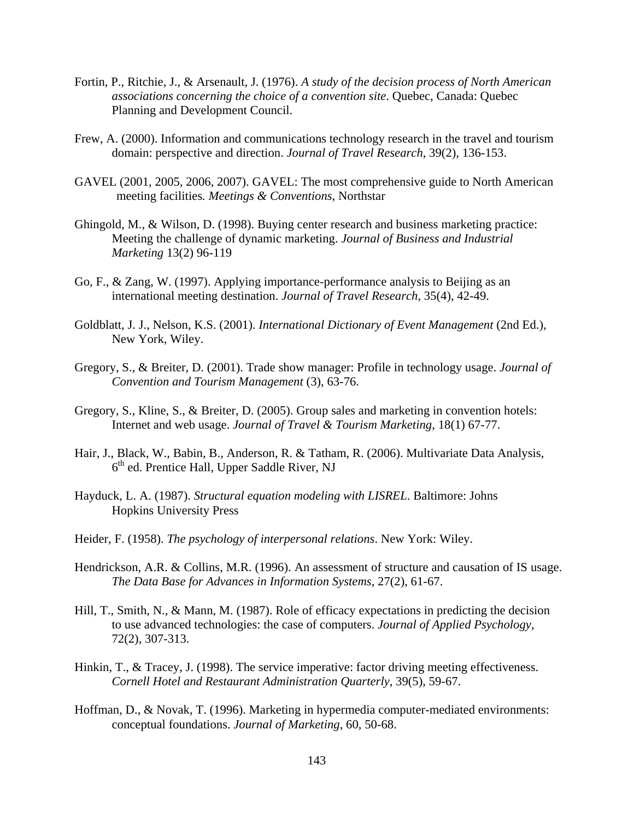- Fortin, P., Ritchie, J., & Arsenault, J. (1976). *A study of the decision process of North American associations concerning the choice of a convention site*. Quebec, Canada: Quebec Planning and Development Council.
- Frew, A. (2000). Information and communications technology research in the travel and tourism domain: perspective and direction. *Journal of Travel Research*, 39(2), 136-153.
- GAVEL (2001, 2005, 2006, 2007). GAVEL: The most comprehensive guide to North American meeting facilities*. Meetings & Conventions*, Northstar
- Ghingold, M., & Wilson, D. (1998). Buying center research and business marketing practice: Meeting the challenge of dynamic marketing. *Journal of Business and Industrial Marketing* 13(2) 96-119
- Go, F., & Zang, W. (1997). Applying importance-performance analysis to Beijing as an international meeting destination. *Journal of Travel Research*, 35(4), 42-49.
- Goldblatt, J. J., Nelson, K.S. (2001). *International Dictionary of Event Management* (2nd Ed.), New York, Wiley.
- Gregory, S., & Breiter, D. (2001). Trade show manager: Profile in technology usage. *Journal of Convention and Tourism Management* (3), 63-76.
- Gregory, S., Kline, S., & Breiter, D. (2005). Group sales and marketing in convention hotels: Internet and web usage. *Journal of Travel & Tourism Marketing*, 18(1) 67-77.
- Hair, J., Black, W., Babin, B., Anderson, R. & Tatham, R. (2006). Multivariate Data Analysis,  $6<sup>th</sup>$  ed. Prentice Hall, Upper Saddle River, NJ
- Hayduck, L. A. (1987). *Structural equation modeling with LISREL*. Baltimore: Johns Hopkins University Press
- Heider, F. (1958). *The psychology of interpersonal relations*. New York: Wiley.
- Hendrickson, A.R. & Collins, M.R. (1996). An assessment of structure and causation of IS usage. *The Data Base for Advances in Information Systems*, 27(2), 61-67.
- Hill, T., Smith, N., & Mann, M. (1987). Role of efficacy expectations in predicting the decision to use advanced technologies: the case of computers. *Journal of Applied Psychology*, 72(2), 307-313.
- Hinkin, T., & Tracey, J. (1998). The service imperative: factor driving meeting effectiveness. *Cornell Hotel and Restaurant Administration Quarterly*, 39(5), 59-67.
- Hoffman, D., & Novak, T. (1996). Marketing in hypermedia computer-mediated environments: conceptual foundations. *Journal of Marketing*, 60, 50-68.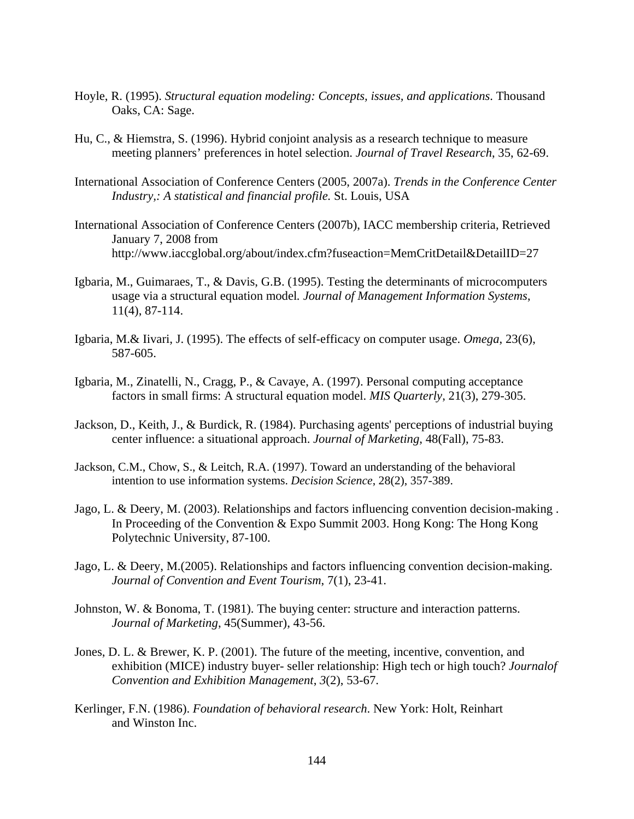- Hoyle, R. (1995). *Structural equation modeling: Concepts, issues, and applications*. Thousand Oaks, CA: Sage.
- Hu, C., & Hiemstra, S. (1996). Hybrid conjoint analysis as a research technique to measure meeting planners' preferences in hotel selection. *Journal of Travel Research*, 35, 62-69.
- International Association of Conference Centers (2005, 2007a). *Trends in the Conference Center Industry,: A statistical and financial profile.* St. Louis, USA
- International Association of Conference Centers (2007b), IACC membership criteria, Retrieved January 7, 2008 from http://www.iaccglobal.org/about/index.cfm?fuseaction=MemCritDetail&DetailID=27
- Igbaria, M., Guimaraes, T., & Davis, G.B. (1995). Testing the determinants of microcomputers usage via a structural equation model*. Journal of Management Information Systems*, 11(4), 87-114.
- Igbaria, M.& Iivari, J. (1995). The effects of self-efficacy on computer usage. *Omega*, 23(6), 587-605.
- Igbaria, M., Zinatelli, N., Cragg, P., & Cavaye, A. (1997). Personal computing acceptance factors in small firms: A structural equation model. *MIS Quarterly*, 21(3), 279-305.
- Jackson, D., Keith, J., & Burdick, R. (1984). Purchasing agents' perceptions of industrial buying center influence: a situational approach. *Journal of Marketing*, 48(Fall), 75-83.
- Jackson, C.M., Chow, S., & Leitch, R.A. (1997). Toward an understanding of the behavioral intention to use information systems. *Decision Science*, 28(2), 357-389.
- Jago, L. & Deery, M. (2003). Relationships and factors influencing convention decision-making . In Proceeding of the Convention & Expo Summit 2003. Hong Kong: The Hong Kong Polytechnic University, 87-100.
- Jago, L. & Deery, M.(2005). Relationships and factors influencing convention decision-making. *Journal of Convention and Event Tourism*, 7(1), 23-41.
- Johnston, W. & Bonoma, T. (1981). The buying center: structure and interaction patterns. *Journal of Marketing*, 45(Summer), 43-56.
- Jones, D. L. & Brewer, K. P. (2001). The future of the meeting, incentive, convention, and exhibition (MICE) industry buyer- seller relationship: High tech or high touch? *Journalof Convention and Exhibition Management*, *3*(2), 53-67.
- Kerlinger, F.N. (1986). *Foundation of behavioral research*. New York: Holt, Reinhart and Winston Inc.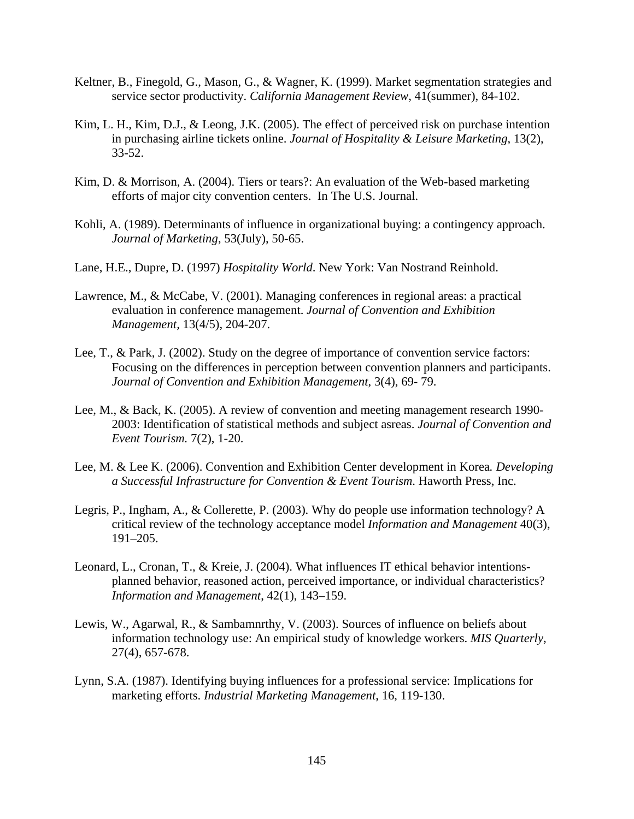- Keltner, B., Finegold, G., Mason, G., & Wagner, K. (1999). Market segmentation strategies and service sector productivity. *California Management Review*, 41(summer), 84-102.
- Kim, L. H., Kim, D.J., & Leong, J.K. (2005). The effect of perceived risk on purchase intention in purchasing airline tickets online. *Journal of Hospitality & Leisure Marketing*, 13(2), 33-52.
- Kim, D. & Morrison, A. (2004). Tiers or tears?: An evaluation of the Web-based marketing efforts of major city convention centers. In The U.S. Journal.
- Kohli, A. (1989). Determinants of influence in organizational buying: a contingency approach. *Journal of Marketing*, 53(July), 50-65.
- Lane, H.E., Dupre, D. (1997) *Hospitality World*. New York: Van Nostrand Reinhold.
- Lawrence, M., & McCabe, V. (2001). Managing conferences in regional areas: a practical evaluation in conference management. *Journal of Convention and Exhibition Management,* 13(4/5), 204-207.
- Lee, T., & Park, J. (2002). Study on the degree of importance of convention service factors: Focusing on the differences in perception between convention planners and participants. *Journal of Convention and Exhibition Management*, 3(4), 69- 79.
- Lee, M., & Back, K. (2005). A review of convention and meeting management research 1990- 2003: Identification of statistical methods and subject asreas. *Journal of Convention and Event Tourism.* 7(2), 1-20.
- Lee, M. & Lee K. (2006). Convention and Exhibition Center development in Korea*. Developing a Successful Infrastructure for Convention & Event Tourism*. Haworth Press, Inc.
- Legris, P., Ingham, A., & Collerette, P. (2003). Why do people use information technology? A critical review of the technology acceptance model *Information and Management* 40(3), 191–205.
- Leonard, L., Cronan, T., & Kreie, J. (2004). What influences IT ethical behavior intentionsplanned behavior, reasoned action, perceived importance, or individual characteristics? *Information and Management*, 42(1), 143–159.
- Lewis, W., Agarwal, R., & Sambamnrthy, V. (2003). Sources of influence on beliefs about information technology use: An empirical study of knowledge workers. *MIS Quarterly*, 27(4), 657-678.
- Lynn, S.A. (1987). Identifying buying influences for a professional service: Implications for marketing efforts. *Industrial Marketing Management*, 16, 119-130.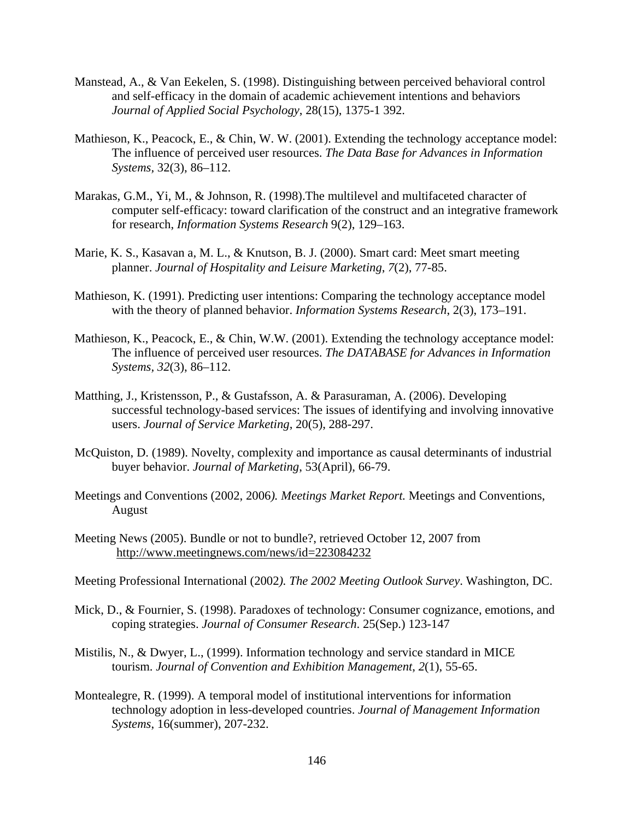- Manstead, A., & Van Eekelen, S. (1998). Distinguishing between perceived behavioral control and self-efficacy in the domain of academic achievement intentions and behaviors *Journal of Applied Social Psychology*, 28(15), 1375-1 392.
- Mathieson, K., Peacock, E., & Chin, W. W. (2001). Extending the technology acceptance model: The influence of perceived user resources. *The Data Base for Advances in Information Systems,* 32(3), 86–112.
- Marakas, G.M., Yi, M., & Johnson, R. (1998).The multilevel and multifaceted character of computer self-efficacy: toward clarification of the construct and an integrative framework for research, *Information Systems Research* 9(2), 129–163.
- Marie, K. S., Kasavan a, M. L., & Knutson, B. J. (2000). Smart card: Meet smart meeting planner. *Journal of Hospitality and Leisure Marketing*, *7*(2), 77-85.
- Mathieson, K. (1991). Predicting user intentions: Comparing the technology acceptance model with the theory of planned behavior. *Information Systems Research*, 2(3), 173–191.
- Mathieson, K., Peacock, E., & Chin, W.W. (2001). Extending the technology acceptance model: The influence of perceived user resources. *The DATABASE for Advances in Information Systems, 32*(3), 86–112.
- Matthing, J., Kristensson, P., & Gustafsson, A. & Parasuraman, A. (2006). Developing successful technology-based services: The issues of identifying and involving innovative users. *Journal of Service Marketing*, 20(5), 288-297.
- McQuiston, D. (1989). Novelty, complexity and importance as causal determinants of industrial buyer behavior. *Journal of Marketing*, 53(April), 66-79.
- Meetings and Conventions (2002, 2006*). Meetings Market Report.* Meetings and Conventions, August
- Meeting News (2005). Bundle or not to bundle?, retrieved October 12, 2007 from http://www.meetingnews.com/news/id=223084232
- Meeting Professional International (2002*). The 2002 Meeting Outlook Survey*. Washington, DC.
- Mick, D., & Fournier, S. (1998). Paradoxes of technology: Consumer cognizance, emotions, and coping strategies. *Journal of Consumer Research*. 25(Sep.) 123-147
- Mistilis, N., & Dwyer, L., (1999). Information technology and service standard in MICE tourism. *Journal of Convention and Exhibition Management*, *2*(1), 55-65.
- Montealegre, R. (1999). A temporal model of institutional interventions for information technology adoption in less-developed countries. *Journal of Management Information Systems*, 16(summer), 207-232.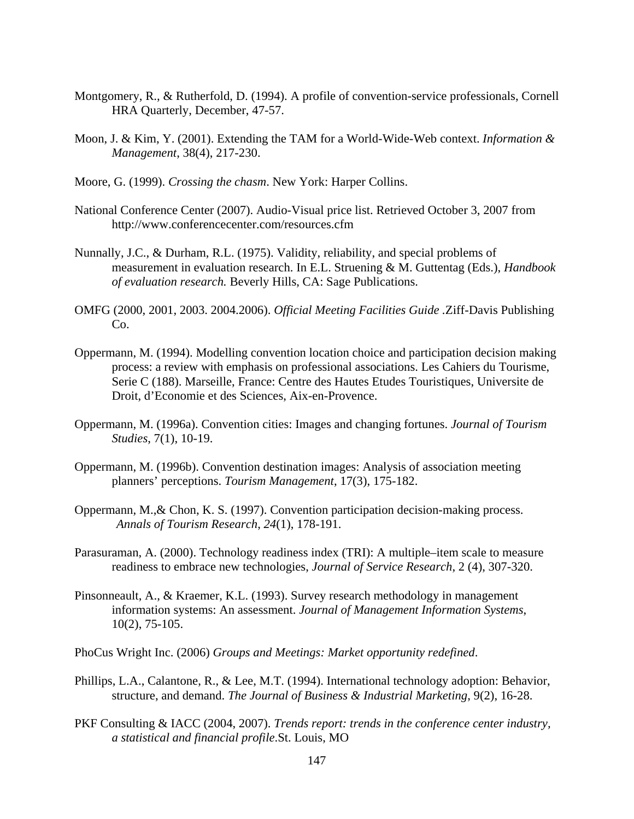- Montgomery, R., & Rutherfold, D. (1994). A profile of convention-service professionals, Cornell HRA Quarterly, December, 47-57.
- Moon, J. & Kim, Y. (2001). Extending the TAM for a World-Wide-Web context. *Information & Management*, 38(4), 217-230.
- Moore, G. (1999). *Crossing the chasm*. New York: Harper Collins.
- National Conference Center (2007). Audio-Visual price list. Retrieved October 3, 2007 from http://www.conferencecenter.com/resources.cfm
- Nunnally, J.C., & Durham, R.L. (1975). Validity, reliability, and special problems of measurement in evaluation research. In E.L. Struening & M. Guttentag (Eds.), *Handbook of evaluation research.* Beverly Hills, CA: Sage Publications.
- OMFG (2000, 2001, 2003. 2004.2006). *Official Meeting Facilities Guide .*Ziff-Davis Publishing Co.
- Oppermann, M. (1994). Modelling convention location choice and participation decision making process: a review with emphasis on professional associations. Les Cahiers du Tourisme, Serie C (188). Marseille, France: Centre des Hautes Etudes Touristiques, Universite de Droit, d'Economie et des Sciences, Aix-en-Provence.
- Oppermann, M. (1996a). Convention cities: Images and changing fortunes. *Journal of Tourism Studies*, 7(1), 10-19.
- Oppermann, M. (1996b). Convention destination images: Analysis of association meeting planners' perceptions. *Tourism Management*, 17(3), 175-182.
- Oppermann, M.,& Chon, K. S. (1997). Convention participation decision-making process. *Annals of Tourism Research*, *24*(1), 178-191.
- Parasuraman, A. (2000). Technology readiness index (TRI): A multiple–item scale to measure readiness to embrace new technologies, *Journal of Service Research*, 2 (4), 307-320.
- Pinsonneault, A., & Kraemer, K.L. (1993). Survey research methodology in management information systems: An assessment. *Journal of Management Information Systems*, 10(2), 75-105.
- PhoCus Wright Inc. (2006) *Groups and Meetings: Market opportunity redefined*.
- Phillips, L.A., Calantone, R., & Lee, M.T. (1994). International technology adoption: Behavior, structure, and demand. *The Journal of Business & Industrial Marketing*, 9(2), 16-28.
- PKF Consulting & IACC (2004, 2007). *Trends report: trends in the conference center industry, a statistical and financial profile*.St. Louis, MO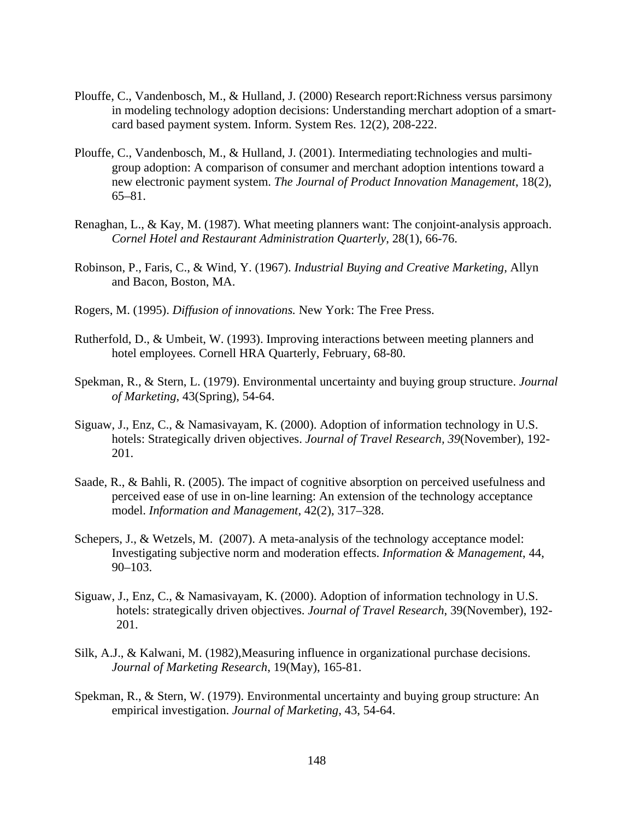- Plouffe, C., Vandenbosch, M., & Hulland, J. (2000) Research report:Richness versus parsimony in modeling technology adoption decisions: Understanding merchart adoption of a smartcard based payment system. Inform. System Res. 12(2), 208-222.
- Plouffe, C., Vandenbosch, M., & Hulland, J. (2001). Intermediating technologies and multigroup adoption: A comparison of consumer and merchant adoption intentions toward a new electronic payment system. *The Journal of Product Innovation Management*, 18(2), 65–81.
- Renaghan, L., & Kay, M. (1987). What meeting planners want: The conjoint-analysis approach. *Cornel Hotel and Restaurant Administration Quarterly*, 28(1), 66-76.
- Robinson, P., Faris, C., & Wind, Y. (1967). *Industrial Buying and Creative Marketing,* Allyn and Bacon, Boston, MA.
- Rogers, M. (1995). *Diffusion of innovations.* New York: The Free Press.
- Rutherfold, D., & Umbeit, W. (1993). Improving interactions between meeting planners and hotel employees. Cornell HRA Quarterly, February, 68-80.
- Spekman, R., & Stern, L. (1979). Environmental uncertainty and buying group structure. *Journal of Marketing*, 43(Spring), 54-64.
- Siguaw, J., Enz, C., & Namasivayam, K. (2000). Adoption of information technology in U.S. hotels: Strategically driven objectives. *Journal of Travel Research, 39*(November), 192- 201.
- Saade, R., & Bahli, R. (2005). The impact of cognitive absorption on perceived usefulness and perceived ease of use in on-line learning: An extension of the technology acceptance model. *Information and Management*, 42(2), 317–328.
- Schepers, J., & Wetzels, M. (2007). A meta-analysis of the technology acceptance model: Investigating subjective norm and moderation effects. *Information & Management*, 44, 90–103.
- Siguaw, J., Enz, C., & Namasivayam, K. (2000). Adoption of information technology in U.S. hotels: strategically driven objectives. *Journal of Travel Research*, 39(November), 192- 201.
- Silk, A.J., & Kalwani, M. (1982),Measuring influence in organizational purchase decisions. *Journal of Marketing Research*, 19(May), 165-81.
- Spekman, R., & Stern, W. (1979). Environmental uncertainty and buying group structure: An empirical investigation. *Journal of Marketing*, 43, 54-64.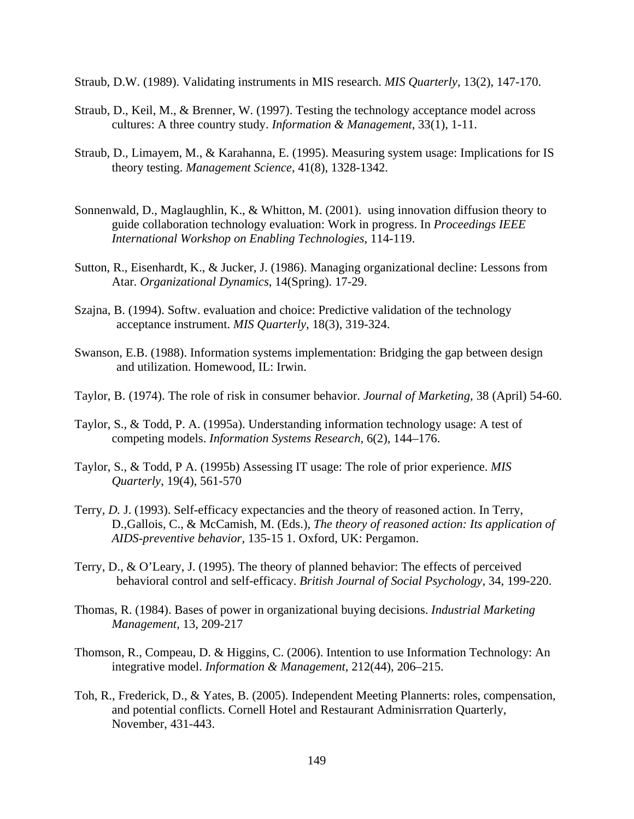Straub, D.W. (1989). Validating instruments in MIS research. *MIS Quarterly*, 13(2), 147-170.

- Straub, D., Keil, M., & Brenner, W. (1997). Testing the technology acceptance model across cultures: A three country study. *Information & Management*, 33(1), 1-11.
- Straub, D., Limayem, M., & Karahanna, E. (1995). Measuring system usage: Implications for IS theory testing. *Management Science*, 41(8), 1328-1342.
- Sonnenwald, D., Maglaughlin, K., & Whitton, M. (2001). using innovation diffusion theory to guide collaboration technology evaluation: Work in progress. In *Proceedings IEEE International Workshop on Enabling Technologies*, 114-119.
- Sutton, R., Eisenhardt, K., & Jucker, J. (1986). Managing organizational decline: Lessons from Atar*. Organizational Dynamics*, 14(Spring). 17-29.
- Szajna, B. (1994). Softw. evaluation and choice: Predictive validation of the technology acceptance instrument. *MIS Quarterly*, 18(3), 319-324.
- Swanson, E.B. (1988). Information systems implementation: Bridging the gap between design and utilization. Homewood, IL: Irwin.
- Taylor, B. (1974). The role of risk in consumer behavior. *Journal of Marketing*, 38 (April) 54-60.
- Taylor, S., & Todd, P. A. (1995a). Understanding information technology usage: A test of competing models. *Information Systems Research*, 6(2), 144–176.
- Taylor, S., & Todd, P A. (1995b) Assessing IT usage: The role of prior experience. *MIS Quarterly*, 19(4), 561-570
- Terry, *D.* J. (1993). Self-efficacy expectancies and the theory of reasoned action. In Terry, D.,Gallois, C., & McCamish, M. (Eds.), *The theory of reasoned action: Its application of AIDS-preventive behavior,* 135-15 1. Oxford, UK: Pergamon.
- Terry, D., & O'Leary, J. (1995). The theory of planned behavior: The effects of perceived behavioral control and self-efficacy. *British Journal of Social Psychology,* 34, 199-220.
- Thomas, R. (1984). Bases of power in organizational buying decisions. *Industrial Marketing Management,* 13, 209-217
- Thomson, R., Compeau, D. & Higgins, C. (2006). Intention to use Information Technology: An integrative model. *Information & Management*, 212(44), 206–215.
- Toh, R., Frederick, D., & Yates, B. (2005). Independent Meeting Plannerts: roles, compensation, and potential conflicts. Cornell Hotel and Restaurant Adminisrration Quarterly, November, 431-443.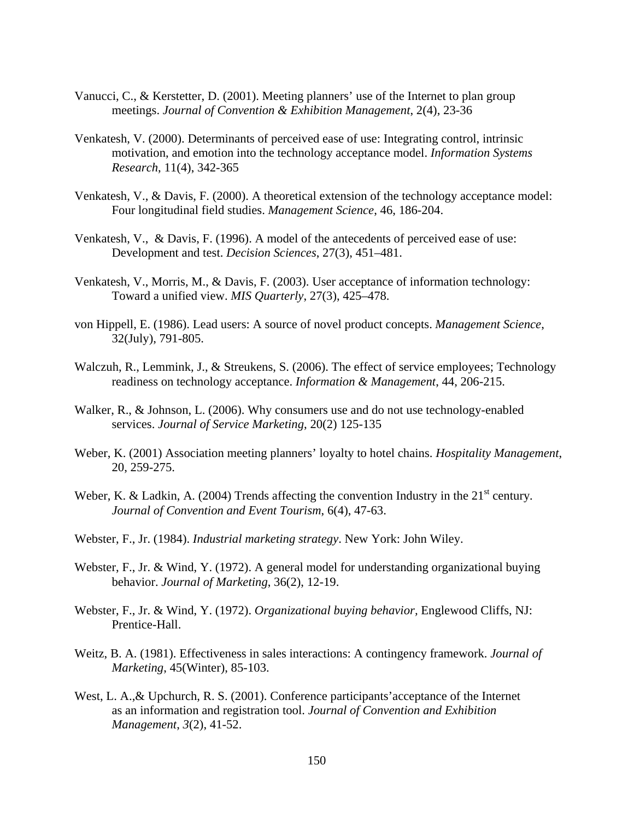- Vanucci, C., & Kerstetter, D. (2001). Meeting planners' use of the Internet to plan group meetings. *Journal of Convention & Exhibition Management*, 2(4), 23-36
- Venkatesh, V. (2000). Determinants of perceived ease of use: Integrating control, intrinsic motivation, and emotion into the technology acceptance model. *Information Systems Research*, 11(4), 342-365
- Venkatesh, V., & Davis, F. (2000). A theoretical extension of the technology acceptance model: Four longitudinal field studies. *Management Science*, 46, 186-204.
- Venkatesh, V., & Davis, F. (1996). A model of the antecedents of perceived ease of use: Development and test. *Decision Sciences*, 27(3), 451–481.
- Venkatesh, V., Morris, M., & Davis, F. (2003). User acceptance of information technology: Toward a unified view. *MIS Quarterly*, 27(3), 425–478.
- von Hippell, E. (1986). Lead users: A source of novel product concepts. *Management Science*, 32(July), 791-805.
- Walczuh, R., Lemmink, J., & Streukens, S. (2006). The effect of service employees; Technology readiness on technology acceptance. *Information & Management*, 44, 206-215.
- Walker, R., & Johnson, L. (2006). Why consumers use and do not use technology-enabled services. *Journal of Service Marketing*, 20(2) 125-135
- Weber, K. (2001) Association meeting planners' loyalty to hotel chains. *Hospitality Management*, 20, 259-275.
- Weber, K. & Ladkin, A. (2004) Trends affecting the convention Industry in the 21<sup>st</sup> century. *Journal of Convention and Event Tourism*, 6(4), 47-63.
- Webster, F., Jr. (1984). *Industrial marketing strategy*. New York: John Wiley.
- Webster, F., Jr. & Wind, Y. (1972). A general model for understanding organizational buying behavior. *Journal of Marketing*, 36(2), 12-19.
- Webster, F., Jr. & Wind, Y. (1972). *Organizational buying behavior,* Englewood Cliffs, NJ: Prentice-Hall.
- Weitz, B. A. (1981). Effectiveness in sales interactions: A contingency framework. *Journal of Marketing*, 45(Winter), 85-103.
- West, L. A.,& Upchurch, R. S. (2001). Conference participants'acceptance of the Internet as an information and registration tool. *Journal of Convention and Exhibition Management*, *3*(2), 41-52.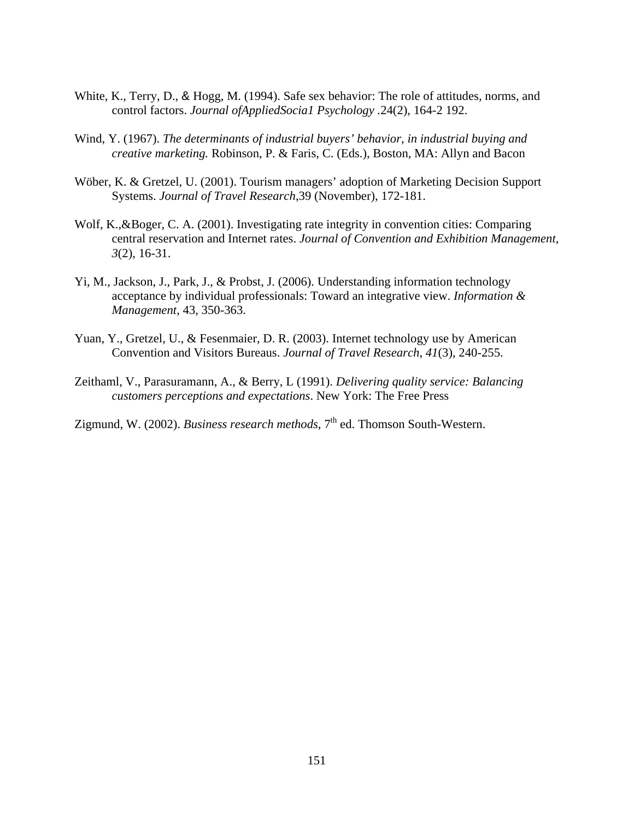- White, K., Terry, D., & Hogg, M. (1994). Safe sex behavior: The role of attitudes, norms, and control factors. *Journal ofAppliedSocia1 Psychology .*24(2), 164-2 192.
- Wind, Y. (1967). *The determinants of industrial buyers' behavior, in industrial buying and creative marketing.* Robinson, P. & Faris, C. (Eds.), Boston, MA: Allyn and Bacon
- Wöber, K. & Gretzel, U. (2001). Tourism managers' adoption of Marketing Decision Support Systems. *Journal of Travel Research*,39 (November), 172-181.
- Wolf, K.,&Boger, C. A. (2001). Investigating rate integrity in convention cities: Comparing central reservation and Internet rates. *Journal of Convention and Exhibition Management*, *3*(2), 16-31.
- Yi, M., Jackson, J., Park, J., & Probst, J. (2006). Understanding information technology acceptance by individual professionals: Toward an integrative view. *Information & Management,* 43, 350-363.
- Yuan, Y., Gretzel, U., & Fesenmaier, D. R. (2003). Internet technology use by American Convention and Visitors Bureaus. *Journal of Travel Research*, *41*(3), 240-255.
- Zeithaml, V., Parasuramann, A., & Berry, L (1991). *Delivering quality service: Balancing customers perceptions and expectations*. New York: The Free Press

Zigmund, W. (2002). *Business research methods*, 7<sup>th</sup> ed. Thomson South-Western.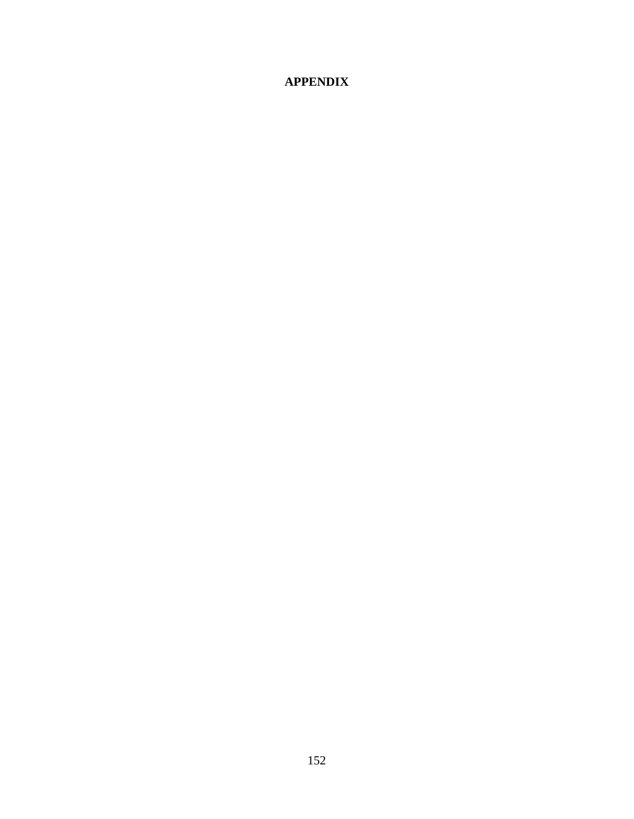## **APPENDIX**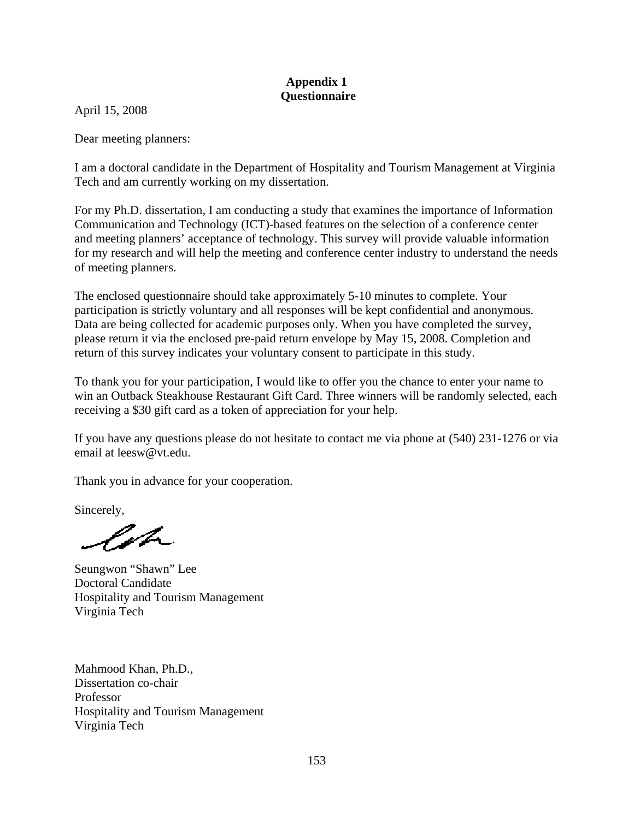### **Appendix 1 Questionnaire**

April 15, 2008

Dear meeting planners:

I am a doctoral candidate in the Department of Hospitality and Tourism Management at Virginia Tech and am currently working on my dissertation.

For my Ph.D. dissertation, I am conducting a study that examines the importance of Information Communication and Technology (ICT)-based features on the selection of a conference center and meeting planners' acceptance of technology. This survey will provide valuable information for my research and will help the meeting and conference center industry to understand the needs of meeting planners.

The enclosed questionnaire should take approximately 5-10 minutes to complete. Your participation is strictly voluntary and all responses will be kept confidential and anonymous. Data are being collected for academic purposes only. When you have completed the survey, please return it via the enclosed pre-paid return envelope by May 15, 2008. Completion and return of this survey indicates your voluntary consent to participate in this study.

To thank you for your participation, I would like to offer you the chance to enter your name to win an Outback Steakhouse Restaurant Gift Card. Three winners will be randomly selected, each receiving a \$30 gift card as a token of appreciation for your help.

If you have any questions please do not hesitate to contact me via phone at (540) 231-1276 or via email at leesw@vt.edu.

Thank you in advance for your cooperation.

Sincerely,

Valo

Seungwon "Shawn" Lee Doctoral Candidate Hospitality and Tourism Management Virginia Tech

Mahmood Khan, Ph.D., Dissertation co-chair Professor Hospitality and Tourism Management Virginia Tech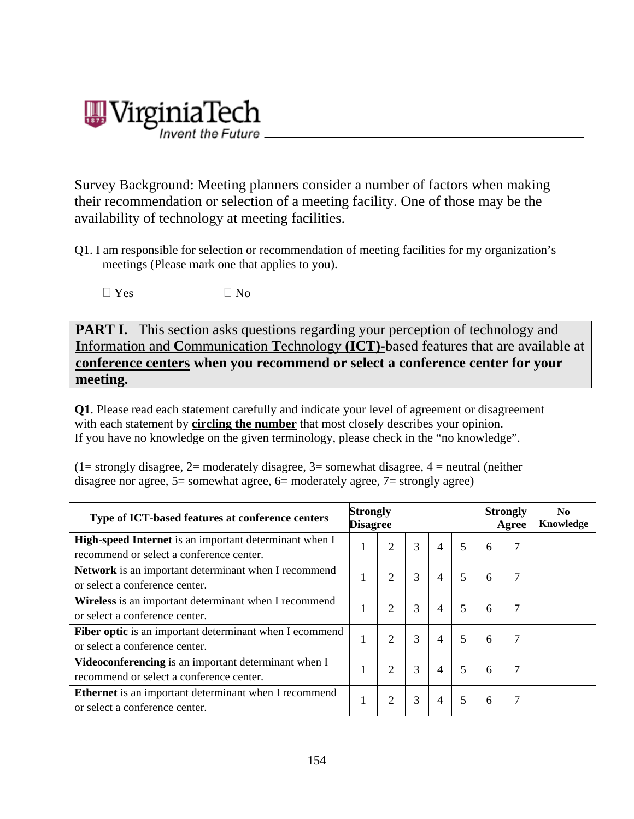# /irginiaTech

Survey Background: Meeting planners consider a number of factors when making their recommendation or selection of a meeting facility. One of those may be the availability of technology at meeting facilities.

Q1. I am responsible for selection or recommendation of meeting facilities for my organization's meetings (Please mark one that applies to you).

 $\Box$  Yes  $\Box$  No

**PART I.** This section asks questions regarding your perception of technology and **I**nformation and **C**ommunication **T**echnology **(ICT)-**based features that are available at **conference centers when you recommend or select a conference center for your meeting.**

**Q1**. Please read each statement carefully and indicate your level of agreement or disagreement with each statement by **circling the number** that most closely describes your opinion. If you have no knowledge on the given terminology, please check in the "no knowledge".

 $(1=$  strongly disagree,  $2=$  moderately disagree,  $3=$  somewhat disagree,  $4=$  neutral (neither disagree nor agree, 5= somewhat agree, 6= moderately agree, 7= strongly agree)

| Type of ICT-based features at conference centers                                                   | <b>Strongly</b><br><b>Disagree</b> |                |   |   | <b>Strongly</b><br>Agree |   | N <sub>0</sub><br>Knowledge |  |
|----------------------------------------------------------------------------------------------------|------------------------------------|----------------|---|---|--------------------------|---|-----------------------------|--|
| High-speed Internet is an important determinant when I<br>recommend or select a conference center. |                                    | 2              | 3 | 4 | 5                        | 6 | 7                           |  |
| Network is an important determinant when I recommend<br>or select a conference center.             |                                    | 2              | 3 | 4 | 5                        | 6 |                             |  |
| Wireless is an important determinant when I recommend<br>or select a conference center.            |                                    | $\overline{2}$ | 3 | 4 | 5                        | 6 |                             |  |
| Fiber optic is an important determinant when I ecommend<br>or select a conference center.          | 1                                  | 2              | 3 | 4 | 5                        | 6 | 7                           |  |
| Videoconferencing is an important determinant when I<br>recommend or select a conference center.   |                                    | $\overline{2}$ | 3 | 4 | 5                        | 6 | 7                           |  |
| Ethernet is an important determinant when I recommend<br>or select a conference center.            |                                    | 2              | 3 | 4 | 5                        | 6 |                             |  |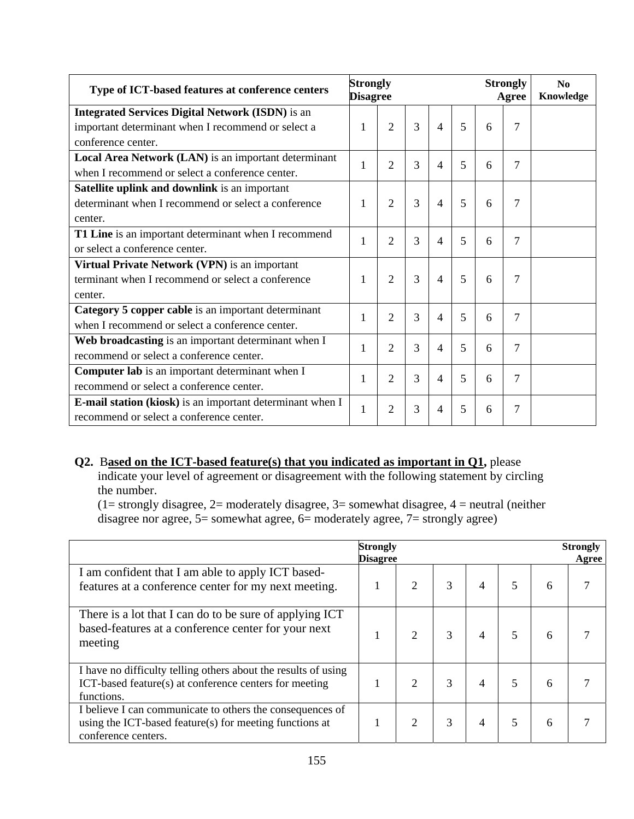| Type of ICT-based features at conference centers          | <b>Strongly</b><br><b>Disagree</b> |                |   |   |   |   | <b>Strongly</b><br>Agree | $\mathbf{N}\mathbf{0}$<br>Knowledge |
|-----------------------------------------------------------|------------------------------------|----------------|---|---|---|---|--------------------------|-------------------------------------|
| <b>Integrated Services Digital Network (ISDN)</b> is an   |                                    |                |   |   |   |   |                          |                                     |
| important determinant when I recommend or select a        | 1                                  | 2              | 3 | 4 | 5 | 6 | $\overline{7}$           |                                     |
| conference center.                                        |                                    |                |   |   |   |   |                          |                                     |
| Local Area Network (LAN) is an important determinant      |                                    |                |   |   | 5 |   |                          |                                     |
| when I recommend or select a conference center.           | 2<br>1                             |                | 3 | 4 |   | 6 | 7                        |                                     |
| Satellite uplink and downlink is an important             |                                    |                |   |   |   |   |                          |                                     |
| determinant when I recommend or select a conference       | 1                                  | $\overline{2}$ | 3 | 4 | 5 | 6 | 7                        |                                     |
| center.                                                   |                                    |                |   |   |   |   |                          |                                     |
| T1 Line is an important determinant when I recommend      | 1                                  | $\overline{2}$ | 3 | 4 | 5 | 6 | 7                        |                                     |
| or select a conference center.                            |                                    |                |   |   |   |   |                          |                                     |
| Virtual Private Network (VPN) is an important             |                                    |                |   |   |   |   |                          |                                     |
| terminant when I recommend or select a conference         | 1                                  | $\overline{2}$ | 3 | 4 | 5 | 6 | 7                        |                                     |
| center.                                                   |                                    |                |   |   |   |   |                          |                                     |
| Category 5 copper cable is an important determinant       | 1                                  | $\overline{2}$ | 3 | 4 | 5 | 6 | 7                        |                                     |
| when I recommend or select a conference center.           |                                    |                |   |   |   |   |                          |                                     |
| Web broadcasting is an important determinant when I       | 1                                  | 2              | 3 | 4 | 5 | 6 | 7                        |                                     |
| recommend or select a conference center.                  |                                    |                |   |   |   |   |                          |                                     |
| Computer lab is an important determinant when I           | 1                                  | $\overline{2}$ | 3 | 4 | 5 | 6 | 7                        |                                     |
| recommend or select a conference center.                  |                                    |                |   |   |   |   |                          |                                     |
| E-mail station (kiosk) is an important determinant when I | 1                                  | $\overline{2}$ | 3 | 4 | 5 | 6 | 7                        |                                     |
| recommend or select a conference center.                  |                                    |                |   |   |   |   |                          |                                     |

## **Q2.** B**ased on the ICT-based feature(s) that you indicated as important in Q1,** please

indicate your level of agreement or disagreement with the following statement by circling the number.

 $(1=$  strongly disagree,  $2=$  moderately disagree,  $3=$  somewhat disagree,  $4=$  neutral (neither disagree nor agree, 5= somewhat agree, 6= moderately agree, 7= strongly agree)

|                                                                                                                                             | <b>Strongly</b><br><b>Disagree</b> |   |   |   |   |   | <b>Strongly</b><br>Agree |
|---------------------------------------------------------------------------------------------------------------------------------------------|------------------------------------|---|---|---|---|---|--------------------------|
| I am confident that I am able to apply ICT based-<br>features at a conference center for my next meeting.                                   |                                    |   |   |   | 5 | 6 |                          |
| There is a lot that I can do to be sure of applying ICT<br>based-features at a conference center for your next<br>meeting                   |                                    | 2 |   | 4 | 5 | 6 |                          |
| I have no difficulty telling others about the results of using<br>ICT-based feature(s) at conference centers for meeting<br>functions.      |                                    | 2 | 3 | 4 | 5 | 6 |                          |
| I believe I can communicate to others the consequences of<br>using the ICT-based feature(s) for meeting functions at<br>conference centers. |                                    | 2 |   | 4 | 5 | 6 |                          |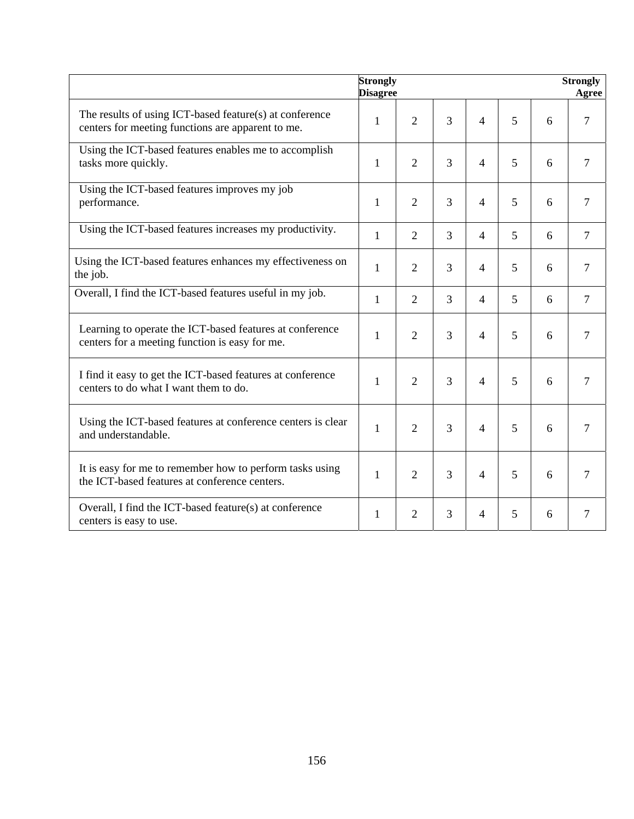|                                                                                                              | Strongly<br><b>Disagree</b> |                |   |                |   |   | <b>Strongly</b><br>Agree |
|--------------------------------------------------------------------------------------------------------------|-----------------------------|----------------|---|----------------|---|---|--------------------------|
| The results of using ICT-based feature(s) at conference<br>centers for meeting functions are apparent to me. | $\mathbf{1}$                | $\overline{2}$ | 3 | $\overline{4}$ | 5 | 6 | $\overline{7}$           |
| Using the ICT-based features enables me to accomplish<br>tasks more quickly.                                 | $\mathbf{1}$                | $\overline{2}$ | 3 | $\overline{4}$ | 5 | 6 | $\overline{7}$           |
| Using the ICT-based features improves my job<br>performance.                                                 | 1                           | $\overline{2}$ | 3 | $\overline{4}$ | 5 | 6 | 7                        |
| Using the ICT-based features increases my productivity.                                                      | $\mathbf{1}$                | $\overline{2}$ | 3 | $\overline{4}$ | 5 | 6 | $\overline{7}$           |
| Using the ICT-based features enhances my effectiveness on<br>the job.                                        | 1                           | $\overline{2}$ | 3 | $\overline{4}$ | 5 | 6 | $7\phantom{.0}$          |
| Overall, I find the ICT-based features useful in my job.                                                     | $\mathbf{1}$                | $\overline{2}$ | 3 | $\overline{4}$ | 5 | 6 | $\overline{7}$           |
| Learning to operate the ICT-based features at conference<br>centers for a meeting function is easy for me.   | 1                           | $\overline{2}$ | 3 | $\overline{4}$ | 5 | 6 | $\tau$                   |
| I find it easy to get the ICT-based features at conference<br>centers to do what I want them to do.          | $\mathbf{1}$                | $\overline{2}$ | 3 | $\overline{4}$ | 5 | 6 | $\overline{7}$           |
| Using the ICT-based features at conference centers is clear<br>and understandable.                           | $\mathbf{1}$                | $\overline{2}$ | 3 | $\overline{4}$ | 5 | 6 | $\overline{7}$           |
| It is easy for me to remember how to perform tasks using<br>the ICT-based features at conference centers.    | $\mathbf{1}$                | $\overline{2}$ | 3 | $\overline{4}$ | 5 | 6 | $\overline{7}$           |
| Overall, I find the ICT-based feature(s) at conference<br>centers is easy to use.                            | 1                           | $\overline{2}$ | 3 | $\overline{4}$ | 5 | 6 | 7                        |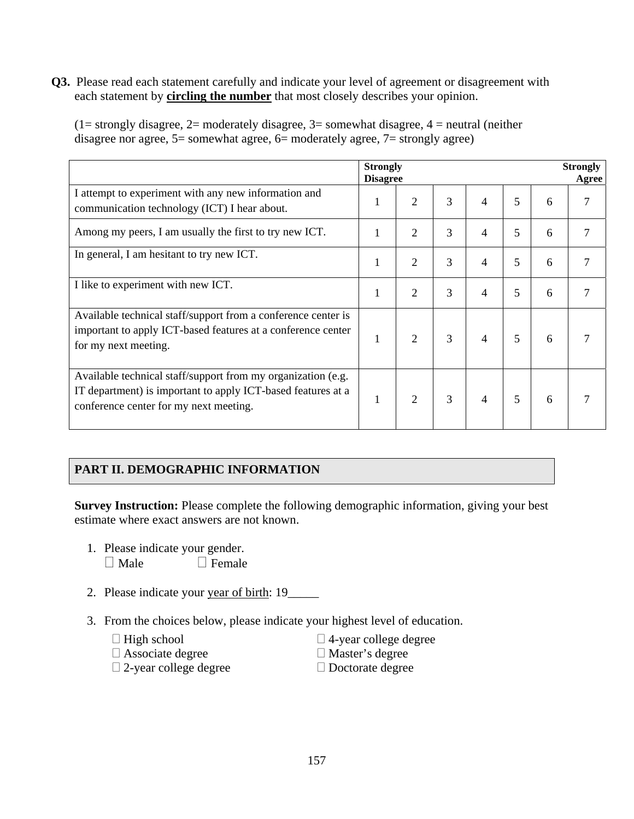**Q3.** Please read each statement carefully and indicate your level of agreement or disagreement with each statement by **circling the number** that most closely describes your opinion.

|                                                                                                                                                                        | <b>Strongly</b><br><b>Disagree</b> |                             |   |   |                          |   | <b>Strongly</b><br>Agree |
|------------------------------------------------------------------------------------------------------------------------------------------------------------------------|------------------------------------|-----------------------------|---|---|--------------------------|---|--------------------------|
| I attempt to experiment with any new information and<br>communication technology (ICT) I hear about.                                                                   |                                    | 2                           | 3 | 4 | 5                        | 6 |                          |
| Among my peers, I am usually the first to try new ICT.                                                                                                                 |                                    | $\overline{2}$              | 3 | 4 | 5                        | 6 |                          |
| In general, I am hesitant to try new ICT.                                                                                                                              |                                    | $\overline{2}$              | 3 | 4 | 5                        | 6 |                          |
| I like to experiment with new ICT.                                                                                                                                     |                                    | 2                           | 3 | 4 | 5                        | 6 |                          |
| Available technical staff/support from a conference center is<br>important to apply ICT-based features at a conference center<br>for my next meeting.                  |                                    | $\mathcal{D}_{\mathcal{L}}$ | 3 | 4 | $\overline{\phantom{0}}$ | 6 |                          |
| Available technical staff/support from my organization (e.g.<br>IT department) is important to apply ICT-based features at a<br>conference center for my next meeting. |                                    | 2                           | 3 | 4 | $\overline{\phantom{0}}$ | 6 |                          |

 $(1=$  strongly disagree,  $2=$  moderately disagree,  $3=$  somewhat disagree,  $4=$  neutral (neither disagree nor agree,  $5$ = somewhat agree,  $6$ = moderately agree,  $7$ = strongly agree)

## **PART II. DEMOGRAPHIC INFORMATION**

**Survey Instruction:** Please complete the following demographic information, giving your best estimate where exact answers are not known.

- 1. Please indicate your gender.  $\Box$  Male  $\Box$  Female
- 2. Please indicate your year of birth: 19\_\_\_\_\_
- 3. From the choices below, please indicate your highest level of education.

|  | $\Box$ High school |
|--|--------------------|
|  |                    |

 $\Box$  4-year college degree

Associate degree

- 
- 2-year college degree
- Master's degree □ Doctorate degree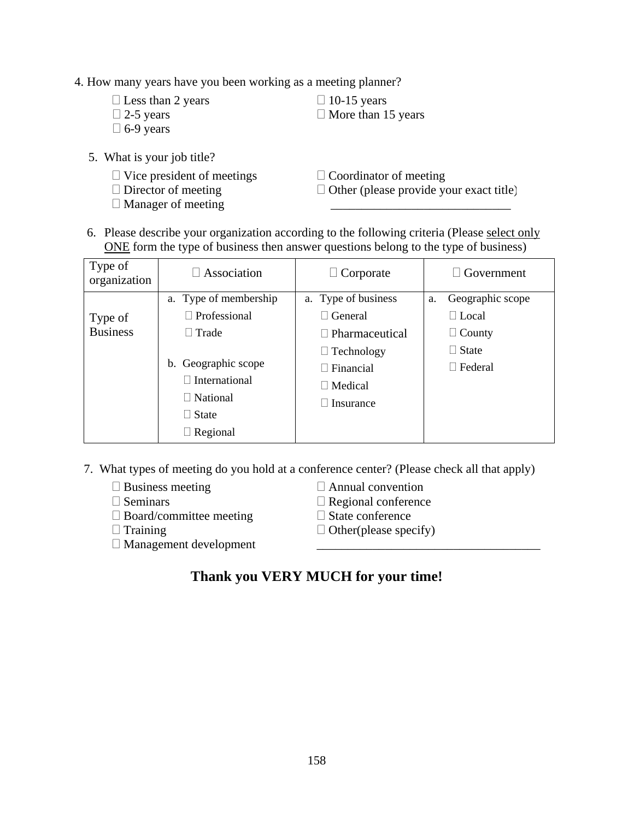4. How many years have you been working as a meeting planner?

| $\Box$ Less than 2 years | $\Box$ 10-15 years        |
|--------------------------|---------------------------|
| $\Box$ 2-5 years         | $\Box$ More than 15 years |
| $\Box$ 6-9 years         |                           |

- 5. What is your job title?
	- $\Box$  Vice president of meetings
	- □ Director of meeting
	- Manager of meeting

 $\Box$  Coordinator of meeting

 $\Box$  Other (please provide your exact title) \_\_\_\_\_\_\_\_\_\_\_\_\_\_\_\_\_\_\_\_\_\_\_\_\_\_\_\_\_

 6. Please describe your organization according to the following criteria (Please select only ONE form the type of business then answer questions belong to the type of business)

| Type of<br>organization | $\Box$ Association    | $\Box$ Corporate      |    | $\Box$ Government |
|-------------------------|-----------------------|-----------------------|----|-------------------|
|                         | a. Type of membership | a. Type of business   | a. | Geographic scope  |
| Type of                 | $\Box$ Professional   | $\Box$ General        |    | $\Box$ Local      |
| <b>Business</b>         | $\Box$ Trade          | $\Box$ Pharmaceutical |    | $\Box$ County     |
|                         |                       | $\Box$ Technology     |    | $\Box$ State      |
|                         | b. Geographic scope   | $\Box$ Financial      |    | $\Box$ Federal    |
|                         | $\Box$ International  | $\Box$ Medical        |    |                   |
|                         | $\Box$ National       | Insurance             |    |                   |
|                         | $\Box$ State          |                       |    |                   |
|                         | $\Box$ Regional       |                       |    |                   |

7. What types of meeting do you hold at a conference center? (Please check all that apply)

- $\square$  Business meeting
- $\square$  Seminars
- $\square$  Board/committee meeting
- $\Box$  Training
- Management development
- Annual convention
- $\Box$  Regional conference
- □ State conference
- $\Box$  Other(please specify)

\_\_\_\_\_\_\_\_\_\_\_\_\_\_\_\_\_\_\_\_\_\_\_\_\_\_\_\_\_\_\_\_\_\_\_\_

# **Thank you VERY MUCH for your time!**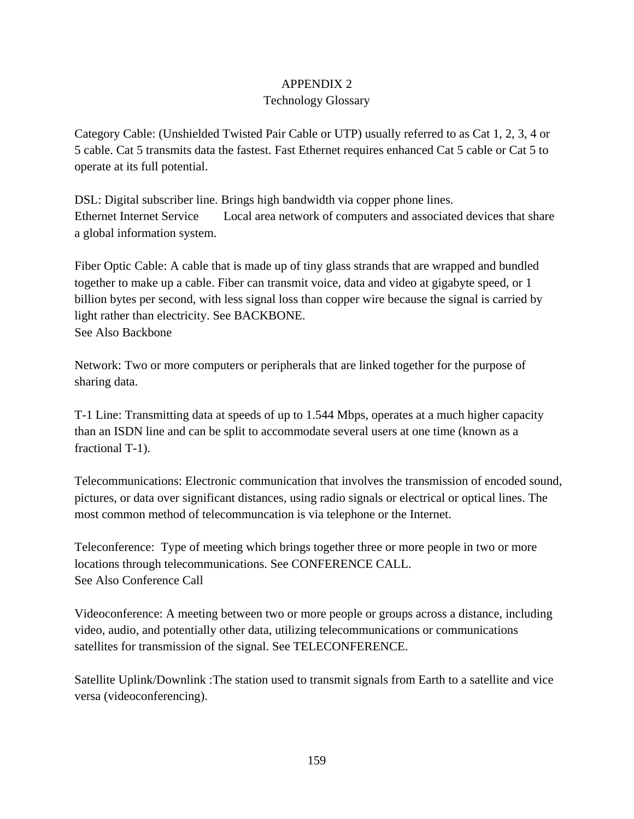## APPENDIX 2

### Technology Glossary

Category Cable: (Unshielded Twisted Pair Cable or UTP) usually referred to as Cat 1, 2, 3, 4 or 5 cable. Cat 5 transmits data the fastest. Fast Ethernet requires enhanced Cat 5 cable or Cat 5 to operate at its full potential.

DSL: Digital subscriber line. Brings high bandwidth via copper phone lines. Ethernet Internet Service Local area network of computers and associated devices that share a global information system.

Fiber Optic Cable: A cable that is made up of tiny glass strands that are wrapped and bundled together to make up a cable. Fiber can transmit voice, data and video at gigabyte speed, or 1 billion bytes per second, with less signal loss than copper wire because the signal is carried by light rather than electricity. See BACKBONE. See Also Backbone

Network: Two or more computers or peripherals that are linked together for the purpose of sharing data.

T-1 Line: Transmitting data at speeds of up to 1.544 Mbps, operates at a much higher capacity than an ISDN line and can be split to accommodate several users at one time (known as a fractional T-1).

Telecommunications: Electronic communication that involves the transmission of encoded sound, pictures, or data over significant distances, using radio signals or electrical or optical lines. The most common method of telecommuncation is via telephone or the Internet.

Teleconference: Type of meeting which brings together three or more people in two or more locations through telecommunications. See CONFERENCE CALL. See Also Conference Call

Videoconference: A meeting between two or more people or groups across a distance, including video, audio, and potentially other data, utilizing telecommunications or communications satellites for transmission of the signal. See TELECONFERENCE.

Satellite Uplink/Downlink :The station used to transmit signals from Earth to a satellite and vice versa (videoconferencing).